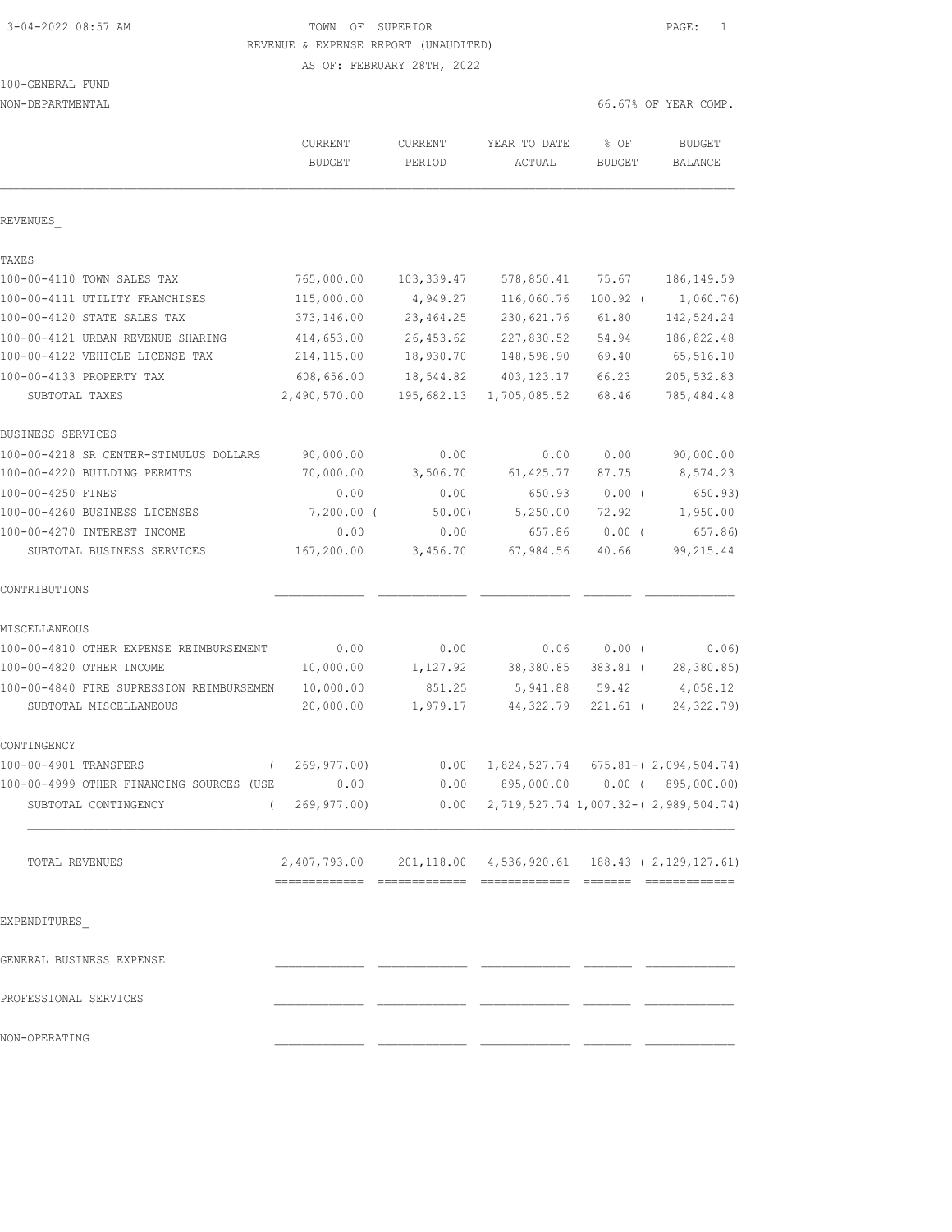### 3-04-2022 08:57 AM **PAGE:** 1 REVENUE & EXPENSE REPORT (UNAUDITED) AS OF: FEBRUARY 28TH, 2022

| NON-DEPARTMENTAL                         |                                                            |                   |                                                  |                       | 66.67% OF YEAR COMP.      |
|------------------------------------------|------------------------------------------------------------|-------------------|--------------------------------------------------|-----------------------|---------------------------|
|                                          | <b>CURRENT</b><br><b>BUDGET</b>                            | CURRENT<br>PERIOD | YEAR TO DATE<br>ACTUAL                           | % OF<br><b>BUDGET</b> | <b>BUDGET</b><br>BALANCE  |
| REVENUES                                 |                                                            |                   |                                                  |                       |                           |
| TAXES                                    |                                                            |                   |                                                  |                       |                           |
| 100-00-4110 TOWN SALES TAX               | 765,000.00                                                 | 103,339.47        | 578,850.41                                       | 75.67                 | 186, 149.59               |
| 100-00-4111 UTILITY FRANCHISES           | 115,000.00                                                 | 4,949.27          | 116,060.76                                       | $100.92$ (            | 1,060.76)                 |
| 100-00-4120 STATE SALES TAX              | 373,146.00                                                 | 23, 464.25        | 230,621.76                                       | 61.80                 | 142,524.24                |
| 100-00-4121 URBAN REVENUE SHARING        | 414,653.00                                                 | 26, 453.62        | 227,830.52                                       | 54.94                 | 186,822.48                |
| 100-00-4122 VEHICLE LICENSE TAX          | 214, 115.00                                                | 18,930.70         | 148,598.90                                       | 69.40                 | 65,516.10                 |
| 100-00-4133 PROPERTY TAX                 | 608,656.00                                                 | 18,544.82         | 403, 123. 17                                     | 66.23                 | 205,532.83                |
| SUBTOTAL TAXES                           | 2,490,570.00                                               | 195,682.13        | 1,705,085.52                                     | 68.46                 | 785, 484.48               |
| BUSINESS SERVICES                        |                                                            |                   |                                                  |                       |                           |
| 100-00-4218 SR CENTER-STIMULUS DOLLARS   | 90,000.00                                                  | 0.00              | 0.00                                             | 0.00                  | 90,000.00                 |
| 100-00-4220 BUILDING PERMITS             | 70,000.00                                                  | 3,506.70          | 61, 425.77                                       | 87.75                 | 8,574.23                  |
| 100-00-4250 FINES                        | 0.00                                                       | 0.00              | 650.93                                           | 0.00(                 | 650.93)                   |
| 100-00-4260 BUSINESS LICENSES            | 7,200.00 (                                                 | 50.00             | 5,250.00                                         | 72.92                 | 1,950.00                  |
| 100-00-4270 INTEREST INCOME              | 0.00                                                       | 0.00              | 657.86                                           | $0.00$ (              | 657.86)                   |
| SUBTOTAL BUSINESS SERVICES               | 167,200.00                                                 | 3,456.70          | 67,984.56                                        | 40.66                 | 99,215.44                 |
| CONTRIBUTIONS                            |                                                            |                   |                                                  |                       |                           |
| MISCELLANEOUS                            |                                                            |                   |                                                  |                       |                           |
| 100-00-4810 OTHER EXPENSE REIMBURSEMENT  | 0.00                                                       | 0.00              | 0.06                                             | $0.00$ (              | 0.06)                     |
| 100-00-4820 OTHER INCOME                 | 10,000.00                                                  | 1,127.92          | 38,380.85                                        | 383.81 (              | 28,380.85)                |
| 100-00-4840 FIRE SUPRESSION REIMBURSEMEN | 10,000.00                                                  | 851.25            | 5,941.88                                         | 59.42                 | 4,058.12                  |
| SUBTOTAL MISCELLANEOUS                   | 20,000.00                                                  | 1,979.17          | 44,322.79                                        | 221.61 (              | 24, 322.79)               |
| CONTINGENCY                              |                                                            |                   |                                                  |                       |                           |
| 100-00-4901 TRANSFERS<br>$\left($        | 269,977.00)                                                | 0.00              | 1,824,527.74                                     |                       | $675.81 - (2,094,504.74)$ |
| 100-00-4999 OTHER FINANCING SOURCES (USE | 0.00                                                       | 0.00              | 895,000.00                                       |                       | $0.00$ ( $895,000.00$ )   |
| SUBTOTAL CONTINGENCY                     | 269,977.00)                                                |                   | $0.00$ 2, 719, 527.74 1, 007.32-(2, 989, 504.74) |                       |                           |
|                                          |                                                            |                   |                                                  |                       |                           |
| TOTAL REVENUES                           | 2,407,793.00 201,118.00 4,536,920.61 188.43 (2,129,127.61) |                   |                                                  |                       |                           |
| EXPENDITURES                             |                                                            |                   |                                                  |                       |                           |
| GENERAL BUSINESS EXPENSE                 |                                                            |                   |                                                  |                       |                           |
|                                          |                                                            |                   |                                                  |                       |                           |
| PROFESSIONAL SERVICES                    |                                                            |                   |                                                  |                       |                           |
| NON-OPERATING                            |                                                            |                   |                                                  |                       |                           |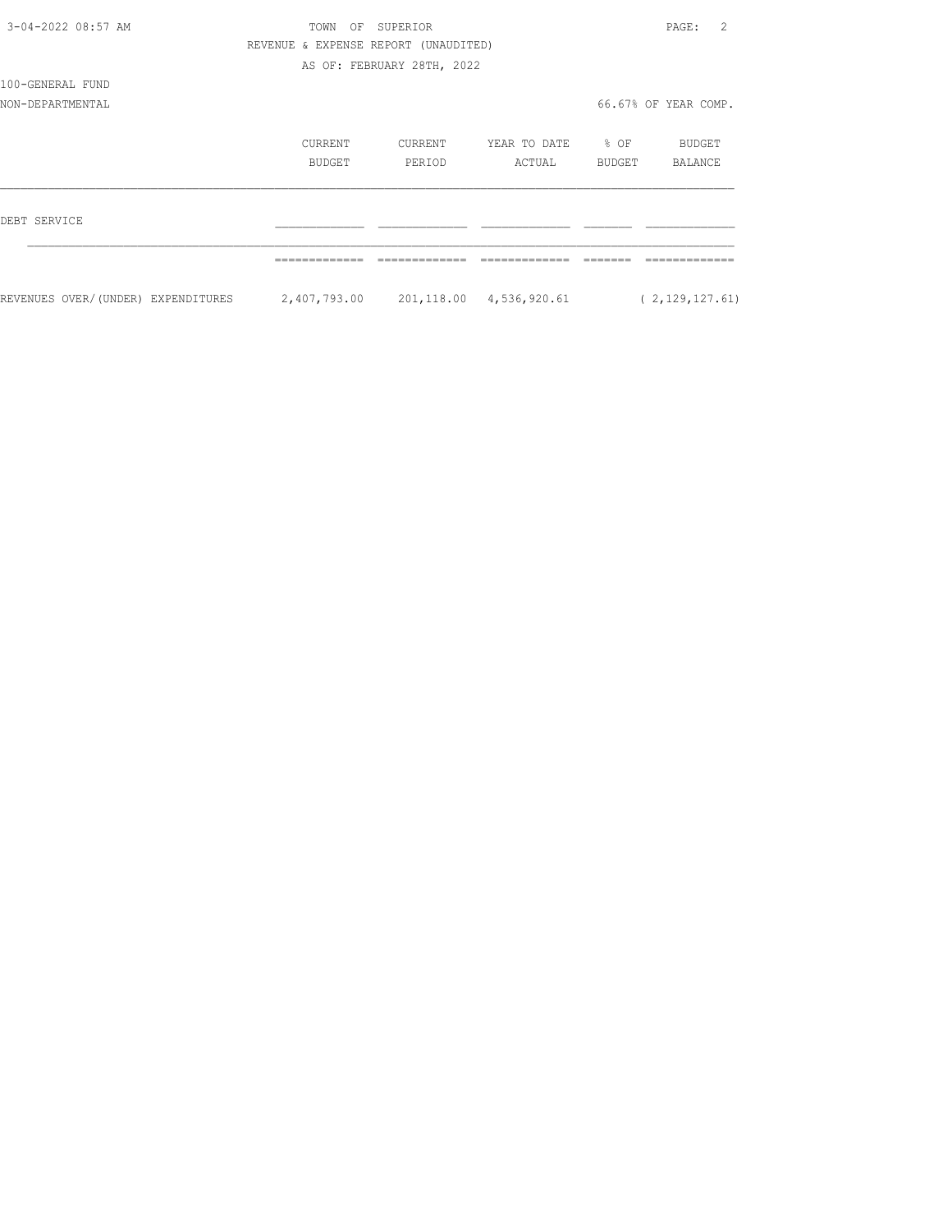| 3-04-2022 08:57 AM                 | TOWN<br>OF                           | SUPERIOR                   |              |              | $\mathcal{L}$<br>PAGE: |
|------------------------------------|--------------------------------------|----------------------------|--------------|--------------|------------------------|
|                                    | REVENUE & EXPENSE REPORT (UNAUDITED) |                            |              |              |                        |
|                                    |                                      | AS OF: FEBRUARY 28TH, 2022 |              |              |                        |
| 100-GENERAL FUND                   |                                      |                            |              |              |                        |
| NON-DEPARTMENTAL                   |                                      |                            |              |              | 66.67% OF YEAR COMP.   |
|                                    | CURRENT                              | CURRENT                    | YEAR TO DATE | $\otimes$ OF | BUDGET                 |
|                                    | BUDGET                               | PERIOD                     | ACTUAL       | BUDGET       | BALANCE                |
| DEBT SERVICE                       |                                      |                            |              |              |                        |
|                                    |                                      |                            |              |              |                        |
| REVENUES OVER/(UNDER) EXPENDITURES |                                      |                            |              |              | (2, 129, 127, 61)      |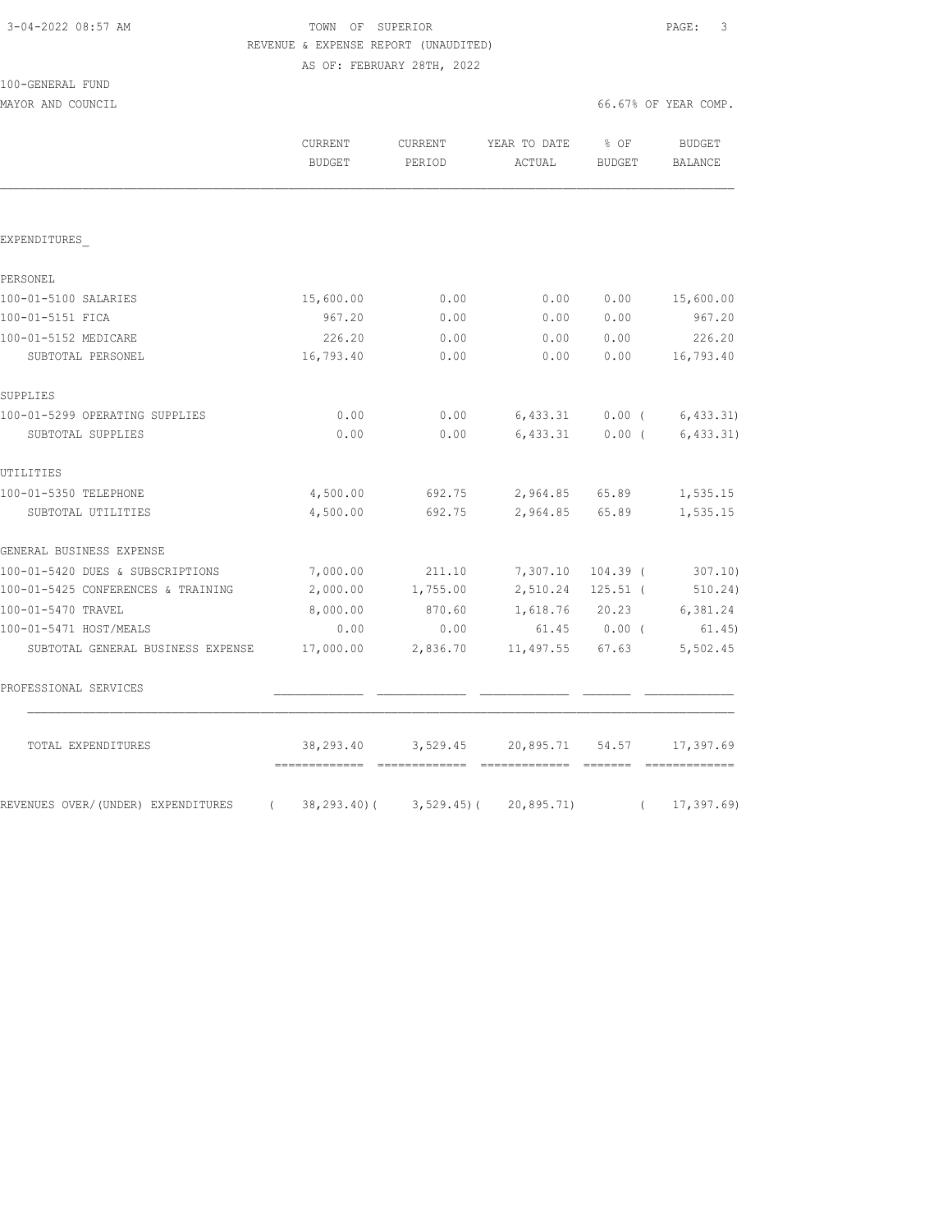| 3-04-2022 08:57 AM |
|--------------------|
|--------------------|

100-GENERAL FUND

## TOWN OF SUPERIOR **Example 2018** PAGE: 3 REVENUE & EXPENSE REPORT (UNAUDITED) AS OF: FEBRUARY 28TH, 2022

MAYOR AND COUNCIL COUNCIL COUNCIL COMP.

|                                                  | CURRENT<br><b>BUDGET</b> | CURRENT<br>PERIOD | YEAR TO DATE<br>ACTUAL | % OF<br>BUDGET | <b>BUDGET</b><br>BALANCE       |
|--------------------------------------------------|--------------------------|-------------------|------------------------|----------------|--------------------------------|
|                                                  |                          |                   |                        |                |                                |
| EXPENDITURES                                     |                          |                   |                        |                |                                |
| PERSONEL                                         |                          |                   |                        |                |                                |
| 100-01-5100 SALARIES                             | 15,600.00                | 0.00              | 0.00                   | 0.00           | 15,600.00                      |
| 100-01-5151 FICA                                 | 967.20                   | 0.00              | 0.00                   | 0.00           | 967.20                         |
| 100-01-5152 MEDICARE                             | 226.20                   | 0.00              | 0.00                   | 0.00           | 226.20                         |
| SUBTOTAL PERSONEL                                | 16,793.40                | 0.00              | 0.00                   | 0.00           | 16,793.40                      |
| SUPPLIES                                         |                          |                   |                        |                |                                |
| 100-01-5299 OPERATING SUPPLIES                   | 0.00                     | 0.00              |                        |                | $6,433.31$ 0.00 ( 6,433.31)    |
| SUBTOTAL SUPPLIES                                | 0.00                     | 0.00              |                        |                | $6,433.31$ 0.00 ( $6,433.31$ ) |
| UTILITIES                                        |                          |                   |                        |                |                                |
| 100-01-5350 TELEPHONE                            | 4,500.00                 | 692.75            | 2,964.85 65.89         |                | 1,535.15                       |
| SUBTOTAL UTILITIES                               | 4,500.00                 | 692.75            | 2,964.85               | 65.89          | 1,535.15                       |
| GENERAL BUSINESS EXPENSE                         |                          |                   |                        |                |                                |
| 100-01-5420 DUES & SUBSCRIPTIONS                 | 7,000.00                 | 211.10            | 7,307.10               | $104.39$ (     | 307.10)                        |
| 100-01-5425 CONFERENCES & TRAINING               | 2,000.00                 | 1,755.00          | 2,510.24               | $125.51$ (     | 510.24)                        |
| 100-01-5470 TRAVEL                               | 8,000.00                 | 870.60            | 1,618.76               | 20.23          | 6,381.24                       |
| 100-01-5471 HOST/MEALS                           | 0.00                     | 0.00              |                        | 61.45 0.00 (   | 61.45)                         |
| SUBTOTAL GENERAL BUSINESS EXPENSE                | 17,000.00                | 2,836.70          | 11,497.55 67.63        |                | 5,502.45                       |
| PROFESSIONAL SERVICES                            |                          |                   |                        |                |                                |
| TOTAL EXPENDITURES                               | 38,293.40                | 3,529.45          | 20,895.71              | 54.57          | 17,397.69                      |
| REVENUES OVER/(UNDER) EXPENDITURES<br>$\sqrt{2}$ | 38,293.40)(              | $3,529.45$ ) (    | 20,895.71)             | $\left($       | 17, 397.69                     |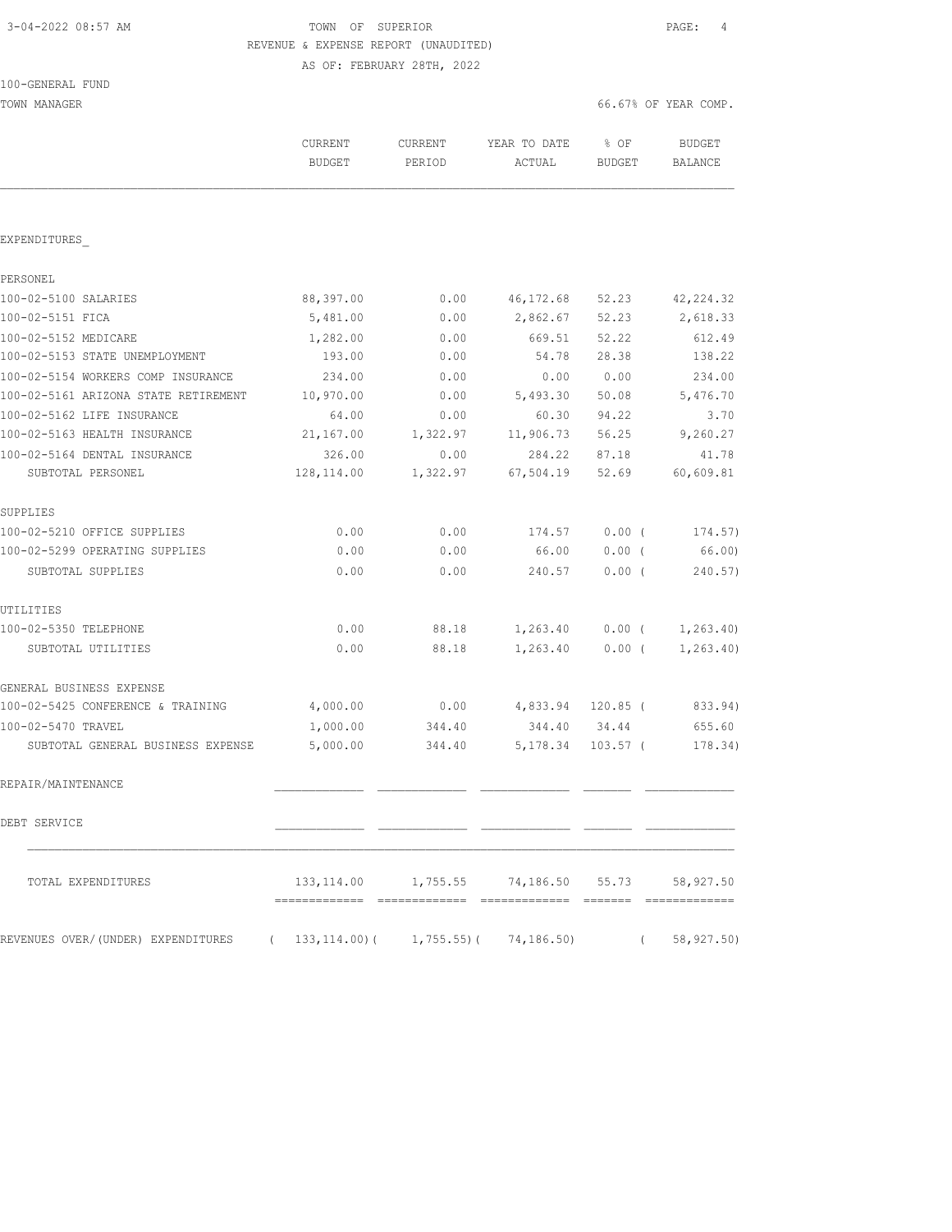## 3-04-2022 08:57 AM TOWN OF SUPERIOR PAGE: 4 REVENUE & EXPENSE REPORT (UNAUDITED) AS OF: FEBRUARY 28TH, 2022

100-GENERAL FUND

TOWN MANAGER 66.67% OF YEAR COMP.

|                                                | CURRENT<br><b>BUDGET</b> | <b>CURRENT</b><br>PERIOD | YEAR TO DATE<br>ACTUAL                                    | % OF<br><b>BUDGET</b> | <b>BUDGET</b><br>BALANCE |
|------------------------------------------------|--------------------------|--------------------------|-----------------------------------------------------------|-----------------------|--------------------------|
|                                                |                          |                          |                                                           |                       |                          |
| EXPENDITURES                                   |                          |                          |                                                           |                       |                          |
| PERSONEL                                       |                          |                          |                                                           |                       |                          |
| 100-02-5100 SALARIES                           | 88,397.00                | 0.00                     | 46, 172.68                                                | 52.23                 | 42, 224.32               |
| 100-02-5151 FICA                               | 5,481.00                 | 0.00                     | 2,862.67                                                  | 52.23                 | 2,618.33                 |
| 100-02-5152 MEDICARE                           | 1,282.00                 | 0.00                     | 669.51                                                    | 52.22                 | 612.49                   |
| 100-02-5153 STATE UNEMPLOYMENT                 | 193.00                   | 0.00                     | 54.78                                                     | 28.38                 | 138.22                   |
| 100-02-5154 WORKERS COMP INSURANCE             | 234.00                   | 0.00                     | 0.00                                                      | 0.00                  | 234.00                   |
| 100-02-5161 ARIZONA STATE RETIREMENT           | 10,970.00                | 0.00                     | 5,493.30                                                  | 50.08                 | 5,476.70                 |
| 100-02-5162 LIFE INSURANCE                     | 64.00                    | 0.00                     | 60.30                                                     | 94.22                 | 3.70                     |
| 100-02-5163 HEALTH INSURANCE                   | 21,167.00                | 1,322.97                 | 11,906.73                                                 | 56.25                 | 9,260.27                 |
| 100-02-5164 DENTAL INSURANCE                   | 326.00                   | 0.00                     | 284.22                                                    | 87.18                 | 41.78                    |
| SUBTOTAL PERSONEL                              | 128,114.00               | 1,322.97                 | 67,504.19                                                 | 52.69                 | 60,609.81                |
| SUPPLIES                                       |                          |                          |                                                           |                       |                          |
| 100-02-5210 OFFICE SUPPLIES                    | 0.00                     | 0.00                     | 174.57                                                    | 0.00(                 | 174.57)                  |
| 100-02-5299 OPERATING SUPPLIES                 | 0.00                     | 0.00                     | 66.00                                                     | $0.00$ (              | 66.00)                   |
| SUBTOTAL SUPPLIES                              | 0.00                     | 0.00                     | 240.57                                                    | $0.00$ (              | 240.57)                  |
| UTILITIES                                      |                          |                          |                                                           |                       |                          |
| 100-02-5350 TELEPHONE                          | 0.00                     | 88.18                    | 1,263.40                                                  | $0.00$ (              | 1, 263.40                |
| SUBTOTAL UTILITIES                             | 0.00                     | 88.18                    | 1,263.40                                                  | 0.00(                 | 1, 263.40                |
| GENERAL BUSINESS EXPENSE                       |                          |                          |                                                           |                       |                          |
| 100-02-5425 CONFERENCE & TRAINING              | 4,000.00                 | 0.00                     | 4,833.94 120.85 (                                         |                       | 833.94)                  |
| 100-02-5470 TRAVEL                             | 1,000.00                 | 344.40                   | 344.40                                                    | 34.44                 | 655.60                   |
| SUBTOTAL GENERAL BUSINESS EXPENSE              | 5,000.00                 | 344.40                   |                                                           | 5, 178.34 103.57 (    | 178.34)                  |
| REPAIR/MAINTENANCE                             |                          |                          |                                                           |                       |                          |
| DEBT SERVICE                                   |                          |                          |                                                           |                       |                          |
| TOTAL EXPENDITURES                             |                          |                          | 133, 114.00   1, 755.55   74, 186.50   55.73   58, 927.50 |                       |                          |
| REVENUES OVER/(UNDER) EXPENDITURES<br>$\left($ |                          |                          | $133, 114.00$ ( 1, 755.55) ( 74, 186.50)                  | $\left($              | 58,927.50)               |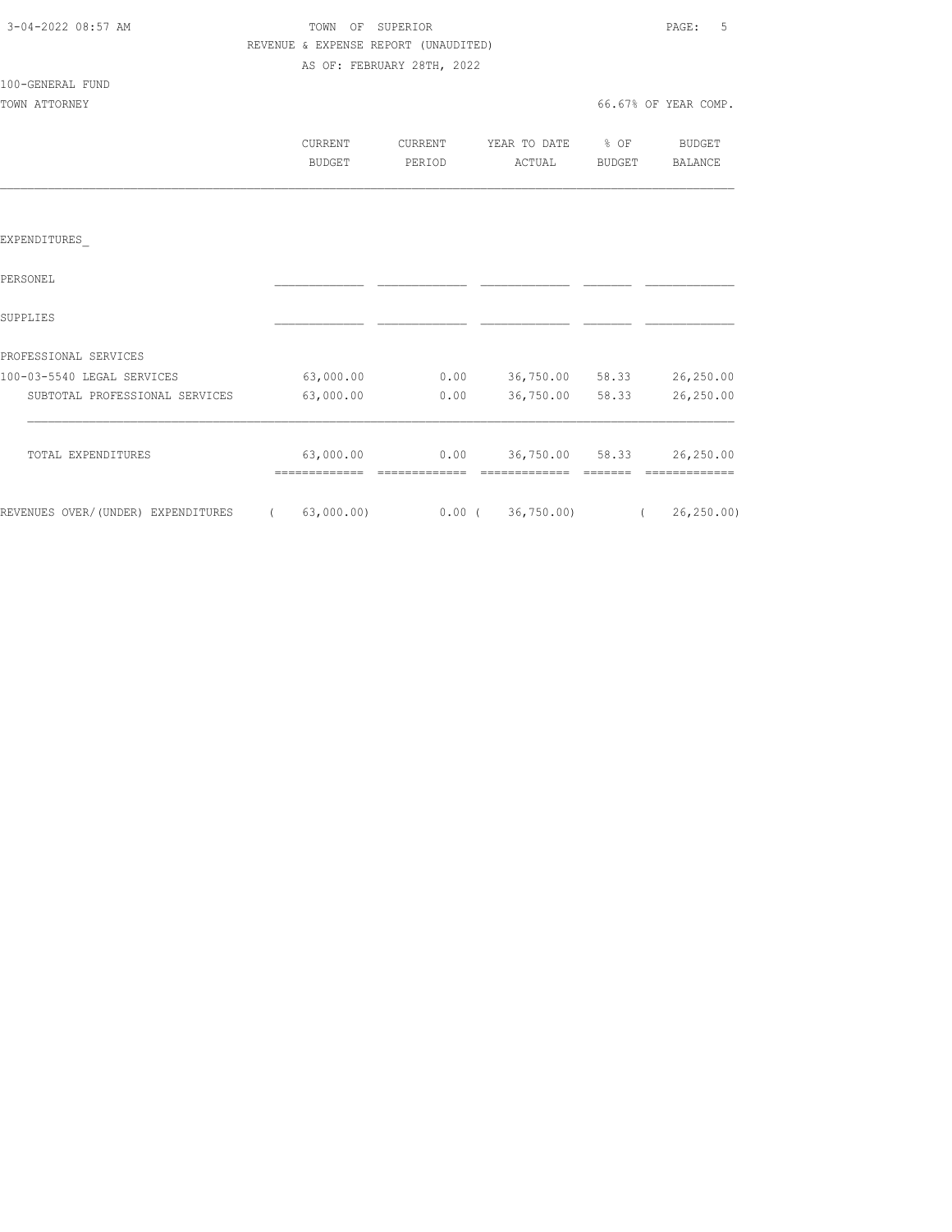| 3-04-2022 08:57 AM |  |
|--------------------|--|
|                    |  |

100-GENERAL FUND

## TOWN OF SUPERIOR **Example 2018** PAGE: 5 REVENUE & EXPENSE REPORT (UNAUDITED) AS OF: FEBRUARY 28TH, 2022

| TOWN ATTORNEY |         |         |              |                  | 66.67% OF YEAR COMP. |
|---------------|---------|---------|--------------|------------------|----------------------|
|               | CURRENT | CURRENT | YEAR TO DATE | $\frac{1}{2}$ OF | BUDGET               |
|               | BUDGET  | PERTOD  | ACTUAL       | BUDGET           | BALANCE              |
|               |         |         |              |                  |                      |

### EXPENDITURES\_

| PERSONEL                           |            |       |            |       |             |
|------------------------------------|------------|-------|------------|-------|-------------|
| SUPPLIES                           |            |       |            |       |             |
| PROFESSIONAL SERVICES              |            |       |            |       |             |
| 100-03-5540 LEGAL SERVICES         | 63,000.00  | 0.00  | 36,750.00  | 58.33 | 26,250.00   |
| SUBTOTAL PROFESSIONAL SERVICES     | 63,000.00  | 0.00  | 36,750.00  | 58.33 | 26,250.00   |
| TOTAL EXPENDITURES                 | 63,000.00  | 0.00  | 36,750.00  | 58.33 | 26,250.00   |
| REVENUES OVER/(UNDER) EXPENDITURES | 63,000.00) | 0.00( | 36, 750.00 |       | 26, 250, 00 |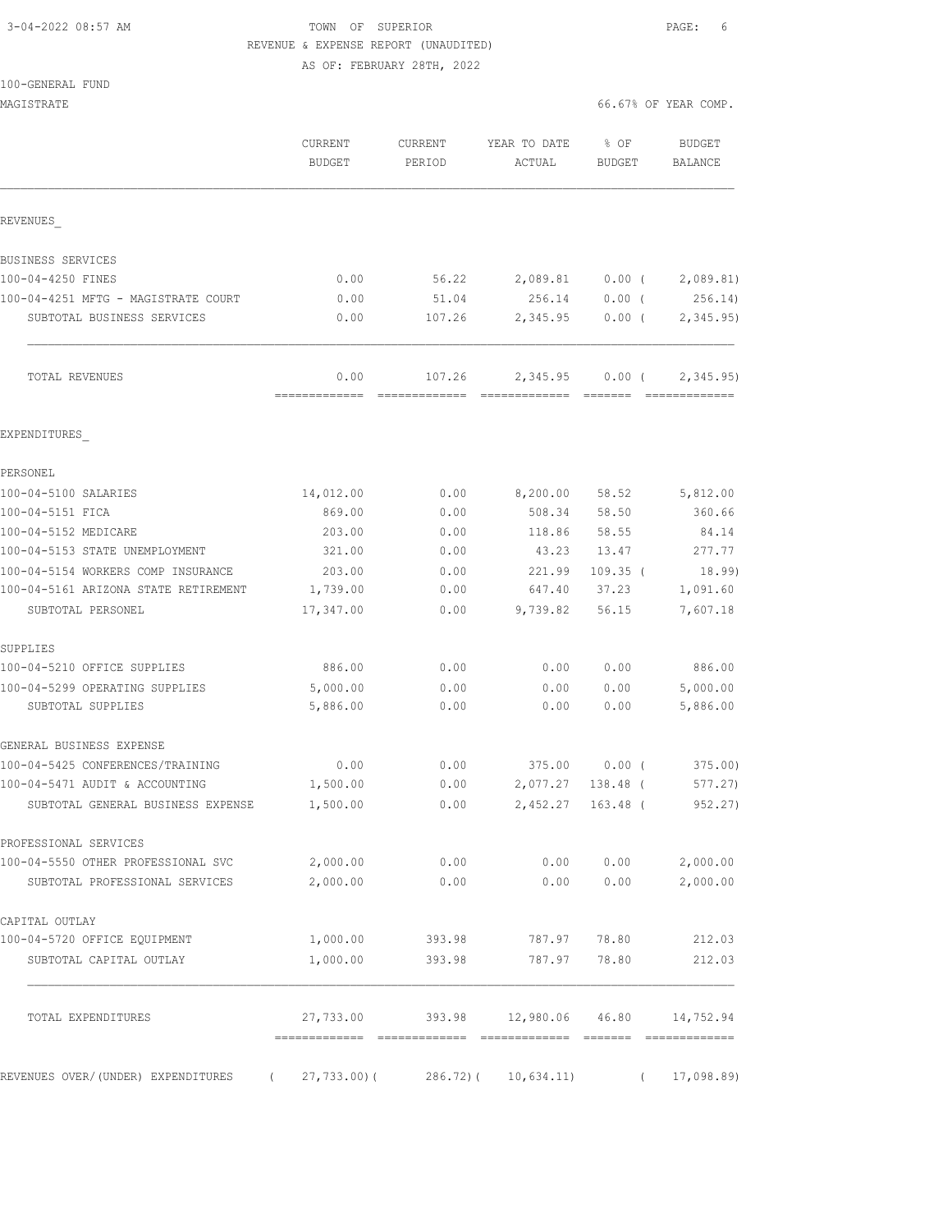# 3-04-2022 08:57 AM TOWN OF SUPERIOR PAGE: 6 REVENUE & EXPENSE REPORT (UNAUDITED)

AS OF: FEBRUARY 28TH, 2022

| MAGISTRATE                                          |                          |                      |                                            |                       | 66.67% OF YEAR COMP.            |
|-----------------------------------------------------|--------------------------|----------------------|--------------------------------------------|-----------------------|---------------------------------|
|                                                     | CURRENT<br><b>BUDGET</b> | CURRENT<br>PERIOD    | YEAR TO DATE<br>ACTUAL                     | % OF<br><b>BUDGET</b> | <b>BUDGET</b><br><b>BALANCE</b> |
| REVENUES                                            |                          |                      |                                            |                       |                                 |
| BUSINESS SERVICES                                   |                          |                      |                                            |                       |                                 |
| 100-04-4250 FINES                                   | 0.00                     | 56.22                | 2,089.81                                   | $0.00$ (              | 2,089.81)                       |
| 100-04-4251 MFTG - MAGISTRATE COURT                 | 0.00                     | 51.04                | 256.14                                     | $0.00$ (              | 256.14)                         |
| SUBTOTAL BUSINESS SERVICES                          | 0.00                     | 107.26               | 2,345.95                                   | $0.00$ (              | 2,345.95)                       |
| TOTAL REVENUES                                      | 0.00<br>=============    | 107.26               | 2,345.95                                   | $0.00$ (              | 2,345.95)<br>--------------     |
| EXPENDITURES                                        |                          |                      |                                            |                       |                                 |
| PERSONEL                                            |                          |                      |                                            |                       |                                 |
| 100-04-5100 SALARIES                                | 14,012.00                | 0.00                 | 8,200.00                                   | 58.52                 | 5,812.00                        |
| 100-04-5151 FICA                                    | 869.00                   | 0.00                 | 508.34                                     | 58.50                 | 360.66                          |
| 100-04-5152 MEDICARE                                | 203.00                   | 0.00                 | 118.86                                     | 58.55                 | 84.14                           |
| 100-04-5153 STATE UNEMPLOYMENT                      | 321.00                   | 0.00                 | 43.23                                      | 13.47                 | 277.77                          |
| 100-04-5154 WORKERS COMP INSURANCE                  | 203.00                   | 0.00                 | 221.99                                     | $109.35$ (            | 18.99)                          |
| 100-04-5161 ARIZONA STATE RETIREMENT                | 1,739.00                 | 0.00                 | 647.40                                     | 37.23                 | 1,091.60                        |
| SUBTOTAL PERSONEL                                   | 17,347.00                | 0.00                 | 9,739.82                                   | 56.15                 | 7,607.18                        |
| SUPPLIES                                            |                          |                      |                                            |                       |                                 |
| 100-04-5210 OFFICE SUPPLIES                         | 886.00                   | 0.00                 | 0.00                                       | 0.00                  | 886.00                          |
| 100-04-5299 OPERATING SUPPLIES<br>SUBTOTAL SUPPLIES | 5,000.00<br>5,886.00     | 0.00<br>0.00         | 0.00<br>0.00                               | 0.00<br>0.00          | 5,000.00<br>5,886.00            |
| GENERAL BUSINESS EXPENSE                            |                          |                      |                                            |                       |                                 |
| 100-04-5425 CONFERENCES/TRAINING                    | 0.00                     | 0.00                 | 375.00                                     | 0.00(                 | 375.00)                         |
| 100-04-5471 AUDIT & ACCOUNTING                      | 1,500.00                 | 0.00                 | 2,077.27                                   | 138.48 (              | 577.27)                         |
| SUBTOTAL GENERAL BUSINESS EXPENSE                   | 1,500.00                 |                      | $0.00$ 2,452.27 163.48 (                   |                       | 952.27)                         |
| PROFESSIONAL SERVICES                               |                          |                      |                                            |                       |                                 |
| 100-04-5550 OTHER PROFESSIONAL SVC                  |                          | 2,000.00 0.00        |                                            |                       | $0.00$ $0.00$ $2,000.00$        |
| SUBTOTAL PROFESSIONAL SERVICES                      | 2,000.00                 | 0.00                 |                                            | 0.00 0.00             | 2,000.00                        |
| CAPITAL OUTLAY                                      |                          |                      |                                            |                       |                                 |
| 100-04-5720 OFFICE EQUIPMENT                        |                          | 1,000.00 393.98      | 787.97 78.80                               |                       | 212.03                          |
| SUBTOTAL CAPITAL OUTLAY                             | 1,000.00                 | 393.98               |                                            | 787.97 78.80          | 212.03                          |
| TOTAL EXPENDITURES                                  |                          |                      | 27,733.00 393.98 12,980.06 46.80 14,752.94 |                       |                                 |
| REVENUES OVER/(UNDER) EXPENDITURES<br>$\sqrt{2}$    | 27,733.00) (             | 286.72) ( 10,634.11) |                                            |                       |                                 |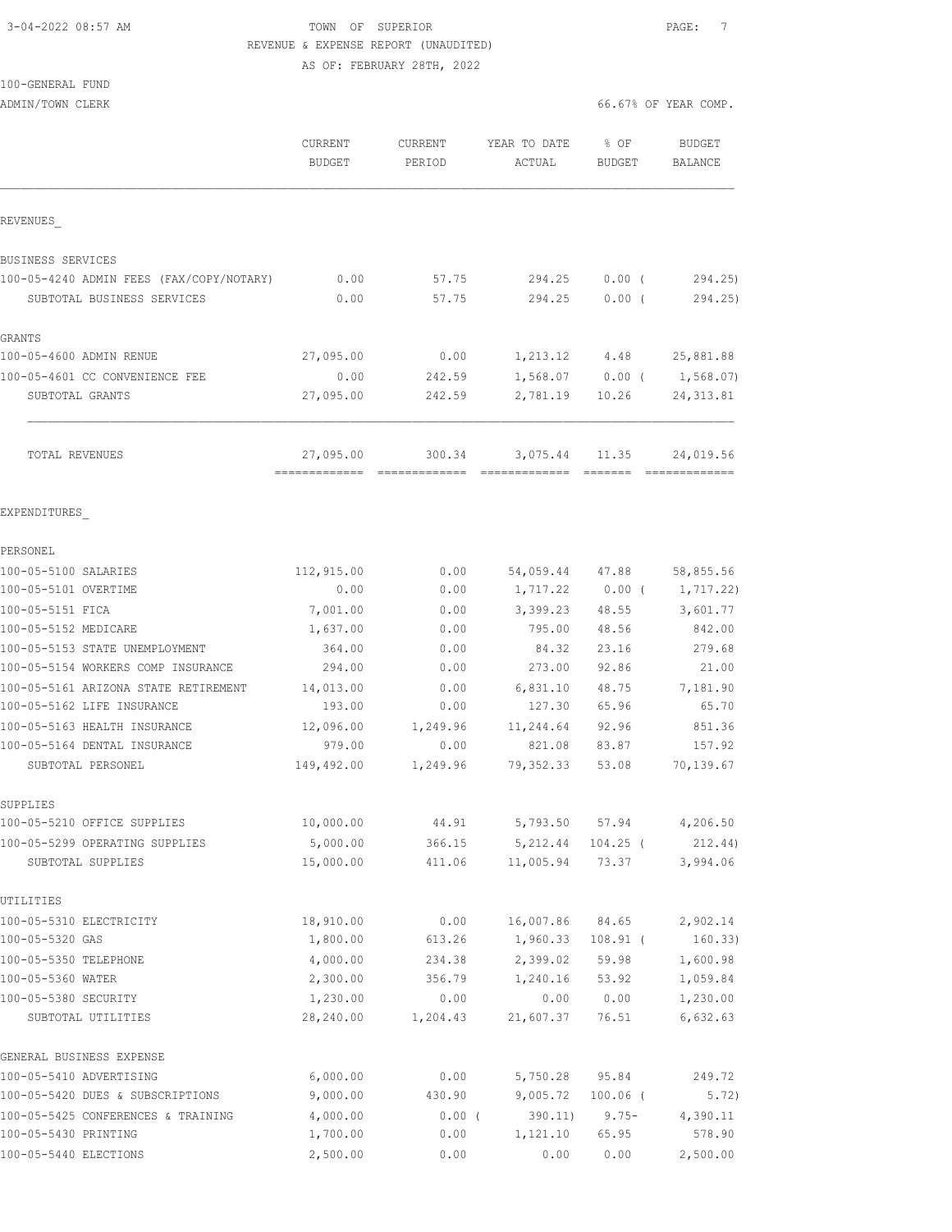## 3-04-2022 08:57 AM TOWN OF SUPERIOR PAGE: 7 REVENUE & EXPENSE REPORT (UNAUDITED) AS OF: FEBRUARY 28TH, 2022

## 100-GENERAL FUND

ADMIN/TOWN CLERK **ADMINITION CLERK** 66.67% OF YEAR COMP.

|                                          | CURRENT<br><b>BUDGET</b> | CURRENT<br>PERIOD | YEAR TO DATE<br>ACTUAL | % OF<br><b>BUDGET</b>            | <b>BUDGET</b><br><b>BALANCE</b>                                                                                                                                                                                                                                                                                                                                                                                                                                                                     |
|------------------------------------------|--------------------------|-------------------|------------------------|----------------------------------|-----------------------------------------------------------------------------------------------------------------------------------------------------------------------------------------------------------------------------------------------------------------------------------------------------------------------------------------------------------------------------------------------------------------------------------------------------------------------------------------------------|
| REVENUES                                 |                          |                   |                        |                                  |                                                                                                                                                                                                                                                                                                                                                                                                                                                                                                     |
| BUSINESS SERVICES                        |                          |                   |                        |                                  |                                                                                                                                                                                                                                                                                                                                                                                                                                                                                                     |
| 100-05-4240 ADMIN FEES (FAX/COPY/NOTARY) | 0.00                     | 57.75             | 294.25                 | $0.00$ (                         | 294.25)                                                                                                                                                                                                                                                                                                                                                                                                                                                                                             |
| SUBTOTAL BUSINESS SERVICES               | 0.00                     | 57.75             | 294.25                 | $0.00$ (                         | 294.25)                                                                                                                                                                                                                                                                                                                                                                                                                                                                                             |
| <b>GRANTS</b>                            |                          |                   |                        |                                  |                                                                                                                                                                                                                                                                                                                                                                                                                                                                                                     |
| 100-05-4600 ADMIN RENUE                  | 27,095.00                | 0.00              |                        | 1,213.12 4.48                    | 25,881.88                                                                                                                                                                                                                                                                                                                                                                                                                                                                                           |
| 100-05-4601 CC CONVENIENCE FEE           | 0.00                     | 242.59            |                        | $1,568.07$ 0.00 (                | 1,568.07)                                                                                                                                                                                                                                                                                                                                                                                                                                                                                           |
| SUBTOTAL GRANTS                          | 27,095.00                | 242.59            | 2,781.19               | 10.26                            | 24, 313.81                                                                                                                                                                                                                                                                                                                                                                                                                                                                                          |
| <b>TOTAL REVENUES</b>                    | 27,095.00                | 300.34            | 3,075.44               | 11.35<br>$=$ $=$ $=$ $=$ $=$ $=$ | 24,019.56<br>$\begin{array}{cccccccccc} \multicolumn{2}{c}{} & \multicolumn{2}{c}{} & \multicolumn{2}{c}{} & \multicolumn{2}{c}{} & \multicolumn{2}{c}{} & \multicolumn{2}{c}{} & \multicolumn{2}{c}{} & \multicolumn{2}{c}{} & \multicolumn{2}{c}{} & \multicolumn{2}{c}{} & \multicolumn{2}{c}{} & \multicolumn{2}{c}{} & \multicolumn{2}{c}{} & \multicolumn{2}{c}{} & \multicolumn{2}{c}{} & \multicolumn{2}{c}{} & \multicolumn{2}{c}{} & \multicolumn{2}{c}{} & \multicolumn{2}{c}{} & \mult$ |
| EXPENDITURES                             |                          |                   |                        |                                  |                                                                                                                                                                                                                                                                                                                                                                                                                                                                                                     |
| PERSONEL                                 |                          |                   |                        |                                  |                                                                                                                                                                                                                                                                                                                                                                                                                                                                                                     |
| 100-05-5100 SALARIES                     | 112,915.00               | 0.00              | 54,059.44 47.88        |                                  | 58,855.56                                                                                                                                                                                                                                                                                                                                                                                                                                                                                           |
| 100-05-5101 OVERTIME                     | 0.00                     | 0.00              |                        | 1,717.22 0.00 (                  | 1,717.22)                                                                                                                                                                                                                                                                                                                                                                                                                                                                                           |
| 100-05-5151 FICA                         | 7,001.00                 | 0.00              | 3,399.23               | 48.55                            | 3,601.77                                                                                                                                                                                                                                                                                                                                                                                                                                                                                            |
| 100-05-5152 MEDICARE                     | 1,637.00                 | 0.00              | 795.00                 | 48.56                            | 842.00                                                                                                                                                                                                                                                                                                                                                                                                                                                                                              |
| 100-05-5153 STATE UNEMPLOYMENT           | 364.00                   | 0.00              | 84.32                  | 23.16                            | 279.68                                                                                                                                                                                                                                                                                                                                                                                                                                                                                              |
| 100-05-5154 WORKERS COMP INSURANCE       | 294.00                   | 0.00              | 273.00                 | 92.86                            | 21.00                                                                                                                                                                                                                                                                                                                                                                                                                                                                                               |
| 100-05-5161 ARIZONA STATE RETIREMENT     | 14,013.00                | 0.00              | 6,831.10               | 48.75                            | 7,181.90                                                                                                                                                                                                                                                                                                                                                                                                                                                                                            |
| 100-05-5162 LIFE INSURANCE               | 193.00                   | 0.00              | 127.30                 | 65.96                            | 65.70                                                                                                                                                                                                                                                                                                                                                                                                                                                                                               |
| 100-05-5163 HEALTH INSURANCE             | 12,096.00                | 1,249.96          | 11,244.64              | 92.96                            | 851.36                                                                                                                                                                                                                                                                                                                                                                                                                                                                                              |
| 100-05-5164 DENTAL INSURANCE             | 979.00                   | 0.00              | 821.08                 | 83.87                            | 157.92                                                                                                                                                                                                                                                                                                                                                                                                                                                                                              |
| SUBTOTAL PERSONEL                        | 149,492.00               | 1,249.96          | 79,352.33              | 53.08                            | 70,139.67                                                                                                                                                                                                                                                                                                                                                                                                                                                                                           |
| SUPPLIES                                 |                          |                   |                        |                                  |                                                                                                                                                                                                                                                                                                                                                                                                                                                                                                     |
| 100-05-5210 OFFICE SUPPLIES              | 10,000.00                | 44.91             | 5,793.50               | 57.94                            | 4,206.50                                                                                                                                                                                                                                                                                                                                                                                                                                                                                            |
| 100-05-5299 OPERATING SUPPLIES           | 5,000.00                 | 366.15            | 5, 212.44              | $104.25$ (                       | 212.44)                                                                                                                                                                                                                                                                                                                                                                                                                                                                                             |
| SUBTOTAL SUPPLIES                        | 15,000.00                | 411.06            | 11,005.94              | 73.37                            | 3,994.06                                                                                                                                                                                                                                                                                                                                                                                                                                                                                            |
| UTILITIES                                |                          |                   |                        |                                  |                                                                                                                                                                                                                                                                                                                                                                                                                                                                                                     |
| 100-05-5310 ELECTRICITY                  | 18,910.00                | 0.00              | 16,007.86              | 84.65                            | 2,902.14                                                                                                                                                                                                                                                                                                                                                                                                                                                                                            |
| 100-05-5320 GAS                          | 1,800.00                 | 613.26            | 1,960.33               | $108.91$ (                       | 160.33)                                                                                                                                                                                                                                                                                                                                                                                                                                                                                             |
| 100-05-5350 TELEPHONE                    | 4,000.00                 | 234.38            | 2,399.02               | 59.98                            | 1,600.98                                                                                                                                                                                                                                                                                                                                                                                                                                                                                            |
| 100-05-5360 WATER                        | 2,300.00                 | 356.79            | 1,240.16               | 53.92                            | 1,059.84                                                                                                                                                                                                                                                                                                                                                                                                                                                                                            |
| 100-05-5380 SECURITY                     | 1,230.00                 | 0.00              | 0.00                   | 0.00                             | 1,230.00                                                                                                                                                                                                                                                                                                                                                                                                                                                                                            |
| SUBTOTAL UTILITIES                       | 28,240.00                | 1,204.43          | 21,607.37              | 76.51                            | 6,632.63                                                                                                                                                                                                                                                                                                                                                                                                                                                                                            |
| GENERAL BUSINESS EXPENSE                 |                          |                   |                        |                                  |                                                                                                                                                                                                                                                                                                                                                                                                                                                                                                     |
| 100-05-5410 ADVERTISING                  | 6,000.00                 | 0.00              | 5,750.28               | 95.84                            | 249.72                                                                                                                                                                                                                                                                                                                                                                                                                                                                                              |
| 100-05-5420 DUES & SUBSCRIPTIONS         | 9,000.00                 | 430.90            | 9,005.72               | $100.06$ (                       | 5.72)                                                                                                                                                                                                                                                                                                                                                                                                                                                                                               |
| 100-05-5425 CONFERENCES & TRAINING       | 4,000.00                 | $0.00$ (          | 390.11)                | $9.75 -$                         | 4,390.11                                                                                                                                                                                                                                                                                                                                                                                                                                                                                            |
| 100-05-5430 PRINTING                     | 1,700.00                 | 0.00              | 1,121.10               | 65.95                            | 578.90                                                                                                                                                                                                                                                                                                                                                                                                                                                                                              |

100-05-5440 ELECTIONS 2,500.00 0.00 0.00 0.00 2,500.00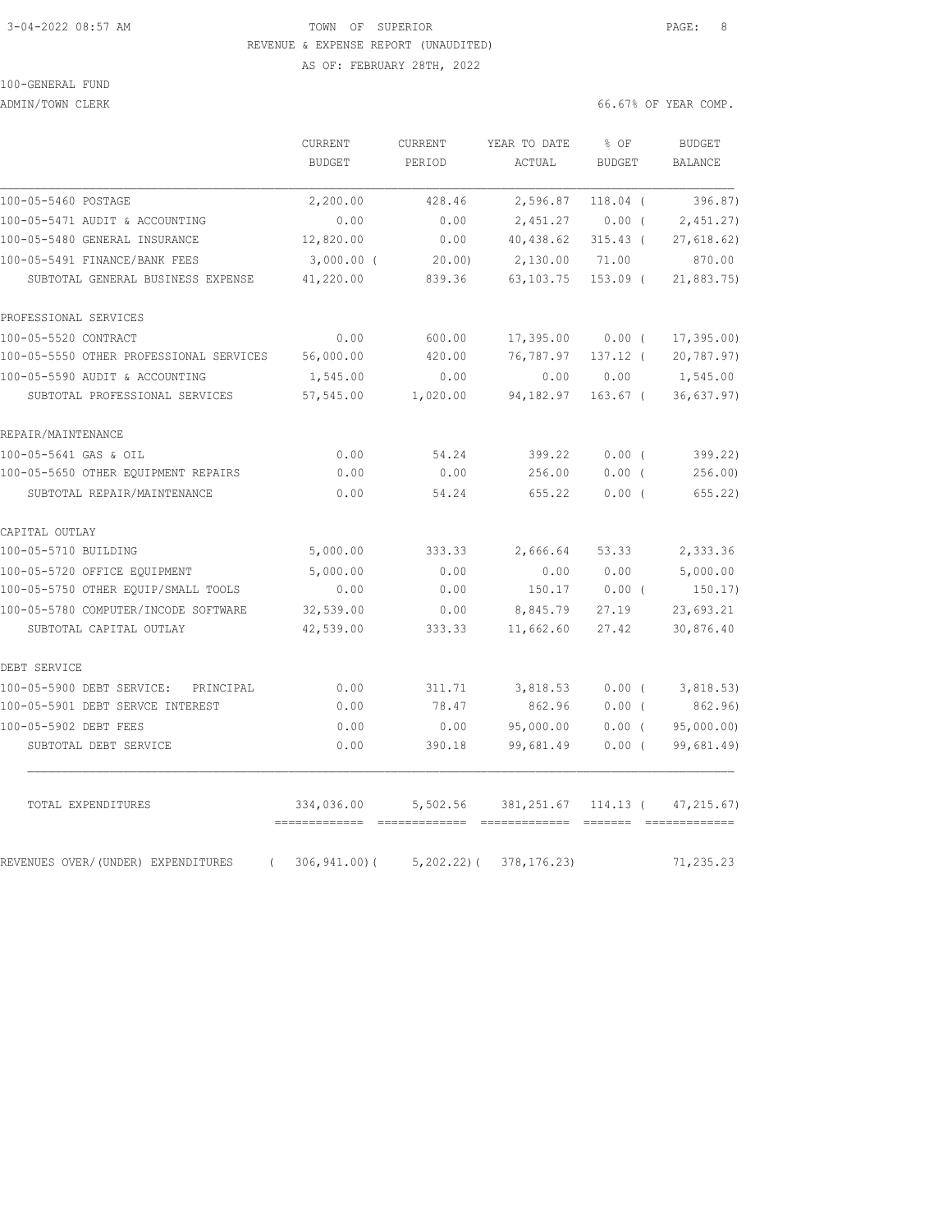### 3-04-2022 08:57 AM TOWN OF SUPERIOR PAGE: 8 REVENUE & EXPENSE REPORT (UNAUDITED) AS OF: FEBRUARY 28TH, 2022

|                                                | CURRENT<br><b>BUDGET</b>    | CURRENT<br>PERIOD                                                                                                                                                                                                                                                                                                                                                                                                                                                                                  | YEAR TO DATE<br>ACTUAL | % OF<br><b>BUDGET</b> | <b>BUDGET</b><br><b>BALANCE</b> |
|------------------------------------------------|-----------------------------|----------------------------------------------------------------------------------------------------------------------------------------------------------------------------------------------------------------------------------------------------------------------------------------------------------------------------------------------------------------------------------------------------------------------------------------------------------------------------------------------------|------------------------|-----------------------|---------------------------------|
|                                                |                             |                                                                                                                                                                                                                                                                                                                                                                                                                                                                                                    |                        |                       |                                 |
| 100-05-5460 POSTAGE                            | 2,200.00                    | 428.46                                                                                                                                                                                                                                                                                                                                                                                                                                                                                             | 2,596.87               | $118.04$ (            | 396.87)                         |
| 100-05-5471 AUDIT & ACCOUNTING                 | 0.00                        | 0.00                                                                                                                                                                                                                                                                                                                                                                                                                                                                                               | 2,451.27               | $0.00$ (              | 2,451,27                        |
| 100-05-5480 GENERAL INSURANCE                  | 12,820.00                   | 0.00                                                                                                                                                                                                                                                                                                                                                                                                                                                                                               | 40,438.62              | $315.43$ (            | 27,618.62)                      |
| 100-05-5491 FINANCE/BANK FEES                  | $3,000.00$ (                | 20.00                                                                                                                                                                                                                                                                                                                                                                                                                                                                                              | 2,130.00               | 71.00                 | 870.00                          |
| SUBTOTAL GENERAL BUSINESS EXPENSE              | 41,220.00                   | 839.36                                                                                                                                                                                                                                                                                                                                                                                                                                                                                             | 63, 103. 75            | $153.09$ (            | 21,883.75)                      |
| PROFESSIONAL SERVICES                          |                             |                                                                                                                                                                                                                                                                                                                                                                                                                                                                                                    |                        |                       |                                 |
| 100-05-5520 CONTRACT                           | 0.00                        | 600.00                                                                                                                                                                                                                                                                                                                                                                                                                                                                                             | 17,395.00              | $0.00$ (              | 17, 395.00                      |
| 100-05-5550 OTHER PROFESSIONAL SERVICES        | 56,000.00                   | 420.00                                                                                                                                                                                                                                                                                                                                                                                                                                                                                             | 76,787.97              | $137.12$ (            | 20, 787.97)                     |
| 100-05-5590 AUDIT & ACCOUNTING                 | 1,545.00                    | 0.00                                                                                                                                                                                                                                                                                                                                                                                                                                                                                               | 0.00                   | 0.00                  | 1,545.00                        |
| SUBTOTAL PROFESSIONAL SERVICES                 | 57,545.00                   | 1,020.00                                                                                                                                                                                                                                                                                                                                                                                                                                                                                           | 94,182.97              | $163.67$ (            | 36,637.97)                      |
| REPAIR/MAINTENANCE                             |                             |                                                                                                                                                                                                                                                                                                                                                                                                                                                                                                    |                        |                       |                                 |
| 100-05-5641 GAS & OIL                          | 0.00                        | 54.24                                                                                                                                                                                                                                                                                                                                                                                                                                                                                              | 399.22                 | 0.00(                 | 399.22)                         |
| 100-05-5650 OTHER EQUIPMENT REPAIRS            | 0.00                        | 0.00                                                                                                                                                                                                                                                                                                                                                                                                                                                                                               | 256.00                 | $0.00$ (              | 256.00                          |
| SUBTOTAL REPAIR/MAINTENANCE                    | 0.00                        | 54.24                                                                                                                                                                                                                                                                                                                                                                                                                                                                                              | 655.22                 | 0.00(                 | 655.22)                         |
| CAPITAL OUTLAY                                 |                             |                                                                                                                                                                                                                                                                                                                                                                                                                                                                                                    |                        |                       |                                 |
| 100-05-5710 BUILDING                           | 5,000.00                    | 333.33                                                                                                                                                                                                                                                                                                                                                                                                                                                                                             | 2,666.64               | 53.33                 | 2,333.36                        |
| 100-05-5720 OFFICE EQUIPMENT                   | 5,000.00                    | 0.00                                                                                                                                                                                                                                                                                                                                                                                                                                                                                               | 0.00                   | 0.00                  | 5,000.00                        |
| 100-05-5750 OTHER EQUIP/SMALL TOOLS            | 0.00                        | 0.00                                                                                                                                                                                                                                                                                                                                                                                                                                                                                               | 150.17                 | $0.00$ (              | 150.17)                         |
| 100-05-5780 COMPUTER/INCODE SOFTWARE           | 32,539.00                   | 0.00                                                                                                                                                                                                                                                                                                                                                                                                                                                                                               | 8,845.79               | 27.19                 | 23,693.21                       |
| SUBTOTAL CAPITAL OUTLAY                        | 42,539.00                   | 333.33                                                                                                                                                                                                                                                                                                                                                                                                                                                                                             | 11,662.60              | 27.42                 | 30,876.40                       |
| DEBT SERVICE                                   |                             |                                                                                                                                                                                                                                                                                                                                                                                                                                                                                                    |                        |                       |                                 |
| 100-05-5900 DEBT SERVICE: PRINCIPAL            | 0.00                        | 311.71                                                                                                                                                                                                                                                                                                                                                                                                                                                                                             | 3,818.53               | $0.00$ (              | 3,818.53)                       |
| 100-05-5901 DEBT SERVCE INTEREST               | 0.00                        | 78.47                                                                                                                                                                                                                                                                                                                                                                                                                                                                                              | 862.96                 | $0.00$ (              | 862.96)                         |
| 100-05-5902 DEBT FEES                          | 0.00                        | 0.00                                                                                                                                                                                                                                                                                                                                                                                                                                                                                               | 95,000.00              | $0.00$ (              | 95,000.00)                      |
| SUBTOTAL DEBT SERVICE                          | 0.00                        | 390.18                                                                                                                                                                                                                                                                                                                                                                                                                                                                                             | 99,681.49              | $0.00$ (              | 99,681.49)                      |
| TOTAL EXPENDITURES                             | 334,036.00<br>------------- | 5,502.56<br>$\begin{array}{cccccccccc} \multicolumn{2}{c}{} & \multicolumn{2}{c}{} & \multicolumn{2}{c}{} & \multicolumn{2}{c}{} & \multicolumn{2}{c}{} & \multicolumn{2}{c}{} & \multicolumn{2}{c}{} & \multicolumn{2}{c}{} & \multicolumn{2}{c}{} & \multicolumn{2}{c}{} & \multicolumn{2}{c}{} & \multicolumn{2}{c}{} & \multicolumn{2}{c}{} & \multicolumn{2}{c}{} & \multicolumn{2}{c}{} & \multicolumn{2}{c}{} & \multicolumn{2}{c}{} & \multicolumn{2}{c}{} & \multicolumn{2}{c}{} & \mult$ | 381,251.67 114.13 (    |                       | 47, 215.67                      |
| REVENUES OVER/(UNDER) EXPENDITURES<br>$\left($ | $306, 941.00$ (             | $5,202.22)$ (                                                                                                                                                                                                                                                                                                                                                                                                                                                                                      | 378, 176.23)           |                       | 71,235.23                       |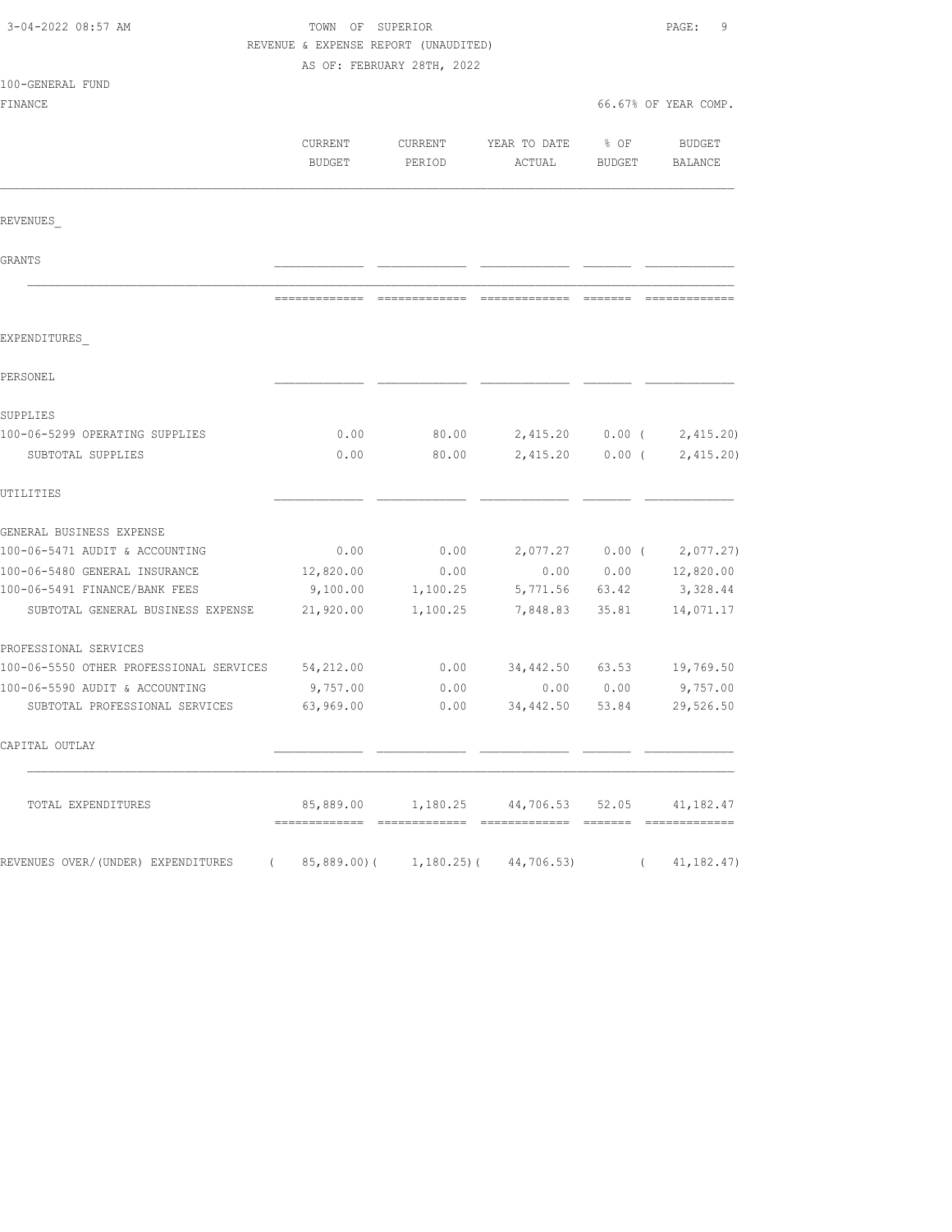| 3-04-2022 08:57 AM                                               | TOWN OF SUPERIOR<br>REVENUE & EXPENSE REPORT (UNAUDITED) | AS OF: FEBRUARY 28TH, 2022 |                                                      |                      | PAGE:<br>9                  |
|------------------------------------------------------------------|----------------------------------------------------------|----------------------------|------------------------------------------------------|----------------------|-----------------------------|
| 100-GENERAL FUND                                                 |                                                          |                            |                                                      |                      |                             |
| FINANCE                                                          |                                                          |                            |                                                      |                      | 66.67% OF YEAR COMP.        |
|                                                                  | CURRENT<br><b>BUDGET</b>                                 | CURRENT<br>PERIOD          | YEAR TO DATE<br>ACTUAL                               | % OF<br>BUDGET       | BUDGET<br>BALANCE           |
| REVENUES                                                         |                                                          |                            |                                                      |                      |                             |
| GRANTS                                                           |                                                          |                            |                                                      |                      |                             |
|                                                                  |                                                          |                            |                                                      |                      |                             |
| EXPENDITURES                                                     |                                                          |                            |                                                      |                      |                             |
| PERSONEL                                                         |                                                          |                            |                                                      |                      |                             |
| SUPPLIES                                                         |                                                          |                            |                                                      |                      |                             |
| 100-06-5299 OPERATING SUPPLIES<br>SUBTOTAL SUPPLIES              | 0.00<br>0.00                                             | 80.00<br>80.00             | 2,415.20<br>2,415.20                                 | $0.00$ (<br>$0.00$ ( | 2,415.20<br>2,415.20        |
| UTILITIES                                                        |                                                          |                            |                                                      |                      |                             |
| GENERAL BUSINESS EXPENSE                                         |                                                          |                            |                                                      |                      |                             |
| 100-06-5471 AUDIT & ACCOUNTING                                   | 0.00                                                     | 0.00                       |                                                      |                      | $2,077.27$ 0.00 ( 2,077.27) |
| 100-06-5480 GENERAL INSURANCE                                    | 12,820.00                                                | 0.00                       | 0.00                                                 | 0.00                 | 12,820.00                   |
| 100-06-5491 FINANCE/BANK FEES                                    | 9,100.00                                                 | 1,100.25                   | 5,771.56                                             | 63.42                | 3,328.44                    |
| SUBTOTAL GENERAL BUSINESS EXPENSE                                | 21,920.00                                                | 1,100.25                   | 7,848.83                                             | 35.81                | 14,071.17                   |
| PROFESSIONAL SERVICES                                            |                                                          |                            |                                                      |                      |                             |
| 100-06-5550 OTHER PROFESSIONAL SERVICES                          | 54,212.00                                                | 0.00                       | 34,442.50                                            |                      | 63.53 19,769.50             |
| 100-06-5590 AUDIT & ACCOUNTING<br>SUBTOTAL PROFESSIONAL SERVICES | 9,757.00<br>63,969.00                                    | 0.00<br>0.00               | 0.00<br>34,442.50                                    | 0.00<br>53.84        | 9,757.00<br>29,526.50       |
|                                                                  |                                                          |                            |                                                      |                      |                             |
| CAPITAL OUTLAY                                                   |                                                          |                            |                                                      |                      |                             |
| TOTAL EXPENDITURES                                               |                                                          |                            | 85,889.00   1,180.25   44,706.53   52.05   41,182.47 |                      |                             |
| REVENUES OVER/(UNDER) EXPENDITURES                               |                                                          |                            | $85,889.00$ ( 1,180.25) ( 44,706.53)                 |                      | 41,182.47)                  |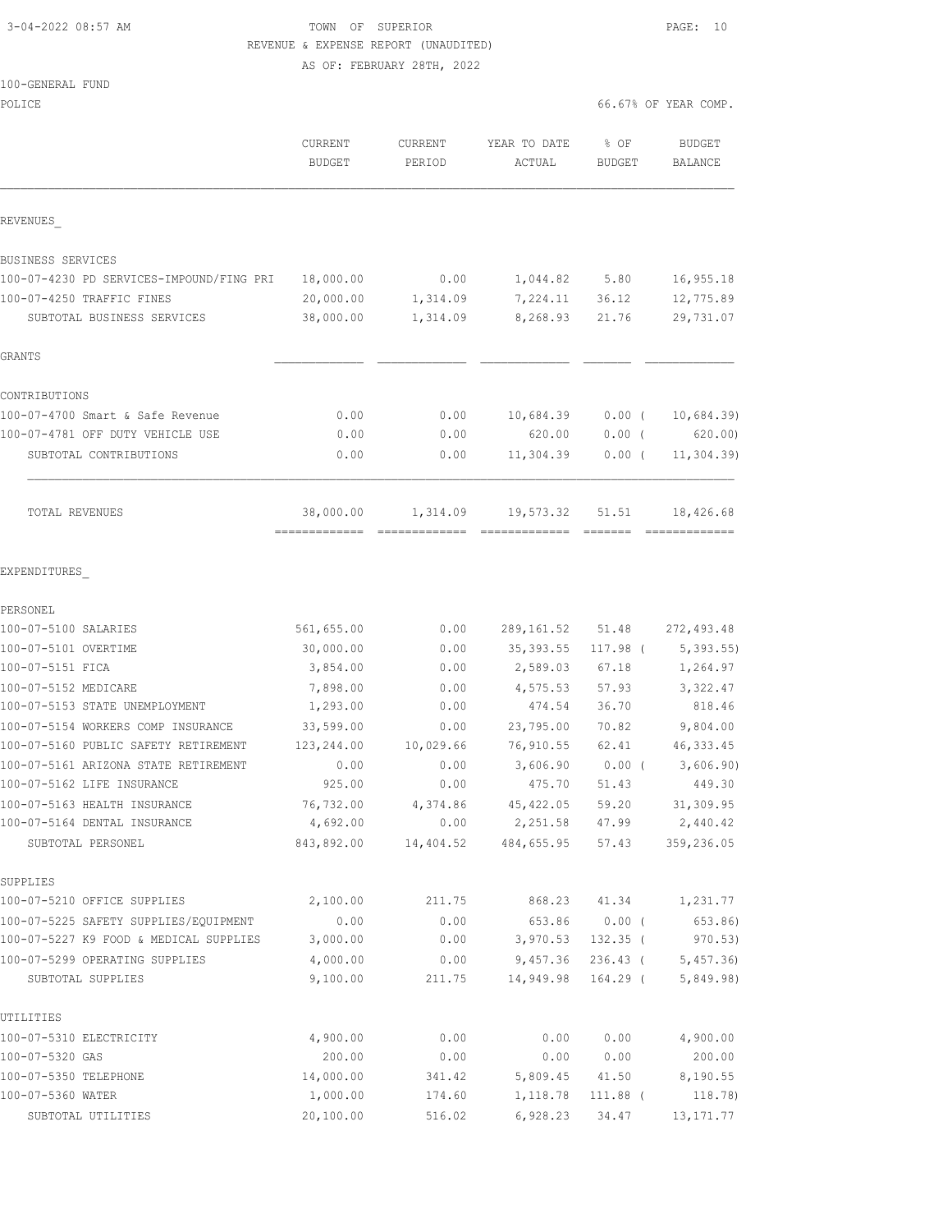## 3-04-2022 08:57 AM TOWN OF SUPERIOR PAGE: 10 REVENUE & EXPENSE REPORT (UNAUDITED)

AS OF: FEBRUARY 28TH, 2022

|                                                     | CURRENT<br><b>BUDGET</b>   | CURRENT<br>PERIOD | YEAR TO DATE<br>ACTUAL                   | % OF<br><b>BUDGET</b>    | <b>BUDGET</b><br>BALANCE |
|-----------------------------------------------------|----------------------------|-------------------|------------------------------------------|--------------------------|--------------------------|
| REVENUES                                            |                            |                   |                                          |                          |                          |
| BUSINESS SERVICES                                   |                            |                   |                                          |                          |                          |
| 100-07-4230 PD SERVICES-IMPOUND/FING PRI 18,000.00  |                            | 0.00              | 1,044.82 5.80                            |                          | 16,955.18                |
| 100-07-4250 TRAFFIC FINES                           | 20,000.00                  | 1,314.09          | 7,224.11 36.12                           |                          | 12,775.89                |
| SUBTOTAL BUSINESS SERVICES                          | 38,000.00                  | 1,314.09          | 8,268.93                                 | 21.76                    | 29,731.07                |
| GRANTS                                              |                            |                   |                                          |                          |                          |
| CONTRIBUTIONS                                       |                            |                   |                                          |                          |                          |
| 100-07-4700 Smart & Safe Revenue                    | 0.00                       | 0.00              | 10,684.39                                | $0.00$ (                 | 10,684.39                |
| 100-07-4781 OFF DUTY VEHICLE USE                    | 0.00                       | 0.00              | 620.00                                   | $0.00$ (                 | 620.00)                  |
| SUBTOTAL CONTRIBUTIONS                              | 0.00                       | 0.00              | 11,304.39                                | $0.00$ (                 | 11, 304.39               |
| TOTAL REVENUES                                      | 38,000.00<br>============= | 1,314.09          | 19,573.32                                | 51.51                    | 18,426.68                |
| EXPENDITURES                                        |                            |                   |                                          |                          |                          |
| PERSONEL                                            |                            |                   |                                          |                          |                          |
| 100-07-5100 SALARIES                                | 561,655.00                 | 0.00              | 289,161.52 51.48                         |                          | 272, 493.48              |
| 100-07-5101 OVERTIME                                | 30,000.00                  | 0.00              | 35, 393.55                               | 117.98 (                 | 5,393.55                 |
| 100-07-5151 FICA                                    | 3,854.00                   | 0.00              | 2,589.03                                 | 67.18                    | 1,264.97                 |
| 100-07-5152 MEDICARE                                | 7,898.00                   | 0.00              | 4,575.53                                 | 57.93                    | 3,322.47                 |
| 100-07-5153 STATE UNEMPLOYMENT                      | 1,293.00                   | 0.00              | 474.54                                   | 36.70                    | 818.46                   |
| 100-07-5154 WORKERS COMP INSURANCE                  | 33,599.00                  | 0.00              | 23,795.00                                | 70.82                    | 9,804.00                 |
| 100-07-5160 PUBLIC SAFETY RETIREMENT                | 123,244.00                 | 10,029.66         | 76,910.55                                | 62.41                    | 46, 333.45               |
| 100-07-5161 ARIZONA STATE RETIREMENT                | 0.00                       | 0.00              | 3,606.90                                 | $0.00$ (                 | 3,606.90)                |
| 100-07-5162 LIFE INSURANCE                          | 925.00                     | 0.00              | 475.70                                   | 51.43                    | 449.30                   |
| 100-07-5163 HEALTH INSURANCE                        | 76,732.00                  | 4,374.86          | 45, 422.05                               | 59.20                    | 31,309.95                |
| 100-07-5164 DENTAL INSURANCE                        | 4,692.00                   | 0.00              | 2,251.58                                 | 47.99                    | 2,440.42                 |
| SUBTOTAL PERSONEL                                   |                            |                   | 843,892.00  14,404.52  484,655.95  57.43 |                          | 359,236.05               |
| SUPPLIES                                            |                            |                   |                                          |                          |                          |
| 100-07-5210 OFFICE SUPPLIES                         | 2,100.00                   | 211.75            | 868.23                                   | 41.34                    | 1,231.77                 |
| 100-07-5225 SAFETY SUPPLIES/EOUIPMENT               | 0.00                       | 0.00              | 653.86                                   | $0.00$ (                 | 653.86)                  |
| 100-07-5227 K9 FOOD & MEDICAL SUPPLIES              | 3,000.00                   | 0.00              | 3,970.53                                 | $132.35$ (               | 970.53)                  |
| 100-07-5299 OPERATING SUPPLIES<br>SUBTOTAL SUPPLIES | 4,000.00<br>9,100.00       | 0.00<br>211.75    | 9,457.36<br>14,949.98                    | $236.43$ (<br>$164.29$ ( | 5,457.36<br>5,849.98)    |
|                                                     |                            |                   |                                          |                          |                          |
| UTILITIES<br>100-07-5310 ELECTRICITY                | 4,900.00                   | 0.00              | 0.00                                     | 0.00                     | 4,900.00                 |
| 100-07-5320 GAS                                     | 200.00                     | 0.00              | 0.00                                     | 0.00                     | 200.00                   |
| 100-07-5350 TELEPHONE                               | 14,000.00                  | 341.42            | 5,809.45                                 | 41.50                    | 8,190.55                 |
| 100-07-5360 WATER                                   | 1,000.00                   | 174.60            | 1,118.78                                 | 111.88 (                 | 118.78)                  |
| SUBTOTAL UTILITIES                                  | 20,100.00                  | 516.02            | 6,928.23                                 | 34.47                    | 13, 171. 77              |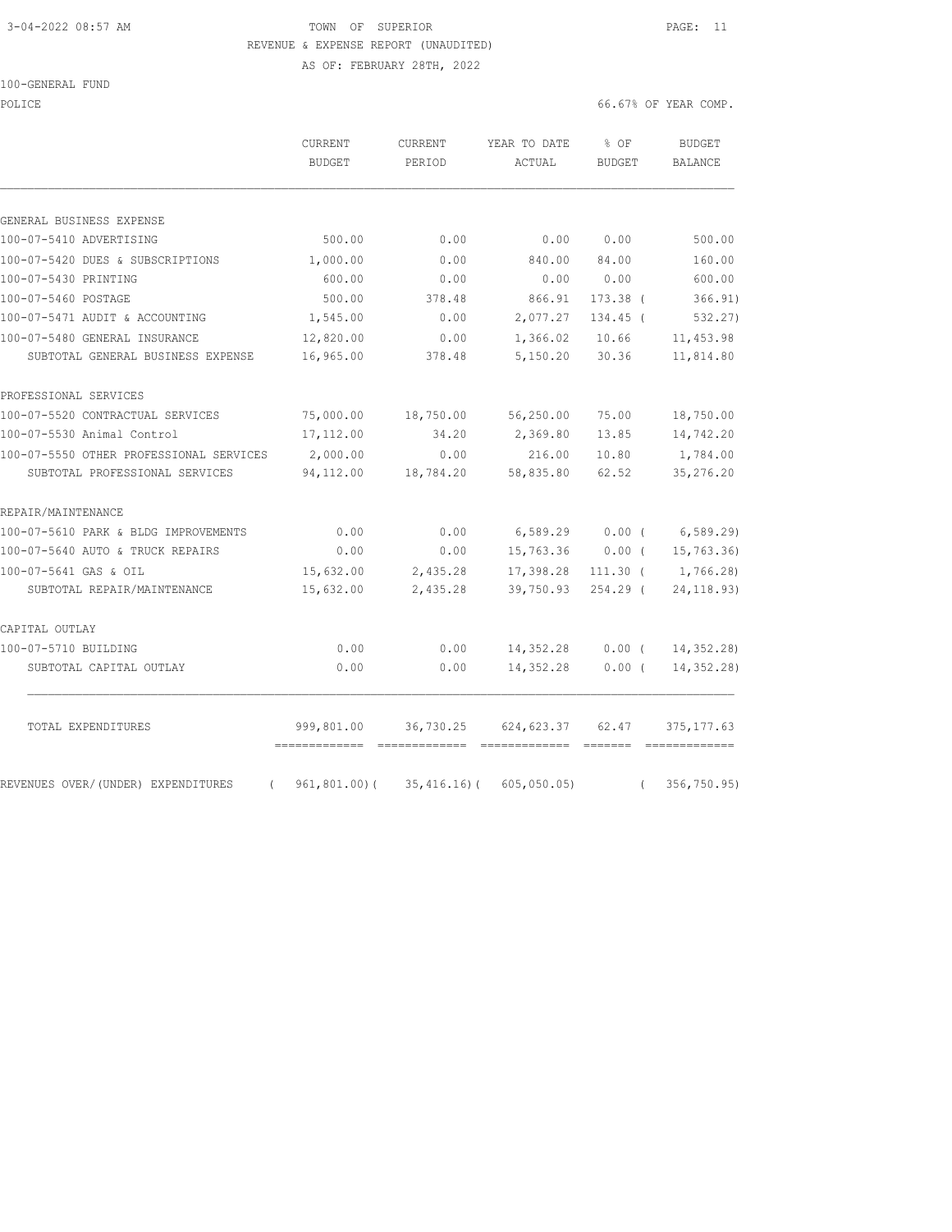## 3-04-2022 08:57 AM TOWN OF SUPERIOR PAGE: 11 REVENUE & EXPENSE REPORT (UNAUDITED)

AS OF: FEBRUARY 28TH, 2022

POLICE 66.67% OF YEAR COMP.

|                                                | CURRENT<br><b>BUDGET</b> | CURRENT<br>PERIOD | YEAR TO DATE<br>ACTUAL                                                                                                                                                                                                                                                                                                                                                                                                                                                                                                                                                                                                                                                                 | % OF<br><b>BUDGET</b> | <b>BUDGET</b><br><b>BALANCE</b> |
|------------------------------------------------|--------------------------|-------------------|----------------------------------------------------------------------------------------------------------------------------------------------------------------------------------------------------------------------------------------------------------------------------------------------------------------------------------------------------------------------------------------------------------------------------------------------------------------------------------------------------------------------------------------------------------------------------------------------------------------------------------------------------------------------------------------|-----------------------|---------------------------------|
| GENERAL BUSINESS EXPENSE                       |                          |                   |                                                                                                                                                                                                                                                                                                                                                                                                                                                                                                                                                                                                                                                                                        |                       |                                 |
| 100-07-5410 ADVERTISING                        | 500.00                   | 0.00              | 0.00                                                                                                                                                                                                                                                                                                                                                                                                                                                                                                                                                                                                                                                                                   | 0.00                  | 500.00                          |
| 100-07-5420 DUES & SUBSCRIPTIONS               | 1,000.00                 | 0.00              | 840.00                                                                                                                                                                                                                                                                                                                                                                                                                                                                                                                                                                                                                                                                                 | 84.00                 | 160.00                          |
| 100-07-5430 PRINTING                           | 600.00                   | 0.00              | 0.00                                                                                                                                                                                                                                                                                                                                                                                                                                                                                                                                                                                                                                                                                   | 0.00                  | 600.00                          |
| 100-07-5460 POSTAGE                            | 500.00                   | 378.48            | 866.91                                                                                                                                                                                                                                                                                                                                                                                                                                                                                                                                                                                                                                                                                 | $173.38$ (            | 366.91)                         |
| 100-07-5471 AUDIT & ACCOUNTING                 | 1,545.00                 | 0.00              | 2,077.27                                                                                                                                                                                                                                                                                                                                                                                                                                                                                                                                                                                                                                                                               | 134.45 (              | 532.27)                         |
| 100-07-5480 GENERAL INSURANCE                  | 12,820.00                | 0.00              | 1,366.02                                                                                                                                                                                                                                                                                                                                                                                                                                                                                                                                                                                                                                                                               | 10.66                 | 11, 453.98                      |
| SUBTOTAL GENERAL BUSINESS EXPENSE              | 16,965.00                | 378.48            | 5,150.20                                                                                                                                                                                                                                                                                                                                                                                                                                                                                                                                                                                                                                                                               | 30.36                 | 11,814.80                       |
| PROFESSIONAL SERVICES                          |                          |                   |                                                                                                                                                                                                                                                                                                                                                                                                                                                                                                                                                                                                                                                                                        |                       |                                 |
| 100-07-5520 CONTRACTUAL SERVICES               | 75,000.00                | 18,750.00         | 56,250.00                                                                                                                                                                                                                                                                                                                                                                                                                                                                                                                                                                                                                                                                              | 75.00                 | 18,750.00                       |
| 100-07-5530 Animal Control                     | 17,112.00                | 34.20             | 2,369.80                                                                                                                                                                                                                                                                                                                                                                                                                                                                                                                                                                                                                                                                               | 13.85                 | 14,742.20                       |
| 100-07-5550 OTHER PROFESSIONAL SERVICES        | 2,000.00                 | 0.00              | 216.00                                                                                                                                                                                                                                                                                                                                                                                                                                                                                                                                                                                                                                                                                 | 10.80                 | 1,784.00                        |
| SUBTOTAL PROFESSIONAL SERVICES                 | 94,112.00                | 18,784.20         | 58,835.80                                                                                                                                                                                                                                                                                                                                                                                                                                                                                                                                                                                                                                                                              | 62.52                 | 35,276.20                       |
| REPAIR/MAINTENANCE                             |                          |                   |                                                                                                                                                                                                                                                                                                                                                                                                                                                                                                                                                                                                                                                                                        |                       |                                 |
| 100-07-5610 PARK & BLDG IMPROVEMENTS           | 0.00                     | 0.00              | 6,589.29                                                                                                                                                                                                                                                                                                                                                                                                                                                                                                                                                                                                                                                                               | $0.00$ (              | 6,589.29                        |
| 100-07-5640 AUTO & TRUCK REPAIRS               | 0.00                     | 0.00              | 15,763.36                                                                                                                                                                                                                                                                                                                                                                                                                                                                                                                                                                                                                                                                              | $0.00$ (              | 15,763.36)                      |
| 100-07-5641 GAS & OIL                          | 15,632.00                | 2,435.28          | 17,398.28                                                                                                                                                                                                                                                                                                                                                                                                                                                                                                                                                                                                                                                                              | $111.30$ (            | 1,766.28)                       |
| SUBTOTAL REPAIR/MAINTENANCE                    | 15,632.00                | 2,435.28          | 39,750.93                                                                                                                                                                                                                                                                                                                                                                                                                                                                                                                                                                                                                                                                              | $254.29$ (            | 24, 118.93)                     |
| CAPITAL OUTLAY                                 |                          |                   |                                                                                                                                                                                                                                                                                                                                                                                                                                                                                                                                                                                                                                                                                        |                       |                                 |
| 100-07-5710 BUILDING                           | 0.00                     | 0.00              | 14,352.28                                                                                                                                                                                                                                                                                                                                                                                                                                                                                                                                                                                                                                                                              | 0.00(                 | 14, 352.28)                     |
| SUBTOTAL CAPITAL OUTLAY                        | 0.00                     | 0.00              | 14,352.28                                                                                                                                                                                                                                                                                                                                                                                                                                                                                                                                                                                                                                                                              | 0.00(                 | 14, 352.28                      |
| TOTAL EXPENDITURES                             | 999,801.00               | 36,730.25         | 624, 623.37<br>$\begin{tabular}{lllllllllllll} \multicolumn{2}{l}{{\color{red}{{\color{red}{{\color{magenta}\boldsymbol{{\color{magenta}\boldsymbol{{\color{magenta}\boldsymbol{{\color{magenta}\boldsymbol{{\color{magenta}\boldsymbol{{\color{magenta}\boldsymbol{{\color{magenta}\boldsymbol{{\color{magenta}\boldsymbol{{\color{magenta}\boldsymbol{{\color{magenta}\boldsymbol{{\color{magenta}\boldsymbol{{\color{magenta}\boldsymbol{{\color{magenta}\boldsymbol{{\color{magenta}\boldsymbol{{\color{magenta}\boldsymbol{{\color{magenta}\boldsymbol{{\color{magenta}\boldsymbol{{\color{magenta}\boldsymbol{{\color{magenta}\boldsymbol{{\color{magenta}\boldsymbol{{\color{m$ | 62.47                 | 375, 177.63                     |
| REVENUES OVER/(UNDER) EXPENDITURES<br>$\left($ | 961,801.00)(             | 35,416.16)(       | 605,050.05                                                                                                                                                                                                                                                                                                                                                                                                                                                                                                                                                                                                                                                                             | $\left($              | 356,750.95)                     |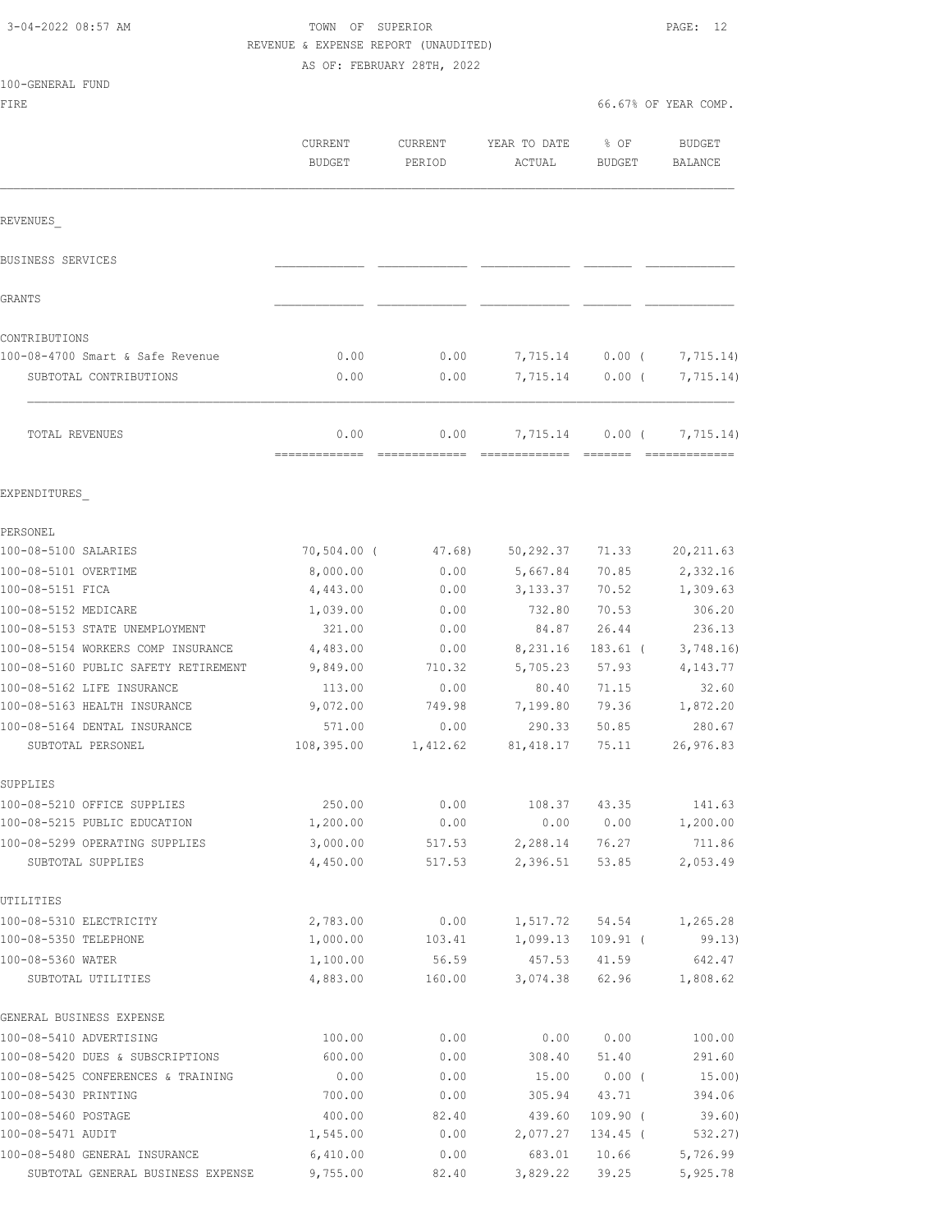100-GENERAL FUND

## TOWN OF SUPERIOR **PAGE:** 12 REVENUE & EXPENSE REPORT (UNAUDITED) AS OF: FEBRUARY 28TH, 2022

FIRE  $\sim$  66.67% OF YEAR COMP.

|                                                            | CURRENT<br><b>BUDGET</b> | CURRENT<br>PERIOD | YEAR TO DATE<br>ACTUAL | % OF<br>BUDGET | <b>BUDGET</b><br><b>BALANCE</b> |
|------------------------------------------------------------|--------------------------|-------------------|------------------------|----------------|---------------------------------|
| REVENUES                                                   |                          |                   |                        |                |                                 |
| BUSINESS SERVICES                                          |                          |                   |                        |                |                                 |
| GRANTS                                                     |                          |                   |                        |                |                                 |
| CONTRIBUTIONS                                              |                          |                   |                        |                |                                 |
| 100-08-4700 Smart & Safe Revenue                           | 0.00                     | 0.00              | 7,715.14               | $0.00$ (       | 7,715.14)                       |
| SUBTOTAL CONTRIBUTIONS                                     | 0.00                     | 0.00              | 7,715.14               | 0.00(          | 7,715.14)                       |
| TOTAL REVENUES                                             | 0.00                     | 0.00              | 7,715.14               | $0.00$ (       | 7,715.14)                       |
| EXPENDITURES                                               |                          |                   |                        |                |                                 |
| PERSONEL                                                   |                          |                   |                        |                |                                 |
| 100-08-5100 SALARIES                                       | $70,504.00$ (            | 47.68)            | 50,292.37              | 71.33          | 20, 211.63                      |
| 100-08-5101 OVERTIME                                       | 8,000.00                 | 0.00              | 5,667.84               | 70.85          | 2,332.16                        |
| 100-08-5151 FICA                                           | 4,443.00                 | 0.00              | 3,133.37               | 70.52          | 1,309.63                        |
| 100-08-5152 MEDICARE                                       | 1,039.00                 | 0.00              | 732.80                 | 70.53          | 306.20                          |
| 100-08-5153 STATE UNEMPLOYMENT                             | 321.00                   | 0.00              | 84.87                  | 26.44          | 236.13                          |
| 100-08-5154 WORKERS COMP INSURANCE                         | 4,483.00                 | 0.00              | 8,231.16               | $183.61$ (     | 3,748.16                        |
| 100-08-5160 PUBLIC SAFETY RETIREMENT                       | 9,849.00                 | 710.32            | 5,705.23               | 57.93          | 4, 143. 77                      |
| 100-08-5162 LIFE INSURANCE                                 | 113.00                   | 0.00              | 80.40                  | 71.15          | 32.60                           |
| 100-08-5163 HEALTH INSURANCE                               | 9,072.00                 | 749.98            | 7,199.80               | 79.36          | 1,872.20                        |
| 100-08-5164 DENTAL INSURANCE                               | 571.00                   | 0.00              | 290.33                 | 50.85          | 280.67                          |
| SUBTOTAL PERSONEL                                          | 108,395.00               | 1,412.62          | 81,418.17              | 75.11          | 26,976.83                       |
| SUPPLIES                                                   |                          |                   |                        |                |                                 |
| 100-08-5210 OFFICE SUPPLIES                                | 250.00                   | 0.00              | 108.37                 | 43.35          | 141.63                          |
| 100-08-5215 PUBLIC EDUCATION                               | 1,200.00                 | 0.00              | 0.00                   | 0.00           | 1,200.00                        |
| 100-08-5299 OPERATING SUPPLIES<br>SUBTOTAL SUPPLIES        | 3,000.00<br>4,450.00     | 517.53<br>517.53  | 2,288.14<br>2,396.51   | 76.27<br>53.85 | 711.86<br>2,053.49              |
| UTILITIES                                                  |                          |                   |                        |                |                                 |
| 100-08-5310 ELECTRICITY                                    | 2,783.00                 | 0.00              | 1,517.72               | 54.54          | 1,265.28                        |
| 100-08-5350 TELEPHONE                                      | 1,000.00                 | 103.41            | 1,099.13               | $109.91$ (     | 99.13)                          |
| 100-08-5360 WATER                                          | 1,100.00                 | 56.59             | 457.53                 | 41.59          | 642.47                          |
| SUBTOTAL UTILITIES                                         | 4,883.00                 | 160.00            | 3,074.38               | 62.96          | 1,808.62                        |
| GENERAL BUSINESS EXPENSE                                   |                          |                   |                        |                |                                 |
| 100-08-5410 ADVERTISING                                    | 100.00                   | 0.00              | 0.00                   | 0.00           | 100.00                          |
| 100-08-5420 DUES & SUBSCRIPTIONS                           | 600.00                   | 0.00              | 308.40                 | 51.40          | 291.60                          |
| 100-08-5425 CONFERENCES & TRAINING<br>100-08-5430 PRINTING | 0.00<br>700.00           | 0.00<br>0.00      | 15.00<br>305.94        | 0.00(<br>43.71 | 15.00)<br>394.06                |
| 100-08-5460 POSTAGE                                        | 400.00                   | 82.40             | 439.60                 | $109.90$ (     | 39.60)                          |
| 100-08-5471 AUDIT                                          | 1,545.00                 | 0.00              | 2,077.27               | 134.45 (       | 532.27)                         |
| 100-08-5480 GENERAL INSURANCE                              | 6,410.00                 | 0.00              | 683.01                 | 10.66          | 5,726.99                        |
| SUBTOTAL GENERAL BUSINESS EXPENSE                          | 9,755.00                 | 82.40             | 3,829.22               | 39.25          | 5,925.78                        |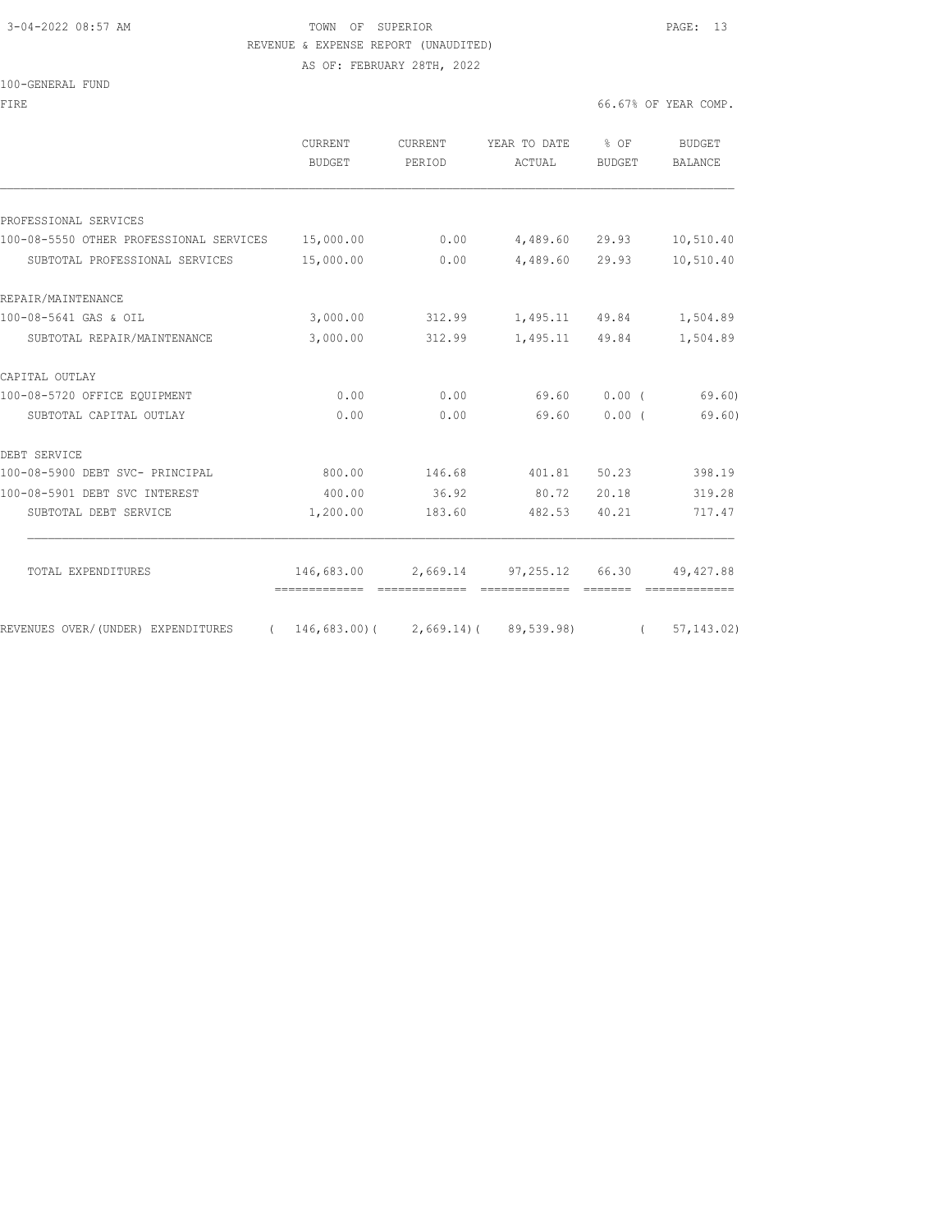## 3-04-2022 08:57 AM TOWN OF SUPERIOR PAGE: 13 REVENUE & EXPENSE REPORT (UNAUDITED)

AS OF: FEBRUARY 28TH, 2022

#### 100-GENERAL FUND

FIRE  $\sim$  66.67% OF YEAR COMP.

|                                         | <b>CURRENT</b><br>BUDGET                    | CURRENT<br>PERIOD | YEAR TO DATE % OF<br>ACTUAL                                | BUDGET         | <b>BUDGET</b><br><b>BALANCE</b> |
|-----------------------------------------|---------------------------------------------|-------------------|------------------------------------------------------------|----------------|---------------------------------|
|                                         |                                             |                   |                                                            |                |                                 |
| PROFESSIONAL SERVICES                   |                                             |                   |                                                            |                |                                 |
| 100-08-5550 OTHER PROFESSIONAL SERVICES | 15,000.00                                   | 0.00              | 4,489.60 29.93                                             |                | 10,510.40                       |
| SUBTOTAL PROFESSIONAL SERVICES          | 15,000.00                                   | 0.00              | 4,489.60 29.93                                             |                | 10,510.40                       |
| REPAIR/MAINTENANCE                      |                                             |                   |                                                            |                |                                 |
| 100-08-5641 GAS & OIL                   | 3,000.00                                    | 312.99            | 1,495.11 49.84                                             |                | 1,504.89                        |
| SUBTOTAL REPAIR/MAINTENANCE             | 3,000.00                                    | 312.99            | 1,495.11 49.84                                             |                | 1,504.89                        |
| CAPITAL OUTLAY                          |                                             |                   |                                                            |                |                                 |
| 100-08-5720 OFFICE EQUIPMENT            | 0.00                                        | 0.00              | 69.60                                                      | 0.00(          | 69.60)                          |
| SUBTOTAL CAPITAL OUTLAY                 | 0.00                                        | 0.00              | 69.60                                                      | $0.00$ (       | 69.60)                          |
| DEBT SERVICE                            |                                             |                   |                                                            |                |                                 |
| 100-08-5900 DEBT SVC- PRINCIPAL         | 800.00                                      | 146.68            | 401.81                                                     | 50.23          | 398.19                          |
| 100-08-5901 DEBT SVC INTEREST           | 400.00                                      | 36.92             | 80.72                                                      | 20.18          | 319.28                          |
| SUBTOTAL DEBT SERVICE                   | 1,200.00                                    | 183.60            | 482.53                                                     | 40.21          | 717.47                          |
| TOTAL EXPENDITURES                      | 146,683.00<br>--------------                |                   | 2,669.14 97,255.12 66.30 49,427.88<br><b>COOSSESSESSES</b> |                | =============                   |
| REVENUES OVER/(UNDER) EXPENDITURES      | $(146, 683, 00) (2, 669, 14) (89, 539, 98)$ |                   |                                                            | $\overline{a}$ | 57, 143, 02)                    |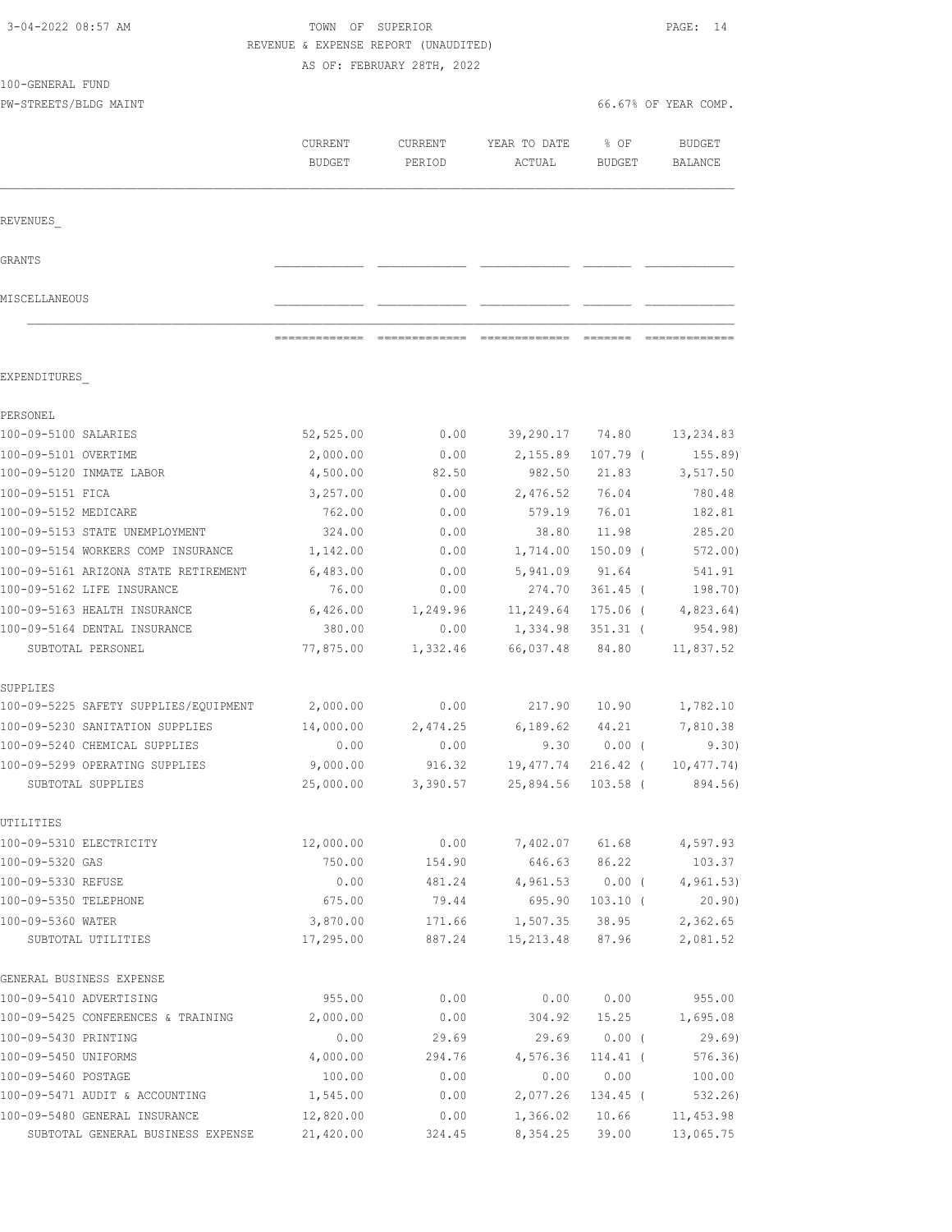| 3-04-2022 08:57 AM                                           | TOWN OF SUPERIOR<br>REVENUE & EXPENSE REPORT (UNAUDITED) | AS OF: FEBRUARY 28TH, 2022 |                                |                      | PAGE: 14                 |
|--------------------------------------------------------------|----------------------------------------------------------|----------------------------|--------------------------------|----------------------|--------------------------|
| 100-GENERAL FUND                                             |                                                          |                            |                                |                      |                          |
| PW-STREETS/BLDG MAINT                                        |                                                          |                            |                                |                      | 66.67% OF YEAR COMP.     |
|                                                              | CURRENT<br><b>BUDGET</b>                                 | CURRENT<br>PERIOD          | YEAR TO DATE<br>ACTUAL         | % OF<br>BUDGET       | <b>BUDGET</b><br>BALANCE |
| REVENUES                                                     |                                                          |                            |                                |                      |                          |
| GRANTS                                                       |                                                          |                            |                                |                      |                          |
| MISCELLANEOUS                                                |                                                          |                            |                                |                      |                          |
|                                                              | =============                                            |                            | ============================== | --------             |                          |
| EXPENDITURES                                                 |                                                          |                            |                                |                      |                          |
| PERSONEL                                                     |                                                          |                            |                                |                      |                          |
| 100-09-5100 SALARIES                                         | 52,525.00                                                | 0.00                       | 39,290.17                      | 74.80                | 13,234.83                |
| 100-09-5101 OVERTIME                                         | 2,000.00                                                 | 0.00                       | 2,155.89                       | $107.79$ (           | 155.89                   |
| 100-09-5120 INMATE LABOR                                     | 4,500.00                                                 | 82.50                      | 982.50                         | 21.83                | 3,517.50                 |
| 100-09-5151 FICA                                             | 3,257.00                                                 | 0.00                       | 2,476.52                       | 76.04                | 780.48                   |
| 100-09-5152 MEDICARE                                         | 762.00                                                   | 0.00                       | 579.19                         | 76.01                | 182.81                   |
| 100-09-5153 STATE UNEMPLOYMENT                               | 324.00                                                   | 0.00                       | 38.80                          | 11.98                | 285.20                   |
| 100-09-5154 WORKERS COMP INSURANCE                           | 1,142.00                                                 | 0.00                       | 1,714.00                       | 150.09 (             | 572.00)                  |
| 100-09-5161 ARIZONA STATE RETIREMENT                         | 6,483.00                                                 | 0.00                       | 5,941.09                       | 91.64                | 541.91                   |
| 100-09-5162 LIFE INSURANCE                                   | 76.00                                                    | 0.00                       | 274.70                         | 361.45 (             | 198.70)                  |
| 100-09-5163 HEALTH INSURANCE<br>100-09-5164 DENTAL INSURANCE | 6,426.00<br>380.00                                       | 1,249.96<br>0.00           | 11,249.64<br>1,334.98          | 175.06 (<br>351.31 ( | 4,823.64)<br>954.98)     |
| SUBTOTAL PERSONEL                                            | 77,875.00                                                | 1,332.46                   | 66,037.48                      | 84.80                | 11,837.52                |
| SUPPLIES                                                     |                                                          |                            |                                |                      |                          |
| 100-09-5225 SAFETY SUPPLIES/EQUIPMENT                        | 2,000.00                                                 | 0.00                       | 217.90                         | 10.90                | 1,782.10                 |
| 100-09-5230 SANITATION SUPPLIES                              | 14,000.00                                                | 2,474.25                   | 6,189.62                       | 44.21                | 7,810.38                 |
| 100-09-5240 CHEMICAL SUPPLIES                                | 0.00                                                     | 0.00                       |                                | $9.30 0.00$ (        | 9.30)                    |
| 100-09-5299 OPERATING SUPPLIES                               | 9,000.00                                                 | 916.32                     | 19,477.74                      | $216.42$ (           | 10, 477.74)              |
| SUBTOTAL SUPPLIES                                            | 25,000.00                                                | 3,390.57                   | 25,894.56                      | $103.58$ (           | 894.56)                  |
| UTILITIES                                                    |                                                          |                            |                                |                      |                          |
| 100-09-5310 ELECTRICITY                                      | 12,000.00                                                | 0.00                       | 7,402.07                       | 61.68                | 4,597.93                 |
| 100-09-5320 GAS                                              | 750.00                                                   | 154.90                     | 646.63                         | 86.22                | 103.37                   |
| 100-09-5330 REFUSE                                           | 0.00                                                     | 481.24                     | 4,961.53                       | $0.00$ (             | 4, 961.53)               |
| 100-09-5350 TELEPHONE                                        | 675.00                                                   | 79.44                      | 695.90                         | $103.10$ (           | 20.90)                   |
| 100-09-5360 WATER<br>SUBTOTAL UTILITIES                      | 3,870.00<br>17,295.00                                    | 171.66<br>887.24           | 1,507.35<br>15,213.48          | 38.95<br>87.96       | 2,362.65<br>2,081.52     |
| GENERAL BUSINESS EXPENSE                                     |                                                          |                            |                                |                      |                          |
| 100-09-5410 ADVERTISING                                      | 955.00                                                   | 0.00                       | 0.00                           | 0.00                 | 955.00                   |
| 100-09-5425 CONFERENCES & TRAINING                           | 2,000.00                                                 | 0.00                       | 304.92                         | 15.25                | 1,695.08                 |
| 100-09-5430 PRINTING                                         | 0.00                                                     | 29.69                      | 29.69                          | $0.00$ (             | 29.69                    |
| 100-09-5450 UNIFORMS                                         | 4,000.00                                                 | 294.76                     | 4,576.36                       | $114.41$ (           | 576.36)                  |
| 100-09-5460 POSTAGE                                          | 100.00                                                   | 0.00                       | 0.00                           | 0.00                 | 100.00                   |
| 100-09-5471 AUDIT & ACCOUNTING                               | 1,545.00                                                 | 0.00                       | 2,077.26                       | $134.45$ (           | 532.26)                  |
| 100-09-5480 GENERAL INSURANCE                                | 12,820.00                                                | 0.00                       | 1,366.02                       | 10.66                | 11, 453.98               |
| SUBTOTAL GENERAL BUSINESS EXPENSE                            | 21,420.00                                                | 324.45                     | 8,354.25                       | 39.00                | 13,065.75                |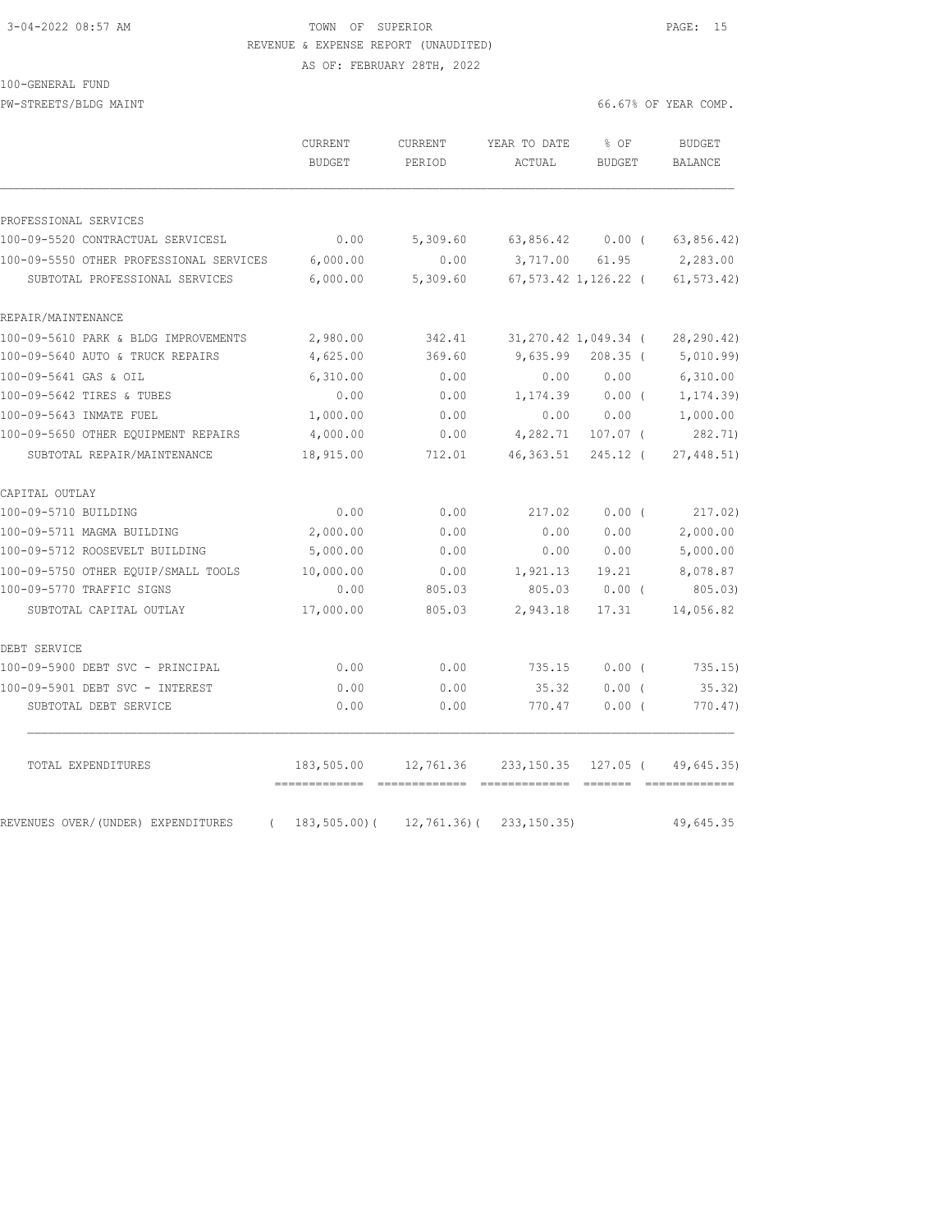## 3-04-2022 08:57 AM TOWN OF SUPERIOR PAGE: 15 REVENUE & EXPENSE REPORT (UNAUDITED) AS OF: FEBRUARY 28TH, 2022

### 100-GENERAL FUND

PW-STREETS/BLDG MAINT **Fig. 10.000** MAINT

|                                                | <b>CURRENT</b><br><b>BUDGET</b> | <b>CURRENT</b><br>PERIOD | YEAR TO DATE<br>ACTUAL | $8$ OF<br><b>BUDGET</b> | <b>BUDGET</b><br>BALANCE |
|------------------------------------------------|---------------------------------|--------------------------|------------------------|-------------------------|--------------------------|
| PROFESSIONAL SERVICES                          |                                 |                          |                        |                         |                          |
| 100-09-5520 CONTRACTUAL SERVICESL              | 0.00                            | 5,309.60                 |                        | 63,856.42 0.00 (        | 63, 856.42)              |
| 100-09-5550 OTHER PROFESSIONAL SERVICES        | 6,000.00                        | 0.00                     | 3,717.00               | 61.95                   | 2,283.00                 |
| SUBTOTAL PROFESSIONAL SERVICES                 | 6,000.00                        | 5,309.60                 |                        | 67,573.42 1,126.22 (    | 61, 573.42)              |
| REPAIR/MAINTENANCE                             |                                 |                          |                        |                         |                          |
| 100-09-5610 PARK & BLDG IMPROVEMENTS           | 2,980.00                        | 342.41                   |                        | 31,270.42 1,049.34 (    | 28,290.42)               |
| 100-09-5640 AUTO & TRUCK REPAIRS               | 4,625.00                        | 369.60                   | 9,635.99               | $208.35$ (              | 5,010.99)                |
| 100-09-5641 GAS & OIL                          | 6,310.00                        | 0.00                     | 0.00                   | 0.00                    | 6,310.00                 |
| 100-09-5642 TIRES & TUBES                      | 0.00                            | 0.00                     | 1,174.39               | $0.00$ (                | 1, 174.39)               |
| 100-09-5643 INMATE FUEL                        | 1,000.00                        | 0.00                     | 0.00                   | 0.00                    | 1,000.00                 |
| 100-09-5650 OTHER EQUIPMENT REPAIRS            | 4,000.00                        | 0.00                     | 4,282.71               | $107.07$ (              | 282.71)                  |
| SUBTOTAL REPAIR/MAINTENANCE                    | 18,915.00                       | 712.01                   | 46, 363.51             | $245.12$ (              | 27,448.51)               |
| CAPITAL OUTLAY                                 |                                 |                          |                        |                         |                          |
| 100-09-5710 BUILDING                           | 0.00                            | 0.00                     | 217.02                 | $0.00$ (                | 217.02)                  |
| 100-09-5711 MAGMA BUILDING                     | 2,000.00                        | 0.00                     | 0.00                   | 0.00                    | 2,000.00                 |
| 100-09-5712 ROOSEVELT BUILDING                 | 5,000.00                        | 0.00                     | 0.00                   | 0.00                    | 5,000.00                 |
| 100-09-5750 OTHER EQUIP/SMALL TOOLS            | 10,000.00                       | 0.00                     | 1,921.13               | 19.21                   | 8,078.87                 |
| 100-09-5770 TRAFFIC SIGNS                      | 0.00                            | 805.03                   | 805.03                 | $0.00$ (                | 805.03                   |
| SUBTOTAL CAPITAL OUTLAY                        | 17,000.00                       | 805.03                   | 2,943.18               | 17.31                   | 14,056.82                |
| DEBT SERVICE                                   |                                 |                          |                        |                         |                          |
| 100-09-5900 DEBT SVC - PRINCIPAL               | 0.00                            | 0.00                     | 735.15                 | 0.00(                   | 735.15)                  |
| 100-09-5901 DEBT SVC - INTEREST                | 0.00                            | 0.00                     | 35.32                  | $0.00$ (                | 35.32                    |
| SUBTOTAL DEBT SERVICE                          | 0.00                            | 0.00                     | 770.47                 | $0.00$ (                | 770.47)                  |
| TOTAL EXPENDITURES                             | 183,505.00                      | 12,761.36                | 233, 150.35            | 127.05 (                | 49,645.35)               |
| REVENUES OVER/(UNDER) EXPENDITURES<br>$\left($ | -------------<br>183,505.00)(   | 12,761.36)(              | 233, 150.35            |                         | 49,645.35                |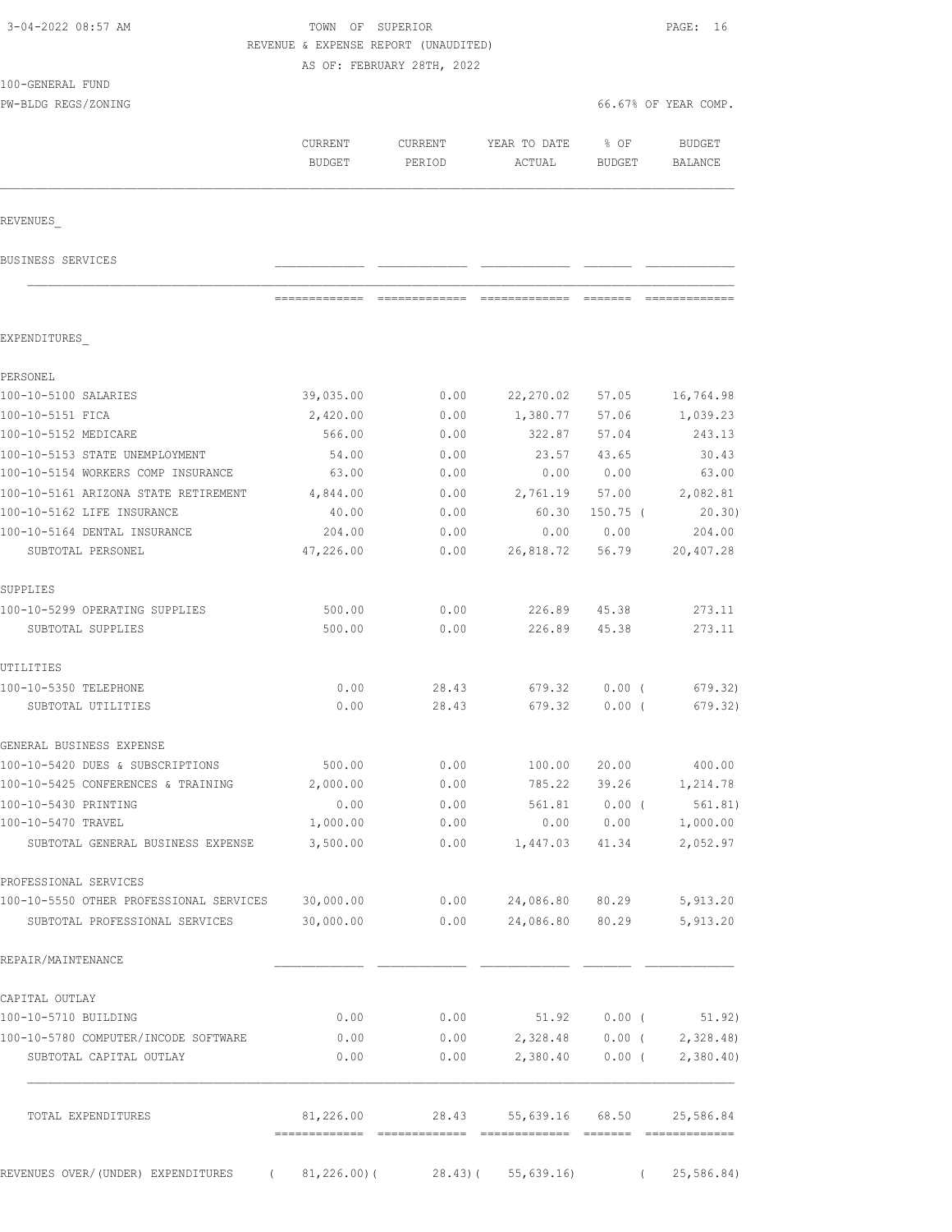| 3-04-2022 08:57 AM                                |               | TOWN OF SUPERIOR<br>REVENUE & EXPENSE REPORT (UNAUDITED) |                       |                                                       | PAGE: 16                 |
|---------------------------------------------------|---------------|----------------------------------------------------------|-----------------------|-------------------------------------------------------|--------------------------|
|                                                   |               | AS OF: FEBRUARY 28TH, 2022                               |                       |                                                       |                          |
| 100-GENERAL FUND                                  |               |                                                          |                       |                                                       |                          |
| PW-BLDG REGS/ZONING                               |               |                                                          |                       |                                                       | 66.67% OF YEAR COMP.     |
|                                                   | CURRENT       | CURRENT                                                  | YEAR TO DATE          | % OF                                                  | <b>BUDGET</b>            |
|                                                   | <b>BUDGET</b> | PERIOD                                                   | ACTUAL                | <b>BUDGET</b>                                         | <b>BALANCE</b>           |
|                                                   |               |                                                          |                       |                                                       |                          |
| REVENUES                                          |               |                                                          |                       |                                                       |                          |
| BUSINESS SERVICES                                 |               |                                                          |                       |                                                       |                          |
|                                                   |               | ------------- -------------                              | =============         | $\qquad \qquad =\qquad \qquad =\qquad \qquad =\qquad$ |                          |
| EXPENDITURES                                      |               |                                                          |                       |                                                       |                          |
| PERSONEL                                          |               |                                                          |                       |                                                       |                          |
| 100-10-5100 SALARIES                              | 39,035.00     | 0.00                                                     | 22,270.02             | 57.05                                                 | 16,764.98                |
| 100-10-5151 FICA                                  | 2,420.00      | 0.00                                                     | 1,380.77              | 57.06                                                 | 1,039.23                 |
| 100-10-5152 MEDICARE                              | 566.00        | 0.00                                                     | 322.87                | 57.04                                                 | 243.13                   |
| 100-10-5153 STATE UNEMPLOYMENT                    | 54.00         | 0.00                                                     | 23.57                 | 43.65                                                 | 30.43                    |
| 100-10-5154 WORKERS COMP INSURANCE                | 63.00         | 0.00                                                     | 0.00                  | 0.00                                                  | 63.00                    |
| 100-10-5161 ARIZONA STATE RETIREMENT              | 4,844.00      | 0.00                                                     | 2,761.19              | 57.00                                                 | 2,082.81                 |
| 100-10-5162 LIFE INSURANCE                        | 40.00         | 0.00                                                     | 60.30                 | $150.75$ (                                            | 20.30)                   |
| 100-10-5164 DENTAL INSURANCE                      | 204.00        | 0.00                                                     | 0.00                  | 0.00                                                  | 204.00                   |
| SUBTOTAL PERSONEL                                 | 47,226.00     | 0.00                                                     | 26,818.72             | 56.79                                                 | 20,407.28                |
| SUPPLIES                                          |               |                                                          |                       |                                                       |                          |
| 100-10-5299 OPERATING SUPPLIES                    | 500.00        | 0.00                                                     | 226.89                | 45.38                                                 | 273.11                   |
| SUBTOTAL SUPPLIES                                 | 500.00        | 0.00                                                     | 226.89                | 45.38                                                 | 273.11                   |
| UTILITIES                                         |               |                                                          |                       |                                                       |                          |
| 100-10-5350 TELEPHONE                             | 0.00          | 28.43                                                    | 679.32                | $0.00$ (                                              | 679.32)                  |
| SUBTOTAL UTILITIES                                | 0.00          | 28.43                                                    | 679.32                | $0.00$ (                                              | 679.32)                  |
| GENERAL BUSINESS EXPENSE                          |               |                                                          |                       |                                                       |                          |
| 100-10-5420 DUES & SUBSCRIPTIONS                  | 500.00        | 0.00                                                     | 100.00                | 20.00                                                 | 400.00                   |
| 100-10-5425 CONFERENCES & TRAINING                | 2,000.00      | 0.00                                                     |                       | 785.22 39.26                                          | 1,214.78                 |
| 100-10-5430 PRINTING                              | 0.00          | 0.00                                                     | 561.81                | $0.00$ (                                              | 561.81)                  |
| 100-10-5470 TRAVEL                                | 1,000.00      | 0.00                                                     |                       | 0.00 0.00                                             | 1,000.00                 |
| SUBTOTAL GENERAL BUSINESS EXPENSE                 | 3,500.00      | 0.00                                                     |                       | 1,447.03 41.34                                        | 2,052.97                 |
| PROFESSIONAL SERVICES                             |               |                                                          |                       |                                                       |                          |
| 100-10-5550 OTHER PROFESSIONAL SERVICES 30,000.00 |               | 0.00                                                     | 24,086.80 80.29       |                                                       | 5,913.20                 |
| SUBTOTAL PROFESSIONAL SERVICES                    | 30,000.00     | 0.00                                                     | 24,086.80 80.29       |                                                       | 5,913.20                 |
| REPAIR/MAINTENANCE                                |               |                                                          |                       |                                                       |                          |
| CAPITAL OUTLAY                                    |               |                                                          |                       |                                                       |                          |
| 100-10-5710 BUILDING                              | 0.00          | 0.00                                                     | 51.92                 | $0.00$ (                                              | 51.92)                   |
| 100-10-5780 COMPUTER/INCODE SOFTWARE              | 0.00          | 0.00                                                     | 2,328.48 0.00 (       |                                                       | 2,328.48                 |
| SUBTOTAL CAPITAL OUTLAY                           | 0.00          | 0.00                                                     | 2,380.40 0.00 (       |                                                       | 2,380.40                 |
| TOTAL EXPENDITURES                                | 81,226.00     | 28.43                                                    | 55,639.16 68.50       |                                                       | 25,586.84                |
|                                                   |               |                                                          |                       |                                                       |                          |
| REVENUES OVER/(UNDER) EXPENDITURES                | (81, 226.00)  |                                                          | $28.43$ ) (55,639.16) |                                                       | 25,586.84)<br>$\sqrt{2}$ |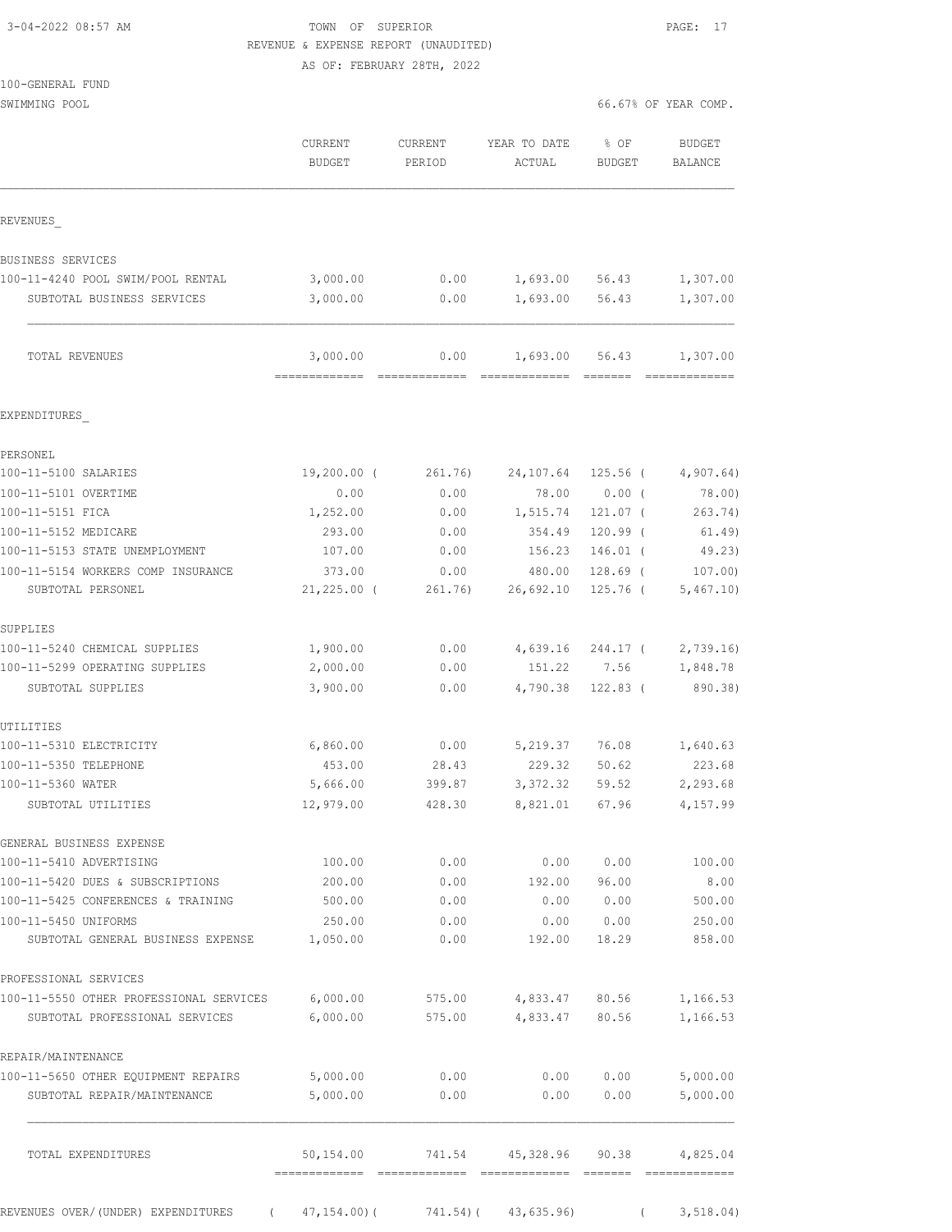| 3-04-2022 08:57 AM |  |
|--------------------|--|
|                    |  |

# TOWN OF SUPERIOR **Example 2014** PAGE: 17 REVENUE & EXPENSE REPORT (UNAUDITED)

AS OF: FEBRUARY 28TH, 2022

SWIMMING POOL 66.67% OF YEAR COMP.

|                                                     | <b>CURRENT</b><br><b>BUDGET</b> | CURRENT<br>PERIOD | YEAR TO DATE<br>ACTUAL | % OF<br>BUDGET     | BUDGET<br>BALANCE   |
|-----------------------------------------------------|---------------------------------|-------------------|------------------------|--------------------|---------------------|
| REVENUES                                            |                                 |                   |                        |                    |                     |
| BUSINESS SERVICES                                   |                                 |                   |                        |                    |                     |
| 100-11-4240 POOL SWIM/POOL RENTAL                   | 3,000.00                        | 0.00              | 1,693.00               | 56.43              | 1,307.00            |
| SUBTOTAL BUSINESS SERVICES                          | 3,000.00                        | 0.00              | 1,693.00               | 56.43              | 1,307.00            |
| TOTAL REVENUES                                      | 3,000.00<br>=============       | 0.00              | 1,693.00               | 56.43              | 1,307.00            |
| EXPENDITURES                                        |                                 |                   |                        |                    |                     |
| PERSONEL                                            |                                 |                   |                        |                    |                     |
| 100-11-5100 SALARIES                                | $19,200.00$ (                   | 261.76)           | 24,107.64              | $125.56$ (         | 4,907.64)           |
| 100-11-5101 OVERTIME                                | 0.00                            | 0.00              | 78.00                  | $0.00$ (           | 78.00)              |
| 100-11-5151 FICA                                    | 1,252.00                        | 0.00              | 1,515.74               | 121.07 (           | 263.74)             |
| 100-11-5152 MEDICARE                                | 293.00                          | 0.00              | 354.49                 | $120.99$ (         | 61.49)              |
| 100-11-5153 STATE UNEMPLOYMENT                      | 107.00                          | 0.00              | 156.23                 | $146.01$ (         | 49.23)              |
| 100-11-5154 WORKERS COMP INSURANCE                  | 373.00                          | 0.00              | 480.00                 | $128.69$ (         | 107.00              |
| SUBTOTAL PERSONEL                                   | $21,225.00$ (                   | 261.76)           | 26,692.10              | $125.76$ (         | 5,467.10            |
| SUPPLIES                                            |                                 |                   |                        |                    |                     |
| 100-11-5240 CHEMICAL SUPPLIES                       | 1,900.00                        | 0.00              | 4,639.16               | 244.17 (           | 2,739.16            |
| 100-11-5299 OPERATING SUPPLIES<br>SUBTOTAL SUPPLIES | 2,000.00<br>3,900.00            | 0.00<br>0.00      | 151.22<br>4,790.38     | 7.56<br>$122.83$ ( | 1,848.78<br>890.38) |
|                                                     |                                 |                   |                        |                    |                     |
| UTILITIES                                           |                                 |                   |                        |                    |                     |
| 100-11-5310 ELECTRICITY<br>100-11-5350 TELEPHONE    | 6,860.00<br>453.00              | 0.00              | 5,219.37               | 76.08              | 1,640.63<br>223.68  |
| 100-11-5360 WATER                                   | 5,666.00                        | 28.43<br>399.87   | 229.32<br>3,372.32     | 50.62<br>59.52     | 2,293.68            |
| SUBTOTAL UTILITIES                                  | 12,979.00                       | 428.30            | 8,821.01               | 67.96              | 4,157.99            |
| GENERAL BUSINESS EXPENSE                            |                                 |                   |                        |                    |                     |
| 100-11-5410 ADVERTISING                             | 100.00                          | 0.00              | 0.00                   | 0.00               | 100.00              |
| 100-11-5420 DUES & SUBSCRIPTIONS                    | 200.00                          | 0.00              | 192.00                 | 96.00              | 8.00                |
| 100-11-5425 CONFERENCES & TRAINING                  | 500.00                          | 0.00              | 0.00                   | 0.00               | 500.00              |
| 100-11-5450 UNIFORMS                                | 250.00                          | 0.00              |                        | 0.00 0.00          | 250.00              |
| SUBTOTAL GENERAL BUSINESS EXPENSE                   | 1,050.00                        | 0.00              | 192.00                 | 18.29              | 858.00              |
| PROFESSIONAL SERVICES                               |                                 |                   |                        |                    |                     |
| 100-11-5550 OTHER PROFESSIONAL SERVICES             | 6,000.00                        | 575.00            | 4,833.47 80.56         |                    | 1,166.53            |
| SUBTOTAL PROFESSIONAL SERVICES                      | 6,000.00                        | 575.00            | 4,833.47               | 80.56              | 1,166.53            |
| REPAIR/MAINTENANCE                                  |                                 |                   |                        |                    |                     |
| 100-11-5650 OTHER EQUIPMENT REPAIRS                 | 5,000.00                        | 0.00              | 0.00                   | 0.00               | 5,000.00            |
| SUBTOTAL REPAIR/MAINTENANCE                         | 5,000.00                        | 0.00              | 0.00                   | 0.00               | 5,000.00            |
| TOTAL EXPENDITURES                                  | 50,154.00                       | 741.54            | 45,328.96              | 90.38              | 4,825.04            |
| REVENUES OVER/(UNDER) EXPENDITURES                  | (47, 154.00)                    |                   | 741.54) (43,635.96)    | $\sqrt{2}$         | 3,518.04)           |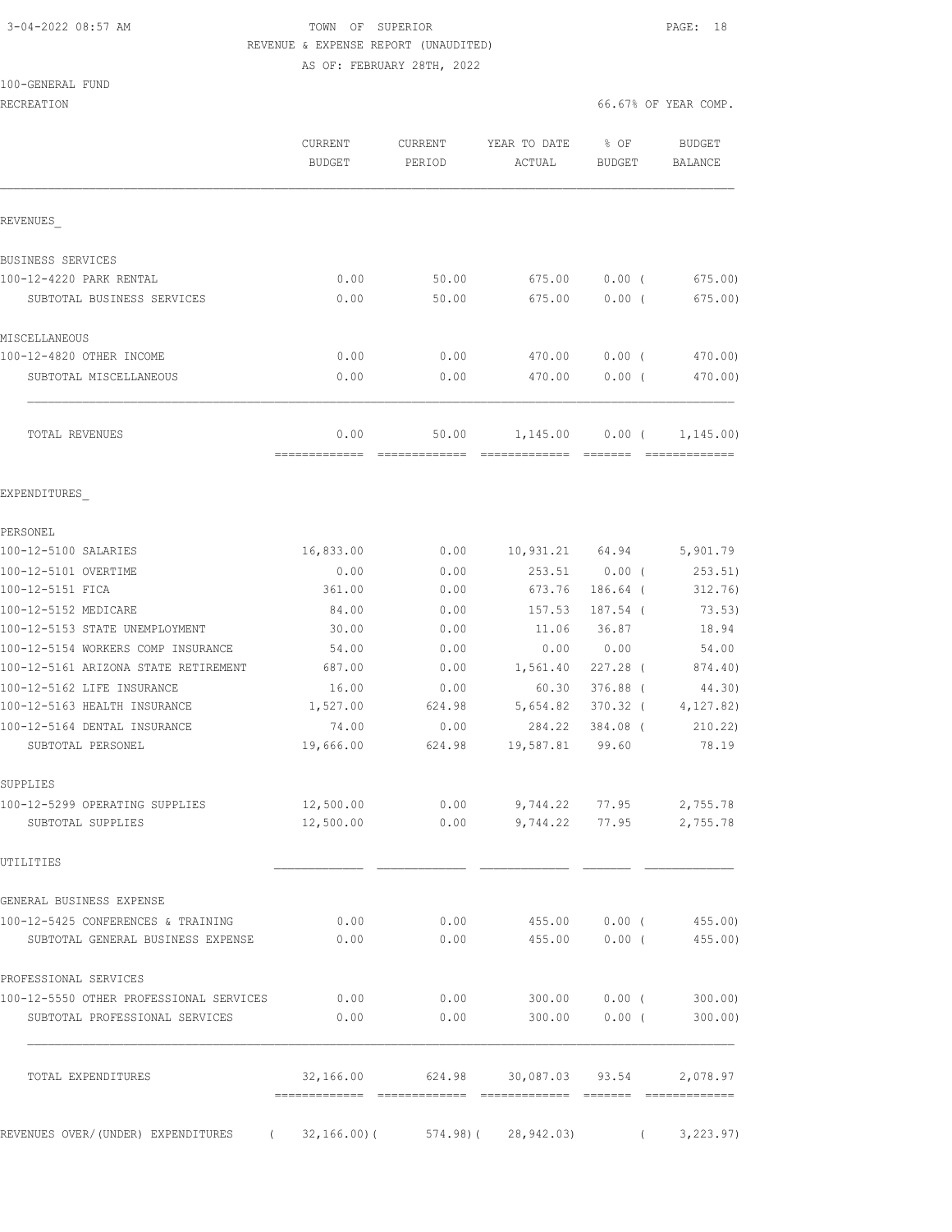## 3-04-2022 08:57 AM TOWN OF SUPERIOR PAGE: 18 REVENUE & EXPENSE REPORT (UNAUDITED) AS OF: FEBRUARY 28TH, 2022

### 100-GENERAL FUND

| RECREATION                                                              |                          |                   |                                           | 66.67% OF YEAR COMP.  |                             |
|-------------------------------------------------------------------------|--------------------------|-------------------|-------------------------------------------|-----------------------|-----------------------------|
|                                                                         | CURRENT<br><b>BUDGET</b> | CURRENT<br>PERIOD | YEAR TO DATE<br>ACTUAL                    | % OF<br><b>BUDGET</b> | BUDGET<br>BALANCE           |
| REVENUES                                                                |                          |                   |                                           |                       |                             |
| BUSINESS SERVICES                                                       |                          |                   |                                           |                       |                             |
| 100-12-4220 PARK RENTAL                                                 | 0.00                     | 50.00             | 675.00                                    | $0.00$ (              | 675.00                      |
| SUBTOTAL BUSINESS SERVICES                                              | 0.00                     | 50.00             | 675.00                                    | 0.00(                 | 675.00                      |
| MISCELLANEOUS                                                           |                          |                   |                                           |                       |                             |
| 100-12-4820 OTHER INCOME                                                | 0.00                     | 0.00              | 470.00                                    | $0.00$ (              | 470.00)                     |
| SUBTOTAL MISCELLANEOUS                                                  | 0.00                     | 0.00              | 470.00                                    | $0.00$ (              | 470.00)                     |
| TOTAL REVENUES                                                          | 0.00                     | 50.00             | 1,145.00                                  | $0.00$ (              | 1,145.00)                   |
| EXPENDITURES                                                            |                          |                   |                                           |                       |                             |
| PERSONEL                                                                |                          |                   |                                           |                       |                             |
| 100-12-5100 SALARIES                                                    | 16,833.00                | 0.00              | 10,931.21 64.94                           |                       | 5,901.79                    |
| 100-12-5101 OVERTIME                                                    | 0.00                     | 0.00              | 253.51                                    | $0.00$ (              | 253.51)                     |
| 100-12-5151 FICA                                                        | 361.00                   | 0.00              | 673.76                                    | $186.64$ (            | 312.76)                     |
| 100-12-5152 MEDICARE                                                    | 84.00                    | 0.00              | 157.53                                    | 187.54 (              | 73.53)                      |
| 100-12-5153 STATE UNEMPLOYMENT                                          | 30.00                    | 0.00              | 11.06                                     | 36.87                 | 18.94                       |
| 100-12-5154 WORKERS COMP INSURANCE                                      | 54.00                    | 0.00              | 0.00                                      | 0.00                  | 54.00                       |
| 100-12-5161 ARIZONA STATE RETIREMENT<br>100-12-5162 LIFE INSURANCE      | 687.00                   | 0.00              | 1,561.40<br>60.30                         | 227.28 (              | 874.40)                     |
| 100-12-5163 HEALTH INSURANCE                                            | 16.00<br>1,527.00        | 0.00<br>624.98    | 5,654.82                                  | 376.88 (<br>370.32 (  | 44.30)<br>4,127.82)         |
| 100-12-5164 DENTAL INSURANCE                                            | 74.00                    | 0.00              | 284.22                                    | 384.08 (              | 210.22)                     |
| SUBTOTAL PERSONEL                                                       | 19,666.00                | 624.98            | 19,587.81                                 | 99.60                 | 78.19                       |
| SUPPLIES                                                                |                          |                   |                                           |                       |                             |
| 100-12-5299 OPERATING SUPPLIES                                          | 12,500.00                | 0.00              |                                           |                       | 9,744.22 77.95 2,755.78     |
| SUBTOTAL SUPPLIES                                                       | 12,500.00                |                   | $0.00$ 9,744.22 77.95 2,755.78            |                       |                             |
| UTILITIES                                                               |                          |                   |                                           |                       |                             |
| GENERAL BUSINESS EXPENSE                                                |                          |                   |                                           |                       |                             |
| 100-12-5425 CONFERENCES & TRAINING<br>SUBTOTAL GENERAL BUSINESS EXPENSE | 0.00<br>0.00             | 0.00<br>0.00      | 455.00<br>455.00                          | $0.00$ (              | $0.00$ ( 455.00)<br>455.00) |
| PROFESSIONAL SERVICES                                                   |                          |                   |                                           |                       |                             |
| 100-12-5550 OTHER PROFESSIONAL SERVICES                                 | 0.00                     | 0.00              |                                           | 300.00 0.00 (         | 300.00                      |
| SUBTOTAL PROFESSIONAL SERVICES                                          | 0.00                     | 0.00              | 300.00                                    | $0.00$ (              | 300.00)                     |
| TOTAL EXPENDITURES                                                      |                          |                   | 32,166.00 624.98 30,087.03 93.54 2,078.97 |                       |                             |
|                                                                         |                          |                   |                                           |                       |                             |

REVENUES OVER/(UNDER) EXPENDITURES (32,166.00)( 574.98)( 28,942.03) (3,223.97)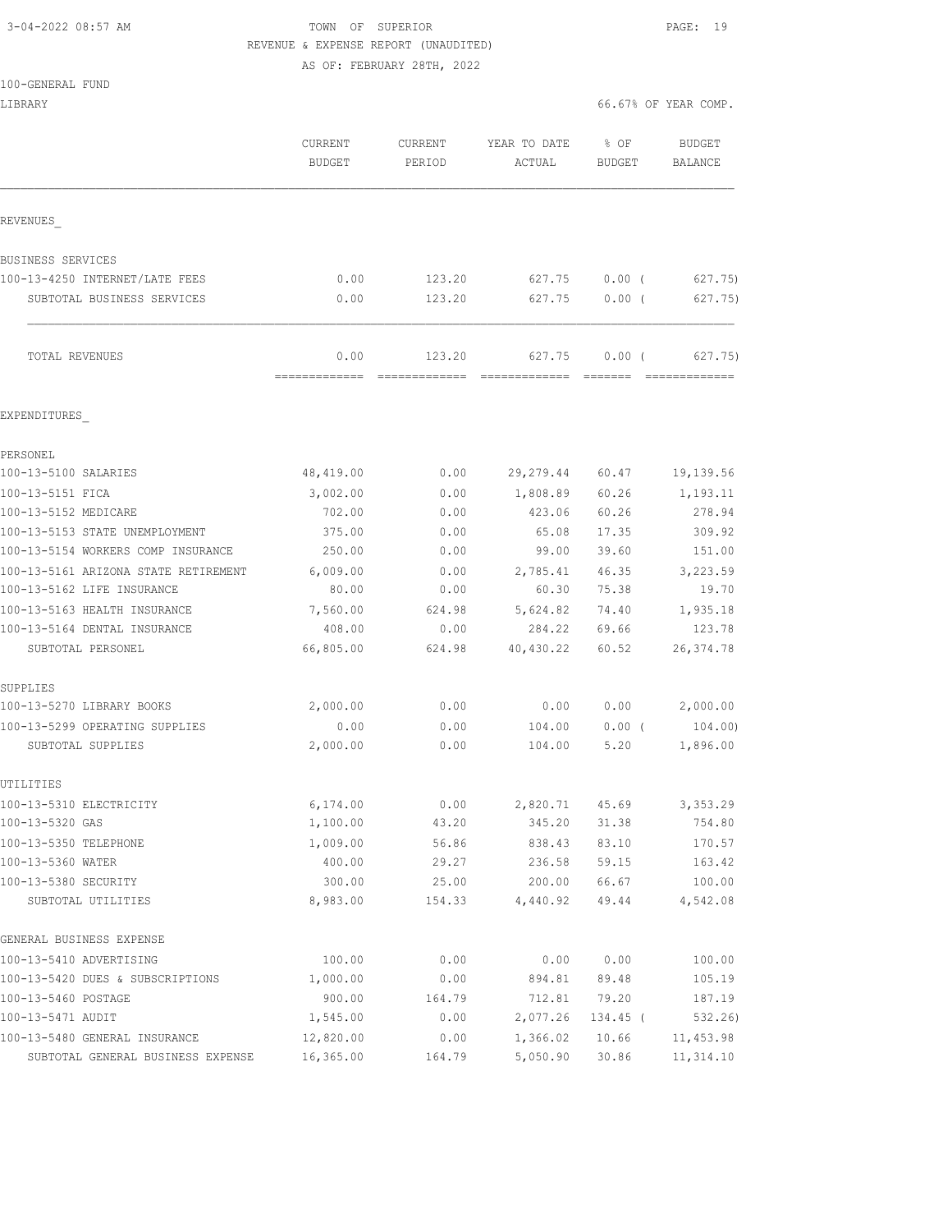## 3-04-2022 08:57 AM TOWN OF SUPERIOR PAGE: 19 REVENUE & EXPENSE REPORT (UNAUDITED)

AS OF: FEBRUARY 28TH, 2022

|  | $100 - GENERAI.$ | FUND |
|--|------------------|------|
|  |                  |      |

LIBRARY 66.67% OF YEAR COMP.

|                                            | CURRENT<br><b>BUDGET</b> | CURRENT<br>PERIOD | YEAR TO DATE<br>ACTUAL | % OF<br><b>BUDGET</b> | <b>BUDGET</b><br>BALANCE |
|--------------------------------------------|--------------------------|-------------------|------------------------|-----------------------|--------------------------|
| REVENUES                                   |                          |                   |                        |                       |                          |
| BUSINESS SERVICES                          |                          |                   |                        |                       |                          |
| 100-13-4250 INTERNET/LATE FEES             | 0.00                     | 123.20            | 627.75                 | $0.00$ (              | 627.75)                  |
| SUBTOTAL BUSINESS SERVICES                 | 0.00                     | 123.20            | 627.75                 | 0.00(                 | 627.75)                  |
| TOTAL REVENUES                             | 0.00                     | 123.20            | 627.75                 | 0.00(                 | 627,75)                  |
| EXPENDITURES                               |                          |                   |                        |                       |                          |
| PERSONEL                                   |                          |                   |                        |                       |                          |
| 100-13-5100 SALARIES                       | 48, 419.00               | 0.00              | 29,279.44              | 60.47                 | 19,139.56                |
| 100-13-5151 FICA                           | 3,002.00                 | 0.00              | 1,808.89               | 60.26                 | 1,193.11                 |
| 100-13-5152 MEDICARE                       | 702.00                   | 0.00              | 423.06                 | 60.26                 | 278.94                   |
| 100-13-5153 STATE UNEMPLOYMENT             | 375.00                   | 0.00              | 65.08                  | 17.35                 | 309.92                   |
| 100-13-5154 WORKERS COMP INSURANCE         | 250.00                   | 0.00              | 99.00                  | 39.60                 | 151.00                   |
| 100-13-5161 ARIZONA STATE RETIREMENT       | 6,009.00                 | 0.00              | 2,785.41               | 46.35                 | 3,223.59                 |
| 100-13-5162 LIFE INSURANCE                 | 80.00                    | 0.00              | 60.30                  | 75.38                 | 19.70                    |
| 100-13-5163 HEALTH INSURANCE               | 7,560.00                 | 624.98            | 5,624.82               | 74.40                 | 1,935.18                 |
| 100-13-5164 DENTAL INSURANCE               | 408.00                   | 0.00              | 284.22                 | 69.66                 | 123.78                   |
| SUBTOTAL PERSONEL                          | 66,805.00                | 624.98            | 40,430.22              | 60.52                 | 26, 374.78               |
| SUPPLIES                                   |                          |                   |                        |                       |                          |
| 100-13-5270 LIBRARY BOOKS                  | 2,000.00                 | 0.00              | 0.00                   | 0.00                  | 2,000.00                 |
| 100-13-5299 OPERATING SUPPLIES             | 0.00                     | 0.00              | 104.00                 | $0.00$ (              | 104.00)                  |
| SUBTOTAL SUPPLIES                          | 2,000.00                 | 0.00              | 104.00                 | 5.20                  | 1,896.00                 |
| UTILITIES                                  |                          |                   |                        |                       |                          |
| 100-13-5310 ELECTRICITY                    | 6,174.00                 | 0.00              |                        |                       | 2,820.71 45.69 3,353.29  |
| 100-13-5320 GAS                            | 1,100.00                 | 43.20             | 345.20                 | 31.38                 | 754.80                   |
| 100-13-5350 TELEPHONE                      | 1,009.00                 | 56.86             | 838.43                 | 83.10                 | 170.57                   |
| 100-13-5360 WATER                          | 400.00                   | 29.27             | 236.58                 | 59.15                 | 163.42                   |
| 100-13-5380 SECURITY<br>SUBTOTAL UTILITIES | 300.00<br>8,983.00       | 25.00<br>154.33   | 200.00<br>4,440.92     | 66.67<br>49.44        | 100.00<br>4,542.08       |
| GENERAL BUSINESS EXPENSE                   |                          |                   |                        |                       |                          |
| 100-13-5410 ADVERTISING                    | 100.00                   | 0.00              | 0.00                   | 0.00                  | 100.00                   |
| 100-13-5420 DUES & SUBSCRIPTIONS           | 1,000.00                 | 0.00              | 894.81                 | 89.48                 | 105.19                   |
| 100-13-5460 POSTAGE                        | 900.00                   | 164.79            | 712.81                 | 79.20                 | 187.19                   |
| 100-13-5471 AUDIT                          | 1,545.00                 | 0.00              | 2,077.26               | 134.45 (              | 532.26)                  |
| 100-13-5480 GENERAL INSURANCE              | 12,820.00                | 0.00              | 1,366.02               | 10.66                 | 11, 453.98               |
| SUBTOTAL GENERAL BUSINESS EXPENSE          | 16,365.00                | 164.79            | 5,050.90               | 30.86                 | 11, 314.10               |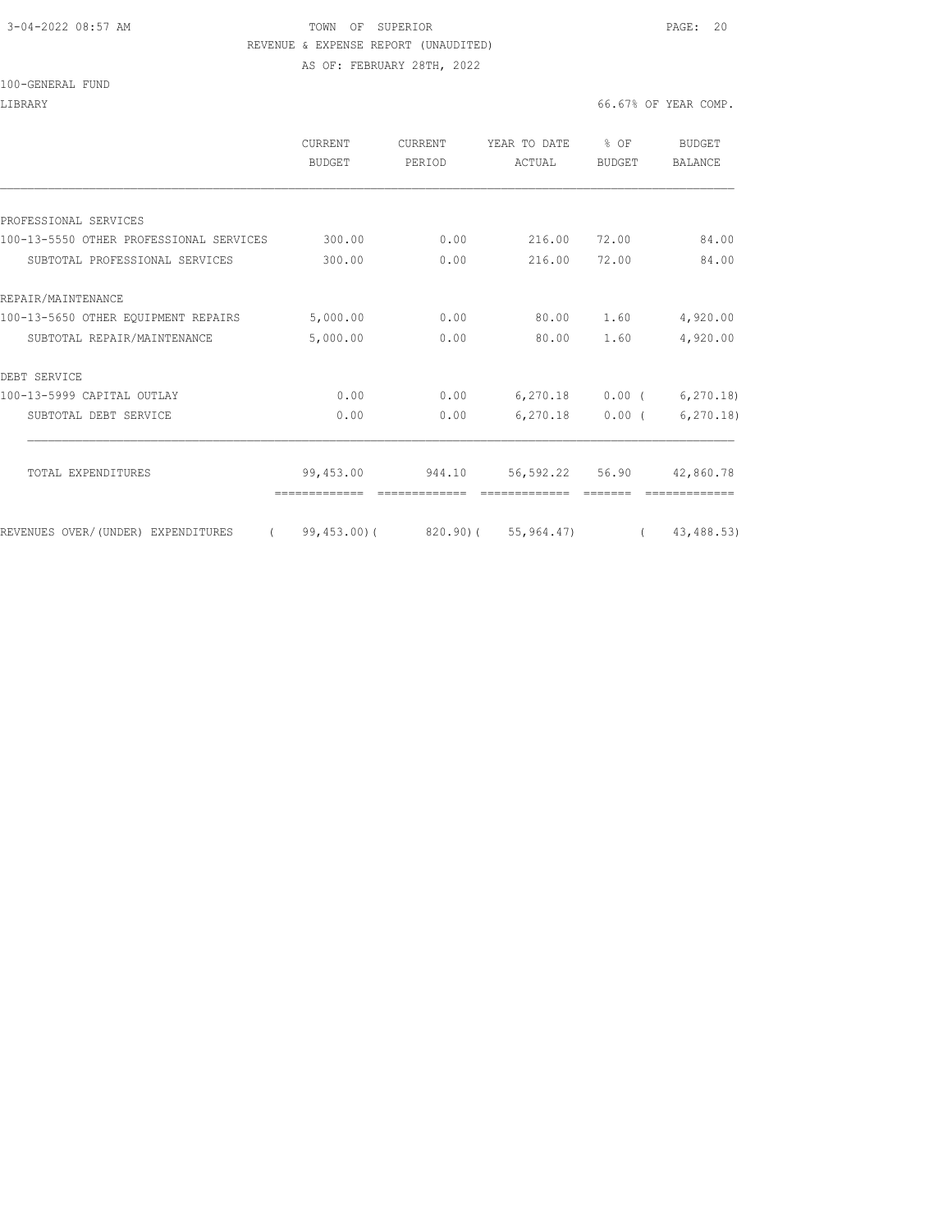## 3-04-2022 08:57 AM TOWN OF SUPERIOR PAGE: 20 REVENUE & EXPENSE REPORT (UNAUDITED) AS OF: FEBRUARY 28TH, 2022

|                                         | <b>CURRENT</b><br>BUDGET | <b>CURRENT</b><br>PERIOD | YEAR TO DATE<br>ACTUAL                                  | % OF<br><b>BUDGET</b> | BUDGET<br><b>BALANCE</b> |
|-----------------------------------------|--------------------------|--------------------------|---------------------------------------------------------|-----------------------|--------------------------|
|                                         |                          |                          |                                                         |                       |                          |
| PROFESSIONAL SERVICES                   |                          |                          |                                                         |                       |                          |
| 100-13-5550 OTHER PROFESSIONAL SERVICES | 300.00                   | 0.00                     | 216.00                                                  | 72.00                 | 84.00                    |
| SUBTOTAL PROFESSIONAL SERVICES          | 300.00                   | 0.00                     | 216.00                                                  | 72.00                 | 84.00                    |
| REPAIR/MAINTENANCE                      |                          |                          |                                                         |                       |                          |
| 100-13-5650 OTHER EQUIPMENT REPAIRS     | 5,000.00                 | 0.00                     | 80.00                                                   | 1.60                  | 4,920.00                 |
| SUBTOTAL REPAIR/MAINTENANCE             | 5,000.00                 | 0.00                     | 80.00                                                   | 1.60                  | 4,920.00                 |
| DEBT SERVICE                            |                          |                          |                                                         |                       |                          |
| 100-13-5999 CAPITAL OUTLAY              | 0.00                     | 0.00                     |                                                         | $6,270.18$ 0.00 (     | 6, 270.18                |
| SUBTOTAL DEBT SERVICE                   | 0.00                     | 0.00                     | 6,270.18                                                | $0.00$ (              | 6, 270.18                |
| TOTAL EXPENDITURES                      | 99,453.00                | 944.10                   | 56,592.22 56.90                                         |                       | 42,860.78                |
|                                         |                          |                          |                                                         |                       |                          |
| REVENUES OVER/(UNDER) EXPENDITURES      |                          |                          | $(99, 453.00)$ $(820.90)$ $(55, 964.47)$ $(43, 488.53)$ |                       |                          |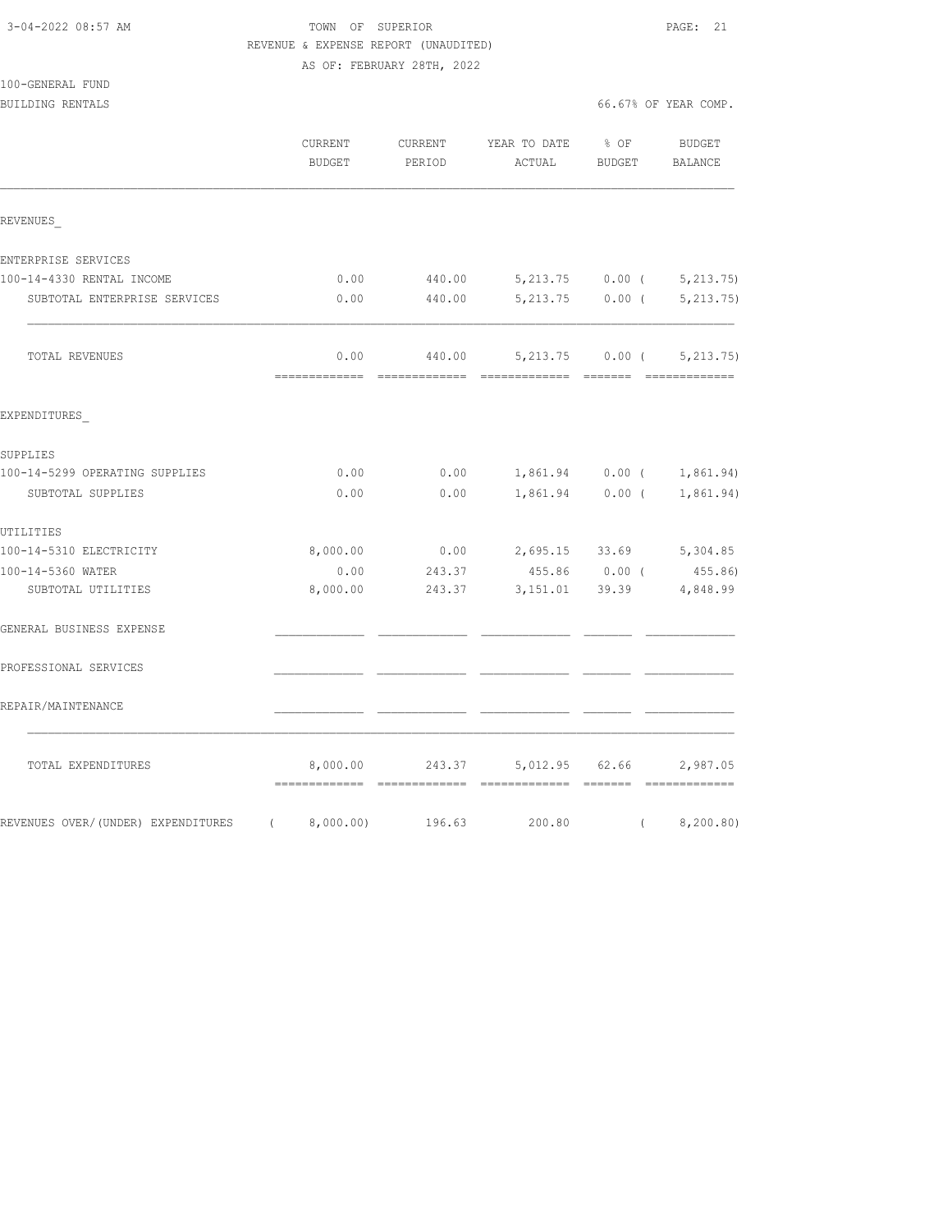## TOWN OF SUPERIOR **Example 21**  REVENUE & EXPENSE REPORT (UNAUDITED) AS OF: FEBRUARY 28TH, 2022

|                                    | CURRENT<br><b>BUDGET</b>                  | CURRENT<br>PERIOD       | YEAR TO DATE<br>ACTUAL         | $8$ OF<br>BUDGET                            | <b>BUDGET</b><br><b>BALANCE</b> |
|------------------------------------|-------------------------------------------|-------------------------|--------------------------------|---------------------------------------------|---------------------------------|
| REVENUES                           |                                           |                         |                                |                                             |                                 |
| ENTERPRISE SERVICES                |                                           |                         |                                |                                             |                                 |
| 100-14-4330 RENTAL INCOME          | 0.00                                      | 440.00                  |                                |                                             | $5,213.75$ 0.00 ( $5,213.75$ )  |
| SUBTOTAL ENTERPRISE SERVICES       | 0.00                                      | 440.00                  |                                | $5,213.75$ 0.00 (                           | 5, 213.75)                      |
| TOTAL REVENUES                     | 0.00<br>-------------                     | 440.00<br>essessessesse | ---------                      | 5,213.75 0.00 (<br><b>Contract Contract</b> | 5, 213.75)                      |
| EXPENDITURES                       |                                           |                         |                                |                                             |                                 |
| SUPPLIES                           |                                           |                         |                                |                                             |                                 |
| 100-14-5299 OPERATING SUPPLIES     | 0.00                                      | 0.00                    |                                | 1,861.94 0.00 (                             | 1,861.94)                       |
| SUBTOTAL SUPPLIES                  | 0.00                                      | 0.00                    |                                | $1,861.94$ 0.00 (                           | 1,861.94)                       |
| UTILITIES                          |                                           |                         |                                |                                             |                                 |
| 100-14-5310 ELECTRICITY            | 8,000.00                                  | 0.00                    | 2,695.15 33.69 5,304.85        |                                             |                                 |
| 100-14-5360 WATER                  | 0.00                                      | 243.37                  |                                | 455.86 0.00 (                               | 455.86)                         |
| SUBTOTAL UTILITIES                 | 8,000.00                                  | 243.37                  | 3, 151.01 39.39                |                                             | 4,848.99                        |
| GENERAL BUSINESS EXPENSE           |                                           |                         |                                |                                             |                                 |
| PROFESSIONAL SERVICES              |                                           |                         |                                |                                             |                                 |
| REPAIR/MAINTENANCE                 |                                           |                         |                                |                                             |                                 |
| TOTAL EXPENDITURES                 | 8,000.00<br>-------------- -------------- |                         | 243.37 5,012.95 62.66 2,987.05 | --------                                    |                                 |
| REVENUES OVER/(UNDER) EXPENDITURES | $\sqrt{2}$<br>8,000.00)                   | 196.63                  | 200.80                         | $\left($                                    | 8, 200.80)                      |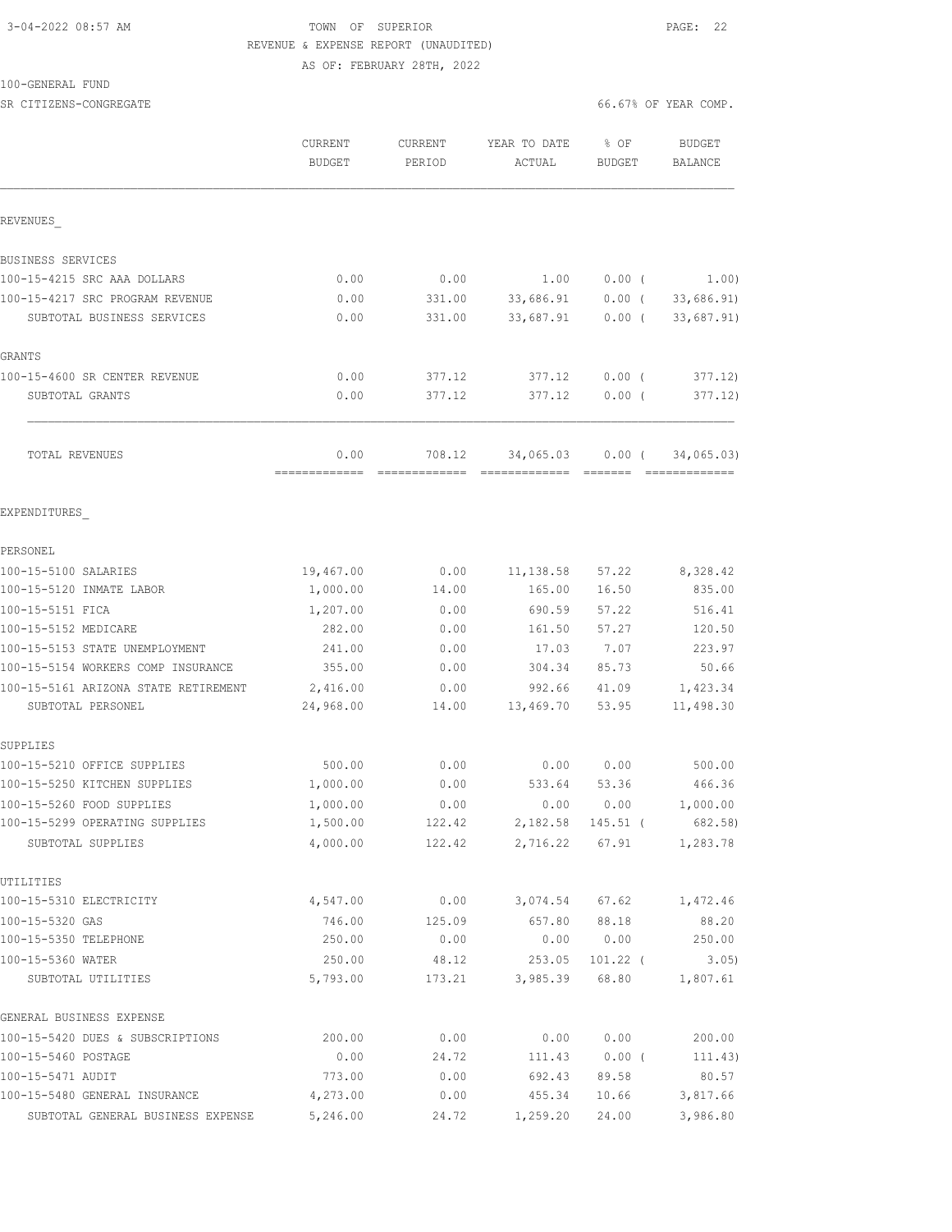# 3-04-2022 08:57 AM TOWN OF SUPERIOR PAGE: 22 REVENUE & EXPENSE REPORT (UNAUDITED)

AS OF: FEBRUARY 28TH, 2022

### 100-GENERAL FUND

SR CITIZENS-CONGREGATE SERVICES AND RESOLUTION OF SERVICES AND SERVICES OF SERVICES AND SERVICES AND SERVICES OF YEAR COMP.

|                                         | CURRENT<br><b>BUDGET</b> | CURRENT<br>PERIOD | YEAR TO DATE<br>ACTUAL | % OF<br>BUDGET      | <b>BUDGET</b><br><b>BALANCE</b> |
|-----------------------------------------|--------------------------|-------------------|------------------------|---------------------|---------------------------------|
| REVENUES                                |                          |                   |                        |                     |                                 |
| BUSINESS SERVICES                       |                          |                   |                        |                     |                                 |
| 100-15-4215 SRC AAA DOLLARS             | 0.00                     | 0.00              | 1.00                   | $0.00$ (            | 1.00)                           |
| 100-15-4217 SRC PROGRAM REVENUE         | 0.00                     | 331.00            | 33,686.91              | $0.00$ (            | 33,686.91)                      |
| SUBTOTAL BUSINESS SERVICES              | 0.00                     | 331.00            | 33,687.91              | $0.00$ (            | 33,687.91)                      |
| GRANTS                                  |                          |                   |                        |                     |                                 |
| 100-15-4600 SR CENTER REVENUE           | 0.00                     | 377.12            | 377.12                 | $0.00$ (            | 377.12)                         |
| SUBTOTAL GRANTS                         | 0.00                     | 377.12            | 377.12                 | 0.00(               | 377.12)                         |
| TOTAL REVENUES                          | 0.00<br>-------------    | 708.12            | 34,065.03              | $0.00$ (            | 34,065.03)                      |
| EXPENDITURES                            |                          |                   |                        |                     |                                 |
| PERSONEL                                |                          |                   |                        |                     |                                 |
| 100-15-5100 SALARIES                    | 19,467.00                | 0.00              | 11,138.58              | 57.22               | 8,328.42                        |
| 100-15-5120 INMATE LABOR                | 1,000.00                 | 14.00             | 165.00                 | 16.50               | 835.00                          |
| 100-15-5151 FICA                        | 1,207.00                 | 0.00              | 690.59                 | 57.22               | 516.41                          |
| 100-15-5152 MEDICARE                    | 282.00                   | 0.00              | 161.50                 | 57.27               | 120.50                          |
| 100-15-5153 STATE UNEMPLOYMENT          | 241.00                   | 0.00              | 17.03                  | 7.07                | 223.97                          |
| 100-15-5154 WORKERS COMP INSURANCE      | 355.00                   | 0.00              | 304.34                 | 85.73               | 50.66                           |
| 100-15-5161 ARIZONA STATE RETIREMENT    | 2,416.00                 | 0.00              | 992.66                 | 41.09               | 1,423.34                        |
| SUBTOTAL PERSONEL                       | 24,968.00                | 14.00             | 13,469.70              | 53.95               | 11,498.30                       |
| SUPPLIES                                |                          |                   |                        |                     |                                 |
| 100-15-5210 OFFICE SUPPLIES             | 500.00                   | 0.00              | 0.00                   | 0.00                | 500.00                          |
| 100-15-5250 KITCHEN SUPPLIES            | 1,000.00                 | 0.00              | 533.64                 | 53.36               | 466.36                          |
| 100-15-5260 FOOD SUPPLIES               | 1,000.00                 | 0.00              | 0.00                   | 0.00                | 1,000.00                        |
| 100-15-5299 OPERATING SUPPLIES          | 1,500.00                 | 122.42            | 2,182.58               | 145.51 (            | 682.58)                         |
| SUBTOTAL SUPPLIES                       | 4,000.00                 | 122.42            |                        | 2,716.22 67.91      | 1,283.78                        |
| UTILITIES                               |                          |                   |                        |                     |                                 |
| 100-15-5310 ELECTRICITY                 | 4,547.00                 | 0.00              | 3,074.54               | 67.62               | 1,472.46                        |
| 100-15-5320 GAS                         | 746.00                   | 125.09            | 657.80                 | 88.18               | 88.20                           |
| 100-15-5350 TELEPHONE                   | 250.00                   | 0.00              | 0.00                   | 0.00                | 250.00                          |
| 100-15-5360 WATER<br>SUBTOTAL UTILITIES | 250.00<br>5,793.00       | 48.12<br>173.21   | 253.05<br>3,985.39     | $101.22$ (<br>68.80 | 3.05)<br>1,807.61               |
| GENERAL BUSINESS EXPENSE                |                          |                   |                        |                     |                                 |
| 100-15-5420 DUES & SUBSCRIPTIONS        | 200.00                   | 0.00              | 0.00                   | 0.00                | 200.00                          |
| 100-15-5460 POSTAGE                     | 0.00                     | 24.72             | 111.43                 | $0.00$ (            | 111.43)                         |
| 100-15-5471 AUDIT                       | 773.00                   | 0.00              | 692.43                 | 89.58               | 80.57                           |
| 100-15-5480 GENERAL INSURANCE           | 4,273.00                 | 0.00              | 455.34                 | 10.66               | 3,817.66                        |
| SUBTOTAL GENERAL BUSINESS EXPENSE       | 5,246.00                 | 24.72             | 1,259.20               | 24.00               | 3,986.80                        |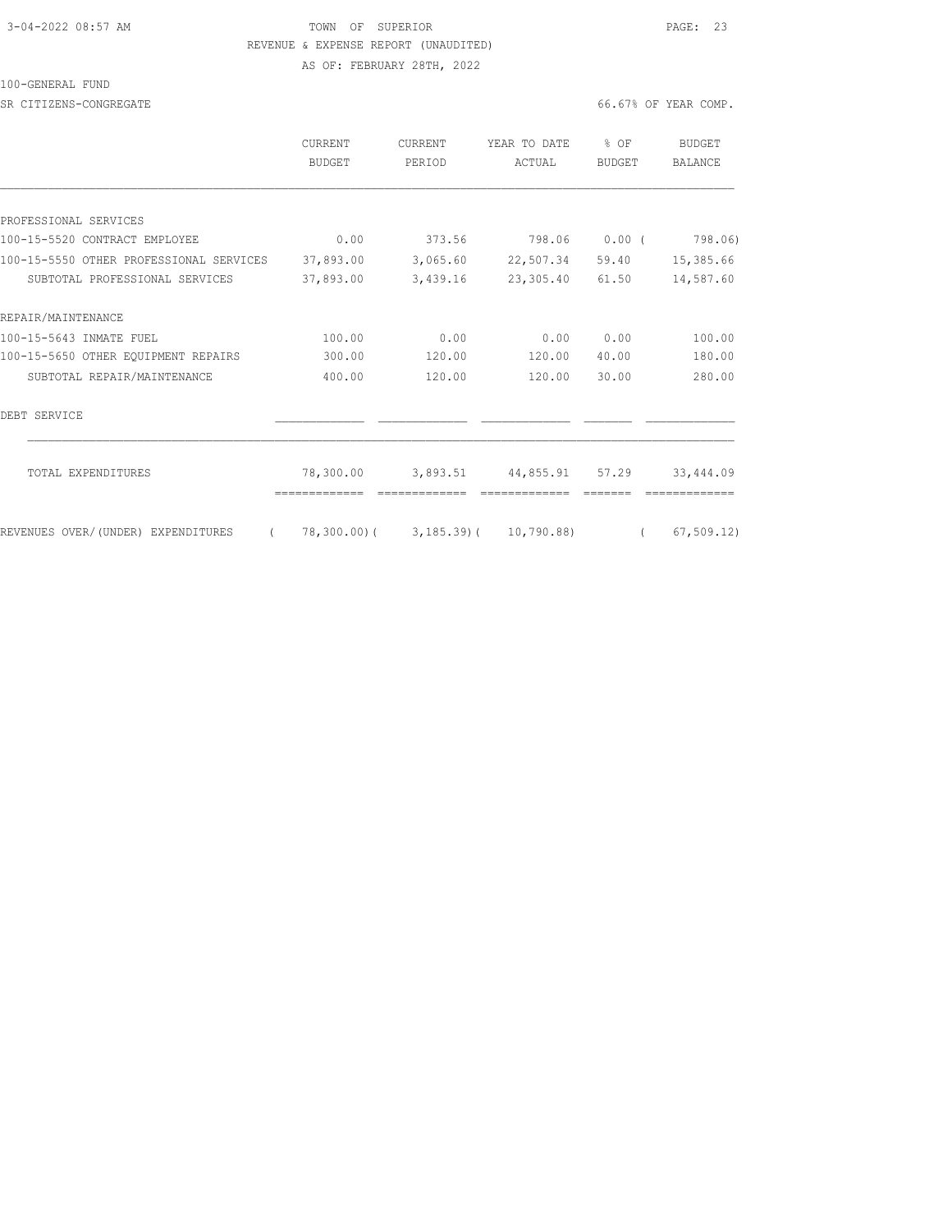## 3-04-2022 08:57 AM TOWN OF SUPERIOR PAGE: 23 REVENUE & EXPENSE REPORT (UNAUDITED) AS OF: FEBRUARY 28TH, 2022

100-GENERAL FUND

SR CITIZENS-CONGREGATE **66.67%** OF YEAR COMP.

|                                         | <b>CURRENT</b><br><b>BUDGET</b> | <b>CURRENT</b><br>PERIOD | YEAR TO DATE<br>ACTUAL              | $8$ OF<br><b>BUDGET</b> | <b>BUDGET</b><br><b>BALANCE</b> |
|-----------------------------------------|---------------------------------|--------------------------|-------------------------------------|-------------------------|---------------------------------|
|                                         |                                 |                          |                                     |                         |                                 |
| PROFESSIONAL SERVICES                   |                                 |                          |                                     |                         |                                 |
| 100-15-5520 CONTRACT EMPLOYEE           | 0.00                            | 373.56                   | 798.06                              | $0.00$ (                | 798.06)                         |
| 100-15-5550 OTHER PROFESSIONAL SERVICES | 37,893.00                       | 3,065.60                 | 22,507.34                           | 59.40                   | 15,385.66                       |
| SUBTOTAL PROFESSIONAL SERVICES          | 37,893.00                       | 3,439.16                 | 23, 305.40                          | 61.50                   | 14,587.60                       |
| REPAIR/MAINTENANCE                      |                                 |                          |                                     |                         |                                 |
| 100-15-5643 INMATE FUEL                 | 100.00                          | 0.00                     | 0.00                                | 0.00                    | 100.00                          |
| 100-15-5650 OTHER EQUIPMENT REPAIRS     | 300.00                          | 120.00                   | 120.00                              | 40.00                   | 180.00                          |
| SUBTOTAL REPAIR/MAINTENANCE             | 400.00                          | 120.00                   | 120.00                              | 30.00                   | 280.00                          |
| DEBT SERVICE                            |                                 |                          |                                     |                         |                                 |
| TOTAL EXPENDITURES                      | 78,300.00                       | 3,893.51                 | 44,855.91                           | 57.29                   | 33,444.09                       |
| REVENUES OVER/(UNDER) EXPENDITURES      |                                 |                          | 78,300.00) ( 3,185.39) ( 10,790.88) | $\sqrt{2}$              | 67, 509.12                      |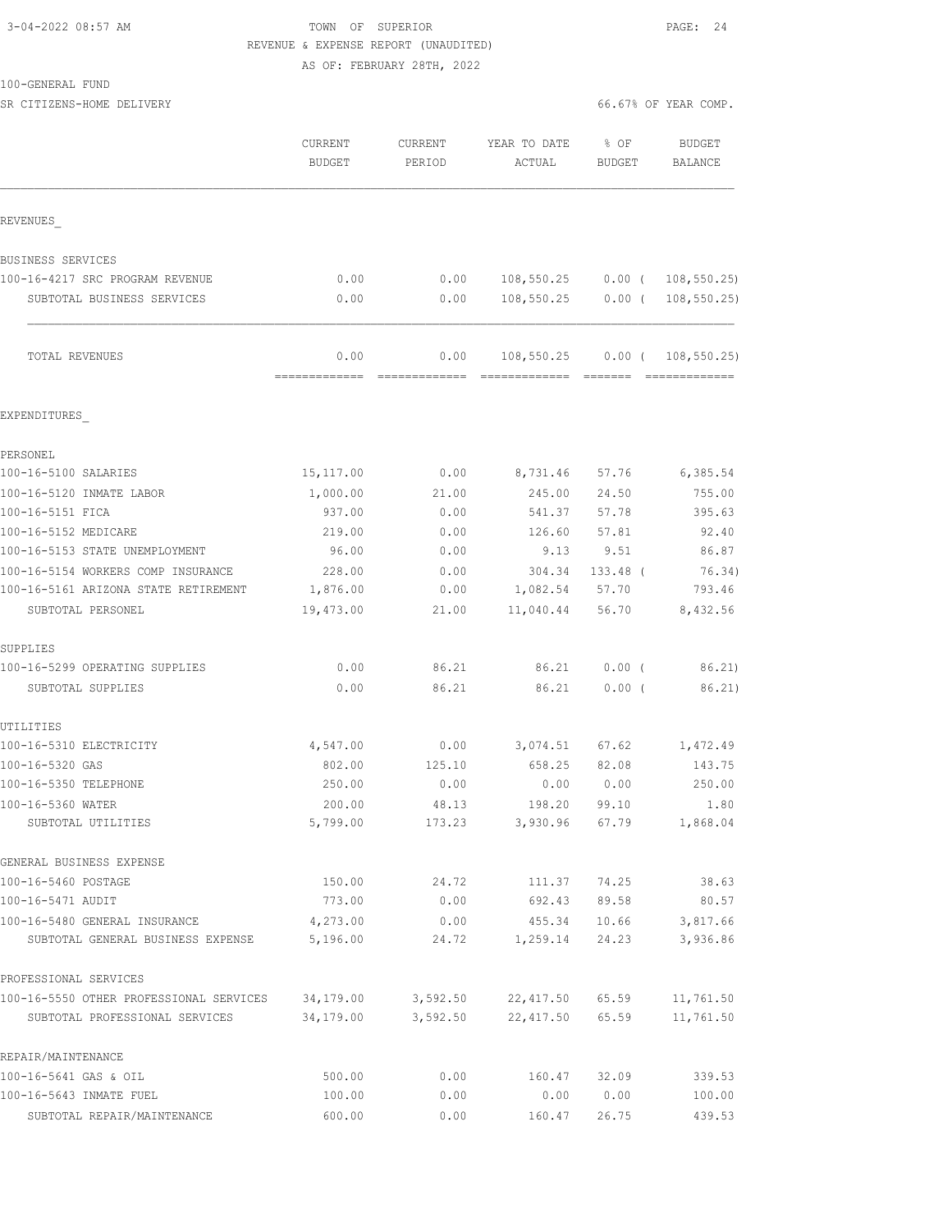## 3-04-2022 08:57 AM TOWN OF SUPERIOR PAGE: 24 REVENUE & EXPENSE REPORT (UNAUDITED) AS OF: FEBRUARY 28TH, 2022

SR CITIZENS-HOME DELIVERY 66.67% OF YEAR COMP.

|                                         | CURRENT<br><b>BUDGET</b> | <b>CURRENT</b><br>PERIOD | YEAR TO DATE<br>ACTUAL      | % OF<br>BUDGET | <b>BUDGET</b><br>BALANCE |
|-----------------------------------------|--------------------------|--------------------------|-----------------------------|----------------|--------------------------|
| REVENUES                                |                          |                          |                             |                |                          |
| <b>BUSINESS SERVICES</b>                |                          |                          |                             |                |                          |
| 100-16-4217 SRC PROGRAM REVENUE         | 0.00                     | 0.00                     | 108,550.25                  | $0.00$ (       | 108, 550.25              |
| SUBTOTAL BUSINESS SERVICES              | 0.00                     | 0.00                     | 108,550.25                  | $0.00$ (       | 108, 550.25              |
| TOTAL REVENUES                          | 0.00<br>=======          | 0.00                     | 108,550.25<br>============= | $0.00$ (       | 108, 550.25              |
| EXPENDITURES                            |                          |                          |                             |                |                          |
| PERSONEL                                |                          |                          |                             |                |                          |
| 100-16-5100 SALARIES                    | 15, 117.00               | 0.00                     | 8,731.46                    | 57.76          | 6,385.54                 |
| 100-16-5120 INMATE LABOR                | 1,000.00                 | 21.00                    | 245.00                      | 24.50          | 755.00                   |
| 100-16-5151 FICA                        | 937.00                   | 0.00                     | 541.37                      | 57.78          | 395.63                   |
| 100-16-5152 MEDICARE                    | 219.00                   | 0.00                     | 126.60                      | 57.81          | 92.40                    |
| 100-16-5153 STATE UNEMPLOYMENT          | 96.00                    | 0.00                     | 9.13                        | 9.51           | 86.87                    |
| 100-16-5154 WORKERS COMP INSURANCE      | 228.00                   | 0.00                     | 304.34                      | $133.48$ (     | 76.34)                   |
| 100-16-5161 ARIZONA STATE RETIREMENT    | 1,876.00                 | 0.00                     | 1,082.54                    | 57.70          | 793.46                   |
| SUBTOTAL PERSONEL                       | 19,473.00                | 21.00                    | 11,040.44                   | 56.70          | 8,432.56                 |
| SUPPLIES                                |                          |                          |                             |                |                          |
| 100-16-5299 OPERATING SUPPLIES          | 0.00                     | 86.21                    | 86.21                       | $0.00$ (       | 86.21)                   |
| SUBTOTAL SUPPLIES                       | 0.00                     | 86.21                    | 86.21                       | $0.00$ (       | 86.21)                   |
| UTILITIES                               |                          |                          |                             |                |                          |
| 100-16-5310 ELECTRICITY                 | 4,547.00                 | 0.00                     | 3,074.51                    | 67.62          | 1,472.49                 |
| 100-16-5320 GAS                         | 802.00                   | 125.10                   | 658.25                      | 82.08          | 143.75                   |
| 100-16-5350 TELEPHONE                   | 250.00                   | 0.00                     | 0.00                        | 0.00           | 250.00                   |
| 100-16-5360 WATER<br>SUBTOTAL UTILITIES | 200.00<br>5,799.00       | 48.13<br>173.23          | 198.20<br>3,930.96          | 99.10<br>67.79 | 1.80<br>1,868.04         |
|                                         |                          |                          |                             |                |                          |
| GENERAL BUSINESS EXPENSE                |                          |                          |                             |                |                          |
| 100-16-5460 POSTAGE                     | 150.00                   | 24.72                    | 111.37                      | 74.25          | 38.63                    |
| 100-16-5471 AUDIT                       | 773.00                   | 0.00                     | 692.43                      | 89.58          | 80.57                    |
| 100-16-5480 GENERAL INSURANCE           | 4,273.00                 | 0.00                     | 455.34                      | 10.66          | 3,817.66                 |
| SUBTOTAL GENERAL BUSINESS EXPENSE       | 5,196.00                 | 24.72                    | 1,259.14                    | 24.23          | 3,936.86                 |
| PROFESSIONAL SERVICES                   |                          |                          |                             |                |                          |
| 100-16-5550 OTHER PROFESSIONAL SERVICES | 34,179.00                | 3,592.50                 | 22,417.50                   | 65.59          | 11,761.50                |
| SUBTOTAL PROFESSIONAL SERVICES          | 34,179.00                | 3,592.50                 | 22,417.50 65.59             |                | 11,761.50                |
| REPAIR/MAINTENANCE                      |                          |                          |                             |                |                          |
| 100-16-5641 GAS & OIL                   | 500.00                   | 0.00                     | 160.47                      | 32.09          | 339.53                   |
| 100-16-5643 INMATE FUEL                 | 100.00                   | 0.00                     | 0.00                        | 0.00           | 100.00                   |
| SUBTOTAL REPAIR/MAINTENANCE             | 600.00                   | 0.00                     | 160.47                      | 26.75          | 439.53                   |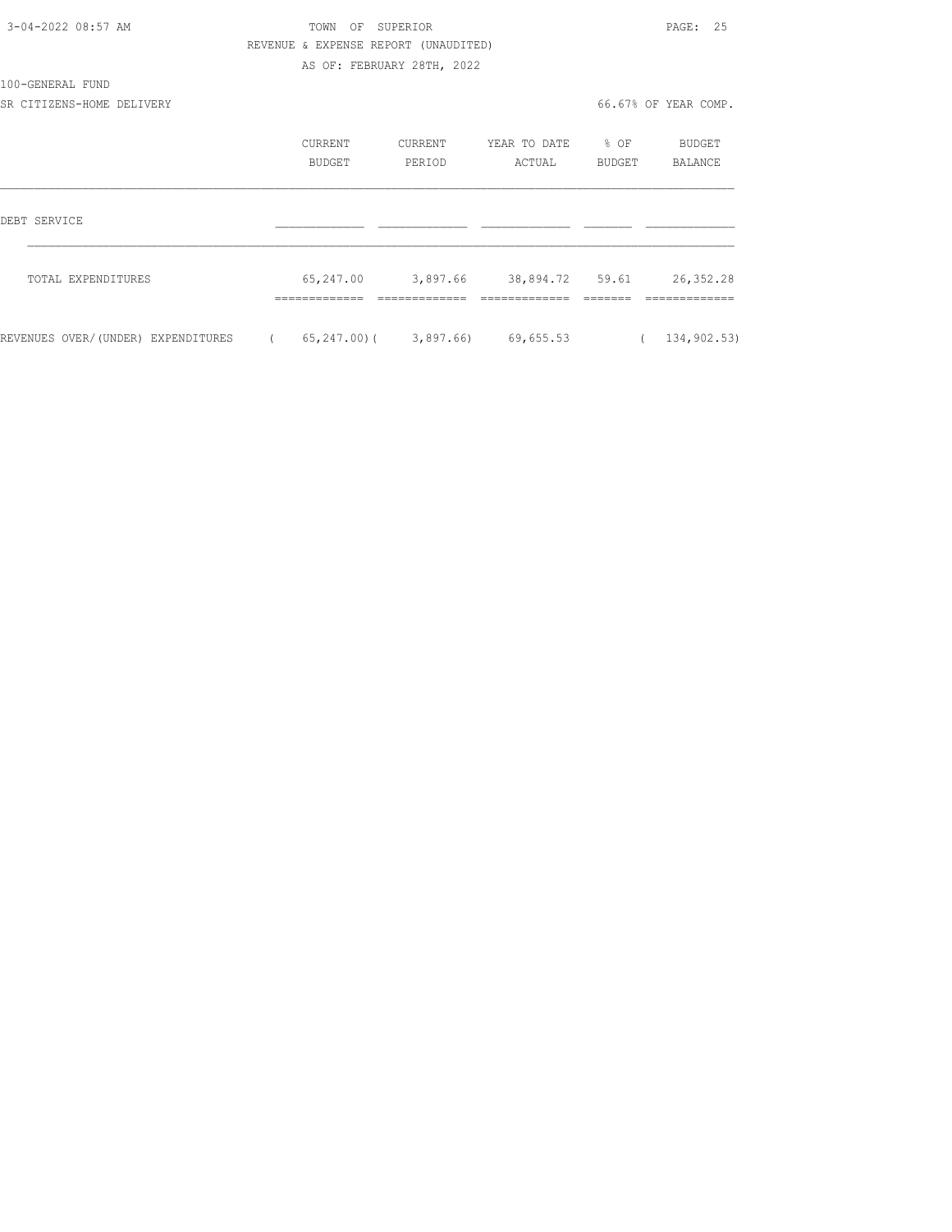| 3-04-2022 08:57 AM                 |            | TOWN                                 | OF SUPERIOR                |                                          |                  | PAGE: 25             |
|------------------------------------|------------|--------------------------------------|----------------------------|------------------------------------------|------------------|----------------------|
|                                    |            | REVENUE & EXPENSE REPORT (UNAUDITED) |                            |                                          |                  |                      |
|                                    |            |                                      | AS OF: FEBRUARY 28TH, 2022 |                                          |                  |                      |
| 100-GENERAL FUND                   |            |                                      |                            |                                          |                  |                      |
| SR CITIZENS-HOME DELIVERY          |            |                                      |                            |                                          |                  | 66.67% OF YEAR COMP. |
|                                    |            | CURRENT                              | CURRENT                    | YEAR TO DATE                             | $\textdegree$ OF | BUDGET               |
|                                    |            | <b>BUDGET</b>                        | PERIOD                     | ACTUAL                                   | BUDGET           | BALANCE              |
| DEBT SERVICE                       |            |                                      |                            |                                          |                  |                      |
|                                    |            |                                      |                            |                                          |                  |                      |
| TOTAL EXPENDITURES                 |            | 65,247.00 3,897.66                   |                            | 38,894.72 59.61                          |                  | 26, 352.28           |
|                                    |            |                                      |                            |                                          |                  |                      |
| REVENUES OVER/(UNDER) EXPENDITURES | $\sqrt{2}$ |                                      |                            | $65, 247, 00$ ( $3, 897, 66$ ) 69,655,53 | $\left($         | 134,902.53)          |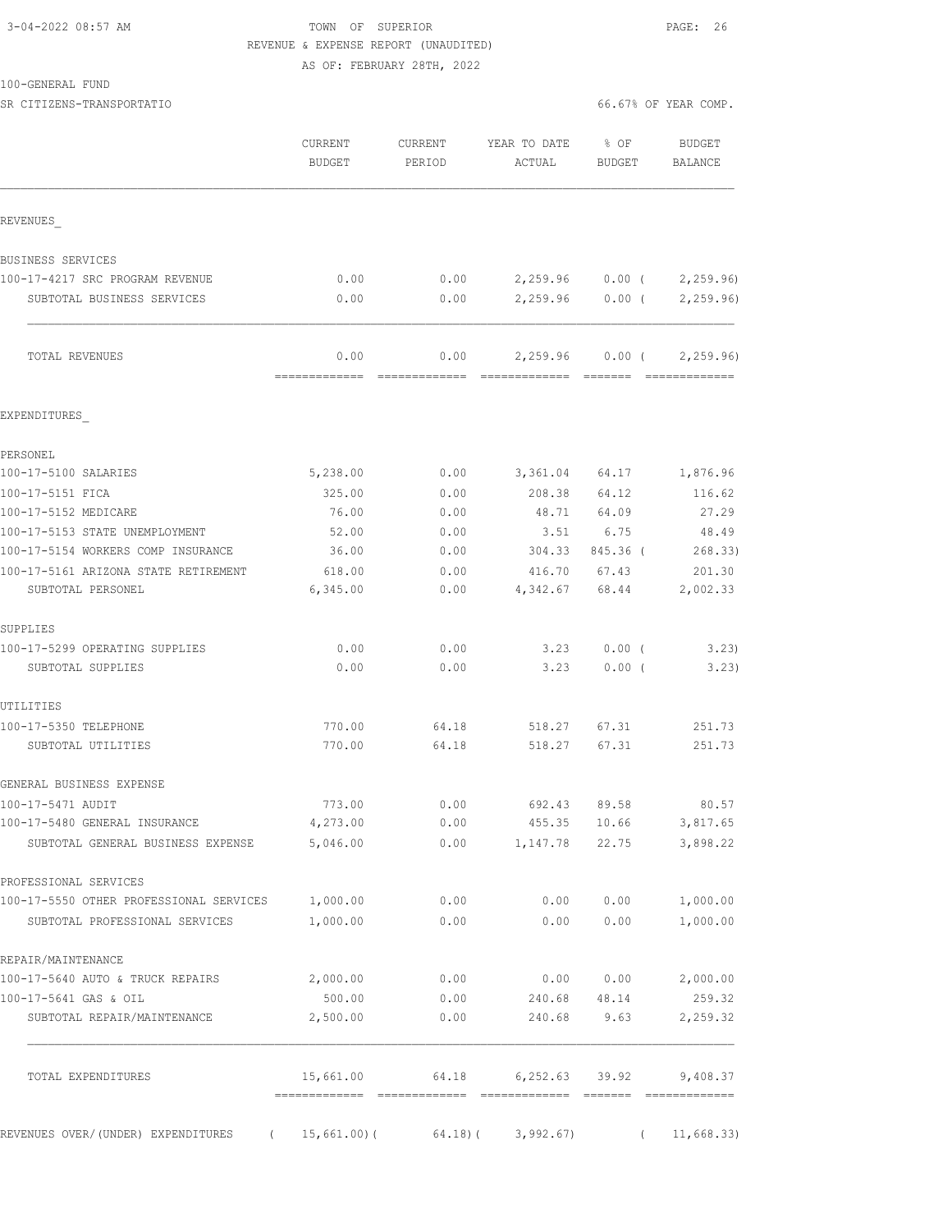## 3-04-2022 08:57 AM TOWN OF SUPERIOR PAGE: 26 REVENUE & EXPENSE REPORT (UNAUDITED) AS OF: FEBRUARY 28TH, 2022

SR CITIZENS-TRANSPORTATIO **Example 2008** 66.67% OF YEAR COMP.

|                                                                    | CURRENT<br><b>BUDGET</b> | CURRENT<br>PERIOD | YEAR TO DATE<br>ACTUAL | % OF<br><b>BUDGET</b>           | <b>BUDGET</b><br>BALANCE    |
|--------------------------------------------------------------------|--------------------------|-------------------|------------------------|---------------------------------|-----------------------------|
| REVENUES                                                           |                          |                   |                        |                                 |                             |
| BUSINESS SERVICES                                                  |                          |                   |                        |                                 |                             |
| 100-17-4217 SRC PROGRAM REVENUE                                    | 0.00                     | 0.00              |                        |                                 | $2,259.96$ 0.00 ( 2,259.96) |
| SUBTOTAL BUSINESS SERVICES                                         | 0.00                     | 0.00              |                        | $2,259.96$ 0.00 (               | 2, 259.96                   |
| TOTAL REVENUES                                                     | 0.00                     | 0.00              | 2,259.96               | $0.00$ (                        | 2, 259.96                   |
| EXPENDITURES                                                       |                          |                   |                        |                                 |                             |
| PERSONEL                                                           |                          |                   |                        |                                 |                             |
| 100-17-5100 SALARIES                                               | 5,238.00                 | 0.00              | 3,361.04               | 64.17                           | 1,876.96                    |
| 100-17-5151 FICA                                                   | 325.00                   | 0.00              | 208.38                 | 64.12                           | 116.62                      |
| 100-17-5152 MEDICARE                                               | 76.00                    | 0.00              | 48.71                  | 64.09                           | 27.29                       |
| 100-17-5153 STATE UNEMPLOYMENT                                     | 52.00                    | 0.00              | 3.51                   | 6.75                            | 48.49                       |
| 100-17-5154 WORKERS COMP INSURANCE                                 | 36.00                    | 0.00              | 304.33                 | 845.36 (                        | 268.33)                     |
| 100-17-5161 ARIZONA STATE RETIREMENT<br>SUBTOTAL PERSONEL          | 618.00<br>6,345.00       | 0.00<br>0.00      | 416.70<br>4,342.67     | 67.43<br>68.44                  | 201.30<br>2,002.33          |
| SUPPLIES                                                           |                          |                   |                        |                                 |                             |
| 100-17-5299 OPERATING SUPPLIES<br>SUBTOTAL SUPPLIES                | 0.00<br>0.00             | 0.00<br>0.00      | 3.23<br>3.23           | $0.00$ (<br>0.00(               | 3.23<br>3.23)               |
| UTILITIES                                                          |                          |                   |                        |                                 |                             |
| 100-17-5350 TELEPHONE                                              | 770.00                   | 64.18             | 518.27                 | 67.31                           | 251.73                      |
| SUBTOTAL UTILITIES                                                 | 770.00                   | 64.18             | 518.27                 | 67.31                           | 251.73                      |
| GENERAL BUSINESS EXPENSE                                           |                          |                   |                        |                                 |                             |
| 100-17-5471 AUDIT                                                  | 773.00                   | 0.00              | 692.43                 | 89.58                           | 80.57                       |
| 100-17-5480 GENERAL INSURANCE<br>SUBTOTAL GENERAL BUSINESS EXPENSE | 4,273.00<br>5,046.00     | 0.00<br>0.00      |                        | 455.35 10.66<br>1, 147.78 22.75 | 3,817.65<br>3,898.22        |
| PROFESSIONAL SERVICES                                              |                          |                   |                        |                                 |                             |
| 100-17-5550 OTHER PROFESSIONAL SERVICES 1,000.00                   |                          | 0.00              | 0.00                   | 0.00                            | 1,000.00                    |
| SUBTOTAL PROFESSIONAL SERVICES                                     | 1,000.00                 | 0.00              | 0.00                   | 0.00                            | 1,000.00                    |
| REPAIR/MAINTENANCE                                                 |                          |                   |                        |                                 |                             |
| 100-17-5640 AUTO & TRUCK REPAIRS                                   | 2,000.00                 | 0.00              |                        | 0.00 0.00                       | 2,000.00                    |
| 100-17-5641 GAS & OIL<br>SUBTOTAL REPAIR/MAINTENANCE               | 500.00<br>2,500.00       | 0.00<br>0.00      | 240.68 48.14<br>240.68 | 9.63                            | 259.32<br>2,259.32          |
| TOTAL EXPENDITURES                                                 | 15,661.00                | 64.18             | 6,252.63 39.92         |                                 | 9,408.37                    |
| REVENUES OVER/(UNDER) EXPENDITURES (15,661.00) (                   |                          |                   | 64.18) ( 3,992.67)     | $\left($                        | 11,668.33)                  |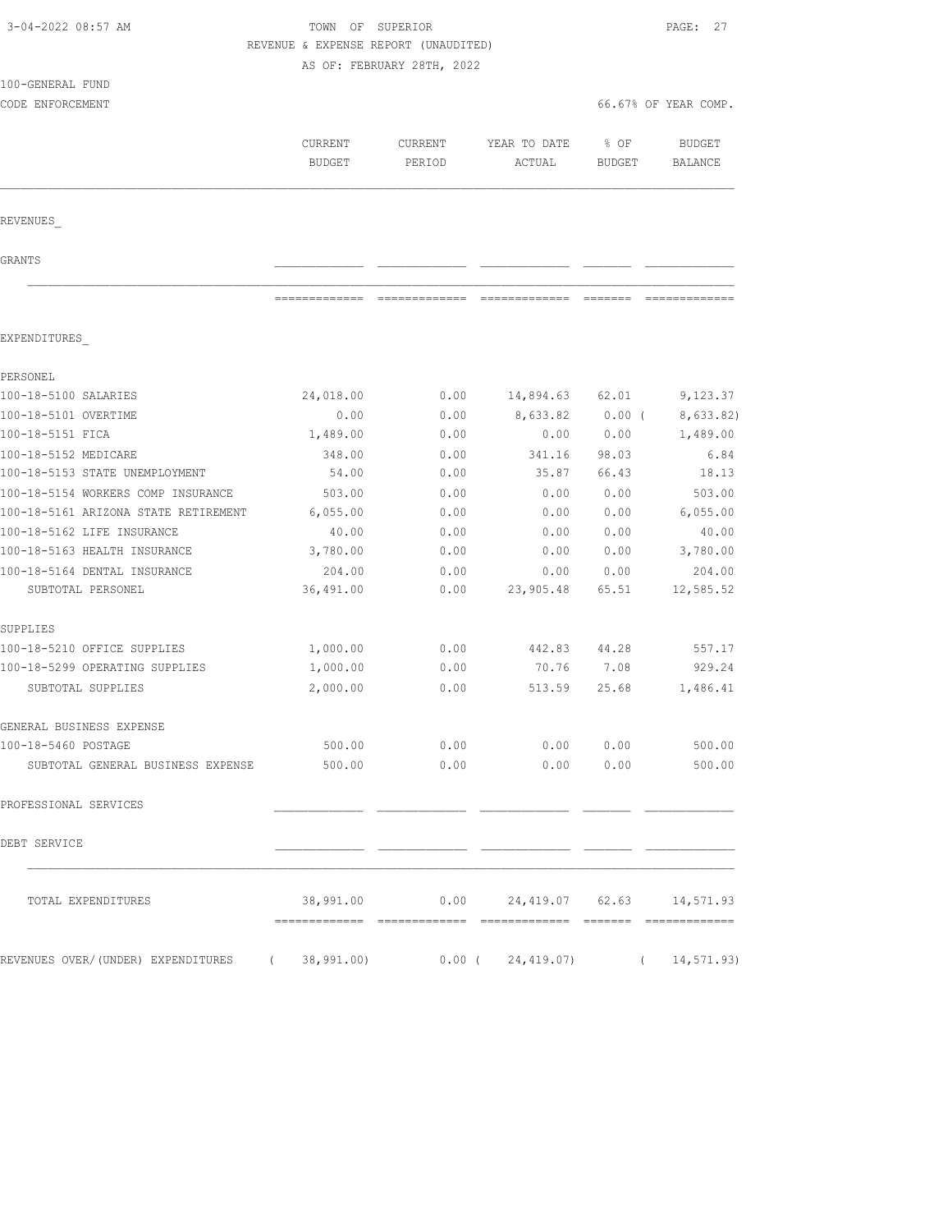| 3-04-2022 08:57 AM                                              | TOWN OF SUPERIOR                     |                            |                                  |               | PAGE: 27             |
|-----------------------------------------------------------------|--------------------------------------|----------------------------|----------------------------------|---------------|----------------------|
|                                                                 | REVENUE & EXPENSE REPORT (UNAUDITED) |                            |                                  |               |                      |
|                                                                 |                                      | AS OF: FEBRUARY 28TH, 2022 |                                  |               |                      |
| 100-GENERAL FUND                                                |                                      |                            |                                  |               |                      |
| CODE ENFORCEMENT                                                |                                      |                            |                                  |               | 66.67% OF YEAR COMP. |
|                                                                 |                                      |                            |                                  |               |                      |
|                                                                 | CURRENT                              | <b>CURRENT</b>             | YEAR TO DATE                     | % OF          | <b>BUDGET</b>        |
|                                                                 | <b>BUDGET</b>                        | PERIOD                     | ACTUAL                           | <b>BUDGET</b> | BALANCE              |
|                                                                 |                                      |                            |                                  |               |                      |
| REVENUES                                                        |                                      |                            |                                  |               |                      |
| GRANTS                                                          |                                      |                            |                                  |               |                      |
|                                                                 | =============                        |                            |                                  | =======       |                      |
| EXPENDITURES                                                    |                                      |                            |                                  |               |                      |
| PERSONEL                                                        |                                      |                            |                                  |               |                      |
| 100-18-5100 SALARIES                                            | 24,018.00                            | 0.00                       | 14,894.63                        | 62.01         | 9,123.37             |
| 100-18-5101 OVERTIME                                            | 0.00                                 | 0.00                       | 8,633.82                         | $0.00$ (      | 8,633.82)            |
| 100-18-5151 FICA                                                | 1,489.00                             | 0.00                       | 0.00                             | 0.00          | 1,489.00             |
| 100-18-5152 MEDICARE                                            | 348.00                               | 0.00                       | 341.16                           | 98.03         | 6.84                 |
| 100-18-5153 STATE UNEMPLOYMENT                                  | 54.00                                | 0.00                       | 35.87                            | 66.43         | 18.13                |
| 100-18-5154 WORKERS COMP INSURANCE                              | 503.00                               | 0.00                       | 0.00                             | 0.00          | 503.00               |
| 100-18-5161 ARIZONA STATE RETIREMENT                            | 6,055.00                             | 0.00                       | 0.00                             | 0.00          | 6,055.00             |
| 100-18-5162 LIFE INSURANCE                                      | 40.00                                | 0.00                       | 0.00                             | 0.00          | 40.00                |
| 100-18-5163 HEALTH INSURANCE                                    | 3,780.00                             | 0.00                       | 0.00                             | 0.00          | 3,780.00             |
| 100-18-5164 DENTAL INSURANCE                                    | 204.00                               | 0.00                       | 0.00                             | 0.00          | 204.00               |
| SUBTOTAL PERSONEL                                               | 36,491.00                            | 0.00                       | 23,905.48                        | 65.51         | 12,585.52            |
| SUPPLIES                                                        |                                      |                            |                                  |               |                      |
| 100-18-5210 OFFICE SUPPLIES                                     | 1,000.00                             | 0.00                       | 442.83                           | 44.28         | 557.17               |
| 100-18-5299 OPERATING SUPPLIES                                  | 1,000.00                             | 0.00                       | 70.76                            | 7.08          | 929.24               |
| SUBTOTAL SUPPLIES                                               | 2,000.00                             | 0.00                       | 513.59                           | 25.68         | 1,486.41             |
| GENERAL BUSINESS EXPENSE                                        |                                      |                            |                                  |               |                      |
| 100-18-5460 POSTAGE                                             | 500.00                               | 0.00                       | 0.00                             | 0.00          | 500.00               |
| SUBTOTAL GENERAL BUSINESS EXPENSE                               | 500.00                               | 0.00                       | 0.00                             | 0.00          | 500.00               |
| PROFESSIONAL SERVICES                                           |                                      |                            |                                  |               |                      |
| DEBT SERVICE                                                    |                                      |                            |                                  |               |                      |
| TOTAL EXPENDITURES                                              | 38,991.00                            |                            | $0.00$ 24,419.07 62.63 14,571.93 |               |                      |
| REVENUES OVER/(UNDER) EXPENDITURES (38,991.00) 0.00 (24,419.07) |                                      |                            |                                  |               | (14, 571.93)         |
|                                                                 |                                      |                            |                                  |               |                      |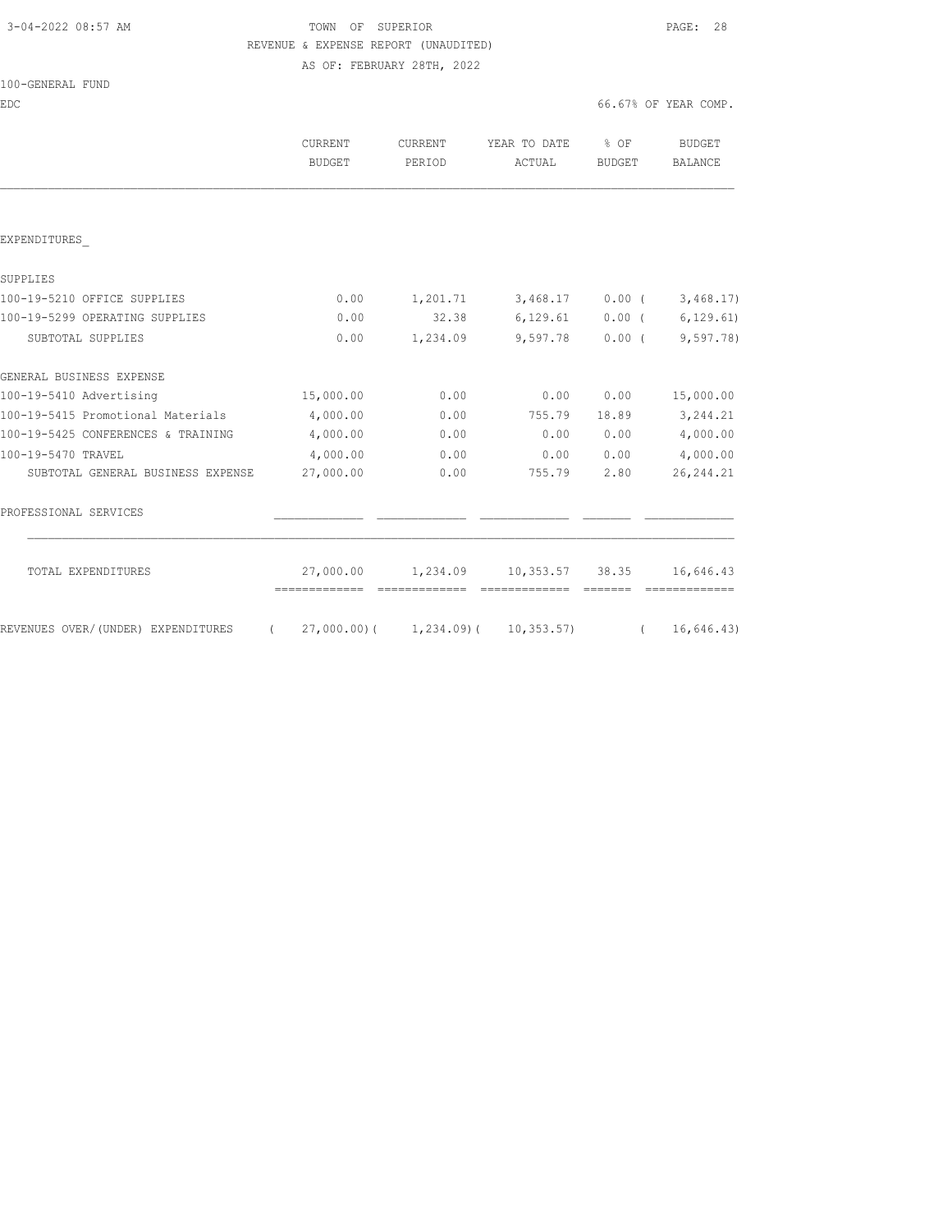### 3-04-2022 08:57 AM TOWN OF SUPERIOR PAGE: 28 REVENUE & EXPENSE REPORT (UNAUDITED) AS OF: FEBRUARY 28TH, 2022

| 100-GENERAL FUND |                      |
|------------------|----------------------|
| EDC              | 66.67% OF YEAR COMP. |

|                                    | <b>CURRENT</b><br>BUDGET                   | <b>CURRENT</b><br>PERIOD | YEAR TO DATE<br>ACTUAL                      | $8$ OF<br>BUDGET | BUDGET<br><b>BALANCE</b>    |
|------------------------------------|--------------------------------------------|--------------------------|---------------------------------------------|------------------|-----------------------------|
|                                    |                                            |                          |                                             |                  |                             |
| EXPENDITURES                       |                                            |                          |                                             |                  |                             |
| SUPPLIES                           |                                            |                          |                                             |                  |                             |
| 100-19-5210 OFFICE SUPPLIES        | 0.00                                       |                          | $1,201.71$ $3,468.17$ $0.00$ ( $3,468.17$ ) |                  |                             |
| 100-19-5299 OPERATING SUPPLIES     | 0.00                                       | 32.38                    |                                             |                  | $6,129.61$ 0.00 ( 6,129.61) |
| SUBTOTAL SUPPLIES                  | 0.00                                       | 1,234.09                 | 9,597.78                                    |                  | 0.00(9,597,78)              |
| GENERAL BUSINESS EXPENSE           |                                            |                          |                                             |                  |                             |
| 100-19-5410 Advertising            | 15,000.00                                  | 0.00                     | 0.00                                        | 0.00             | 15,000.00                   |
| 100-19-5415 Promotional Materials  | 4,000.00                                   | 0.00                     | 755.79                                      | 18.89            | 3,244.21                    |
| 100-19-5425 CONFERENCES & TRAINING | 4,000.00                                   | 0.00                     | 0.00                                        | 0.00             | 4,000.00                    |
| 100-19-5470 TRAVEL                 | 4,000.00                                   | 0.00                     | 0.00                                        | 0.00             | 4,000.00                    |
| SUBTOTAL GENERAL BUSINESS EXPENSE  | 27,000.00                                  | 0.00                     | 755.79                                      | 2.80             | 26, 244.21                  |
| PROFESSIONAL SERVICES              |                                            |                          |                                             |                  |                             |
| TOTAL EXPENDITURES                 | 27,000.00<br>-------------- -------------- |                          | =============                               | <b>CONSIDER</b>  | 16,646.43<br>=============  |
| REVENUES OVER/(UNDER) EXPENDITURES | $(27,000.00)$ $(1,234.09)$ $(10,353.57)$   |                          |                                             |                  | (16, 646.43)                |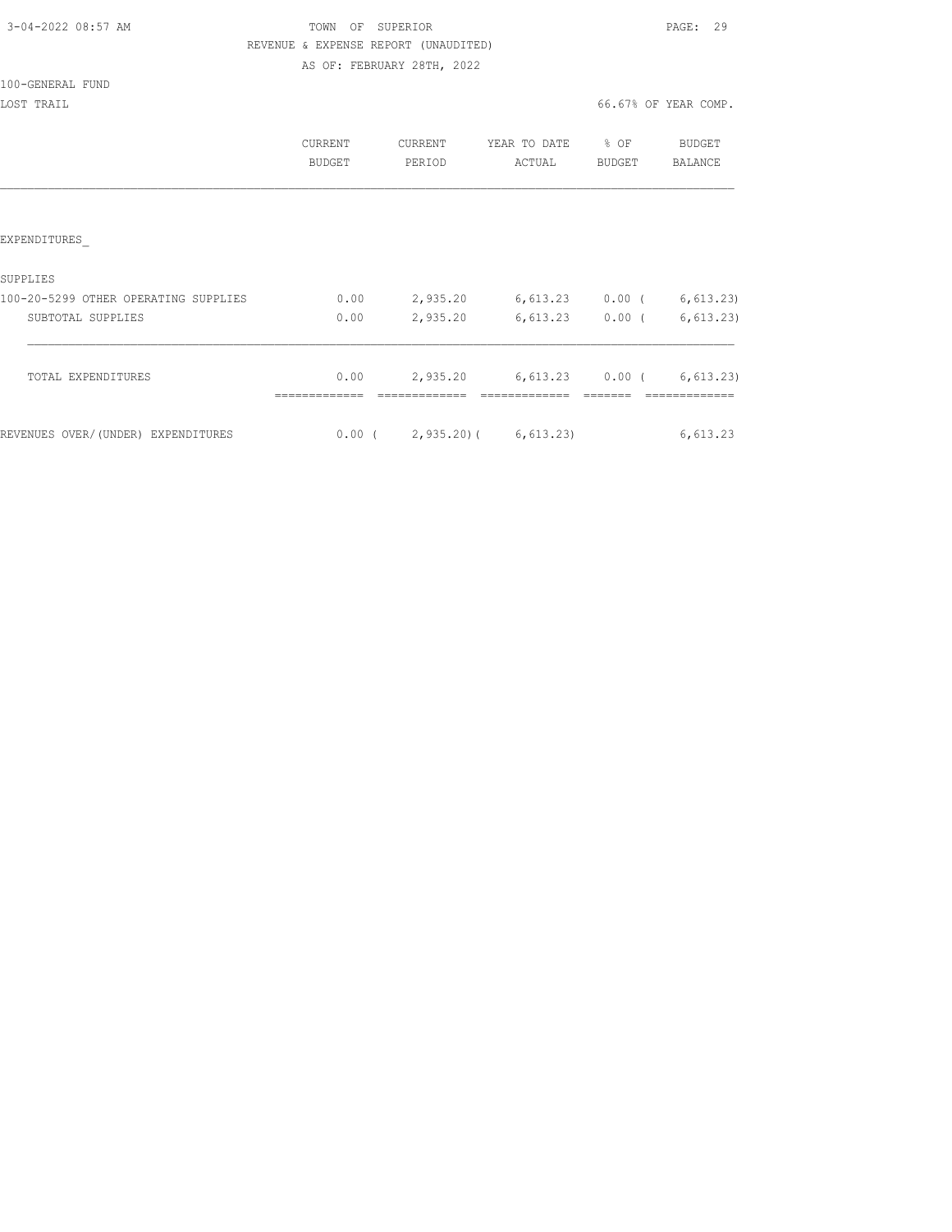## TOWN OF SUPERIOR **PAGE:** 29 REVENUE & EXPENSE REPORT (UNAUDITED) AS OF: FEBRUARY 28TH, 2022

|                                      | CURRENT<br><b>BUDGET</b> | CURRENT<br>PERIOD              | YEAR TO DATE<br>ACTUAL | % OF<br><b>BUDGET</b> | <b>BUDGET</b><br><b>BALANCE</b> |
|--------------------------------------|--------------------------|--------------------------------|------------------------|-----------------------|---------------------------------|
|                                      |                          |                                |                        |                       |                                 |
| <b>EXPENDITURES</b>                  |                          |                                |                        |                       |                                 |
| SUPPLIES                             |                          |                                |                        |                       |                                 |
| 100-20-5299 OTHER OPERATING SUPPLIES | 0.00                     | 2,935.20                       | 6,613.23               | $0.00$ (              | 6, 613.23)                      |
| SUBTOTAL SUPPLIES                    | 0.00                     | 2,935.20                       | 6,613.23               | $0.00$ (              | 6, 613.23)                      |
| TOTAL EXPENDITURES                   | 0.00                     | 2,935.20                       | 6,613.23               | $0.00$ (              | 6, 613.23)                      |
| REVENUES OVER/(UNDER) EXPENDITURES   |                          | $0.00$ ( 2,935.20) ( 6,613.23) |                        |                       | 6,613.23                        |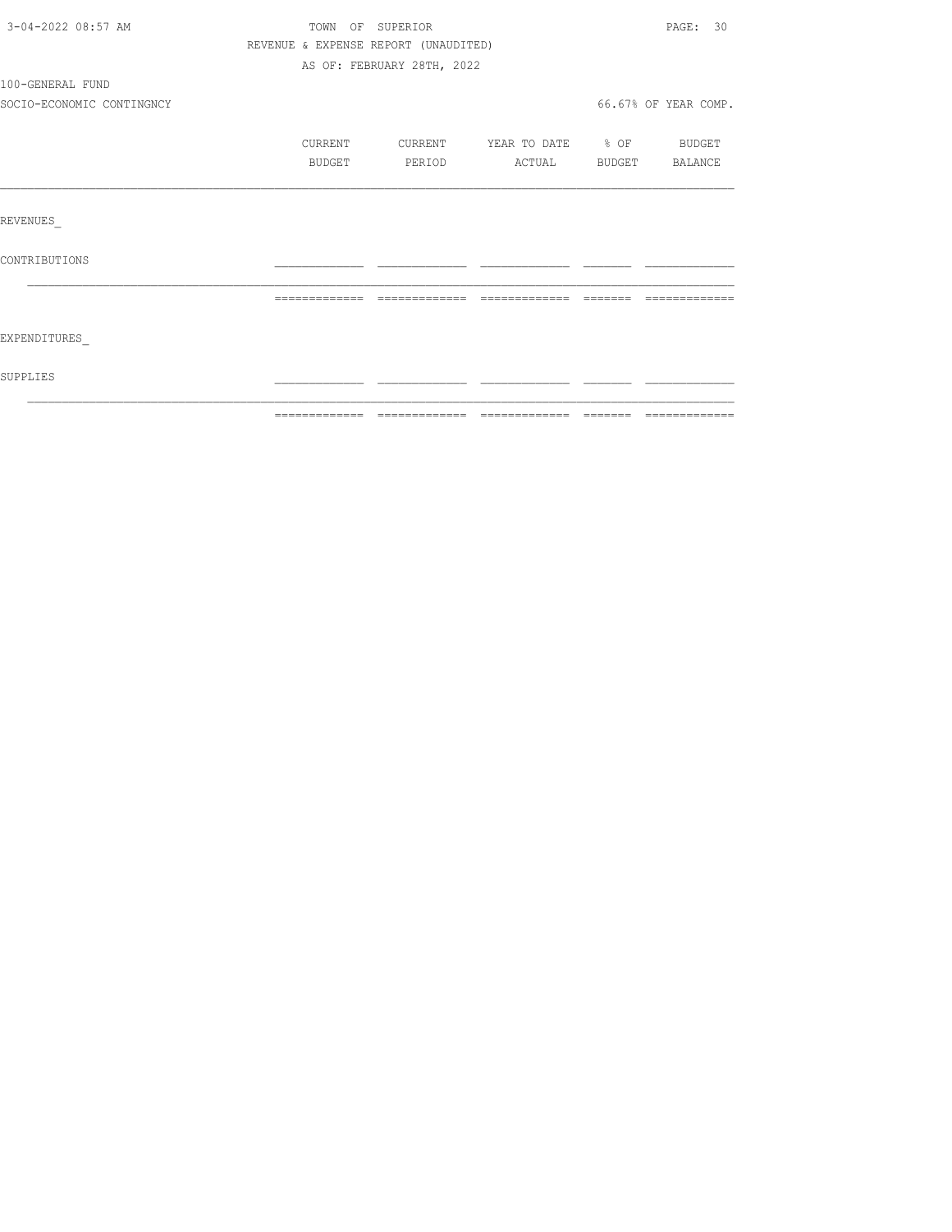| 3-04-2022 08:57 AM        | TOWN OF SUPERIOR                     |                            |                                                                                                                                                                                                                                                                                                                                                                                                                                                                                              |                                                                                                                                                                                                                                                                                                                                                                                                                                                                                            | PAGE: 30             |
|---------------------------|--------------------------------------|----------------------------|----------------------------------------------------------------------------------------------------------------------------------------------------------------------------------------------------------------------------------------------------------------------------------------------------------------------------------------------------------------------------------------------------------------------------------------------------------------------------------------------|--------------------------------------------------------------------------------------------------------------------------------------------------------------------------------------------------------------------------------------------------------------------------------------------------------------------------------------------------------------------------------------------------------------------------------------------------------------------------------------------|----------------------|
|                           | REVENUE & EXPENSE REPORT (UNAUDITED) |                            |                                                                                                                                                                                                                                                                                                                                                                                                                                                                                              |                                                                                                                                                                                                                                                                                                                                                                                                                                                                                            |                      |
|                           |                                      | AS OF: FEBRUARY 28TH, 2022 |                                                                                                                                                                                                                                                                                                                                                                                                                                                                                              |                                                                                                                                                                                                                                                                                                                                                                                                                                                                                            |                      |
| 100-GENERAL FUND          |                                      |                            |                                                                                                                                                                                                                                                                                                                                                                                                                                                                                              |                                                                                                                                                                                                                                                                                                                                                                                                                                                                                            |                      |
| SOCIO-ECONOMIC CONTINGNCY |                                      |                            |                                                                                                                                                                                                                                                                                                                                                                                                                                                                                              |                                                                                                                                                                                                                                                                                                                                                                                                                                                                                            | 66.67% OF YEAR COMP. |
|                           | CURRENT                              | CURRENT                    | YEAR TO DATE % OF BUDGET                                                                                                                                                                                                                                                                                                                                                                                                                                                                     |                                                                                                                                                                                                                                                                                                                                                                                                                                                                                            |                      |
|                           | <b>BUDGET</b>                        | PERIOD                     |                                                                                                                                                                                                                                                                                                                                                                                                                                                                                              | ACTUAL BUDGET BALANCE                                                                                                                                                                                                                                                                                                                                                                                                                                                                      |                      |
|                           |                                      |                            |                                                                                                                                                                                                                                                                                                                                                                                                                                                                                              |                                                                                                                                                                                                                                                                                                                                                                                                                                                                                            |                      |
| REVENUES                  |                                      |                            |                                                                                                                                                                                                                                                                                                                                                                                                                                                                                              |                                                                                                                                                                                                                                                                                                                                                                                                                                                                                            |                      |
| CONTRIBUTIONS             |                                      |                            |                                                                                                                                                                                                                                                                                                                                                                                                                                                                                              |                                                                                                                                                                                                                                                                                                                                                                                                                                                                                            |                      |
|                           | =============                        | --------------             | $\begin{array}{c} \multicolumn{2}{c} {\textbf{1}} & \multicolumn{2}{c} {\textbf{2}} & \multicolumn{2}{c} {\textbf{3}} & \multicolumn{2}{c} {\textbf{4}} \\ \multicolumn{2}{c} {\textbf{5}} & \multicolumn{2}{c} {\textbf{6}} & \multicolumn{2}{c} {\textbf{7}} & \multicolumn{2}{c} {\textbf{8}} & \multicolumn{2}{c} {\textbf{9}} \\ \multicolumn{2}{c} {\textbf{1}} & \multicolumn{2}{c} {\textbf{1}} & \multicolumn{2}{c} {\textbf{1}} & \multicolumn{2}{c} {\textbf{1}} & \multicolumn{$ | $\qquad \qquad \qquad =\qquad \qquad =\qquad \qquad =\qquad \qquad =\qquad \qquad =\qquad \qquad =\qquad \qquad =\qquad \qquad =\qquad \qquad =\qquad \qquad =\qquad \qquad =\qquad \qquad =\qquad \qquad =\qquad \qquad =\qquad \qquad =\qquad \qquad =\qquad \qquad =\qquad \qquad =\qquad \qquad =\qquad \qquad =\qquad \qquad =\qquad \qquad =\qquad \qquad =\qquad \qquad =\qquad \qquad =\qquad \qquad =\qquad \qquad =\qquad \qquad =\qquad \qquad =\qquad \qquad =\qquad \qquad =$ |                      |
|                           |                                      |                            |                                                                                                                                                                                                                                                                                                                                                                                                                                                                                              |                                                                                                                                                                                                                                                                                                                                                                                                                                                                                            |                      |
| EXPENDITURES              |                                      |                            |                                                                                                                                                                                                                                                                                                                                                                                                                                                                                              |                                                                                                                                                                                                                                                                                                                                                                                                                                                                                            |                      |
| SUPPLIES                  |                                      |                            |                                                                                                                                                                                                                                                                                                                                                                                                                                                                                              |                                                                                                                                                                                                                                                                                                                                                                                                                                                                                            |                      |
|                           |                                      |                            |                                                                                                                                                                                                                                                                                                                                                                                                                                                                                              |                                                                                                                                                                                                                                                                                                                                                                                                                                                                                            |                      |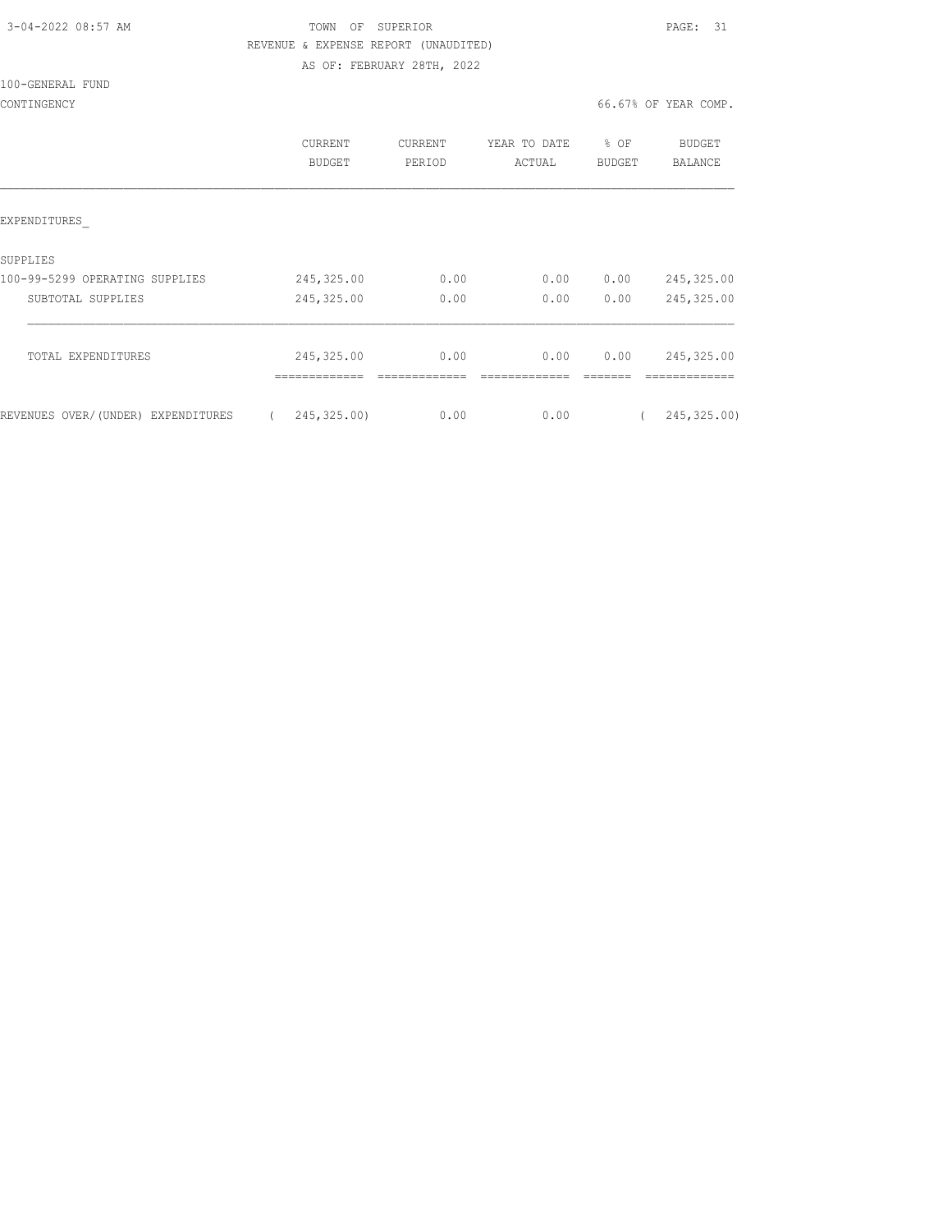| 3-04-2022 08:57 AM |  |
|--------------------|--|
|                    |  |

## TOWN OF SUPERIOR **Example 2014** PAGE: 31 REVENUE & EXPENSE REPORT (UNAUDITED) AS OF: FEBRUARY 28TH, 2022

100-GENERAL FUND

CONTINGENCY 66.67% OF YEAR COMP.

|                                    | CURRENT<br>BUDGET            | <b>CURRENT</b><br>PERIOD | YEAR TO DATE<br>ACTUAL | % OF<br><b>BUDGET</b> | <b>BUDGET</b><br><b>BALANCE</b> |
|------------------------------------|------------------------------|--------------------------|------------------------|-----------------------|---------------------------------|
| EXPENDITURES                       |                              |                          |                        |                       |                                 |
| SUPPLIES                           |                              |                          |                        |                       |                                 |
| 100-99-5299 OPERATING SUPPLIES     | 245, 325.00                  | 0.00                     | 0.00                   | 0.00                  | 245,325.00                      |
| SUBTOTAL SUPPLIES                  | 245, 325.00                  | 0.00                     | 0.00                   | 0.00                  | 245,325.00                      |
| TOTAL EXPENDITURES                 | 245, 325.00<br>============= | 0.00                     | 0.00                   | 0.00                  | 245, 325.00<br>----------       |
| REVENUES OVER/(UNDER) EXPENDITURES | 245, 325.00)                 | 0.00                     | 0.00                   |                       | 245, 325.00)                    |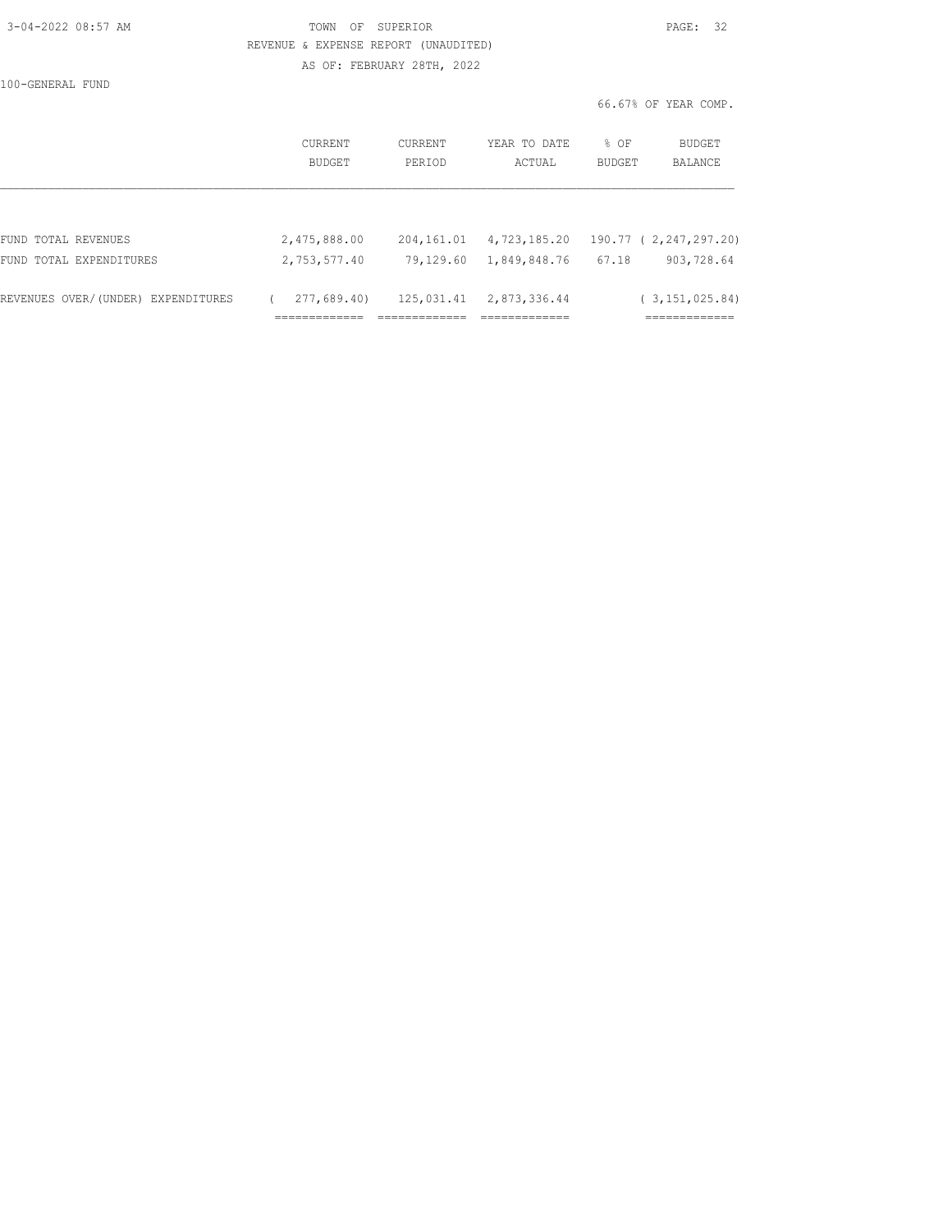| 3-04-2022 08:57 AM |  |
|--------------------|--|

## TOWN OF SUPERIOR **PAGE:** 32 REVENUE & EXPENSE REPORT (UNAUDITED) AS OF: FEBRUARY 28TH, 2022

|                                    |                   |                   |                        | 66.67% OF YEAR COMP.                       |
|------------------------------------|-------------------|-------------------|------------------------|--------------------------------------------|
|                                    | CURRENT<br>BUDGET | CURRENT<br>PERIOD | YEAR TO DATE<br>ACTUAL | % OF<br>BUDGET<br>BALANCE<br><b>BUDGET</b> |
|                                    |                   |                   |                        |                                            |
| FUND TOTAL REVENUES                | 2,475,888.00      | 204,161.01        | 4,723,185.20           | 190.77 ( 2,247,297.20)                     |
| FUND TOTAL EXPENDITURES            | 2,753,577.40      | 79,129.60         | 1,849,848.76           | 903,728.64<br>67.18                        |
| REVENUES OVER/(UNDER) EXPENDITURES | 277,689.40)       | 125,031.41        | 2,873,336.44           | (3, 151, 025, 84)                          |
|                                    | __________        |                   | ____________           | ____________<br>---------                  |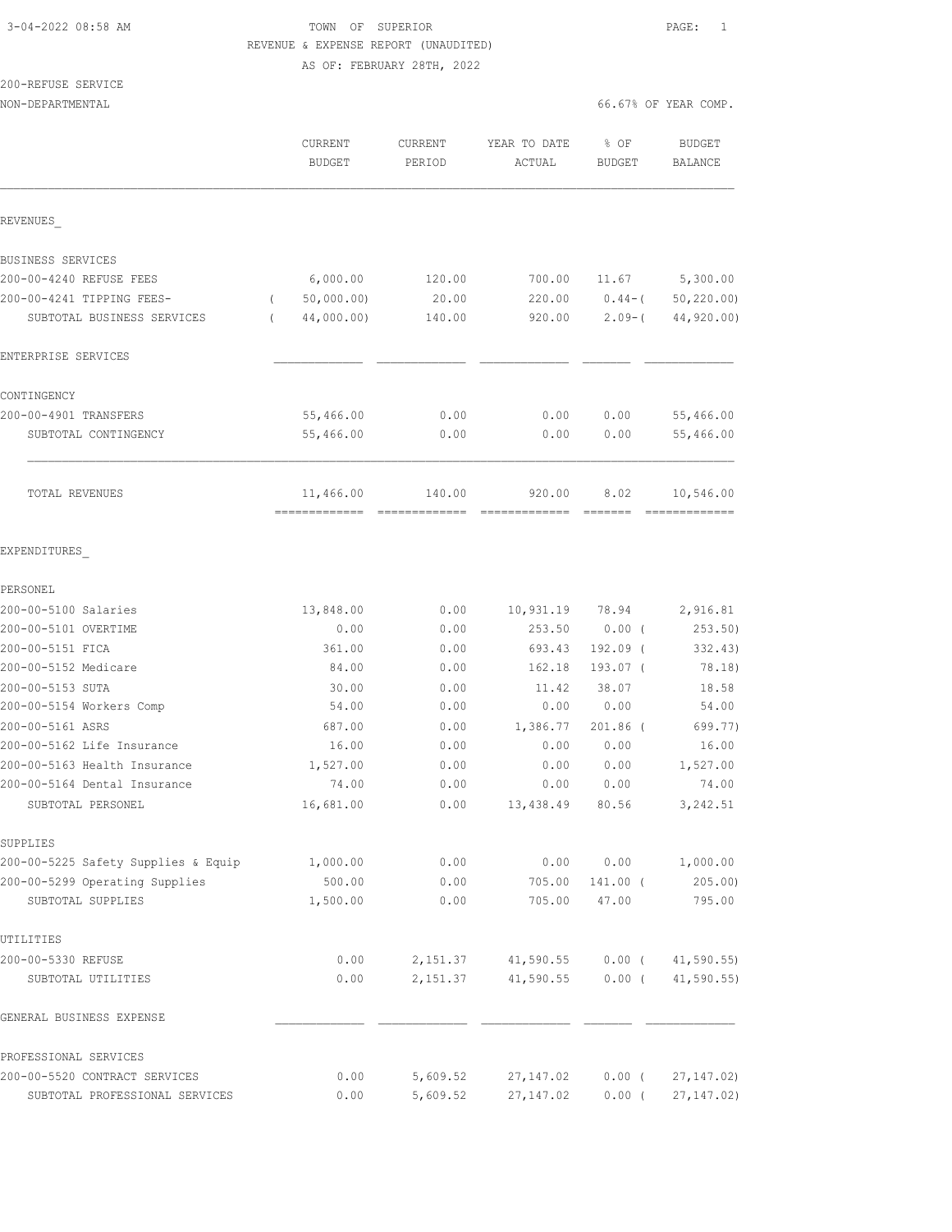# 3-04-2022 08:58 AM TOWN OF SUPERIOR PAGE: 1 REVENUE & EXPENSE REPORT (UNAUDITED)

AS OF: FEBRUARY 28TH, 2022

200-REFUSE SERVICE

|                                                 | <b>CURRENT</b><br><b>BUDGET</b> | <b>CURRENT</b><br>PERIOD | YEAR TO DATE<br>ACTUAL  | % OF<br><b>BUDGET</b> | <b>BUDGET</b><br>BALANCE |
|-------------------------------------------------|---------------------------------|--------------------------|-------------------------|-----------------------|--------------------------|
| REVENUES                                        |                                 |                          |                         |                       |                          |
| BUSINESS SERVICES                               |                                 |                          |                         |                       |                          |
| 200-00-4240 REFUSE FEES                         | 6,000.00                        | 120.00                   | 700.00                  | 11.67                 | 5,300.00                 |
| 200-00-4241 TIPPING FEES-                       | 50,000.00)                      | 20.00                    | 220.00                  | $0.44 - ($            | 50, 220.00               |
| SUBTOTAL BUSINESS SERVICES                      | 44,000.00)<br>$\left($          | 140.00                   | 920.00                  | $2.09 - ($            | 44,920.00)               |
| ENTERPRISE SERVICES                             |                                 |                          |                         |                       |                          |
| CONTINGENCY                                     |                                 |                          |                         |                       |                          |
| 200-00-4901 TRANSFERS                           | 55,466.00                       | 0.00                     | 0.00                    | 0.00                  | 55,466.00                |
| SUBTOTAL CONTINGENCY                            | 55,466.00                       | 0.00                     | 0.00                    | 0.00                  | 55,466.00                |
| TOTAL REVENUES                                  | 11,466.00<br>-------------      | 140.00                   | 920.00<br>============= | 8.02                  | 10,546.00<br>=========== |
| EXPENDITURES                                    |                                 |                          |                         |                       |                          |
| PERSONEL                                        |                                 |                          |                         |                       |                          |
| 200-00-5100 Salaries                            | 13,848.00                       | 0.00                     | 10,931.19               | 78.94                 | 2,916.81                 |
| 200-00-5101 OVERTIME                            | 0.00                            | 0.00                     | 253.50                  | $0.00$ (              | 253.50)                  |
| 200-00-5151 FICA                                | 361.00                          | 0.00                     | 693.43                  | 192.09 (              | 332.43)                  |
| 200-00-5152 Medicare                            | 84.00                           | 0.00                     | 162.18                  | 193.07 (              | 78.18)                   |
| 200-00-5153 SUTA                                | 30.00                           | 0.00                     | 11.42                   | 38.07                 | 18.58                    |
| 200-00-5154 Workers Comp                        | 54.00                           | 0.00                     | 0.00                    | 0.00                  | 54.00                    |
| 200-00-5161 ASRS                                | 687.00                          | 0.00                     | 1,386.77                | 201.86 (              | 699.77)                  |
| 200-00-5162 Life Insurance                      | 16.00                           | 0.00                     | 0.00                    | 0.00                  | 16.00                    |
| 200-00-5163 Health Insurance                    | 1,527.00                        | 0.00                     | 0.00                    | 0.00                  | 1,527.00                 |
| 200-00-5164 Dental Insurance                    | 74.00                           | 0.00                     | 0.00                    | 0.00                  | 74.00                    |
| SUBTOTAL PERSONEL                               | 16,681.00                       | 0.00                     | 13,438.49               | 80.56                 | 3,242.51                 |
| SUPPLIES<br>200-00-5225 Safety Supplies & Equip | 1,000.00                        | 0.00                     | 0.00                    | 0.00                  | 1,000.00                 |
| 200-00-5299 Operating Supplies                  | 500.00                          | 0.00                     | 705.00                  | 141.00 (              | 205.00                   |
| SUBTOTAL SUPPLIES                               | 1,500.00                        | 0.00                     | 705.00                  | 47.00                 | 795.00                   |
| UTILITIES                                       |                                 |                          |                         |                       |                          |
| 200-00-5330 REFUSE                              | 0.00                            | 2,151.37                 | 41,590.55               | $0.00$ (              | 41, 590.55               |
| SUBTOTAL UTILITIES                              | 0.00                            | 2,151.37                 | 41,590.55               | $0.00$ (              | 41,590.55                |
| GENERAL BUSINESS EXPENSE                        |                                 |                          |                         |                       |                          |
| PROFESSIONAL SERVICES                           |                                 |                          |                         |                       |                          |
| 200-00-5520 CONTRACT SERVICES                   | 0.00                            | 5,609.52                 | 27, 147.02              | $0.00$ (              | 27, 147.02               |
| SUBTOTAL PROFESSIONAL SERVICES                  | 0.00                            | 5,609.52                 | 27, 147.02              | $0.00$ (              | 27, 147.02               |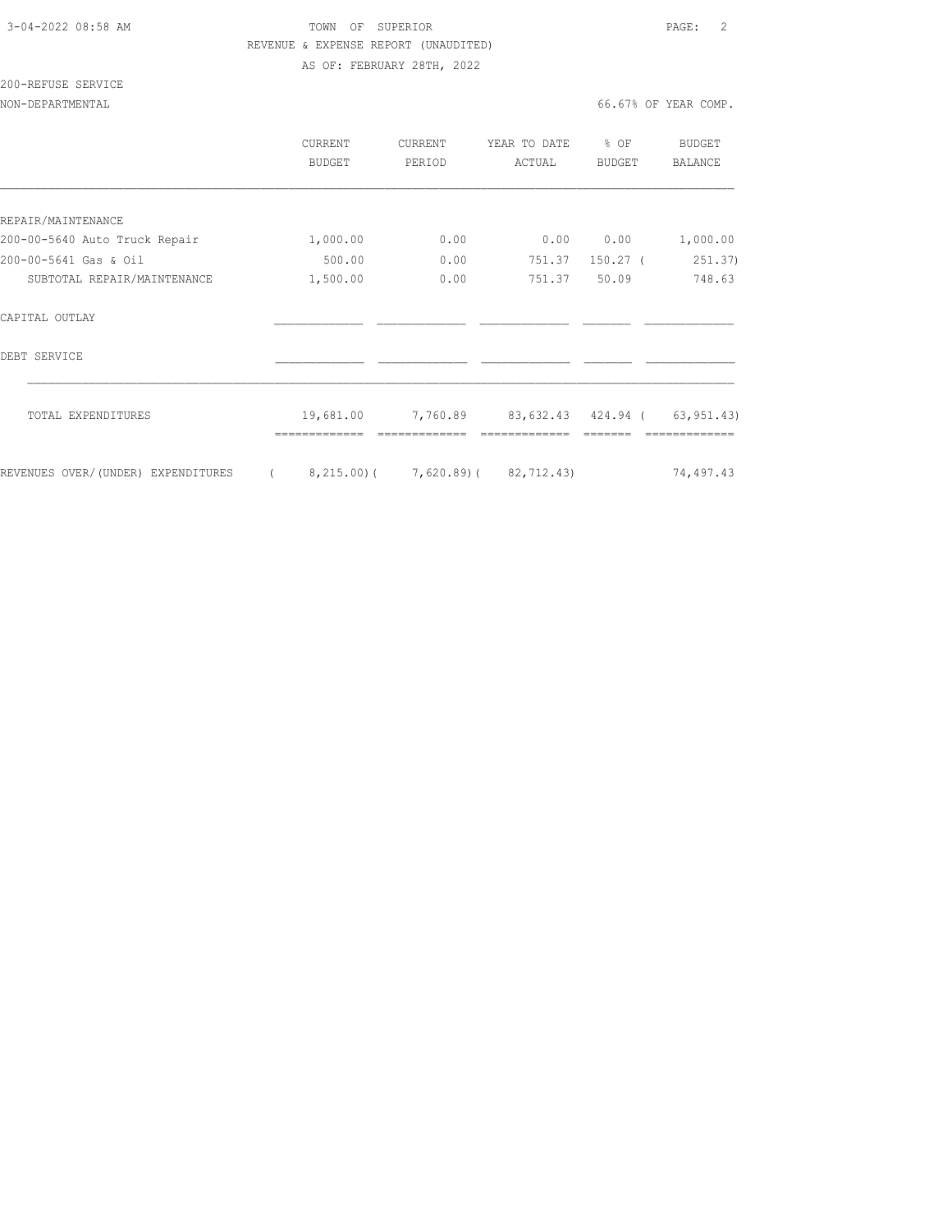### 3-04-2022 08:58 AM TOWN OF SUPERIOR PAGE: 2 REVENUE & EXPENSE REPORT (UNAUDITED) AS OF: FEBRUARY 28TH, 2022

## 200-REFUSE SERVICE

|                                    | <b>CURRENT</b><br>BUDGET | <b>CURRENT</b><br>PERIOD | YEAR TO DATE<br>ACTUAL | % OF<br><b>BUDGET</b> | <b>BUDGET</b><br><b>BALANCE</b> |
|------------------------------------|--------------------------|--------------------------|------------------------|-----------------------|---------------------------------|
|                                    |                          |                          |                        |                       |                                 |
| REPAIR/MAINTENANCE                 |                          |                          |                        |                       |                                 |
| 200-00-5640 Auto Truck Repair      | 1,000.00                 | 0.00                     | 0.00                   | 0.00                  | 1,000.00                        |
| 200-00-5641 Gas & Oil              | 500.00                   | 0.00                     | 751.37                 | $150.27$ (            | 251.37)                         |
| SUBTOTAL REPAIR/MAINTENANCE        | 1,500.00                 | 0.00                     | 751.37                 | 50.09                 | 748.63                          |
| CAPITAL OUTLAY                     |                          |                          |                        |                       |                                 |
| DEBT SERVICE                       |                          |                          |                        |                       |                                 |
| TOTAL EXPENDITURES                 | 19,681.00                | 7,760.89                 | 83,632.43 424.94 (     |                       | 63, 951.43)                     |
| REVENUES OVER/(UNDER) EXPENDITURES | $8, 215.00$ ) (          |                          | $7,620.89$ (82,712.43) |                       | 74,497.43                       |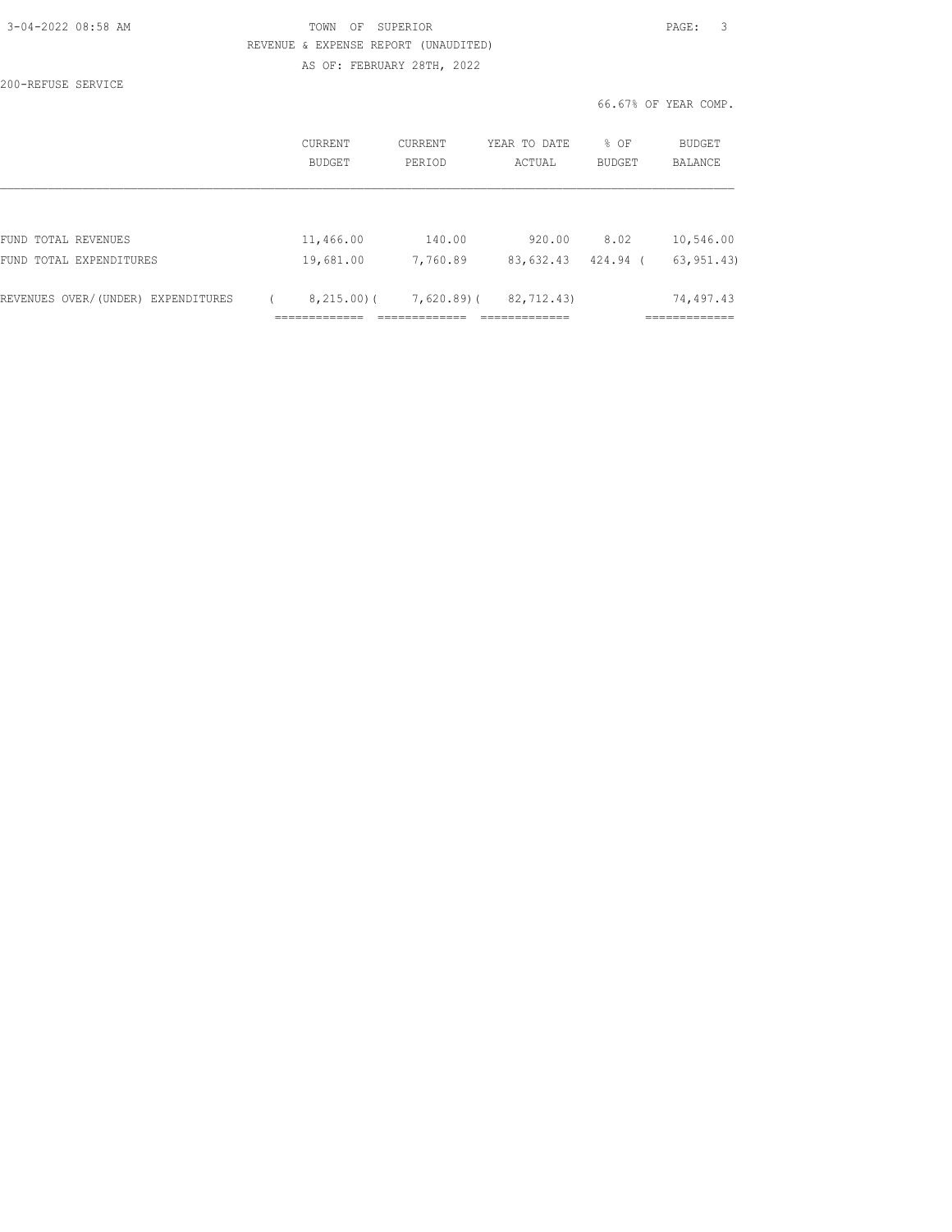| 3-04-2022 08:58 AM |  |
|--------------------|--|
|                    |  |

## TOWN OF SUPERIOR **Example 20:49 AM TOWN OF SUPERIOR**  REVENUE & EXPENSE REPORT (UNAUDITED) AS OF: FEBRUARY 28TH, 2022

200-REFUSE SERVICE

66.67% OF YEAR COMP.

|                                    | <b>CURRENT</b><br>BUDGET | CURRENT<br>PERIOD         | YEAR TO DATE<br>ACTUAL | % OF<br><b>BUDGET</b> | <b>BUDGET</b><br><b>BALANCE</b> |
|------------------------------------|--------------------------|---------------------------|------------------------|-----------------------|---------------------------------|
|                                    |                          |                           |                        |                       |                                 |
| FUND TOTAL REVENUES                |                          | 11,466.00<br>140.00       | 920.00                 | 8.02                  | 10,546.00                       |
| FUND TOTAL EXPENDITURES            |                          | 19,681.00<br>7,760.89     | 83,632.43              | 424.94                | 63, 951, 43)                    |
| REVENUES OVER/(UNDER) EXPENDITURES |                          | 8,215.00(<br>$7,620.89$ ( | 82,712.43)             |                       | 74,497.43                       |
|                                    |                          |                           |                        |                       |                                 |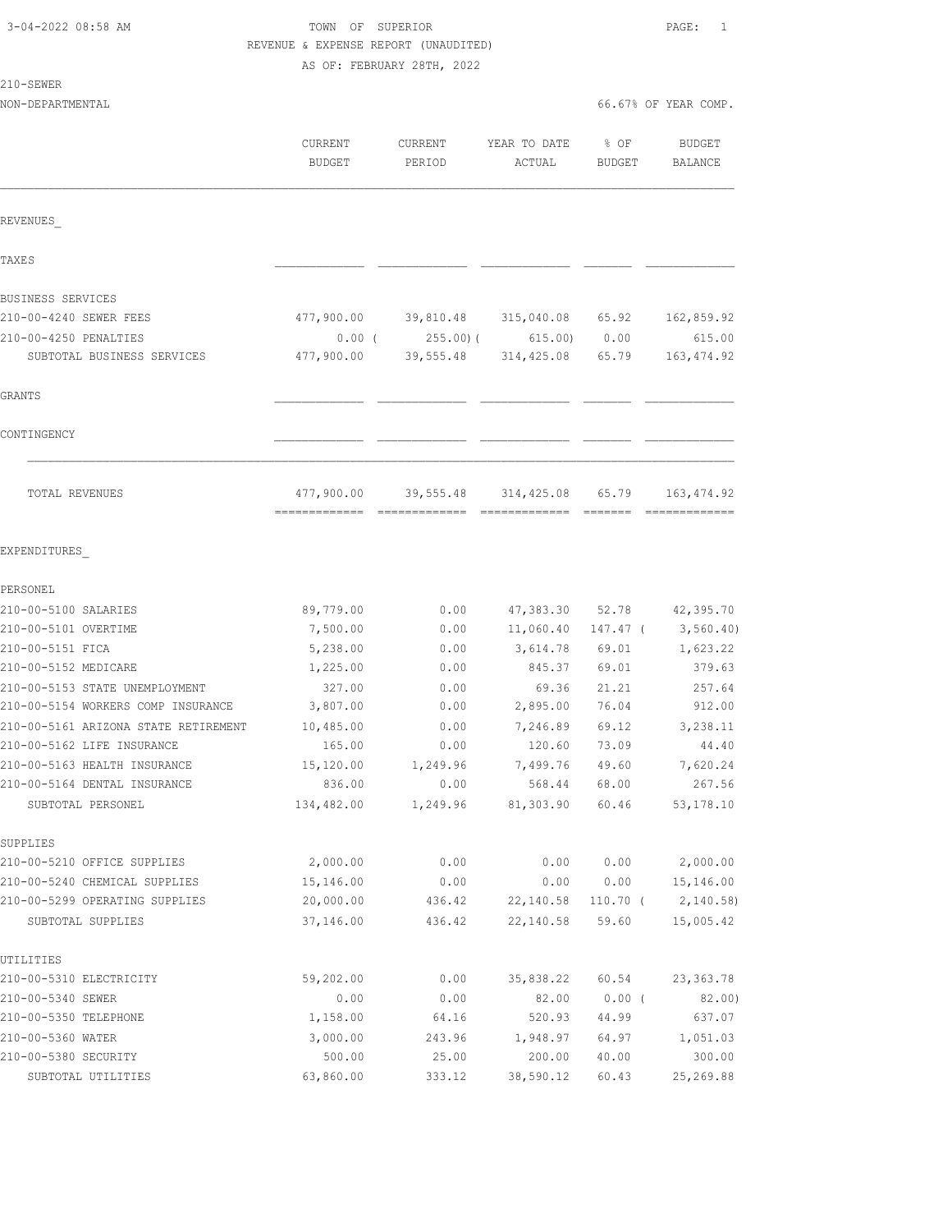# TOWN OF SUPERIOR **PAGE:** 1 REVENUE & EXPENSE REPORT (UNAUDITED)

AS OF: FEBRUARY 28TH, 2022

210-SEWER

| ムエリーつむWD氏                            |                   |                   |                                       |                |                             |
|--------------------------------------|-------------------|-------------------|---------------------------------------|----------------|-----------------------------|
| NON-DEPARTMENTAL                     |                   |                   |                                       |                | 66.67% OF YEAR COMP.        |
|                                      | CURRENT<br>BUDGET | CURRENT<br>PERIOD | YEAR TO DATE<br>ACTUAL                | % OF<br>BUDGET | <b>BUDGET</b><br>BALANCE    |
| REVENUES                             |                   |                   |                                       |                |                             |
| <b>TAXES</b>                         |                   |                   |                                       |                |                             |
| BUSINESS SERVICES                    |                   |                   |                                       |                |                             |
| 210-00-4240 SEWER FEES               |                   |                   | 477,900.00 39,810.48 315,040.08 65.92 |                | 162,859.92                  |
| 210-00-4250 PENALTIES                | $0.00$ (          |                   | 255.00) (615.00)                      | 0.00           | 615.00                      |
| SUBTOTAL BUSINESS SERVICES           | 477,900.00        |                   | 39,555.48 314,425.08 65.79            |                | 163, 474.92                 |
| GRANTS                               |                   |                   |                                       |                |                             |
| CONTINGENCY                          |                   |                   |                                       |                |                             |
| TOTAL REVENUES                       |                   |                   | 477,900.00 39,555.48 314,425.08 65.79 |                | 163, 474.92                 |
| EXPENDITURES                         |                   |                   |                                       |                |                             |
| PERSONEL                             |                   |                   |                                       |                |                             |
| 210-00-5100 SALARIES                 | 89,779.00         | 0.00              |                                       |                | 47, 383.30 52.78 42, 395.70 |
| 210-00-5101 OVERTIME                 | 7,500.00          | 0.00              | 11,060.40                             |                | $147.47$ ( 3,560.40)        |
| 210-00-5151 FICA                     | 5,238.00          | 0.00              | 3,614.78                              | 69.01          | 1,623.22                    |
| 210-00-5152 MEDICARE                 | 1,225.00          | 0.00              | 845.37                                | 69.01          | 379.63                      |
| 210-00-5153 STATE UNEMPLOYMENT       | 327.00            | 0.00              | 69.36                                 | 21.21          | 257.64                      |
| 210-00-5154 WORKERS COMP INSURANCE   | 3,807.00          | 0.00              | 2,895.00                              | 76.04          | 912.00                      |
| 210-00-5161 ARIZONA STATE RETIREMENT | 10,485.00         | 0.00              | 7,246.89                              | 69.12          | 3,238.11                    |
| 210-00-5162 LIFE INSURANCE           | 165.00            | 0.00              | 120.60                                | 73.09          | 44.40                       |
| 210-00-5163 HEALTH INSURANCE         | 15,120.00         | 1,249.96          | 7,499.76                              | 49.60          | 7,620.24                    |
| 210-00-5164 DENTAL INSURANCE         | 836.00            | 0.00              | 568.44<br>81,303.90                   | 68.00          | 267.56                      |
| SUBTOTAL PERSONEL                    | 134,482.00        | 1,249.96          |                                       | 60.46          | 53, 178.10                  |
| SUPPLIES                             |                   |                   |                                       |                |                             |
| 210-00-5210 OFFICE SUPPLIES          | 2,000.00          | 0.00              | 0.00                                  | 0.00           | 2,000.00                    |
| 210-00-5240 CHEMICAL SUPPLIES        | 15,146.00         | 0.00              | 0.00                                  | 0.00           | 15,146.00                   |
| 210-00-5299 OPERATING SUPPLIES       | 20,000.00         | 436.42            | 22,140.58                             | 110.70 (       | 2,140.58)                   |
| SUBTOTAL SUPPLIES                    | 37,146.00         | 436.42            | 22,140.58                             | 59.60          | 15,005.42                   |
| UTILITIES                            |                   |                   |                                       |                |                             |
| 210-00-5310 ELECTRICITY              | 59,202.00         | 0.00              | 35,838.22                             | 60.54          | 23, 363.78                  |
| 210-00-5340 SEWER                    | 0.00              | 0.00              | 82.00                                 | $0.00$ (       | 82.00)                      |
| 210-00-5350 TELEPHONE                | 1,158.00          | 64.16             | 520.93                                | 44.99          | 637.07                      |
| 210-00-5360 WATER                    | 3,000.00          | 243.96            | 1,948.97                              | 64.97          | 1,051.03                    |

210-00-5380 SECURITY 500.00 25.00 200.00 40.00 300.00 SUBTOTAL UTILITIES 63,860.00 333.12 38,590.12 60.43 25,269.88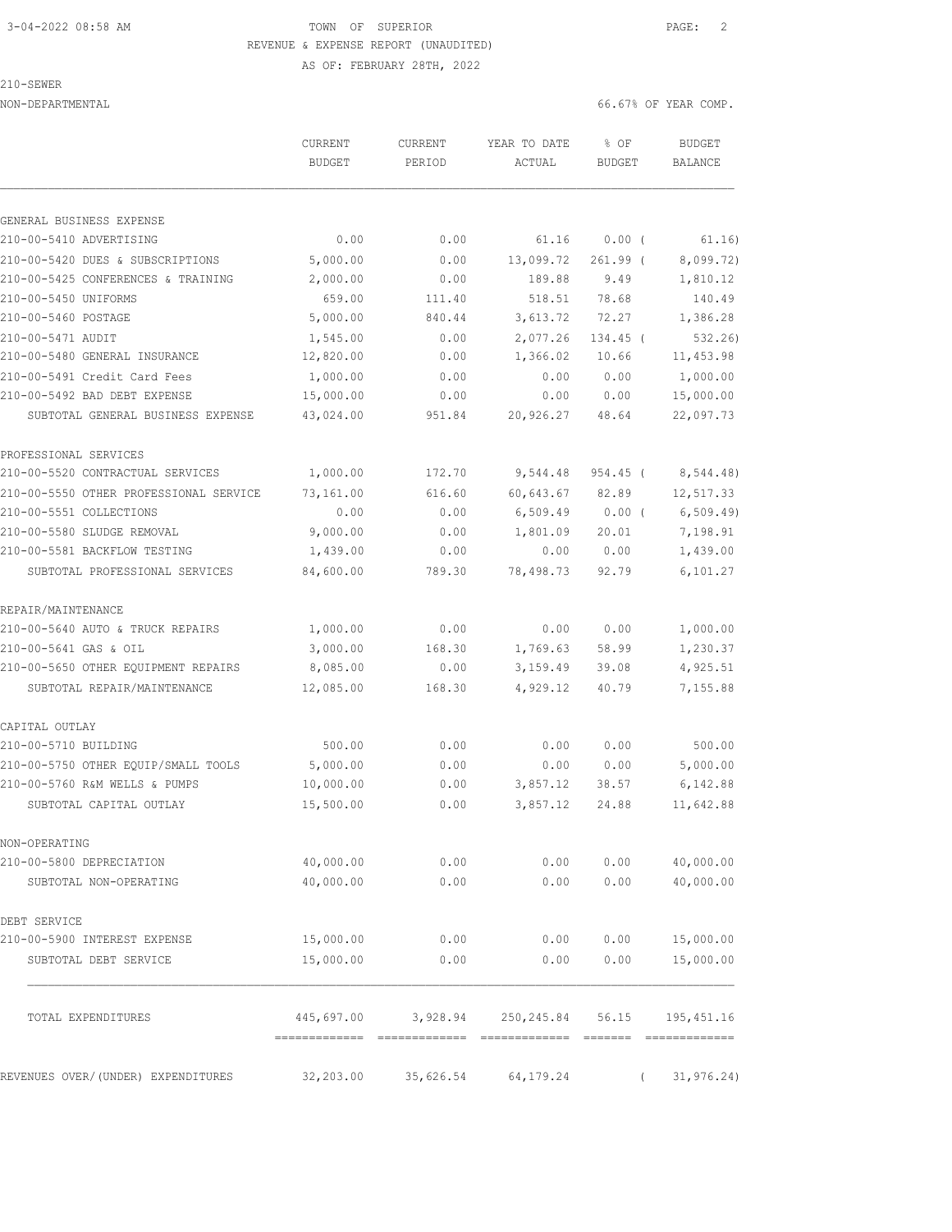# 3-04-2022 08:58 AM TOWN OF SUPERIOR PAGE: 2 REVENUE & EXPENSE REPORT (UNAUDITED)

AS OF: FEBRUARY 28TH, 2022

### 210-SEWER

NON-DEPARTMENTAL 66.67% OF YEAR COMP.

|                                        | CURRENT<br><b>BUDGET</b> | CURRENT<br>PERIOD | YEAR TO DATE<br>ACTUAL | % OF<br><b>BUDGET</b> | <b>BUDGET</b><br>BALANCE |
|----------------------------------------|--------------------------|-------------------|------------------------|-----------------------|--------------------------|
|                                        |                          |                   |                        |                       |                          |
| GENERAL BUSINESS EXPENSE               |                          |                   |                        |                       |                          |
| 210-00-5410 ADVERTISING                | 0.00                     | 0.00              | 61.16                  | 0.00(                 | 61.16)                   |
| 210-00-5420 DUES & SUBSCRIPTIONS       | 5,000.00                 | 0.00              | 13,099.72              | $261.99$ (            | 8,099.72)                |
| 210-00-5425 CONFERENCES & TRAINING     | 2,000.00                 | 0.00              | 189.88                 | 9.49                  | 1,810.12                 |
| 210-00-5450 UNIFORMS                   | 659.00                   | 111.40            | 518.51                 | 78.68                 | 140.49                   |
| 210-00-5460 POSTAGE                    | 5,000.00                 | 840.44            | 3,613.72               | 72.27                 | 1,386.28                 |
| 210-00-5471 AUDIT                      | 1,545.00                 | 0.00              | 2,077.26               | 134.45 (              | 532.26)                  |
| 210-00-5480 GENERAL INSURANCE          | 12,820.00                | 0.00              | 1,366.02               | 10.66                 | 11, 453.98               |
| 210-00-5491 Credit Card Fees           | 1,000.00                 | 0.00              | 0.00                   | 0.00                  | 1,000.00                 |
| 210-00-5492 BAD DEBT EXPENSE           | 15,000.00                | 0.00              | 0.00                   | 0.00                  | 15,000.00                |
| SUBTOTAL GENERAL BUSINESS EXPENSE      | 43,024.00                | 951.84            | 20,926.27              | 48.64                 | 22,097.73                |
| PROFESSIONAL SERVICES                  |                          |                   |                        |                       |                          |
| 210-00-5520 CONTRACTUAL SERVICES       | 1,000.00                 | 172.70            | 9,544.48               | $954.45$ (            | 8,544.48)                |
| 210-00-5550 OTHER PROFESSIONAL SERVICE | 73,161.00                | 616.60            | 60,643.67              | 82.89                 | 12,517.33                |
| 210-00-5551 COLLECTIONS                | 0.00                     | 0.00              | 6,509.49               | $0.00$ (              | 6, 509.49                |
| 210-00-5580 SLUDGE REMOVAL             | 9,000.00                 | 0.00              | 1,801.09               | 20.01                 | 7,198.91                 |
| 210-00-5581 BACKFLOW TESTING           | 1,439.00                 | 0.00              | 0.00                   | 0.00                  | 1,439.00                 |
| SUBTOTAL PROFESSIONAL SERVICES         | 84,600.00                | 789.30            | 78,498.73              | 92.79                 | 6,101.27                 |
| REPAIR/MAINTENANCE                     |                          |                   |                        |                       |                          |
| 210-00-5640 AUTO & TRUCK REPAIRS       | 1,000.00                 | 0.00              | 0.00                   | 0.00                  | 1,000.00                 |
| 210-00-5641 GAS & OIL                  | 3,000.00                 | 168.30            | 1,769.63               | 58.99                 | 1,230.37                 |
| 210-00-5650 OTHER EQUIPMENT REPAIRS    | 8,085.00                 | 0.00              | 3,159.49               | 39.08                 | 4,925.51                 |
| SUBTOTAL REPAIR/MAINTENANCE            | 12,085.00                | 168.30            | 4,929.12               | 40.79                 | 7,155.88                 |
| CAPITAL OUTLAY                         |                          |                   |                        |                       |                          |
| 210-00-5710 BUILDING                   | 500.00                   | 0.00              | 0.00                   | 0.00                  | 500.00                   |
| 210-00-5750 OTHER EQUIP/SMALL TOOLS    | 5,000.00                 | 0.00              | 0.00                   | 0.00                  | 5,000.00                 |
| 210-00-5760 R&M WELLS & PUMPS          | 10,000.00                | 0.00              | 3,857.12               | 38.57                 | 6,142.88                 |
| SUBTOTAL CAPITAL OUTLAY                | 15,500.00                | 0.00              | 3,857.12               | 24.88                 | 11,642.88                |
| NON-OPERATING                          |                          |                   |                        |                       |                          |
| 210-00-5800 DEPRECIATION               | 40,000.00                | 0.00              | 0.00                   | 0.00                  | 40,000.00                |
| SUBTOTAL NON-OPERATING                 | 40,000.00                | 0.00              | 0.00                   | 0.00                  | 40,000.00                |
| DEBT SERVICE                           |                          |                   |                        |                       |                          |
| 210-00-5900 INTEREST EXPENSE           | 15,000.00                | 0.00              | 0.00                   | 0.00                  | 15,000.00                |
| SUBTOTAL DEBT SERVICE                  | 15,000.00                | 0.00              | 0.00                   | 0.00                  | 15,000.00                |
| TOTAL EXPENDITURES                     | 445,697.00               | 3,928.94          | 250,245.84             | 56.15                 | 195, 451.16              |
|                                        |                          |                   |                        |                       |                          |
| REVENUES OVER/(UNDER) EXPENDITURES     | 32,203.00                | 35,626.54         | 64, 179. 24            | $\left($              | 31, 976.24)              |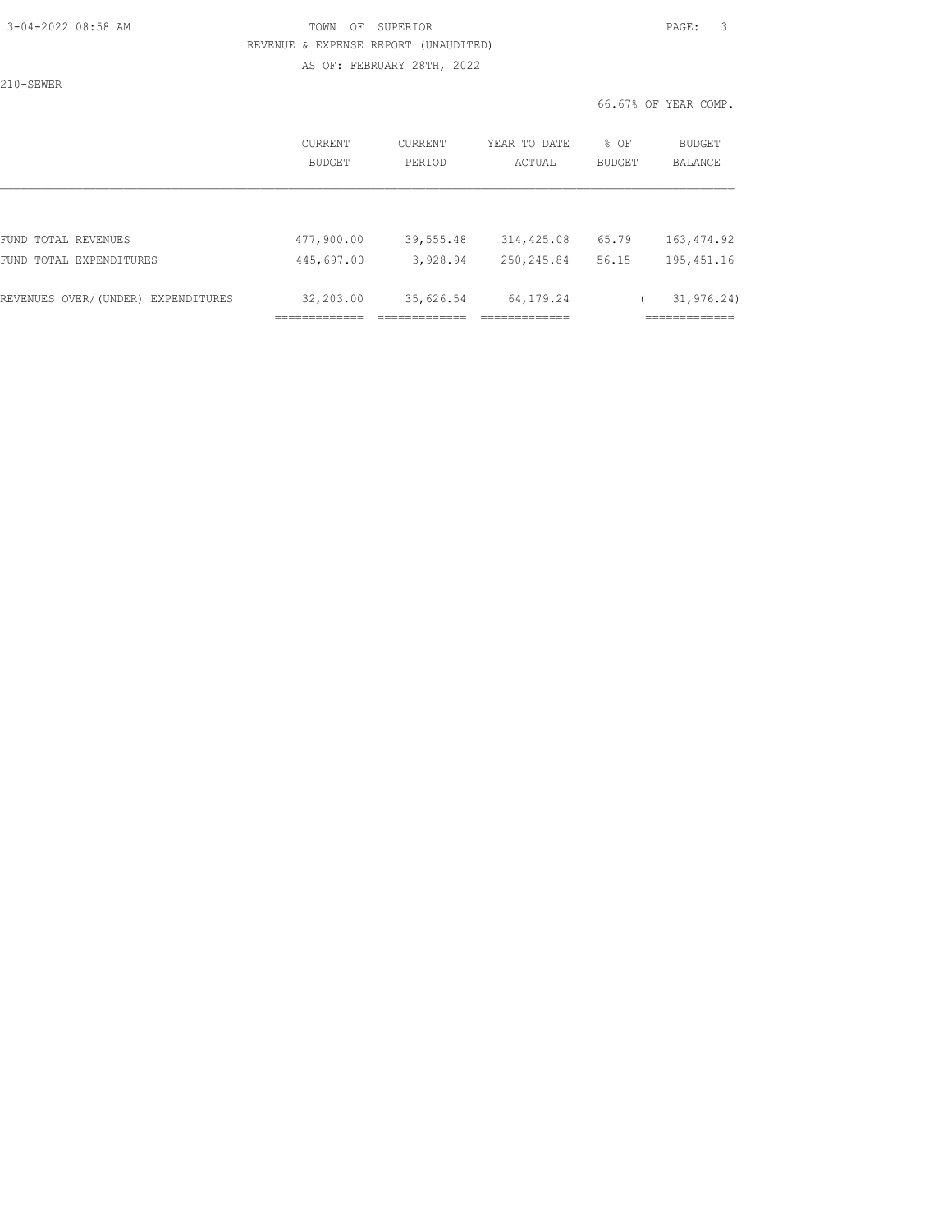### 3-04-2022 08:58 AM TOWN OF SUPERIOR PAGE: 3 REVENUE & EXPENSE REPORT (UNAUDITED) AS OF: FEBRUARY 28TH, 2022

210-SEWER

|                                    | CURRENT<br>BUDGET | <b>CURRENT</b><br>PERIOD | YEAR TO DATE<br>ACTUAL       | % OF<br><b>BUDGET</b> | BUDGET<br><b>BALANCE</b>                    |
|------------------------------------|-------------------|--------------------------|------------------------------|-----------------------|---------------------------------------------|
|                                    |                   |                          |                              |                       |                                             |
| FUND TOTAL REVENUES                | 477,900.00        | 39,555.48                | 314,425.08                   | 65.79                 | 163, 474.92                                 |
| FUND TOTAL EXPENDITURES            | 445,697.00        | 3,928.94                 | 250,245.84                   | 56.15                 | 195, 451.16                                 |
| REVENUES OVER/(UNDER) EXPENDITURES | 32,203.00         | 35,626.54                | 64, 179. 24<br>_____________ |                       | 31, 976, 24)<br>_____________<br>---------- |
|                                    |                   |                          |                              |                       |                                             |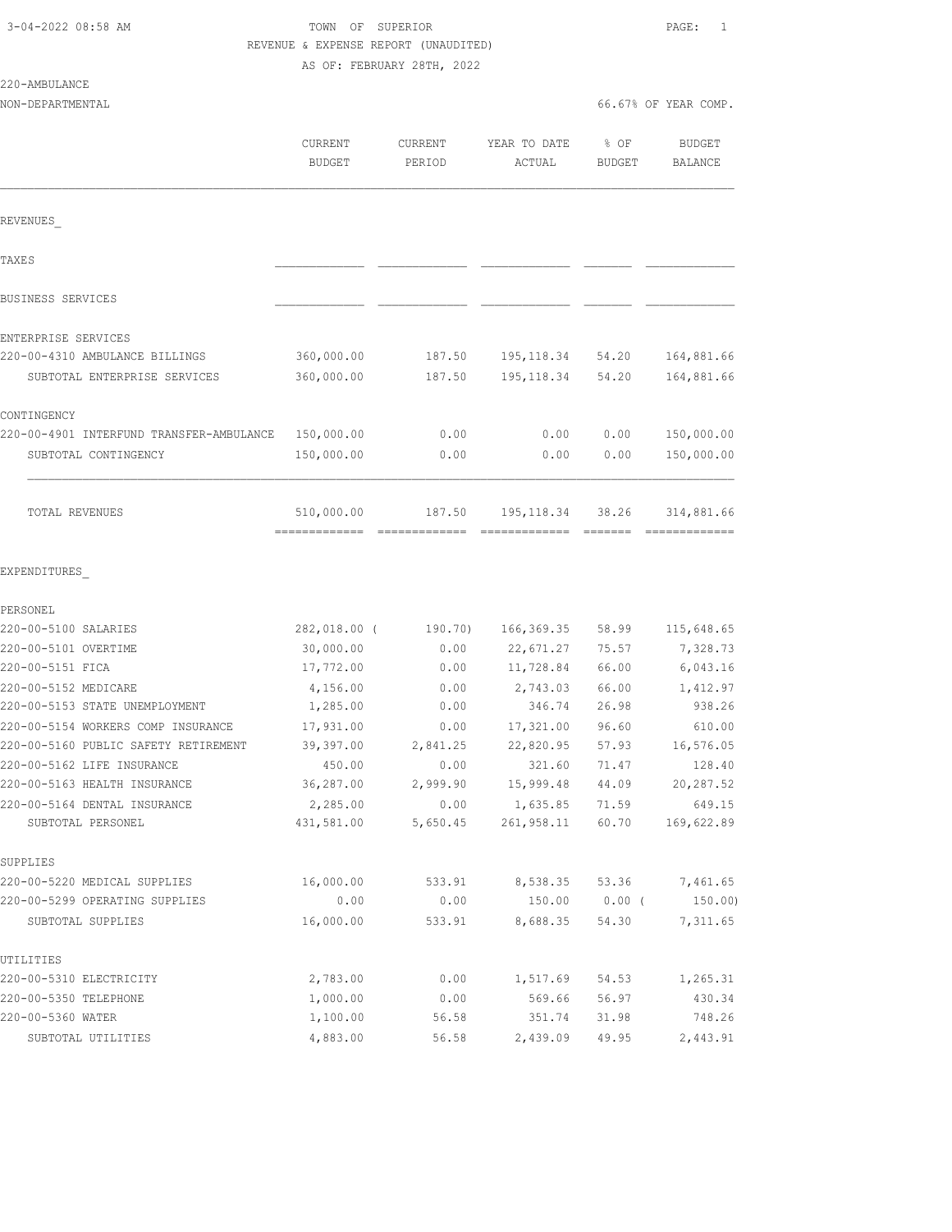220-AMBULANCE

### TOWN OF SUPERIOR **PAGE:** 1 REVENUE & EXPENSE REPORT (UNAUDITED) AS OF: FEBRUARY 28TH, 2022

| NON-DEPARTMENTAL                                                     |                          |                   |                        |                       | 66.67% OF YEAR COMP.            |
|----------------------------------------------------------------------|--------------------------|-------------------|------------------------|-----------------------|---------------------------------|
|                                                                      | CURRENT<br><b>BUDGET</b> | CURRENT<br>PERIOD | YEAR TO DATE<br>ACTUAL | % OF<br><b>BUDGET</b> | <b>BUDGET</b><br><b>BALANCE</b> |
| REVENUES                                                             |                          |                   |                        |                       |                                 |
| TAXE S                                                               |                          |                   |                        |                       |                                 |
| BUSINESS SERVICES                                                    |                          |                   |                        |                       |                                 |
|                                                                      |                          |                   |                        |                       |                                 |
| ENTERPRISE SERVICES                                                  |                          |                   |                        |                       |                                 |
| 220-00-4310 AMBULANCE BILLINGS                                       | 360,000.00               | 187.50            | 195,118.34             | 54.20                 | 164,881.66                      |
| SUBTOTAL ENTERPRISE SERVICES                                         | 360,000.00               | 187.50            | 195, 118.34            | 54.20                 | 164,881.66                      |
| CONTINGENCY                                                          |                          |                   |                        |                       |                                 |
| 220-00-4901 INTERFUND TRANSFER-AMBULANCE                             | 150,000.00               | 0.00              | 0.00                   | 0.00                  | 150,000.00                      |
| SUBTOTAL CONTINGENCY                                                 | 150,000.00               | 0.00              | 0.00                   | 0.00                  | 150,000.00                      |
| TOTAL REVENUES                                                       | 510,000.00               | 187.50            | 195,118.34             | 38.26                 | 314,881.66                      |
| EXPENDITURES                                                         |                          |                   |                        |                       |                                 |
| PERSONEL                                                             |                          |                   |                        |                       |                                 |
| 220-00-5100 SALARIES                                                 | 282,018.00 (             | 190.70)           | 166, 369.35            | 58.99                 | 115,648.65                      |
| 220-00-5101 OVERTIME                                                 | 30,000.00                | 0.00              | 22,671.27              | 75.57                 | 7,328.73                        |
| 220-00-5151 FICA                                                     | 17,772.00                | 0.00              | 11,728.84              | 66.00                 | 6,043.16                        |
| 220-00-5152 MEDICARE                                                 | 4,156.00                 | 0.00              | 2,743.03               | 66.00                 | 1,412.97                        |
| 220-00-5153 STATE UNEMPLOYMENT<br>220-00-5154 WORKERS COMP INSURANCE | 1,285.00                 | 0.00              | 346.74                 | 26.98                 | 938.26                          |
| 220-00-5160 PUBLIC SAFETY RETIREMENT                                 | 17,931.00<br>39,397.00   | 0.00<br>2,841.25  | 17,321.00<br>22,820.95 | 96.60<br>57.93        | 610.00<br>16,576.05             |
| 220-00-5162 LIFE INSURANCE                                           | 450.00                   | 0.00              | 321.60                 | 71.47                 | 128.40                          |
| 220-00-5163 HEALTH INSURANCE                                         | 36,287.00                | 2,999.90          | 15,999.48              | 44.09                 | 20,287.52                       |
| 220-00-5164 DENTAL INSURANCE                                         | 2,285.00                 | 0.00              | 1,635.85 71.59         |                       | 649.15                          |
| SUBTOTAL PERSONEL                                                    | 431,581.00               | 5,650.45          | 261,958.11             | 60.70                 | 169,622.89                      |
| SUPPLIES                                                             |                          |                   |                        |                       |                                 |
| 220-00-5220 MEDICAL SUPPLIES                                         | 16,000.00                | 533.91            | 8,538.35               | 53.36                 | 7,461.65                        |
| 220-00-5299 OPERATING SUPPLIES                                       | 0.00                     | 0.00              | 150.00                 | $0.00$ (              | 150.00)                         |
| SUBTOTAL SUPPLIES                                                    | 16,000.00                | 533.91            | 8,688.35               | 54.30                 | 7,311.65                        |
| UTILITIES                                                            |                          |                   |                        |                       |                                 |
| 220-00-5310 ELECTRICITY                                              | 2,783.00                 | 0.00              | 1,517.69               | 54.53                 | 1,265.31                        |
| 220-00-5350 TELEPHONE                                                | 1,000.00                 | 0.00              | 569.66                 | 56.97                 | 430.34                          |
| 220-00-5360 WATER                                                    | 1,100.00                 | 56.58             | 351.74                 | 31.98                 | 748.26                          |

SUBTOTAL UTILITIES 4,883.00 56.58 2,439.09 49.95 2,443.91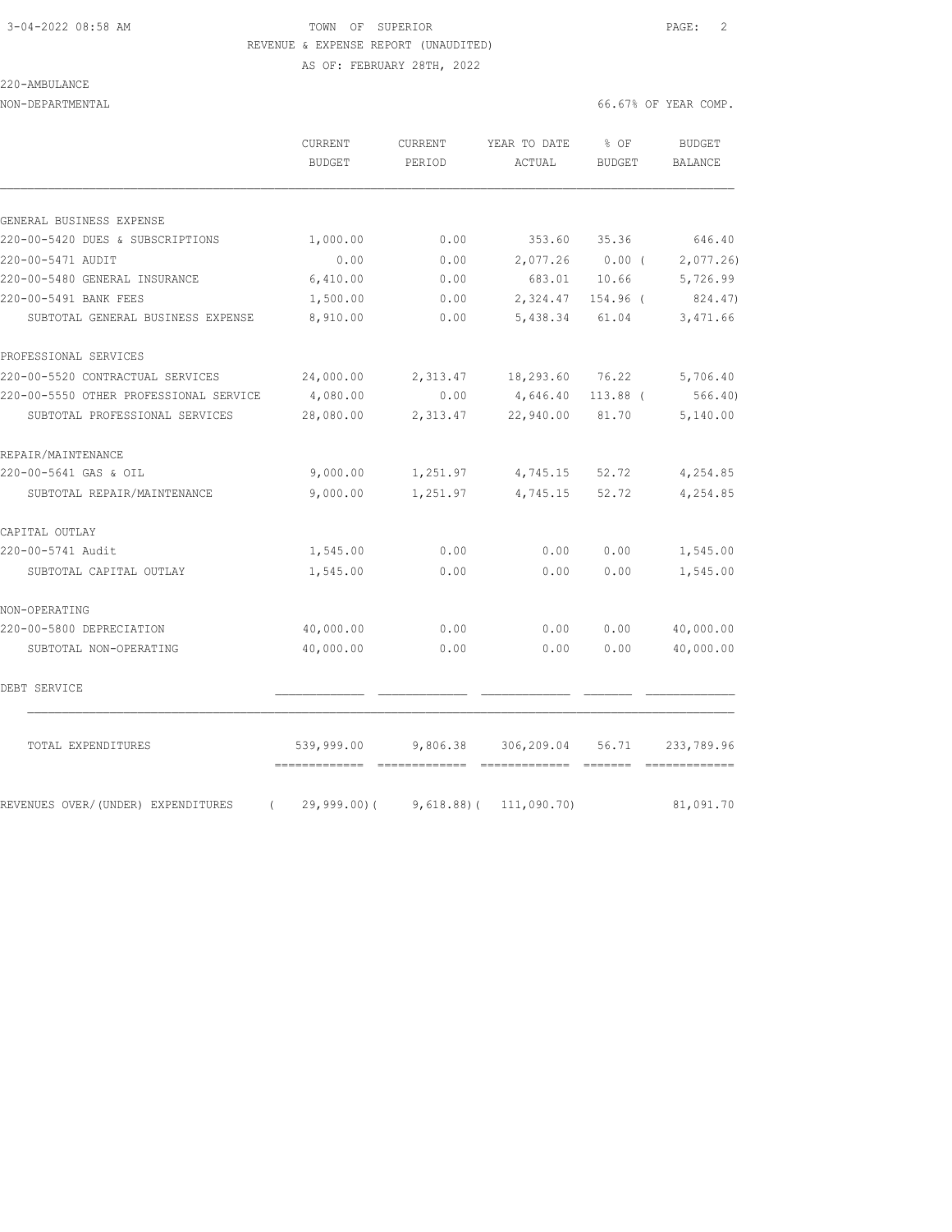# 3-04-2022 08:58 AM TOWN OF SUPERIOR PAGE: 2 REVENUE & EXPENSE REPORT (UNAUDITED)

AS OF: FEBRUARY 28TH, 2022

## 220-AMBULANCE

NON-DEPARTMENTAL 66.67% OF YEAR COMP.

|                                                | CURRENT<br><b>BUDGET</b>                    | CURRENT<br>PERIOD | YEAR TO DATE<br>ACTUAL             | % OF<br><b>BUDGET</b> | <b>BUDGET</b><br><b>BALANCE</b>                                                                                                                                                                                                                                                                                                                                                                                                                                                                      |
|------------------------------------------------|---------------------------------------------|-------------------|------------------------------------|-----------------------|------------------------------------------------------------------------------------------------------------------------------------------------------------------------------------------------------------------------------------------------------------------------------------------------------------------------------------------------------------------------------------------------------------------------------------------------------------------------------------------------------|
| GENERAL BUSINESS EXPENSE                       |                                             |                   |                                    |                       |                                                                                                                                                                                                                                                                                                                                                                                                                                                                                                      |
| 220-00-5420 DUES & SUBSCRIPTIONS               | 1,000.00                                    | 0.00              | 353.60                             | 35.36                 | 646.40                                                                                                                                                                                                                                                                                                                                                                                                                                                                                               |
| 220-00-5471 AUDIT                              | 0.00                                        | 0.00              | 2,077.26                           | $0.00$ (              | 2,077.26                                                                                                                                                                                                                                                                                                                                                                                                                                                                                             |
| 220-00-5480 GENERAL INSURANCE                  | 6,410.00                                    | 0.00              | 683.01                             | 10.66                 | 5,726.99                                                                                                                                                                                                                                                                                                                                                                                                                                                                                             |
| 220-00-5491 BANK FEES                          | 1,500.00                                    | 0.00              | 2,324.47                           | 154.96 (              | 824.47)                                                                                                                                                                                                                                                                                                                                                                                                                                                                                              |
| SUBTOTAL GENERAL BUSINESS EXPENSE              | 8,910.00                                    | 0.00              | 5,438.34                           | 61.04                 | 3,471.66                                                                                                                                                                                                                                                                                                                                                                                                                                                                                             |
| PROFESSIONAL SERVICES                          |                                             |                   |                                    |                       |                                                                                                                                                                                                                                                                                                                                                                                                                                                                                                      |
| 220-00-5520 CONTRACTUAL SERVICES               | 24,000.00                                   | 2,313.47          | 18,293.60                          | 76.22                 | 5,706.40                                                                                                                                                                                                                                                                                                                                                                                                                                                                                             |
| 220-00-5550 OTHER PROFESSIONAL SERVICE         | 4,080.00                                    | 0.00              | 4,646.40                           | 113.88 (              | 566.40                                                                                                                                                                                                                                                                                                                                                                                                                                                                                               |
| SUBTOTAL PROFESSIONAL SERVICES                 | 28,080.00                                   | 2,313.47          | 22,940.00                          | 81.70                 | 5,140.00                                                                                                                                                                                                                                                                                                                                                                                                                                                                                             |
| REPAIR/MAINTENANCE                             |                                             |                   |                                    |                       |                                                                                                                                                                                                                                                                                                                                                                                                                                                                                                      |
| 220-00-5641 GAS & OIL                          | 9,000.00                                    | 1,251.97          | 4,745.15                           | 52.72                 | 4,254.85                                                                                                                                                                                                                                                                                                                                                                                                                                                                                             |
| SUBTOTAL REPAIR/MAINTENANCE                    | 9,000.00                                    | 1,251.97          | 4,745.15                           | 52.72                 | 4,254.85                                                                                                                                                                                                                                                                                                                                                                                                                                                                                             |
| CAPITAL OUTLAY                                 |                                             |                   |                                    |                       |                                                                                                                                                                                                                                                                                                                                                                                                                                                                                                      |
| 220-00-5741 Audit                              | 1,545.00                                    | 0.00              | 0.00                               | 0.00                  | 1,545.00                                                                                                                                                                                                                                                                                                                                                                                                                                                                                             |
| SUBTOTAL CAPITAL OUTLAY                        | 1,545.00                                    | 0.00              | 0.00                               | 0.00                  | 1,545.00                                                                                                                                                                                                                                                                                                                                                                                                                                                                                             |
| NON-OPERATING                                  |                                             |                   |                                    |                       |                                                                                                                                                                                                                                                                                                                                                                                                                                                                                                      |
| 220-00-5800 DEPRECIATION                       | 40,000.00                                   | 0.00              | 0.00                               | 0.00                  | 40,000.00                                                                                                                                                                                                                                                                                                                                                                                                                                                                                            |
| SUBTOTAL NON-OPERATING                         | 40,000.00                                   | 0.00              | 0.00                               | 0.00                  | 40,000.00                                                                                                                                                                                                                                                                                                                                                                                                                                                                                            |
| DEBT SERVICE                                   |                                             |                   |                                    |                       |                                                                                                                                                                                                                                                                                                                                                                                                                                                                                                      |
| TOTAL EXPENDITURES                             | 539,999.00<br>-------------- -------------- | 9,806.38          | 306,209.04<br>------------- ------ | 56.71                 | 233,789.96<br>$\begin{array}{cccccccccc} \multicolumn{2}{c}{} & \multicolumn{2}{c}{} & \multicolumn{2}{c}{} & \multicolumn{2}{c}{} & \multicolumn{2}{c}{} & \multicolumn{2}{c}{} & \multicolumn{2}{c}{} & \multicolumn{2}{c}{} & \multicolumn{2}{c}{} & \multicolumn{2}{c}{} & \multicolumn{2}{c}{} & \multicolumn{2}{c}{} & \multicolumn{2}{c}{} & \multicolumn{2}{c}{} & \multicolumn{2}{c}{} & \multicolumn{2}{c}{} & \multicolumn{2}{c}{} & \multicolumn{2}{c}{} & \multicolumn{2}{c}{} & \mult$ |
| REVENUES OVER/(UNDER) EXPENDITURES<br>$\left($ | 29,999.00)(                                 | $9,618.88$ )(     | 111,090.70)                        |                       | 81,091.70                                                                                                                                                                                                                                                                                                                                                                                                                                                                                            |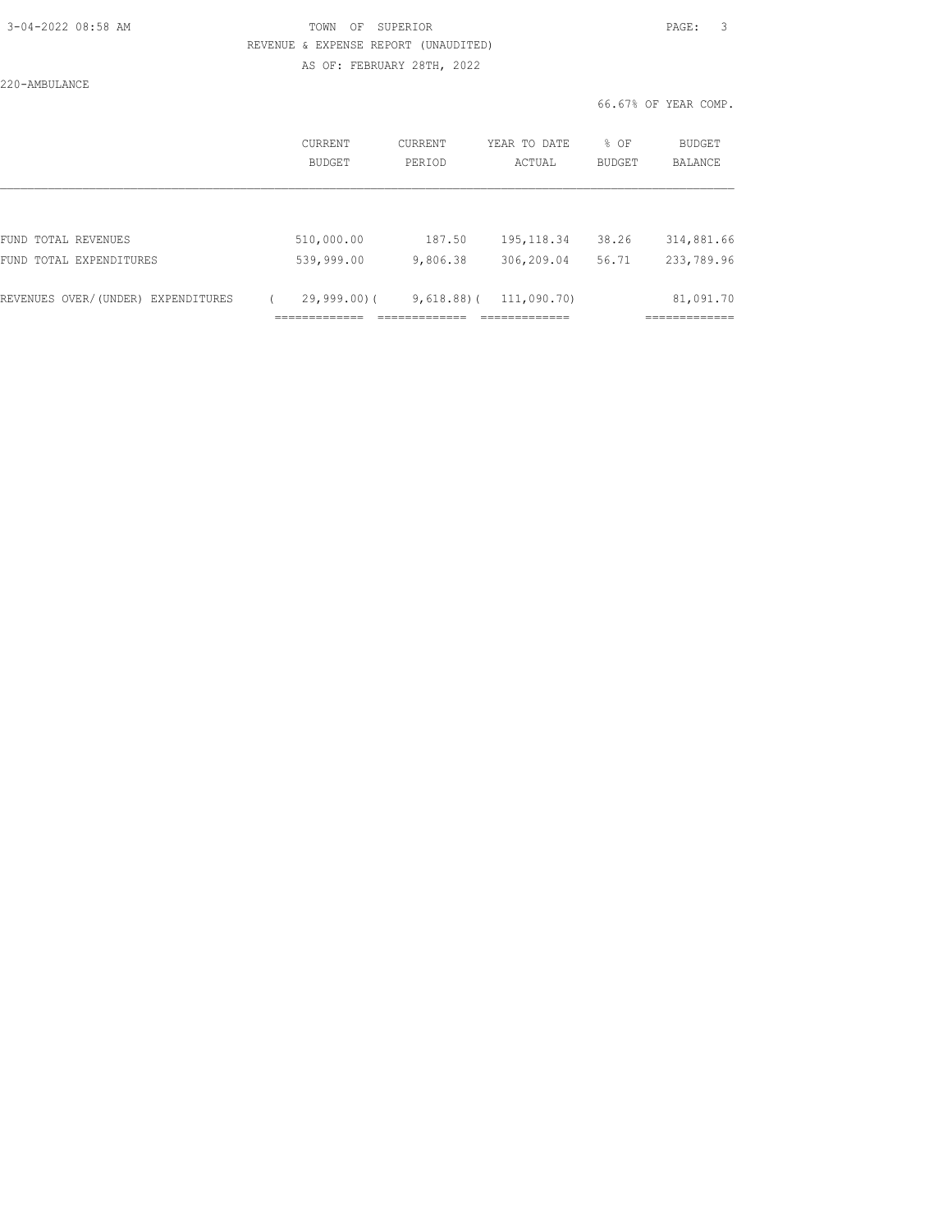### 3-04-2022 08:58 AM TOWN OF SUPERIOR PAGE: 3 REVENUE & EXPENSE REPORT (UNAUDITED) AS OF: FEBRUARY 28TH, 2022

220-AMBULANCE

|                                    | <b>CURRENT</b><br><b>BUDGET</b> | CURRENT<br>PERIOD | YEAR TO DATE<br>ACTUAL | % OF<br><b>BUDGET</b> | BUDGET<br><b>BALANCE</b> |
|------------------------------------|---------------------------------|-------------------|------------------------|-----------------------|--------------------------|
|                                    |                                 |                   |                        |                       |                          |
| FUND TOTAL REVENUES                | 510,000.00                      | 187.50            | 195, 118.34            | 38.26                 | 314,881.66               |
| FUND TOTAL EXPENDITURES            | 539,999.00                      | 9,806.38          | 306,209.04             | 56.71                 | 233,789.96               |
| REVENUES OVER/(UNDER) EXPENDITURES | $29,999.00$ (                   | $9,618.88$ )(     | 111,090.70)            |                       | 81,091.70                |
|                                    |                                 |                   |                        |                       |                          |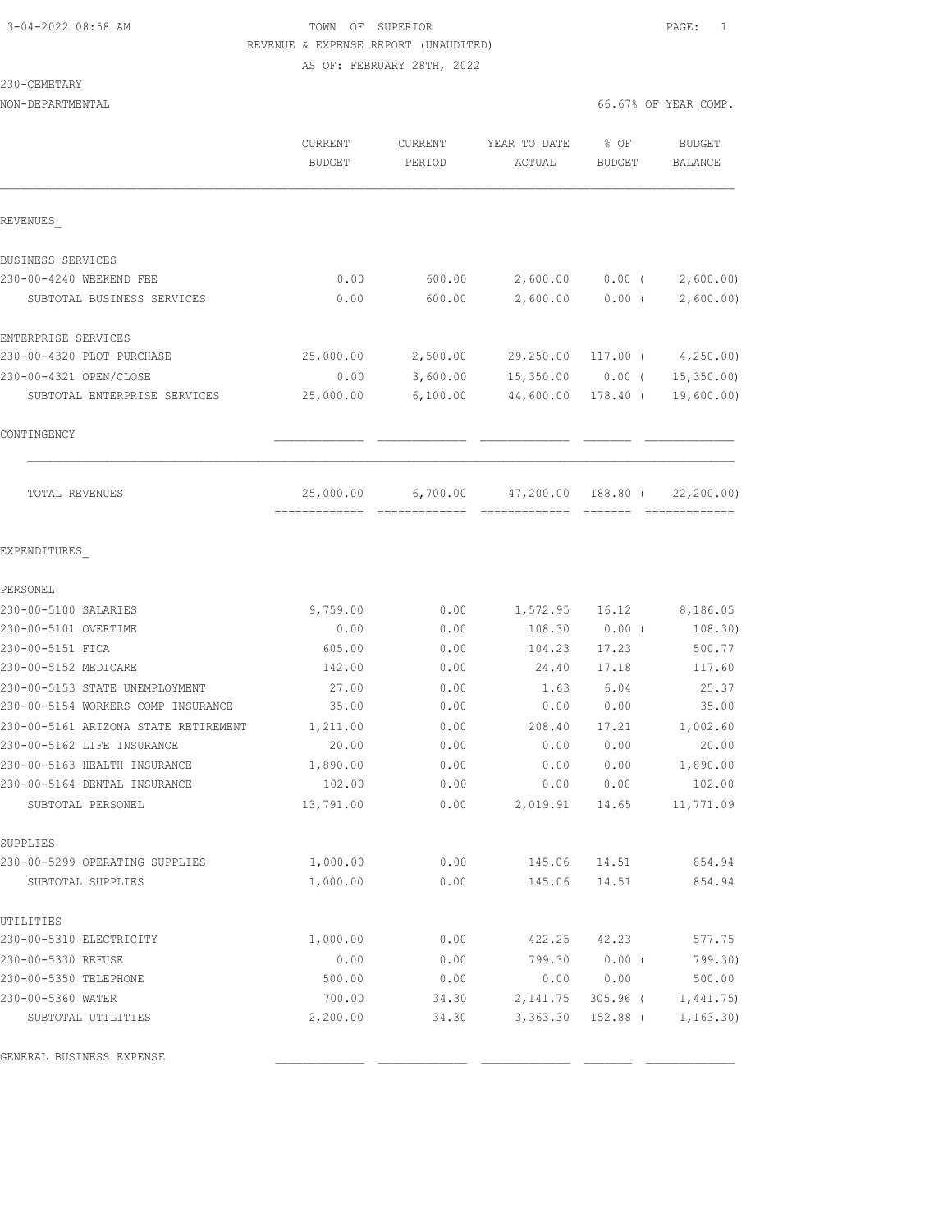### 3-04-2022 08:58 AM TOWN OF SUPERIOR PAGE: 1 REVENUE & EXPENSE REPORT (UNAUDITED) AS OF: FEBRUARY 28TH, 2022

### NON-DEPARTMENTAL 66.67% OF YEAR COMP.

230-CEMETARY

|                                      | CURRENT<br><b>BUDGET</b> | CURRENT<br>PERIOD | YEAR TO DATE<br>ACTUAL | % OF<br><b>BUDGET</b> | <b>BUDGET</b><br>BALANCE     |
|--------------------------------------|--------------------------|-------------------|------------------------|-----------------------|------------------------------|
| REVENUES                             |                          |                   |                        |                       |                              |
| BUSINESS SERVICES                    |                          |                   |                        |                       |                              |
| 230-00-4240 WEEKEND FEE              | 0.00                     | 600.00            | 2,600.00               | $0.00$ (              | 2,600.00)                    |
| SUBTOTAL BUSINESS SERVICES           | 0.00                     | 600.00            | 2,600.00               | $0.00$ (              | 2,600.00)                    |
| ENTERPRISE SERVICES                  |                          |                   |                        |                       |                              |
| 230-00-4320 PLOT PURCHASE            | 25,000.00                | 2,500.00          | 29,250.00              |                       | $117.00$ ( $4,250.00$ )      |
| 230-00-4321 OPEN/CLOSE               | 0.00                     | 3,600.00          | 15,350.00              | $0.00$ (              | 15, 350.00                   |
| SUBTOTAL ENTERPRISE SERVICES         | 25,000.00                | 6,100.00          | 44,600.00              | 178.40 (              | 19,600.00)                   |
| CONTINGENCY                          |                          |                   |                        |                       |                              |
| TOTAL REVENUES                       | 25,000.00                | 6,700.00          | 47,200.00              | 188.80 (              | 22, 200.00)<br>============= |
| EXPENDITURES                         |                          |                   |                        |                       |                              |
| PERSONEL                             |                          |                   |                        |                       |                              |
| 230-00-5100 SALARIES                 | 9,759.00                 | 0.00              | 1,572.95 16.12         |                       | 8,186.05                     |
| 230-00-5101 OVERTIME                 | 0.00                     | 0.00              | 108.30                 | $0.00$ (              | 108.30)                      |
| 230-00-5151 FICA                     | 605.00                   | 0.00              | 104.23                 | 17.23                 | 500.77                       |
| 230-00-5152 MEDICARE                 | 142.00                   | 0.00              | 24.40                  | 17.18                 | 117.60                       |
| 230-00-5153 STATE UNEMPLOYMENT       | 27.00                    | 0.00              | 1.63                   | 6.04                  | 25.37                        |
| 230-00-5154 WORKERS COMP INSURANCE   | 35.00                    | 0.00              | 0.00                   | 0.00                  | 35.00                        |
| 230-00-5161 ARIZONA STATE RETIREMENT | 1,211.00                 | 0.00              | 208.40                 | 17.21                 | 1,002.60                     |
| 230-00-5162 LIFE INSURANCE           | 20.00                    | 0.00              | 0.00                   | 0.00                  | 20.00                        |
| 230-00-5163 HEALTH INSURANCE         | 1,890.00                 | 0.00              | 0.00                   | 0.00                  | 1,890.00                     |
| 230-00-5164 DENTAL INSURANCE         | 102.00                   | 0.00              | 0.00                   | 0.00                  | 102.00                       |
| SUBTOTAL PERSONEL                    | 13,791.00                | 0.00              | 2,019.91               | 14.65                 | 11,771.09                    |
| SUPPLIES                             |                          |                   |                        |                       |                              |
| 230-00-5299 OPERATING SUPPLIES       | 1,000.00                 | 0.00              | 145.06                 | 14.51                 | 854.94                       |
| SUBTOTAL SUPPLIES                    | 1,000.00                 | 0.00              | 145.06                 | 14.51                 | 854.94                       |
| UTILITIES                            |                          |                   |                        |                       |                              |
| 230-00-5310 ELECTRICITY              | 1,000.00                 | 0.00              | 422.25                 | 42.23                 | 577.75                       |
| 230-00-5330 REFUSE                   | 0.00                     | 0.00              | 799.30                 | $0.00$ (              | 799.30)                      |
| 230-00-5350 TELEPHONE                | 500.00                   | 0.00              | 0.00                   | 0.00                  | 500.00                       |
| 230-00-5360 WATER                    | 700.00                   | 34.30             | 2,141.75               | $305.96$ (            | 1,441.75                     |
| SUBTOTAL UTILITIES                   | 2,200.00                 | 34.30             | 3,363.30               | 152.88 (              | 1, 163.30)                   |
| GENERAL BUSINESS EXPENSE             |                          |                   |                        |                       |                              |
|                                      |                          |                   |                        |                       |                              |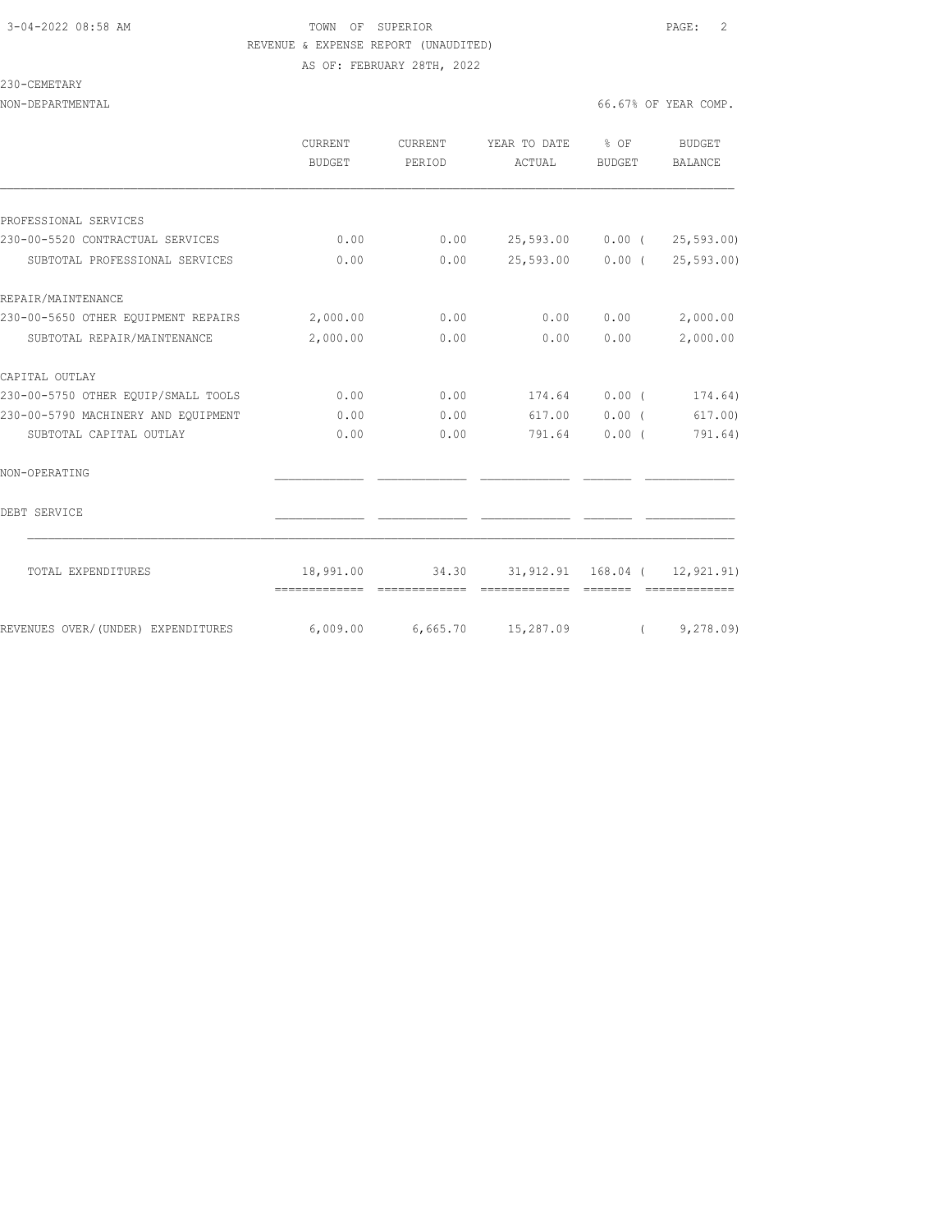230-CEMETARY

## 3-04-2022 08:58 AM TOWN OF SUPERIOR PAGE: 2 REVENUE & EXPENSE REPORT (UNAUDITED) AS OF: FEBRUARY 28TH, 2022

NON-DEPARTMENTAL 66.67% OF YEAR COMP.

|                                                                | CURRENT<br>BUDGET | <b>CURRENT</b> | YEAR TO DATE                                  | $8$ OF        | <b>BUDGET</b>              |
|----------------------------------------------------------------|-------------------|----------------|-----------------------------------------------|---------------|----------------------------|
|                                                                |                   | PERIOD         | ACTUAL                                        | BUDGET        | BALANCE                    |
| PROFESSIONAL SERVICES                                          |                   |                |                                               |               |                            |
| 230-00-5520 CONTRACTUAL SERVICES                               | 0.00              |                | $0.00$ 25,593.00 0.00 ( 25,593.00)            |               |                            |
| SUBTOTAL PROFESSIONAL SERVICES                                 | 0.00              | 0.00           |                                               |               | 25,593.00 0.00 (25,593.00) |
| REPAIR/MAINTENANCE                                             |                   |                |                                               |               |                            |
| 230-00-5650 OTHER EQUIPMENT REPAIRS 2,000.00                   |                   | 0.00           | 0.00                                          | 0.00          | 2,000.00                   |
| SUBTOTAL REPAIR/MAINTENANCE                                    | 2,000.00          | 0.00           | 0.00                                          | 0.00          | 2,000.00                   |
| CAPITAL OUTLAY                                                 |                   |                |                                               |               |                            |
| 230-00-5750 OTHER EQUIP/SMALL TOOLS                            | 0.00              | 0.00           |                                               | 174.64 0.00 ( | 174.64)                    |
| 230-00-5790 MACHINERY AND EOUIPMENT                            | 0.00              | 0.00           | 617.00                                        | $0.00$ (      | 617.00)                    |
| SUBTOTAL CAPITAL OUTLAY                                        | 0.00              | 0.00           | 791.64                                        | $0.00$ (      | 791.64)                    |
| NON-OPERATING                                                  |                   |                |                                               |               |                            |
| DEBT SERVICE                                                   |                   |                |                                               |               |                            |
| TOTAL EXPENDITURES                                             |                   |                | 18,991.00 34.30 31,912.91 168.04 ( 12,921.91) |               |                            |
| REVENUES OVER/(UNDER) EXPENDITURES 6,009.00 6,665.70 15,287.09 |                   |                |                                               |               | (9, 278, 09)               |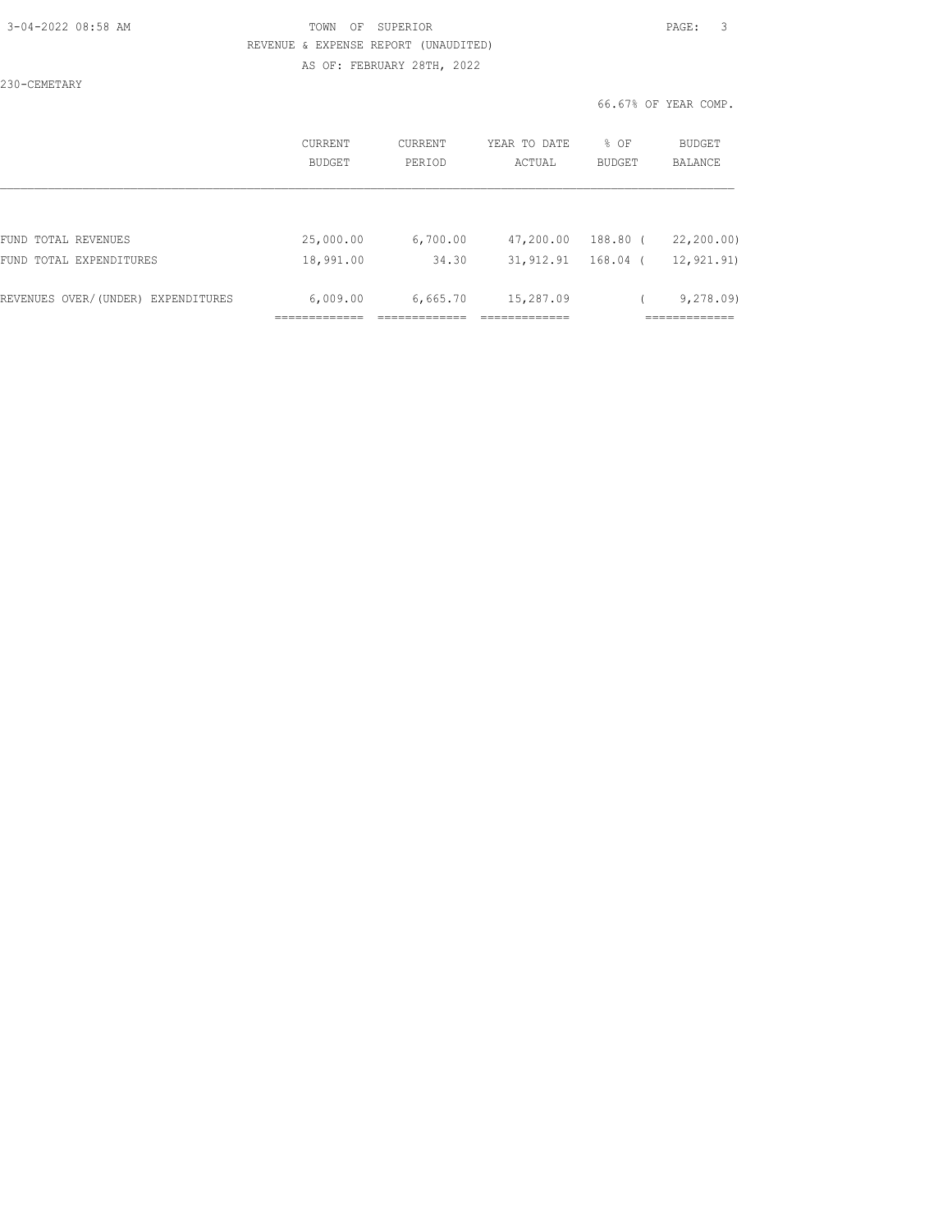### 3-04-2022 08:58 AM TOWN OF SUPERIOR PAGE: 3 REVENUE & EXPENSE REPORT (UNAUDITED) AS OF: FEBRUARY 28TH, 2022

230-CEMETARY

|                                    | CURRENT<br><b>BUDGET</b> | CURRENT<br>PERIOD | YEAR TO DATE<br>ACTUAL | % OF<br><b>BUDGET</b> | BUDGET<br><b>BALANCE</b> |
|------------------------------------|--------------------------|-------------------|------------------------|-----------------------|--------------------------|
|                                    |                          |                   |                        |                       |                          |
| FUND TOTAL REVENUES                | 25,000.00                | 6,700.00          | 47,200.00              | $188.80$ (            | 22,200.00)               |
| FUND TOTAL EXPENDITURES            | 18,991.00                | 34.30             | 31, 912.91             | $168.04$ (            | 12, 921.91)              |
| REVENUES OVER/(UNDER) EXPENDITURES | 6,009.00                 | 6,665.70          | 15,287.09              |                       | 9,278.09                 |
|                                    |                          |                   |                        |                       |                          |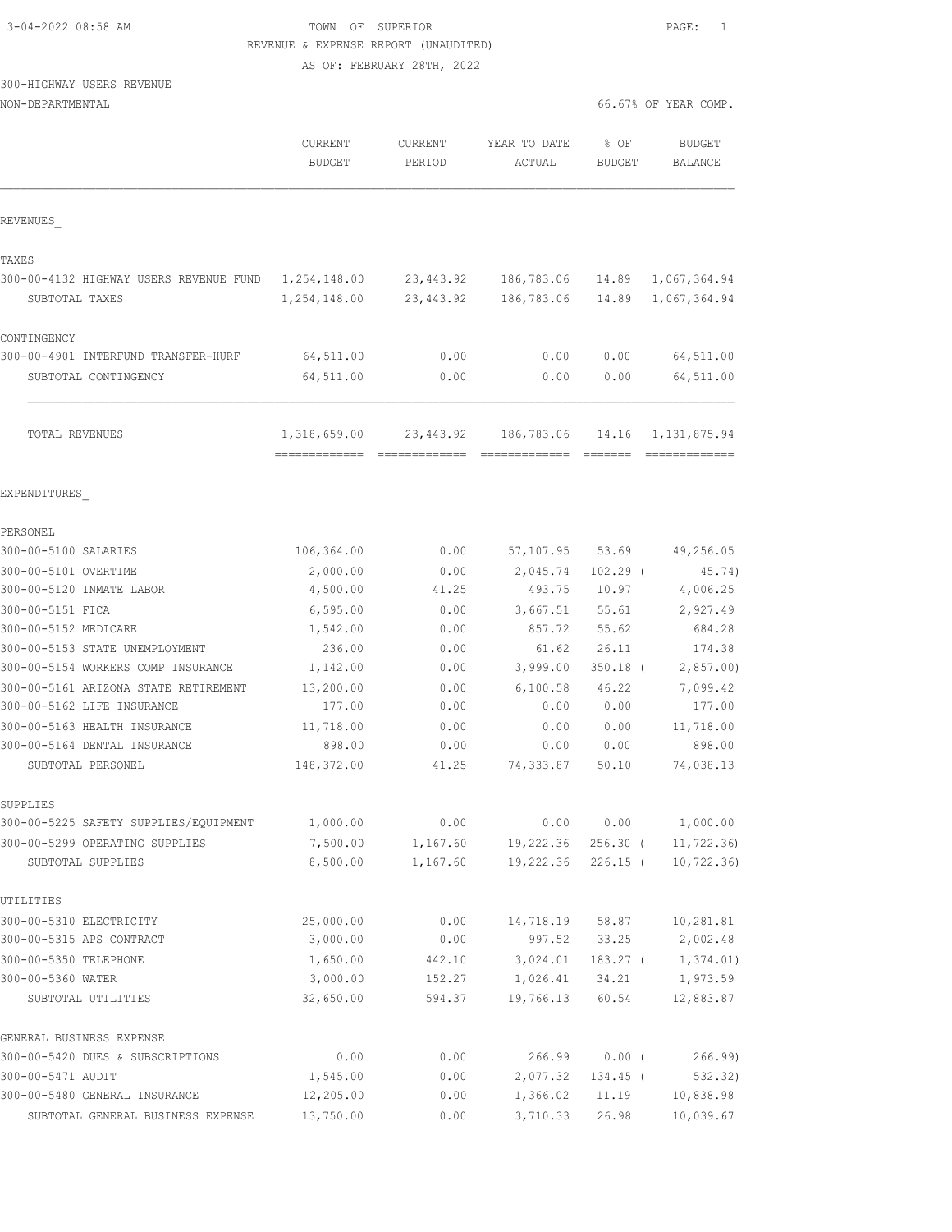| 3-04-2022 08:58 AM |  |
|--------------------|--|
|                    |  |

## TOWN OF SUPERIOR **Example 2018** PAGE: 1 REVENUE & EXPENSE REPORT (UNAUDITED)

AS OF: FEBRUARY 28TH, 2022

## 300-HIGHWAY USERS REVENUE

| NON-DEPARTMENTAL                                            |                                              |                          |                                                                                                                                                                                                                                                                                                                                                                                                                                                                                                      |                                      | 66.67% OF YEAR COMP.             |
|-------------------------------------------------------------|----------------------------------------------|--------------------------|------------------------------------------------------------------------------------------------------------------------------------------------------------------------------------------------------------------------------------------------------------------------------------------------------------------------------------------------------------------------------------------------------------------------------------------------------------------------------------------------------|--------------------------------------|----------------------------------|
|                                                             | CURRENT<br><b>BUDGET</b>                     | <b>CURRENT</b><br>PERIOD | YEAR TO DATE<br>ACTUAL                                                                                                                                                                                                                                                                                                                                                                                                                                                                               | % OF<br><b>BUDGET</b>                | <b>BUDGET</b><br><b>BALANCE</b>  |
| REVENUES                                                    |                                              |                          |                                                                                                                                                                                                                                                                                                                                                                                                                                                                                                      |                                      |                                  |
| TAXES                                                       |                                              |                          |                                                                                                                                                                                                                                                                                                                                                                                                                                                                                                      |                                      |                                  |
| 300-00-4132 HIGHWAY USERS REVENUE FUND<br>SUBTOTAL TAXES    | 1,254,148.00<br>1,254,148.00                 | 23, 443.92<br>23,443.92  | 186,783.06<br>186,783.06                                                                                                                                                                                                                                                                                                                                                                                                                                                                             | 14.89<br>14.89                       | 1,067,364.94<br>1,067,364.94     |
| CONTINGENCY                                                 |                                              |                          |                                                                                                                                                                                                                                                                                                                                                                                                                                                                                                      |                                      |                                  |
| 300-00-4901 INTERFUND TRANSFER-HURF<br>SUBTOTAL CONTINGENCY | 64,511.00<br>64,511.00                       | 0.00<br>0.00             | 0.00<br>0.00                                                                                                                                                                                                                                                                                                                                                                                                                                                                                         | 0.00<br>0.00                         | 64,511.00<br>64,511.00           |
| TOTAL REVENUES                                              | 1,318,659.00<br>-------------- ------------- | 23,443.92                | 186,783.06<br>$\begin{array}{cccccccccc} \multicolumn{2}{c}{} & \multicolumn{2}{c}{} & \multicolumn{2}{c}{} & \multicolumn{2}{c}{} & \multicolumn{2}{c}{} & \multicolumn{2}{c}{} & \multicolumn{2}{c}{} & \multicolumn{2}{c}{} & \multicolumn{2}{c}{} & \multicolumn{2}{c}{} & \multicolumn{2}{c}{} & \multicolumn{2}{c}{} & \multicolumn{2}{c}{} & \multicolumn{2}{c}{} & \multicolumn{2}{c}{} & \multicolumn{2}{c}{} & \multicolumn{2}{c}{} & \multicolumn{2}{c}{} & \multicolumn{2}{c}{} & \mult$ | 14.16<br>$=$ $=$ $=$ $=$ $=$ $=$ $=$ | 1, 131, 875.94<br>-------------- |
| EXPENDITURES                                                |                                              |                          |                                                                                                                                                                                                                                                                                                                                                                                                                                                                                                      |                                      |                                  |
| PERSONEL                                                    |                                              |                          |                                                                                                                                                                                                                                                                                                                                                                                                                                                                                                      |                                      |                                  |
| 300-00-5100 SALARIES                                        | 106,364.00                                   | 0.00                     | 57,107.95                                                                                                                                                                                                                                                                                                                                                                                                                                                                                            | 53.69                                | 49,256.05                        |
| 300-00-5101 OVERTIME                                        | 2,000.00                                     | 0.00                     | 2,045.74                                                                                                                                                                                                                                                                                                                                                                                                                                                                                             | $102.29$ (                           | 45.74)                           |
| 300-00-5120 INMATE LABOR                                    | 4,500.00                                     | 41.25                    | 493.75                                                                                                                                                                                                                                                                                                                                                                                                                                                                                               | 10.97                                | 4,006.25                         |
| 300-00-5151 FICA                                            | 6, 595.00                                    | 0.00                     | 3,667.51                                                                                                                                                                                                                                                                                                                                                                                                                                                                                             | 55.61                                | 2,927.49                         |
| 300-00-5152 MEDICARE                                        | 1,542.00                                     | 0.00                     | 857.72                                                                                                                                                                                                                                                                                                                                                                                                                                                                                               | 55.62                                | 684.28                           |
| 300-00-5153 STATE UNEMPLOYMENT                              | 236.00                                       | 0.00                     | 61.62                                                                                                                                                                                                                                                                                                                                                                                                                                                                                                | 26.11                                | 174.38                           |
| 300-00-5154 WORKERS COMP INSURANCE                          | 1,142.00                                     | 0.00                     | 3,999.00                                                                                                                                                                                                                                                                                                                                                                                                                                                                                             | $350.18$ (                           | 2,857.00                         |
| 300-00-5161 ARIZONA STATE RETIREMENT                        | 13,200.00                                    | 0.00                     | 6,100.58                                                                                                                                                                                                                                                                                                                                                                                                                                                                                             | 46.22                                | 7,099.42                         |
| 300-00-5162 LIFE INSURANCE                                  | 177.00                                       | 0.00                     | 0.00                                                                                                                                                                                                                                                                                                                                                                                                                                                                                                 | 0.00                                 | 177.00                           |
| 300-00-5163 HEALTH INSURANCE                                | 11,718.00                                    | 0.00                     | 0.00                                                                                                                                                                                                                                                                                                                                                                                                                                                                                                 | 0.00                                 | 11,718.00                        |
| 300-00-5164 DENTAL INSURANCE                                | 898.00                                       | 0.00                     | 0.00                                                                                                                                                                                                                                                                                                                                                                                                                                                                                                 | 0.00                                 | 898.00                           |
| SUBTOTAL PERSONEL                                           | 148,372.00                                   | 41.25                    | 74,333.87                                                                                                                                                                                                                                                                                                                                                                                                                                                                                            | 50.10                                | 74,038.13                        |
| SUPPLIES                                                    |                                              |                          |                                                                                                                                                                                                                                                                                                                                                                                                                                                                                                      |                                      |                                  |
| 300-00-5225 SAFETY SUPPLIES/EQUIPMENT                       | 1,000.00                                     | 0.00                     | 0.00                                                                                                                                                                                                                                                                                                                                                                                                                                                                                                 | 0.00                                 | 1,000.00                         |
| 300-00-5299 OPERATING SUPPLIES                              | 7,500.00                                     | 1,167.60                 | 19,222.36                                                                                                                                                                                                                                                                                                                                                                                                                                                                                            | $256.30$ (                           | 11, 722.36                       |
| SUBTOTAL SUPPLIES                                           | 8,500.00                                     | 1,167.60                 | 19,222.36                                                                                                                                                                                                                                                                                                                                                                                                                                                                                            | $226.15$ (                           | 10, 722.36)                      |
| UTILITIES                                                   |                                              |                          |                                                                                                                                                                                                                                                                                                                                                                                                                                                                                                      |                                      |                                  |
| 300-00-5310 ELECTRICITY                                     | 25,000.00                                    | 0.00                     | 14,718.19                                                                                                                                                                                                                                                                                                                                                                                                                                                                                            | 58.87                                | 10,281.81                        |
| 300-00-5315 APS CONTRACT                                    | 3,000.00                                     | 0.00                     | 997.52                                                                                                                                                                                                                                                                                                                                                                                                                                                                                               | 33.25                                | 2,002.48                         |
| 300-00-5350 TELEPHONE                                       | 1,650.00                                     | 442.10                   | 3,024.01                                                                                                                                                                                                                                                                                                                                                                                                                                                                                             | $183.27$ (                           | 1,374.01)                        |
| 300-00-5360 WATER                                           | 3,000.00                                     | 152.27                   | 1,026.41                                                                                                                                                                                                                                                                                                                                                                                                                                                                                             | 34.21                                | 1,973.59                         |
| SUBTOTAL UTILITIES                                          | 32,650.00                                    | 594.37                   | 19,766.13                                                                                                                                                                                                                                                                                                                                                                                                                                                                                            | 60.54                                | 12,883.87                        |
| GENERAL BUSINESS EXPENSE                                    |                                              |                          |                                                                                                                                                                                                                                                                                                                                                                                                                                                                                                      |                                      |                                  |
| 300-00-5420 DUES & SUBSCRIPTIONS                            | 0.00                                         | 0.00                     | 266.99                                                                                                                                                                                                                                                                                                                                                                                                                                                                                               | $0.00$ (                             | 266.99                           |
| 300-00-5471 AUDIT                                           | 1,545.00                                     | 0.00                     | 2,077.32                                                                                                                                                                                                                                                                                                                                                                                                                                                                                             | 134.45 (                             | 532.32)                          |
| 300-00-5480 GENERAL INSURANCE                               | 12,205.00                                    | 0.00                     | 1,366.02                                                                                                                                                                                                                                                                                                                                                                                                                                                                                             | 11.19                                | 10,838.98                        |

SUBTOTAL GENERAL BUSINESS EXPENSE 13,750.00 0.00 3,710.33 26.98 10,039.67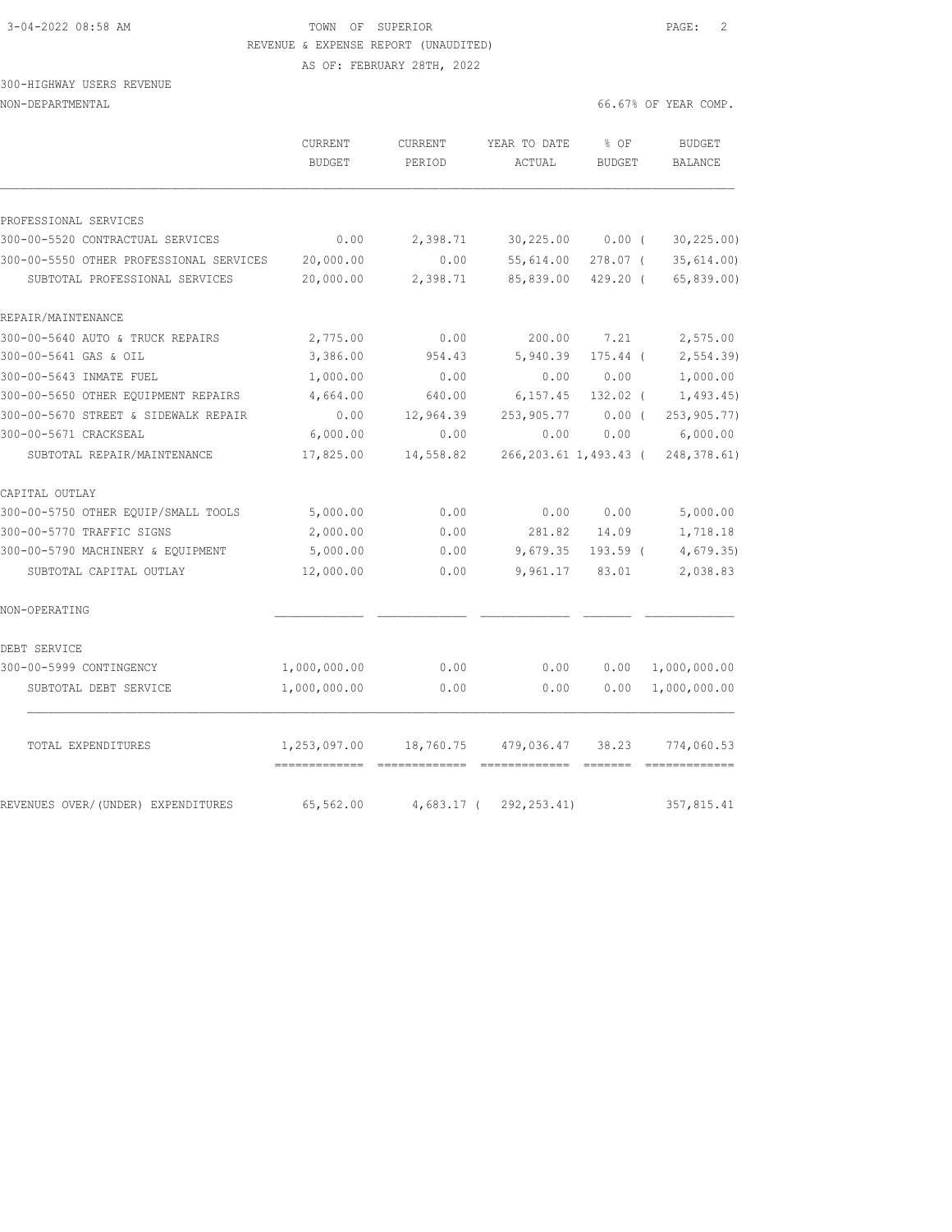### 3-04-2022 08:58 AM TOWN OF SUPERIOR PAGE: 2 REVENUE & EXPENSE REPORT (UNAUDITED) AS OF: FEBRUARY 28TH, 2022

### 300-HIGHWAY USERS REVENUE NON-DEPARTMENTAL 66.67% OF YEAR COMP.

|                                         | CURRENT<br><b>BUDGET</b>      | <b>CURRENT</b><br>PERIOD | YEAR TO DATE<br>ACTUAL | % OF<br><b>BUDGET</b> | <b>BUDGET</b><br><b>BALANCE</b> |
|-----------------------------------------|-------------------------------|--------------------------|------------------------|-----------------------|---------------------------------|
|                                         |                               |                          |                        |                       |                                 |
| PROFESSIONAL SERVICES                   |                               |                          |                        |                       |                                 |
| 300-00-5520 CONTRACTUAL SERVICES        | 0.00                          | 2,398.71                 | 30,225.00              | $0.00$ (              | 30, 225.00                      |
| 300-00-5550 OTHER PROFESSIONAL SERVICES | 20,000.00                     | 0.00                     | 55,614.00              | $278.07$ (            | 35,614.00)                      |
| SUBTOTAL PROFESSIONAL SERVICES          | 20,000.00                     | 2,398.71                 | 85,839.00              | $429.20$ (            | 65,839.00)                      |
| REPAIR/MAINTENANCE                      |                               |                          |                        |                       |                                 |
| 300-00-5640 AUTO & TRUCK REPAIRS        | 2,775.00                      | 0.00                     | 200.00                 | 7.21                  | 2,575.00                        |
| 300-00-5641 GAS & OIL                   | 3,386.00                      | 954.43                   | 5,940.39               | 175.44 (              | 2, 554.39                       |
| 300-00-5643 INMATE FUEL                 | 1,000.00                      | 0.00                     | 0.00                   | 0.00                  | 1,000.00                        |
| 300-00-5650 OTHER EQUIPMENT REPAIRS     | 4,664.00                      | 640.00                   | 6, 157.45              | $132.02$ (            | 1,493.45)                       |
| 300-00-5670 STREET & SIDEWALK REPAIR    | 0.00                          | 12,964.39                | 253,905.77             | $0.00$ (              | 253, 905.77)                    |
| 300-00-5671 CRACKSEAL                   | 6,000.00                      | 0.00                     | 0.00                   | 0.00                  | 6,000.00                        |
| SUBTOTAL REPAIR/MAINTENANCE             | 17,825.00                     | 14,558.82                | 266,203.61 1,493.43 (  |                       | 248, 378.61)                    |
| CAPITAL OUTLAY                          |                               |                          |                        |                       |                                 |
| 300-00-5750 OTHER EQUIP/SMALL TOOLS     | 5,000.00                      | 0.00                     | 0.00                   | 0.00                  | 5,000.00                        |
| 300-00-5770 TRAFFIC SIGNS               | 2,000.00                      | 0.00                     | 281.82                 | 14.09                 | 1,718.18                        |
| 300-00-5790 MACHINERY & EQUIPMENT       | 5,000.00                      | 0.00                     | 9,679.35               | $193.59$ (            | 4,679.35                        |
| SUBTOTAL CAPITAL OUTLAY                 | 12,000.00                     | 0.00                     | 9,961.17               | 83.01                 | 2,038.83                        |
| NON-OPERATING                           |                               |                          |                        |                       |                                 |
| DEBT SERVICE                            |                               |                          |                        |                       |                                 |
| 300-00-5999 CONTINGENCY                 | 1,000,000.00                  | 0.00                     | 0.00                   | 0.00                  | 1,000,000.00                    |
| SUBTOTAL DEBT SERVICE                   | 1,000,000.00                  | 0.00                     | 0.00                   | 0.00                  | 1,000,000.00                    |
| TOTAL EXPENDITURES                      | 1,253,097.00<br>============= | 18,760.75                | 479,036.47             | 38.23                 | 774,060.53                      |
| REVENUES OVER/(UNDER) EXPENDITURES      | 65,562.00                     | $4,683.17$ (             | 292, 253.41)           |                       | 357,815.41                      |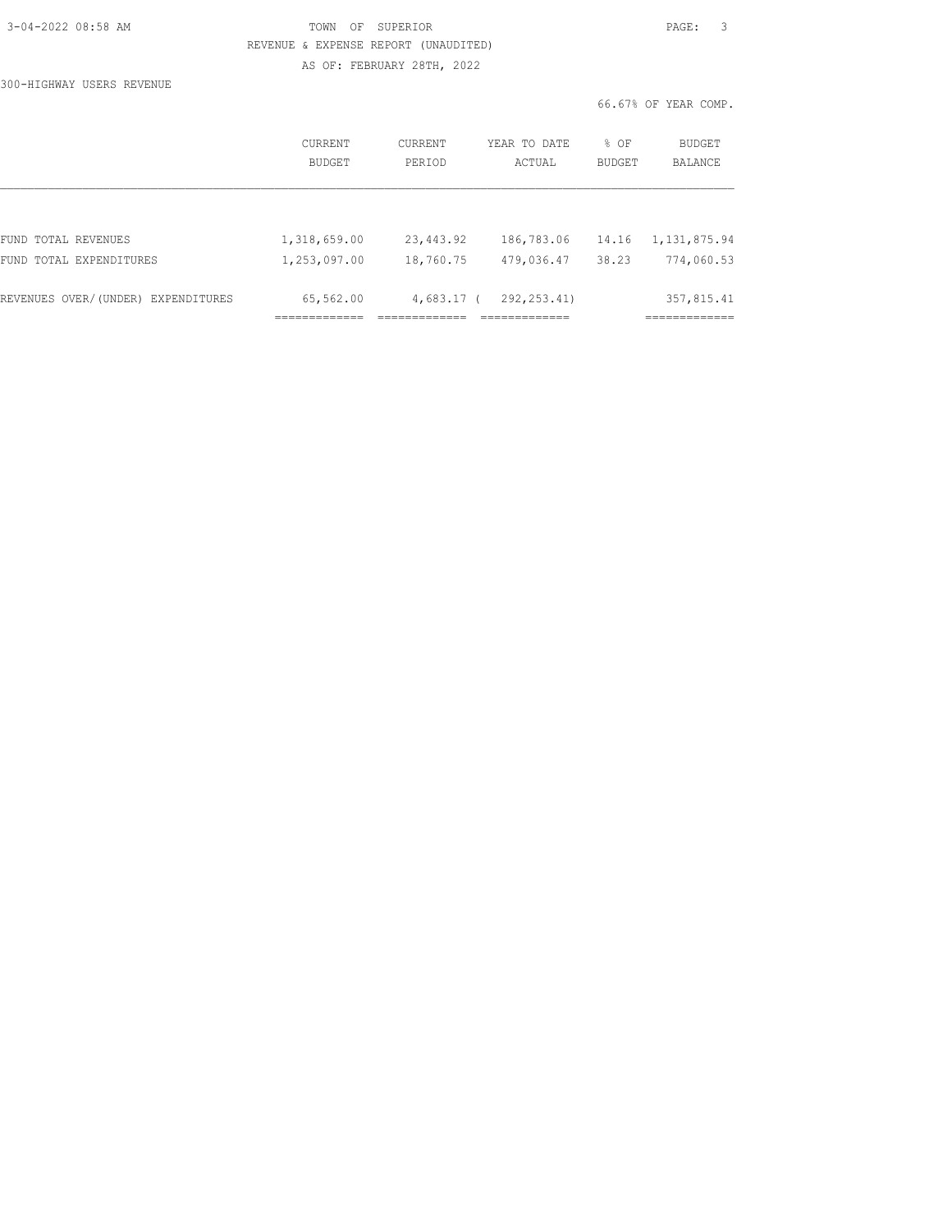| 3-04-2022 08:58 AM |  |
|--------------------|--|
|                    |  |

TOWN OF SUPERIOR **PAGE:** 3 REVENUE & EXPENSE REPORT (UNAUDITED) AS OF: FEBRUARY 28TH, 2022

300-HIGHWAY USERS REVENUE

|                   |                   |                        | 66.67% OF YEAR COMP. |                   |
|-------------------|-------------------|------------------------|----------------------|-------------------|
| CURRENT<br>BUDGET | CURRENT<br>PERIOD | YEAR TO DATE<br>ACTUAL | % OF<br>BUDGET       | BUDGET<br>BALANCE |
|                   |                   |                        |                      |                   |

| REVENUES OVER/(UNDER) EXPENDITURES | 65,562.00    |           | 4,683.17 ( 292,253.41) | 357,815.41                    |
|------------------------------------|--------------|-----------|------------------------|-------------------------------|
| FUND TOTAL EXPENDITURES            | 1,253,097.00 | 18,760.75 |                        | 479,036.47 38.23 774,060.53   |
| FUND TOTAL REVENUES                | 1,318,659.00 | 23,443.92 |                        | 186,783.06 14.16 1,131,875.94 |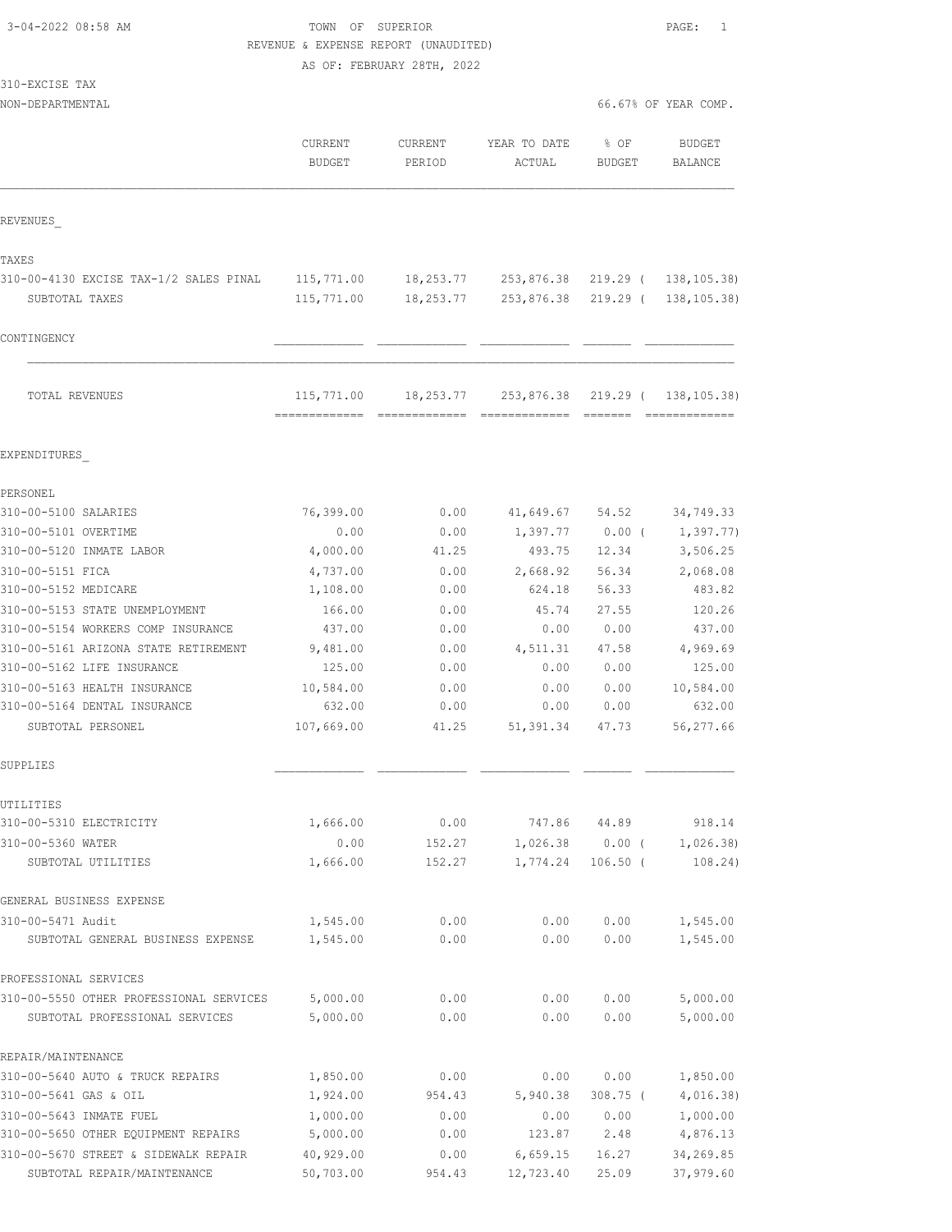TOWN OF SUPERIOR **PAGE:** 1 REVENUE & EXPENSE REPORT (UNAUDITED) AS OF: FEBRUARY 28TH, 2022

| 310-EXCISE TAX |  |
|----------------|--|
|                |  |

NON-DEPARTMENTAL 66.67% OF YEAR COMP.

|                                         | CURRENT<br><b>BUDGET</b>                     | CURRENT<br>PERIOD | YEAR TO DATE<br>ACTUAL | % OF<br><b>BUDGET</b> | BUDGET<br>BALANCE     |
|-----------------------------------------|----------------------------------------------|-------------------|------------------------|-----------------------|-----------------------|
| REVENUES                                |                                              |                   |                        |                       |                       |
| TAXES                                   |                                              |                   |                        |                       |                       |
| 310-00-4130 EXCISE TAX-1/2 SALES PINAL  | 115,771.00                                   |                   | 18,253.77 253,876.38   |                       | 219.29 ( 138,105.38)  |
| SUBTOTAL TAXES                          | 115,771.00                                   | 18,253.77         | 253,876.38             |                       | 219.29 ( 138, 105.38) |
| CONTINGENCY                             |                                              |                   |                        |                       |                       |
| TOTAL REVENUES                          | 115,771.00<br>------------------------------ | 18,253.77         | 253,876.38             |                       | 219.29 ( 138,105.38)  |
| EXPENDITURES                            |                                              |                   |                        |                       |                       |
| PERSONEL                                |                                              |                   |                        |                       |                       |
| 310-00-5100 SALARIES                    | 76,399.00                                    | 0.00              | 41,649.67              | 54.52                 | 34,749.33             |
| 310-00-5101 OVERTIME                    | 0.00                                         | 0.00              | 1,397.77               | $0.00$ (              | 1,397.77)             |
| 310-00-5120 INMATE LABOR                | 4,000.00                                     | 41.25             | 493.75                 | 12.34                 | 3,506.25              |
| 310-00-5151 FICA                        | 4,737.00                                     | 0.00              | 2,668.92               | 56.34                 | 2,068.08              |
| 310-00-5152 MEDICARE                    | 1,108.00                                     | 0.00              | 624.18                 | 56.33                 | 483.82                |
| 310-00-5153 STATE UNEMPLOYMENT          | 166.00                                       | 0.00              | 45.74                  | 27.55                 | 120.26                |
| 310-00-5154 WORKERS COMP INSURANCE      | 437.00                                       | 0.00              | 0.00                   | 0.00                  | 437.00                |
| 310-00-5161 ARIZONA STATE RETIREMENT    | 9,481.00                                     | 0.00              | 4,511.31               | 47.58                 | 4,969.69              |
| 310-00-5162 LIFE INSURANCE              | 125.00                                       | 0.00              | 0.00                   | 0.00                  | 125.00                |
| 310-00-5163 HEALTH INSURANCE            | 10,584.00                                    | 0.00              | 0.00                   | 0.00                  | 10,584.00             |
| 310-00-5164 DENTAL INSURANCE            | 632.00                                       | 0.00              | 0.00                   | 0.00                  | 632.00                |
| SUBTOTAL PERSONEL                       | 107,669.00                                   | 41.25             | 51,391.34              | 47.73                 | 56,277.66             |
| SUPPLIES                                |                                              |                   |                        |                       |                       |
| UTILITIES                               |                                              |                   |                        |                       |                       |
| 310-00-5310 ELECTRICITY                 | 1,666.00                                     | 0.00              | 747.86                 | 44.89                 | 918.14                |
| 310-00-5360 WATER                       | 0.00                                         | 152.27            |                        | $1,026.38$ 0.00 (     | 1,026.38)             |
| SUBTOTAL UTILITIES                      | 1,666.00                                     | 152.27            | 1,774.24               | $106.50$ (            | 108.24)               |
| GENERAL BUSINESS EXPENSE                |                                              |                   |                        |                       |                       |
| 310-00-5471 Audit                       | 1,545.00                                     | 0.00              | 0.00                   | 0.00                  | 1,545.00              |
| SUBTOTAL GENERAL BUSINESS EXPENSE       | 1,545.00                                     | 0.00              | 0.00                   | 0.00                  | 1,545.00              |
| PROFESSIONAL SERVICES                   |                                              |                   |                        |                       |                       |
| 310-00-5550 OTHER PROFESSIONAL SERVICES | 5,000.00                                     | 0.00              | 0.00                   | 0.00                  | 5,000.00              |
| SUBTOTAL PROFESSIONAL SERVICES          | 5,000.00                                     | 0.00              | 0.00                   | 0.00                  | 5,000.00              |
| REPAIR/MAINTENANCE                      |                                              |                   |                        |                       |                       |
| 310-00-5640 AUTO & TRUCK REPAIRS        | 1,850.00                                     | 0.00              | 0.00                   | 0.00                  | 1,850.00              |
| 310-00-5641 GAS & OIL                   | 1,924.00                                     | 954.43            | 5,940.38               | 308.75 (              | 4,016.38)             |
| 310-00-5643 INMATE FUEL                 | 1,000.00                                     | 0.00              | 0.00                   | 0.00                  | 1,000.00              |
| 310-00-5650 OTHER EQUIPMENT REPAIRS     | 5,000.00                                     | 0.00              | 123.87                 | 2.48                  | 4,876.13              |
| 310-00-5670 STREET & SIDEWALK REPAIR    | 40,929.00                                    | 0.00              | 6,659.15               | 16.27                 | 34,269.85             |

SUBTOTAL REPAIR/MAINTENANCE 50,703.00 954.43 12,723.40 25.09 37,979.60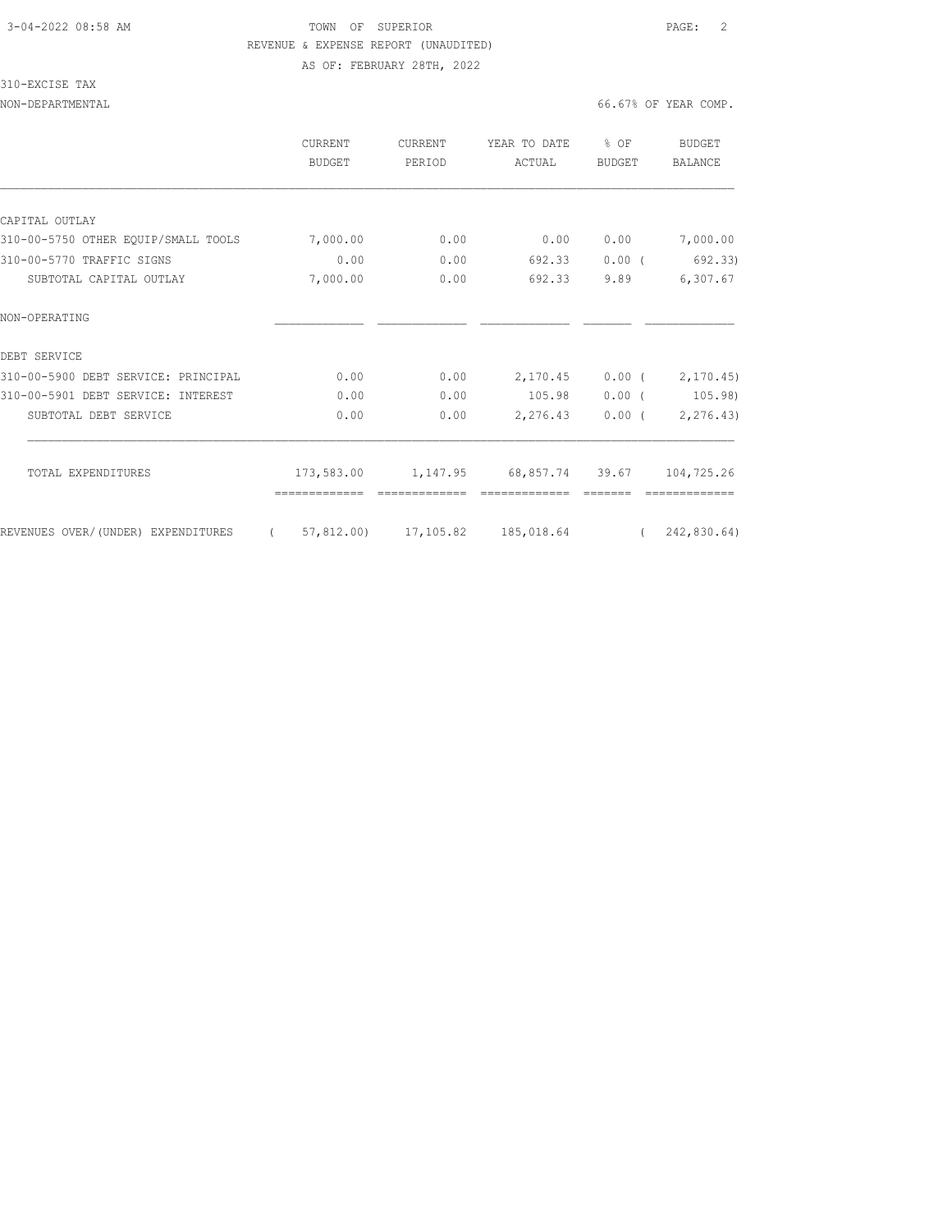### 3-04-2022 08:58 AM TOWN OF SUPERIOR PAGE: 2 REVENUE & EXPENSE REPORT (UNAUDITED) AS OF: FEBRUARY 28TH, 2022

### 310-EXCISE TAX

|                                     | <b>CURRENT</b><br><b>BUDGET</b> | <b>CURRENT</b><br>PERIOD | YEAR TO DATE<br>ACTUAL | % OF<br><b>BUDGET</b> | BUDGET<br><b>BALANCE</b> |
|-------------------------------------|---------------------------------|--------------------------|------------------------|-----------------------|--------------------------|
|                                     |                                 |                          |                        |                       |                          |
| CAPITAL OUTLAY                      |                                 |                          |                        |                       |                          |
| 310-00-5750 OTHER EQUIP/SMALL TOOLS | 7,000.00                        | 0.00                     | 0.00                   | 0.00                  | 7,000.00                 |
| 310-00-5770 TRAFFIC SIGNS           | 0.00                            | 0.00                     | 692.33                 | 0.00(                 | 692.33)                  |
| SUBTOTAL CAPITAL OUTLAY             | 7,000.00                        | 0.00                     | 692.33                 | 9.89                  | 6,307.67                 |
| NON-OPERATING                       |                                 |                          |                        |                       |                          |
| DEBT SERVICE                        |                                 |                          |                        |                       |                          |
| 310-00-5900 DEBT SERVICE: PRINCIPAL | 0.00                            | 0.00                     | 2,170.45               |                       | $0.00$ ( $2,170.45$ )    |
| 310-00-5901 DEBT SERVICE: INTEREST  | 0.00                            | 0.00                     | 105.98                 | $0.00$ (              | 105.98)                  |
| SUBTOTAL DEBT SERVICE               | 0.00                            | 0.00                     | 2,276.43               | $0.00$ (              | 2,276.43)                |
| TOTAL EXPENDITURES                  | 173,583.00                      | 1,147.95                 | 68,857.74 39.67        |                       | 104,725.26               |
| REVENUES OVER/(UNDER) EXPENDITURES  | 57,812,00)                      | 17,105.82                | 185,018.64             | $\sqrt{2}$            | 242,830.64)              |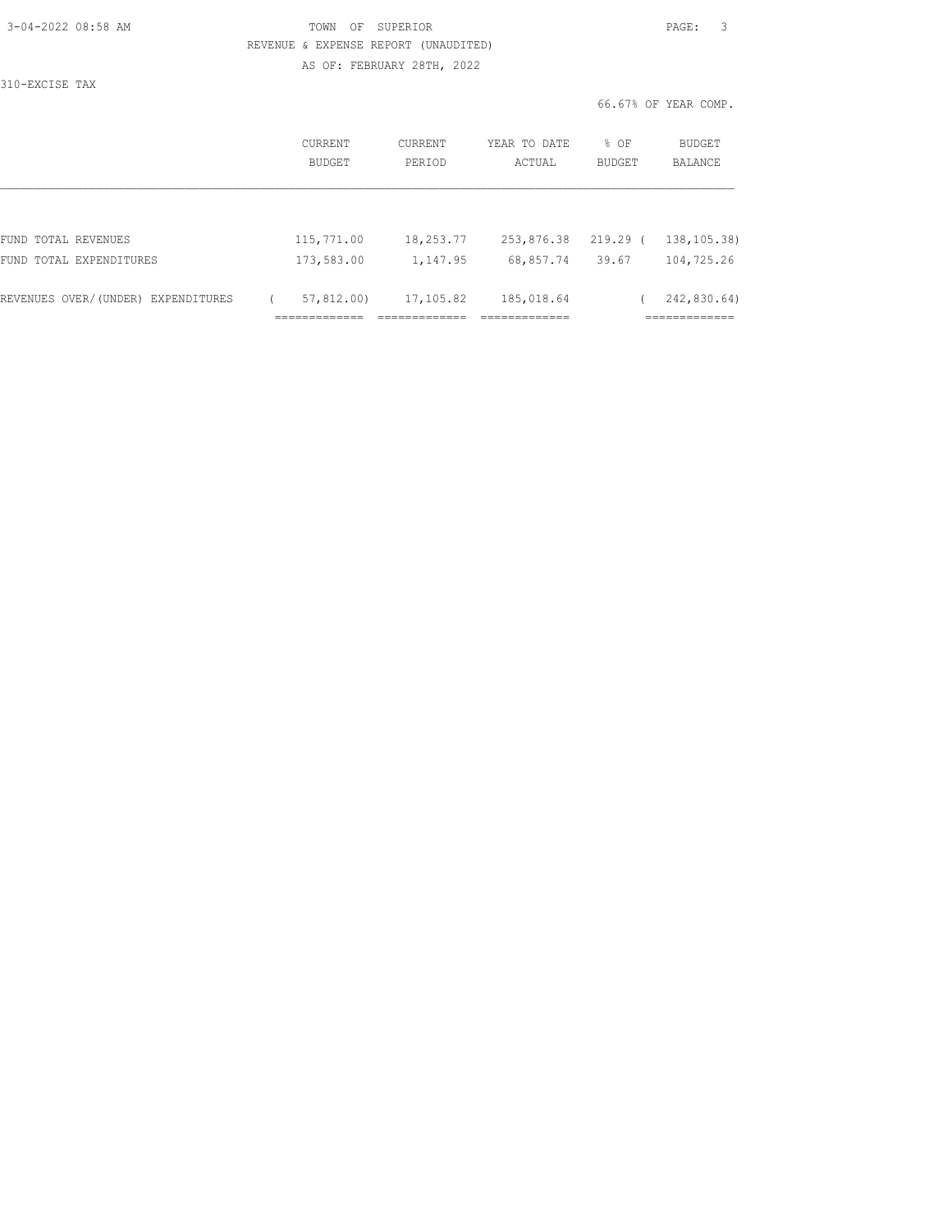| 3-04-2022 08:58 AM |  |
|--------------------|--|
|                    |  |

## TOWN OF SUPERIOR **Example 2018** PAGE: 3 REVENUE & EXPENSE REPORT (UNAUDITED) AS OF: FEBRUARY 28TH, 2022

310-EXCISE TAX

|                                    | CURRENT<br>BUDGET | CURRENT<br>PERIOD | YEAR TO DATE<br>ACTUAL | % OF<br>BUDGET | BUDGET<br><b>BALANCE</b> |
|------------------------------------|-------------------|-------------------|------------------------|----------------|--------------------------|
|                                    |                   |                   |                        |                |                          |
| FUND TOTAL REVENUES                | 115,771.00        | 18,253.77         | 253,876.38             | $219.29$ (     | 138, 105.38              |
| FUND TOTAL EXPENDITURES            | 173,583.00        | 1,147.95          | 68,857.74              | 39.67          | 104,725.26               |
| REVENUES OVER/(UNDER) EXPENDITURES | 57,812,00)        | 17,105.82         | 185,018.64             |                | 242,830.64)              |
|                                    |                   |                   |                        |                |                          |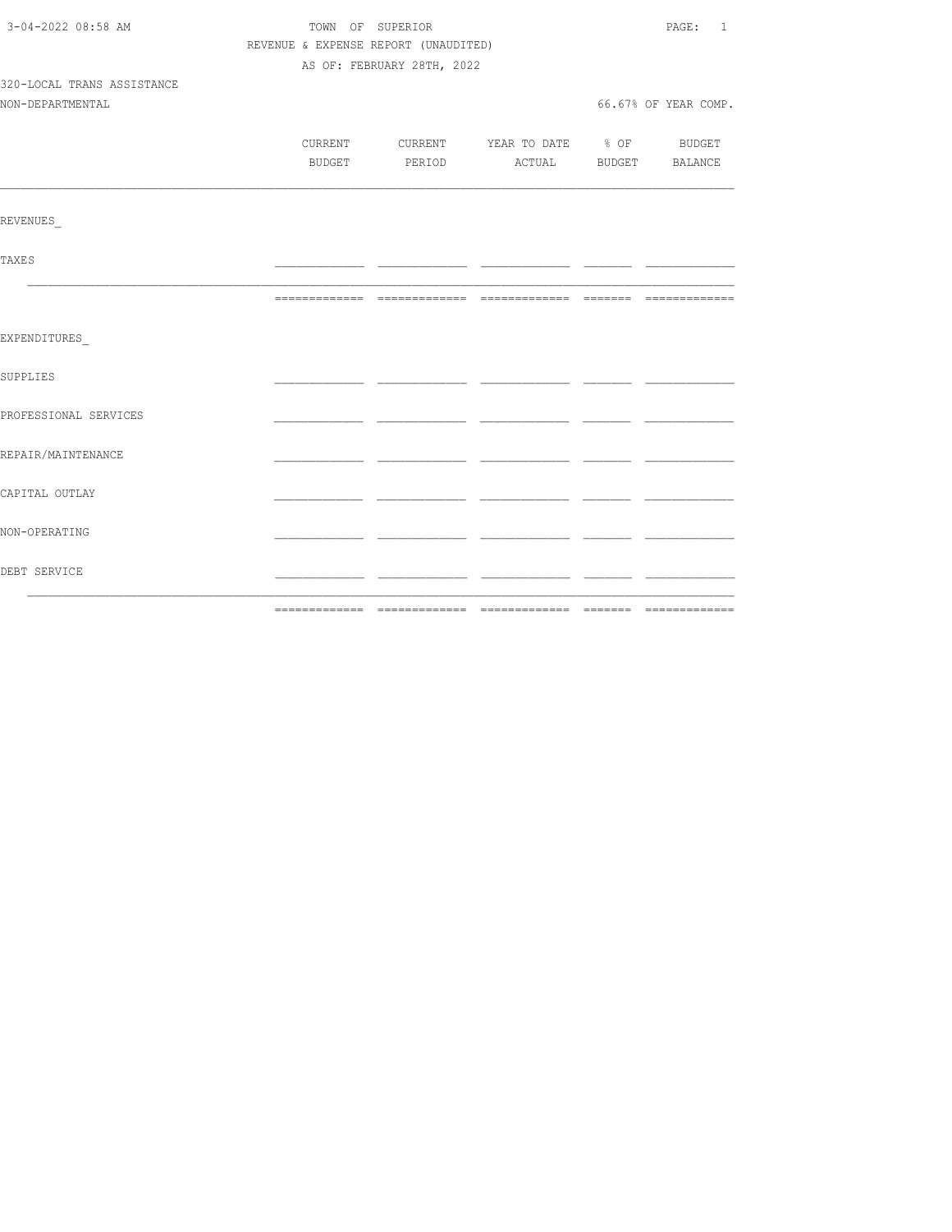| 3-04-2022 08:58 AM         |                                      | TOWN OF SUPERIOR           |                                          | PAGE: 1              |
|----------------------------|--------------------------------------|----------------------------|------------------------------------------|----------------------|
|                            | REVENUE & EXPENSE REPORT (UNAUDITED) |                            |                                          |                      |
|                            |                                      | AS OF: FEBRUARY 28TH, 2022 |                                          |                      |
| 320-LOCAL TRANS ASSISTANCE |                                      |                            |                                          |                      |
| NON-DEPARTMENTAL           |                                      |                            |                                          | 66.67% OF YEAR COMP. |
|                            |                                      |                            |                                          |                      |
|                            |                                      |                            | CURRENT CURRENT YEAR TO DATE % OF BUDGET |                      |
|                            |                                      |                            | BUDGET PERIOD ACTUAL BUDGET BALANCE      |                      |
|                            |                                      |                            |                                          |                      |
|                            |                                      |                            |                                          |                      |
| REVENUES                   |                                      |                            |                                          |                      |
|                            |                                      |                            |                                          |                      |
| TAXE S                     |                                      |                            |                                          |                      |
|                            |                                      |                            |                                          |                      |
|                            |                                      |                            |                                          |                      |
|                            |                                      |                            |                                          |                      |
| EXPENDITURES               |                                      |                            |                                          |                      |
|                            |                                      |                            |                                          |                      |
| SUPPLIES                   |                                      |                            |                                          |                      |
|                            |                                      |                            |                                          |                      |
| PROFESSIONAL SERVICES      |                                      |                            |                                          |                      |
|                            |                                      |                            |                                          |                      |
| REPAIR/MAINTENANCE         |                                      |                            |                                          |                      |
|                            |                                      |                            |                                          |                      |
| CAPITAL OUTLAY             |                                      |                            |                                          |                      |
|                            |                                      |                            |                                          |                      |
| NON-OPERATING              |                                      |                            |                                          |                      |
|                            |                                      |                            |                                          |                      |
| DEBT SERVICE               |                                      |                            |                                          |                      |
|                            |                                      |                            |                                          |                      |
|                            |                                      |                            |                                          |                      |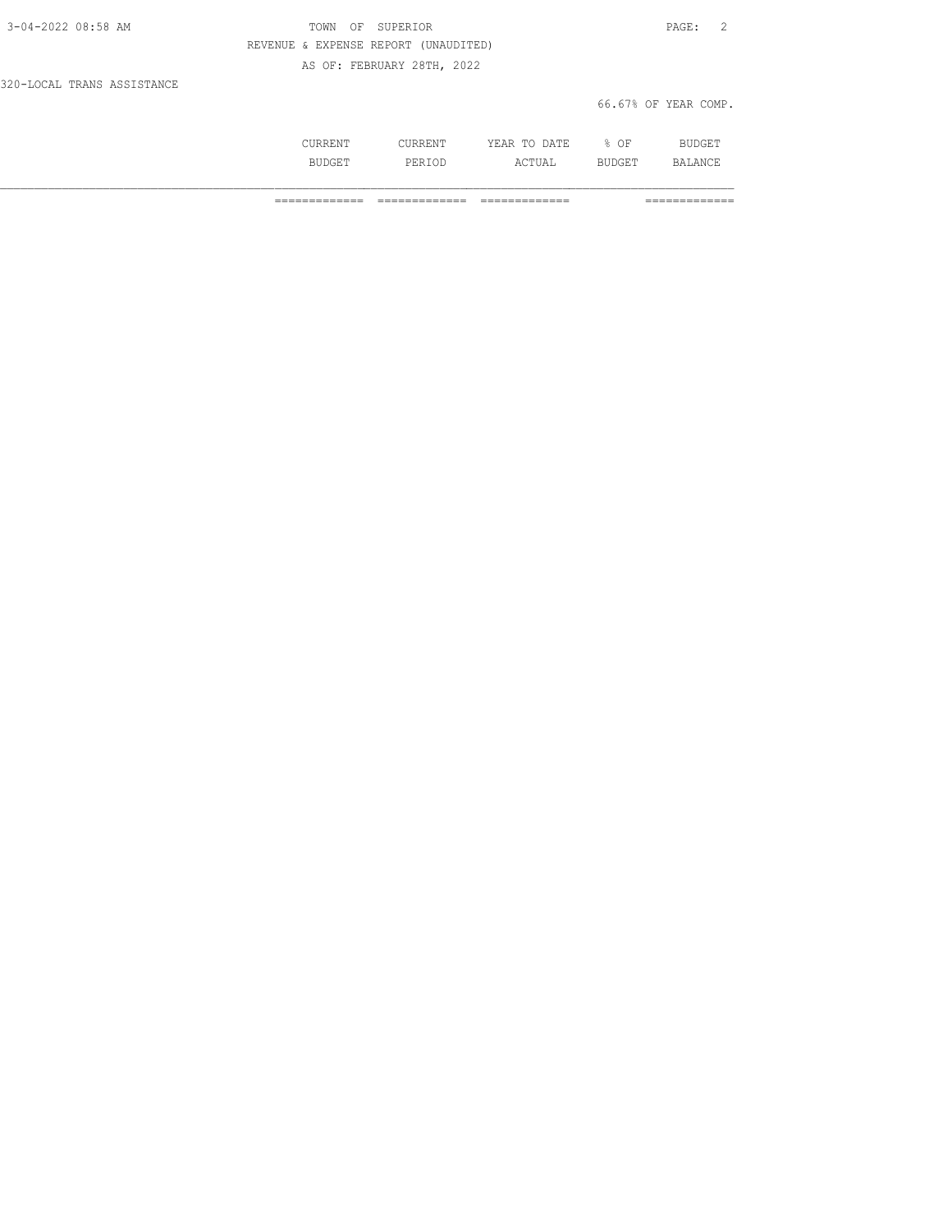| 3-04-2022 08:58 AM         | OF SUPERIOR<br>TOWN                  | PAGE: 2              |
|----------------------------|--------------------------------------|----------------------|
|                            | REVENUE & EXPENSE REPORT (UNAUDITED) |                      |
|                            | AS OF: FEBRUARY 28TH, 2022           |                      |
| 320-LOCAL TRANS ASSISTANCE |                                      |                      |
|                            |                                      | 66.67% OF YEAR COMP. |

| --- |            | n<br>.<br>-----<br>-----<br>__ | ΟF |  |
|-----|------------|--------------------------------|----|--|
|     | -21-5<br>. | .                              |    |  |

============= ============= ============= =============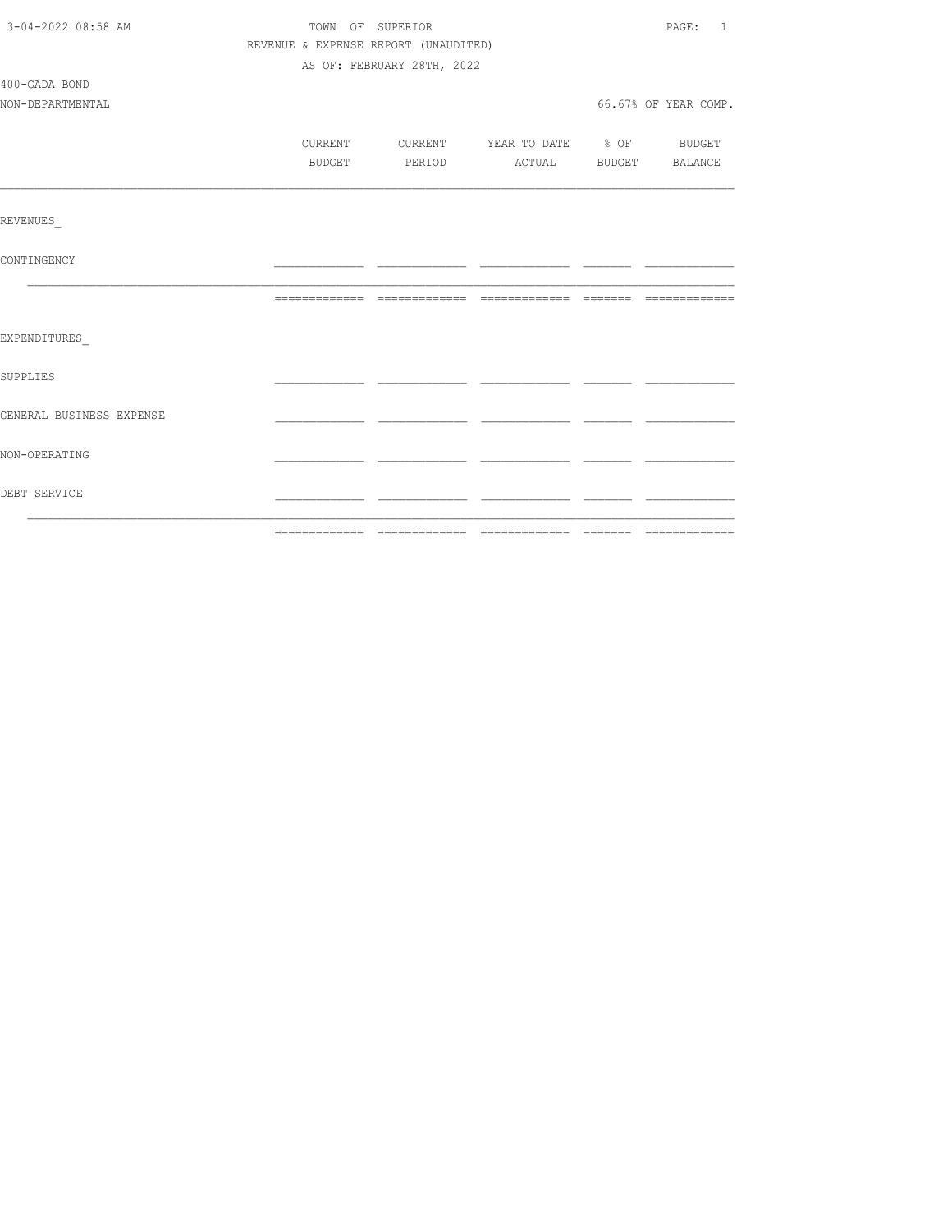| 3-04-2022 08:58 AM       | TOWN OF SUPERIOR                     |                            |                                          |  | PAGE: 1              |
|--------------------------|--------------------------------------|----------------------------|------------------------------------------|--|----------------------|
|                          | REVENUE & EXPENSE REPORT (UNAUDITED) |                            |                                          |  |                      |
|                          |                                      | AS OF: FEBRUARY 28TH, 2022 |                                          |  |                      |
| 400-GADA BOND            |                                      |                            |                                          |  |                      |
| NON-DEPARTMENTAL         |                                      |                            |                                          |  | 66.67% OF YEAR COMP. |
|                          |                                      |                            |                                          |  |                      |
|                          |                                      |                            | CURRENT CURRENT YEAR TO DATE % OF BUDGET |  |                      |
|                          |                                      |                            | BUDGET PERIOD ACTUAL BUDGET BALANCE      |  |                      |
|                          |                                      |                            |                                          |  |                      |
|                          |                                      |                            |                                          |  |                      |
| REVENUES                 |                                      |                            |                                          |  |                      |
|                          |                                      |                            |                                          |  |                      |
| CONTINGENCY              |                                      |                            |                                          |  |                      |
|                          |                                      |                            |                                          |  |                      |
|                          |                                      |                            |                                          |  |                      |
| EXPENDITURES             |                                      |                            |                                          |  |                      |
|                          |                                      |                            |                                          |  |                      |
| SUPPLIES                 |                                      |                            |                                          |  |                      |
|                          |                                      |                            |                                          |  |                      |
| GENERAL BUSINESS EXPENSE |                                      |                            |                                          |  |                      |
|                          |                                      |                            |                                          |  |                      |
| NON-OPERATING            |                                      |                            |                                          |  |                      |
|                          |                                      |                            |                                          |  |                      |
| DEBT SERVICE             |                                      |                            |                                          |  |                      |
|                          |                                      |                            |                                          |  |                      |
|                          |                                      |                            |                                          |  |                      |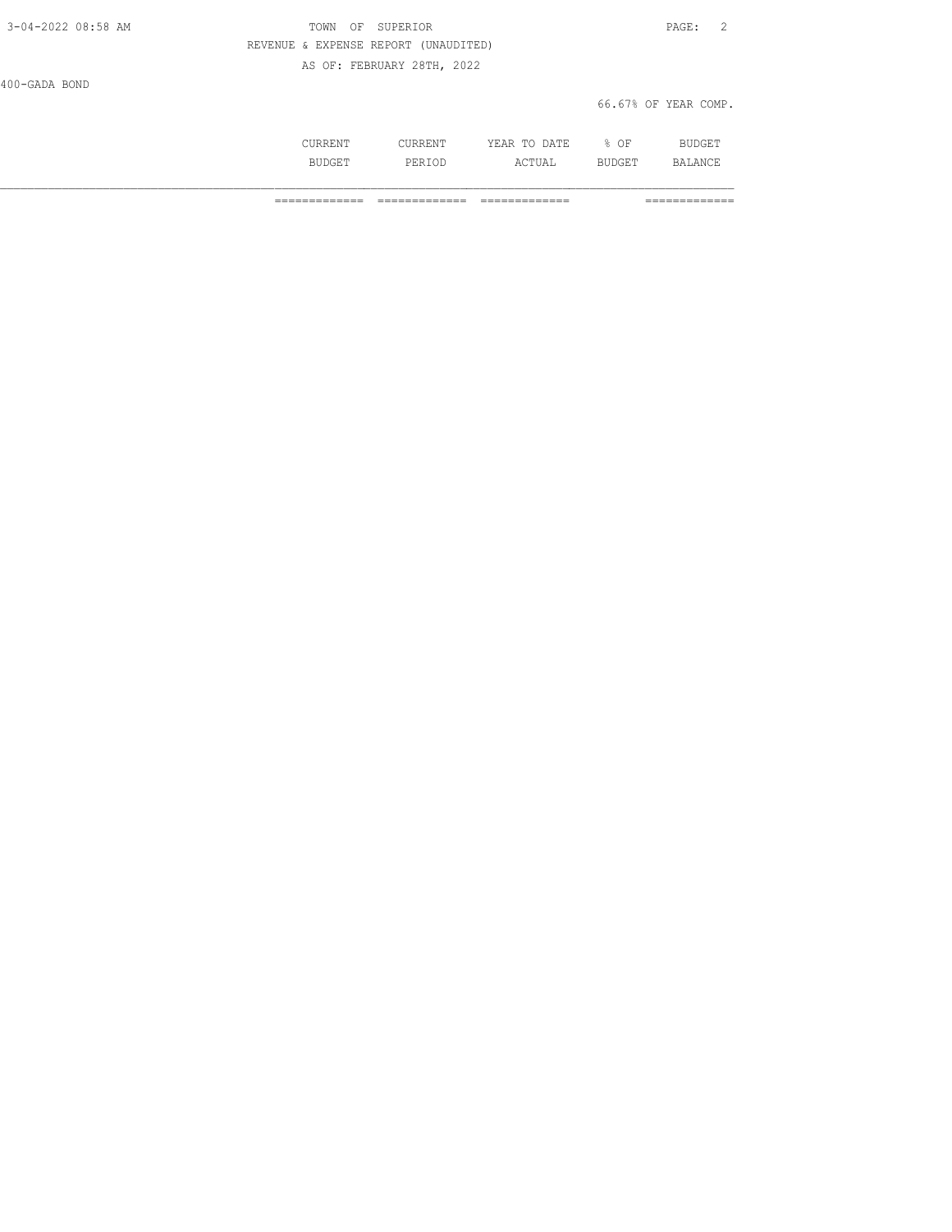| 3-04-2022 08:58 AM | OF SUPERIOR<br>TOWN                  | PAGE: 2              |
|--------------------|--------------------------------------|----------------------|
|                    | REVENUE & EXPENSE REPORT (UNAUDITED) |                      |
|                    | AS OF: FEBRUARY 28TH, 2022           |                      |
| 400-GADA BOND      |                                      |                      |
|                    |                                      | 66.67% OF YEAR COMP. |
|                    |                                      |                      |

 CURRENT CURRENT YEAR TO DATE % OF BUDGET BUDGET PERIOD ACTUAL BUDGET BALANCE

============= ============= ============= =============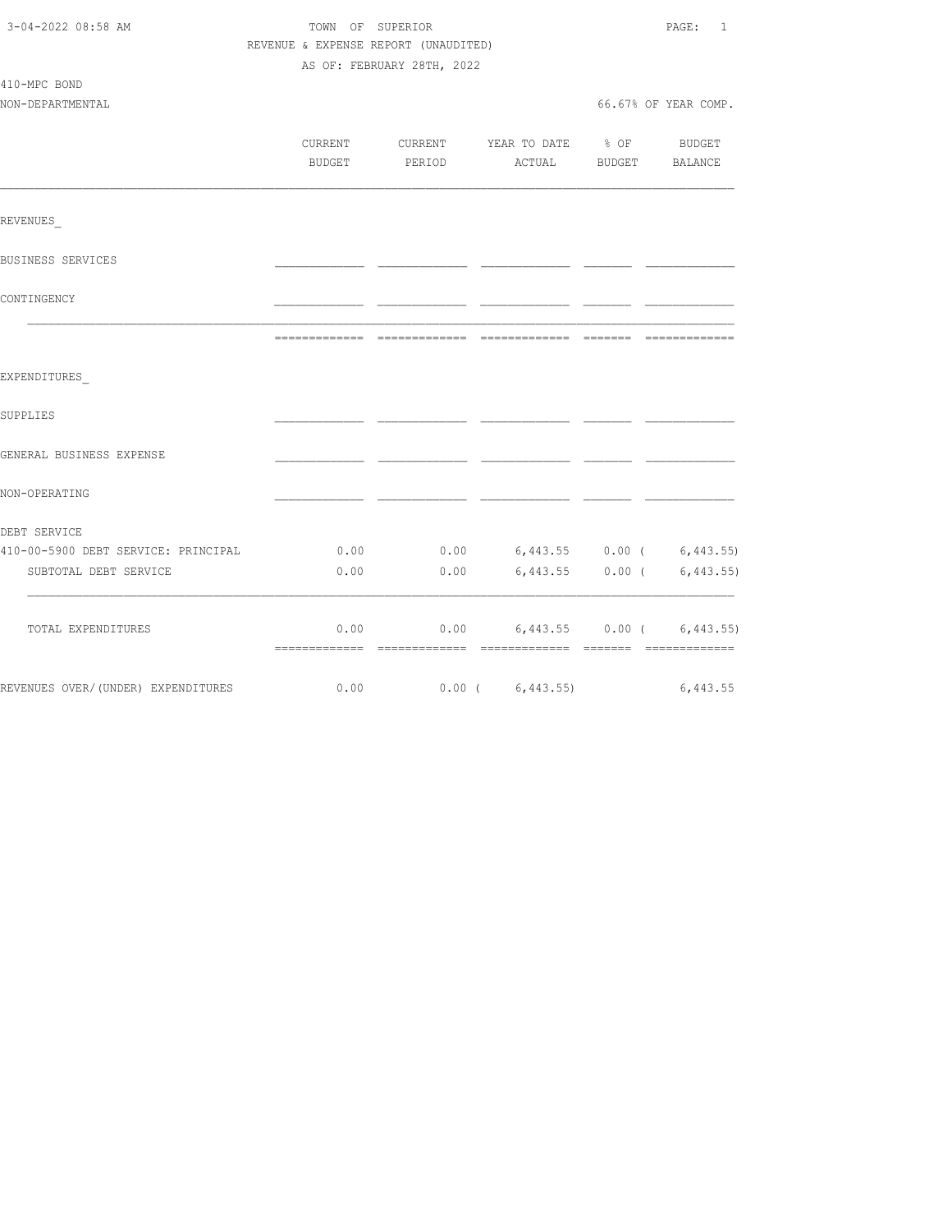| 3-04-2022 08:58 AM                  | TOWN OF SUPERIOR                     |                            |                                  |        | PAGE:<br>1                |  |
|-------------------------------------|--------------------------------------|----------------------------|----------------------------------|--------|---------------------------|--|
|                                     | REVENUE & EXPENSE REPORT (UNAUDITED) |                            |                                  |        |                           |  |
|                                     |                                      | AS OF: FEBRUARY 28TH, 2022 |                                  |        |                           |  |
| 410-MPC BOND                        |                                      |                            |                                  |        |                           |  |
| NON-DEPARTMENTAL                    |                                      |                            |                                  |        | 66.67% OF YEAR COMP.      |  |
|                                     |                                      |                            |                                  |        |                           |  |
|                                     | CURRENT                              |                            | CURRENT YEAR TO DATE % OF        |        | BUDGET                    |  |
|                                     | <b>BUDGET</b>                        | PERIOD                     | ACTUAL                           | BUDGET | BALANCE                   |  |
| REVENUES                            |                                      |                            |                                  |        |                           |  |
|                                     |                                      |                            |                                  |        |                           |  |
| BUSINESS SERVICES                   |                                      |                            |                                  |        |                           |  |
| CONTINGENCY                         |                                      |                            |                                  |        |                           |  |
|                                     |                                      |                            |                                  |        |                           |  |
| EXPENDITURES                        |                                      |                            |                                  |        |                           |  |
| SUPPLIES                            |                                      |                            |                                  |        |                           |  |
| GENERAL BUSINESS EXPENSE            |                                      |                            |                                  |        |                           |  |
| NON-OPERATING                       |                                      |                            |                                  |        |                           |  |
| DEBT SERVICE                        |                                      |                            |                                  |        |                           |  |
| 410-00-5900 DEBT SERVICE: PRINCIPAL | 0.00                                 |                            | $0.00$ 6,443.55 0.00 ( 6,443.55) |        |                           |  |
| SUBTOTAL DEBT SERVICE               | 0.00                                 |                            | $0.00$ 6,443.55 0.00 ( 6,443.55) |        |                           |  |
| TOTAL EXPENDITURES                  | 0.00                                 | 0.00                       |                                  |        | 6,443.55 0.00 ( 6,443.55) |  |
|                                     |                                      |                            |                                  |        |                           |  |
| REVENUES OVER/(UNDER) EXPENDITURES  |                                      |                            | $0.00$ $0.00$ $(6,443.55)$       |        | 6,443.55                  |  |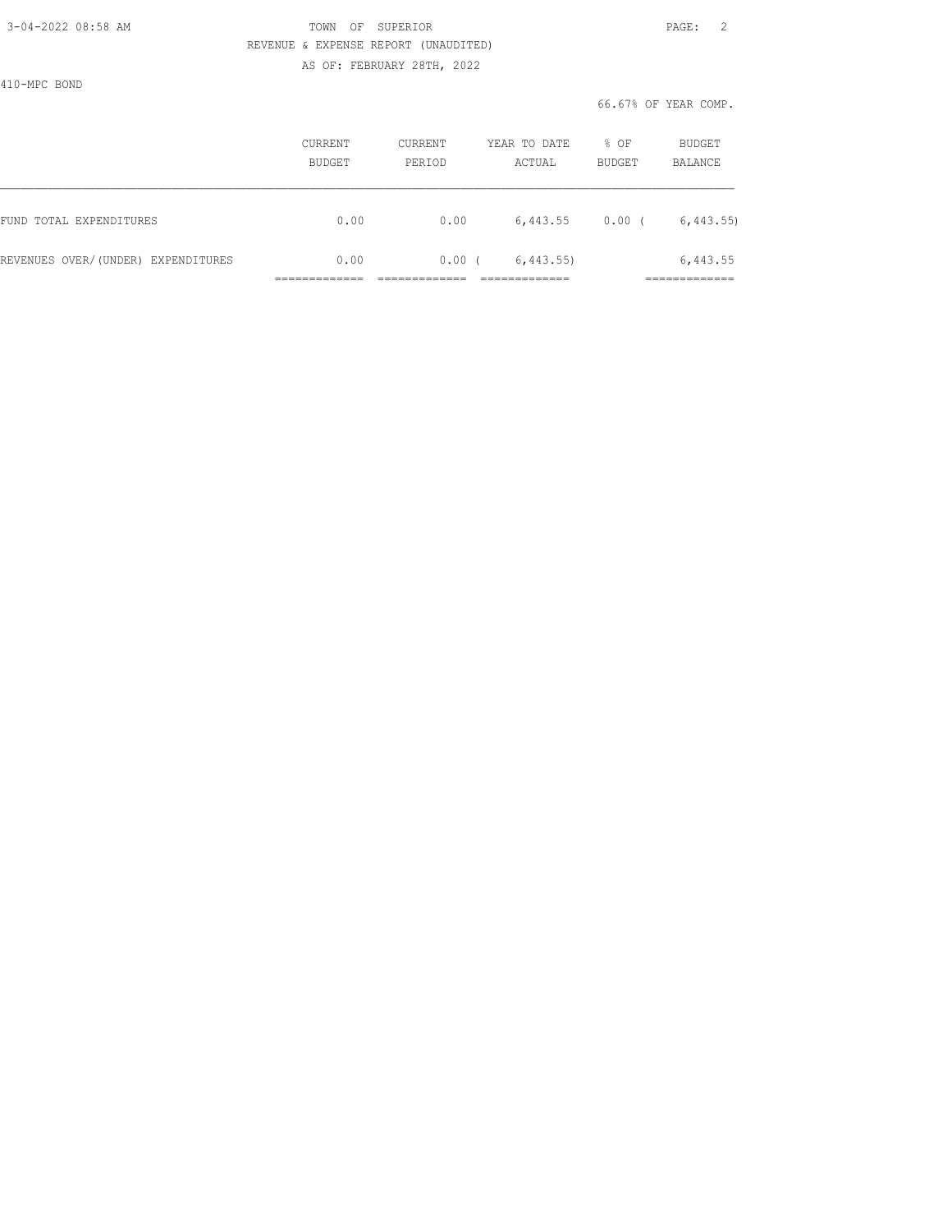### 3-04-2022 08:58 AM TOWN OF SUPERIOR PAGE: 2 REVENUE & EXPENSE REPORT (UNAUDITED) AS OF: FEBRUARY 28TH, 2022

410-MPC BOND

|                                    | CURRENT<br><b>BUDGET</b> | CURRENT<br>PERIOD | YEAR TO DATE<br>ACTUAL | % OF<br><b>BUDGET</b> | BUDGET<br>BALANCE        |
|------------------------------------|--------------------------|-------------------|------------------------|-----------------------|--------------------------|
| FUND TOTAL EXPENDITURES            | 0.00                     | 0.00              | 6,443.55               | 0.00(                 | 6, 443.55                |
| REVENUES OVER/(UNDER) EXPENDITURES | 0.00                     | 0.00(             | 6,443.55               |                       | 6,443.55<br>____________ |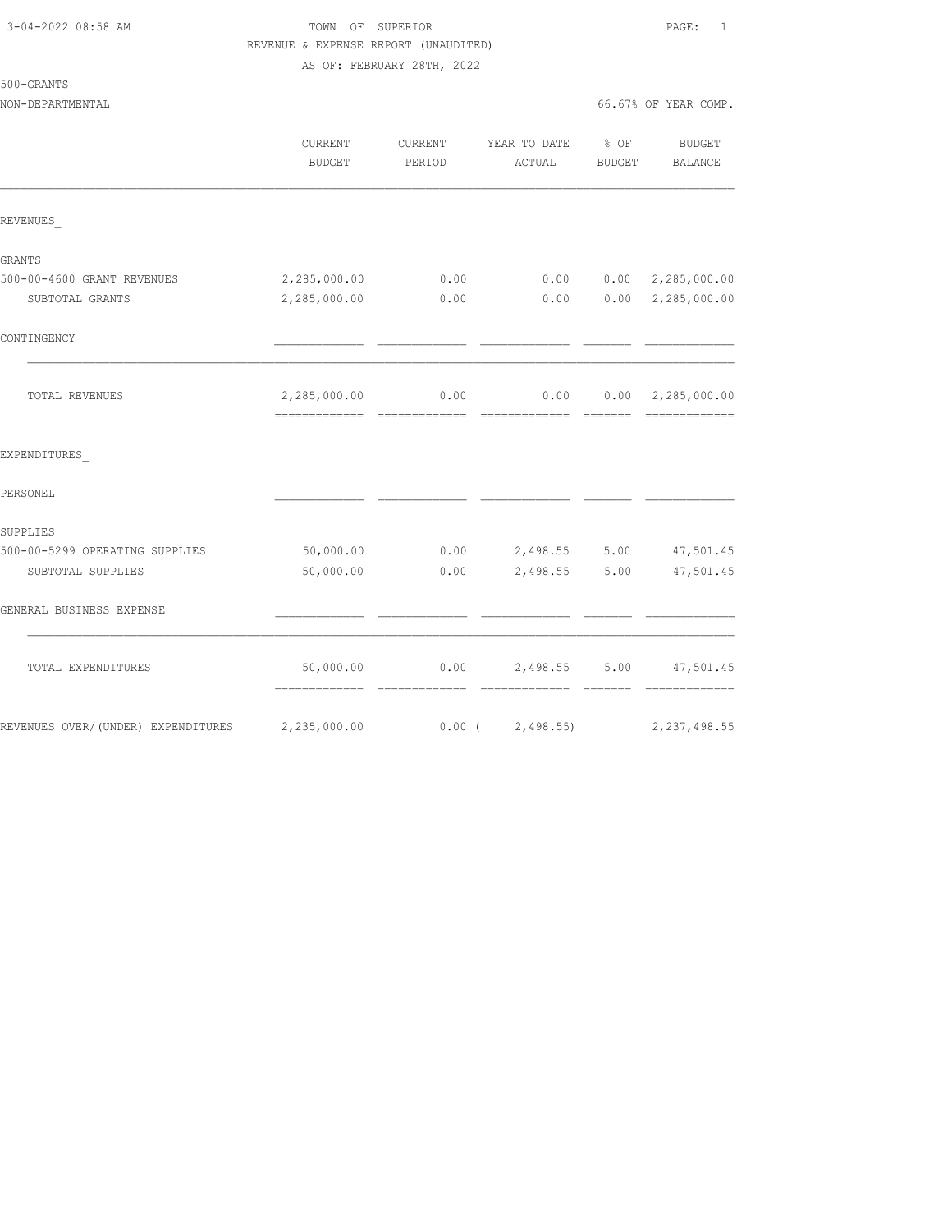| 3-04-2022 08:58 AM |  |
|--------------------|--|
|                    |  |

## TOWN OF SUPERIOR **Example 2010** PAGE: 1 REVENUE & EXPENSE REPORT (UNAUDITED) AS OF: FEBRUARY 28TH, 2022

# 500-GRANTS

NON-DEPARTMENTAL

|  |  | 66.67% OF YEAR COMP. |
|--|--|----------------------|
|  |  |                      |

|                                     | CURRENT<br>BUDGET | CURRENT<br>PERIOD | YEAR TO DATE % OF<br>ACTUAL    | BUDGET | <b>BUDGET</b><br>BALANCE  |
|-------------------------------------|-------------------|-------------------|--------------------------------|--------|---------------------------|
| REVENUES                            |                   |                   |                                |        |                           |
| GRANTS                              |                   |                   |                                |        |                           |
| 500-00-4600 GRANT REVENUES          | 2,285,000.00      | 0.00              | 0.00                           |        | $0.00 \quad 2,285,000.00$ |
| SUBTOTAL GRANTS                     | 2,285,000.00      | 0.00              | 0.00                           |        | 0.00 2, 285, 000.00       |
| CONTINGENCY                         |                   |                   |                                |        |                           |
| TOTAL REVENUES                      | 2,285,000.00      |                   | $0.00$ 0.00                    |        | $0.00 \quad 2,285,000.00$ |
| EXPENDITURES                        |                   |                   |                                |        |                           |
| PERSONEL                            |                   |                   |                                |        |                           |
| SUPPLIES                            |                   |                   |                                |        |                           |
| 500-00-5299 OPERATING SUPPLIES      | 50,000.00         |                   | $0.00$ 2,498.55 5.00           |        | 47,501.45                 |
| SUBTOTAL SUPPLIES                   | 50,000.00         | 0.00              | 2,498.55 5.00                  |        | 47,501.45                 |
| GENERAL BUSINESS EXPENSE            |                   |                   |                                |        |                           |
| TOTAL EXPENDITURES                  | 50,000.00         |                   | $0.00$ 2,498.55 5.00 47,501.45 |        |                           |
| REVENUES OVER/ (UNDER) EXPENDITURES | 2,235,000.00      | $0.00$ (          | 2,498.55                       |        | 2, 237, 498.55            |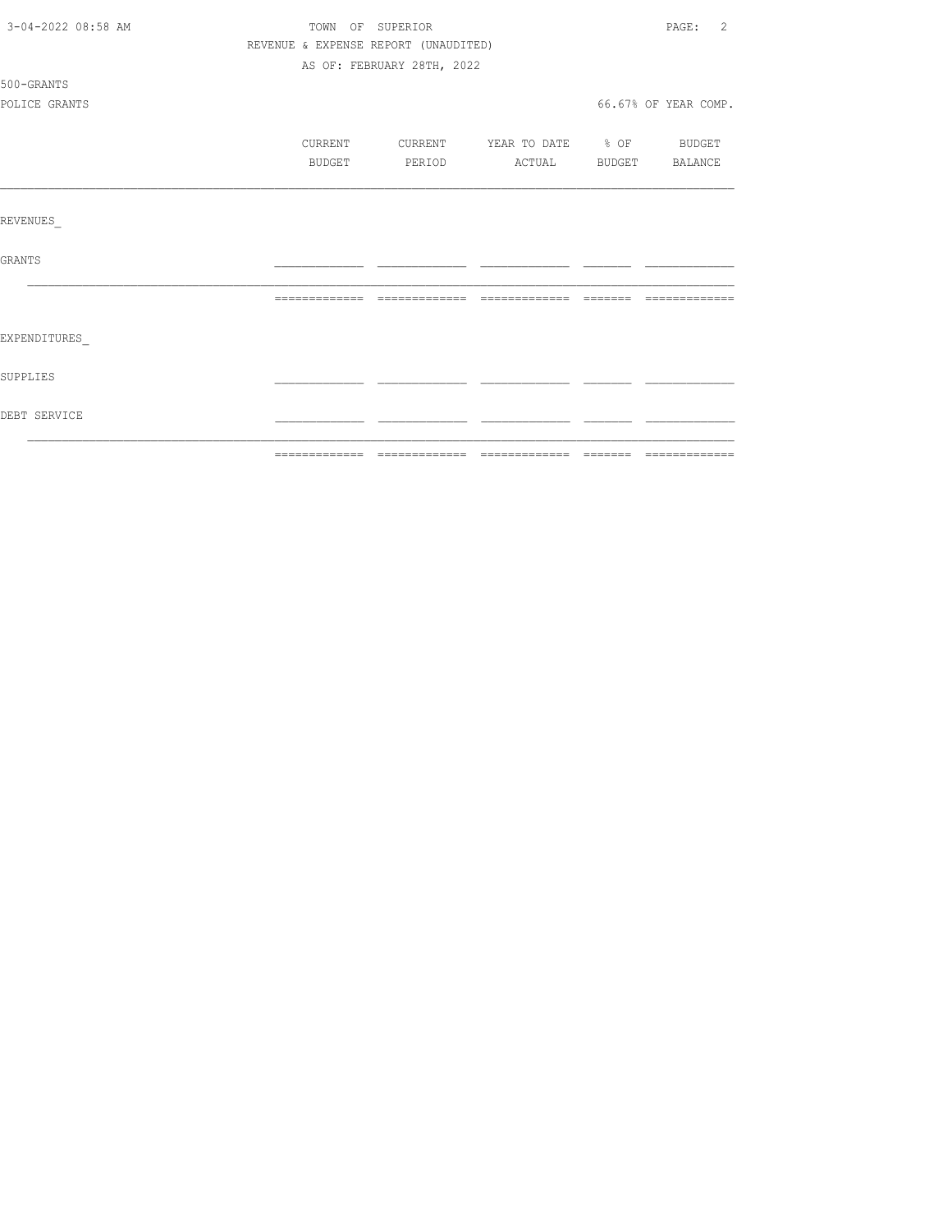| 3-04-2022 08:58 AM |         | TOWN OF SUPERIOR                     |  | PAGE: 2              |
|--------------------|---------|--------------------------------------|--|----------------------|
|                    |         | REVENUE & EXPENSE REPORT (UNAUDITED) |  |                      |
|                    |         | AS OF: FEBRUARY 28TH, 2022           |  |                      |
| 500-GRANTS         |         |                                      |  |                      |
| POLICE GRANTS      |         |                                      |  | 66.67% OF YEAR COMP. |
|                    |         |                                      |  |                      |
|                    | CURRENT | CURRENT YEAR TO DATE % OF BUDGET     |  |                      |
|                    | BUDGET  | PERIOD ACTUAL BUDGET BALANCE         |  |                      |
|                    |         |                                      |  |                      |
|                    |         |                                      |  |                      |
| REVENUES           |         |                                      |  |                      |
|                    |         |                                      |  |                      |
| GRANTS             |         |                                      |  |                      |
|                    |         |                                      |  |                      |
|                    |         |                                      |  |                      |
| EXPENDITURES       |         |                                      |  |                      |
|                    |         |                                      |  |                      |
| SUPPLIES           |         |                                      |  |                      |
|                    |         |                                      |  |                      |
| DEBT SERVICE       |         |                                      |  |                      |
|                    |         |                                      |  |                      |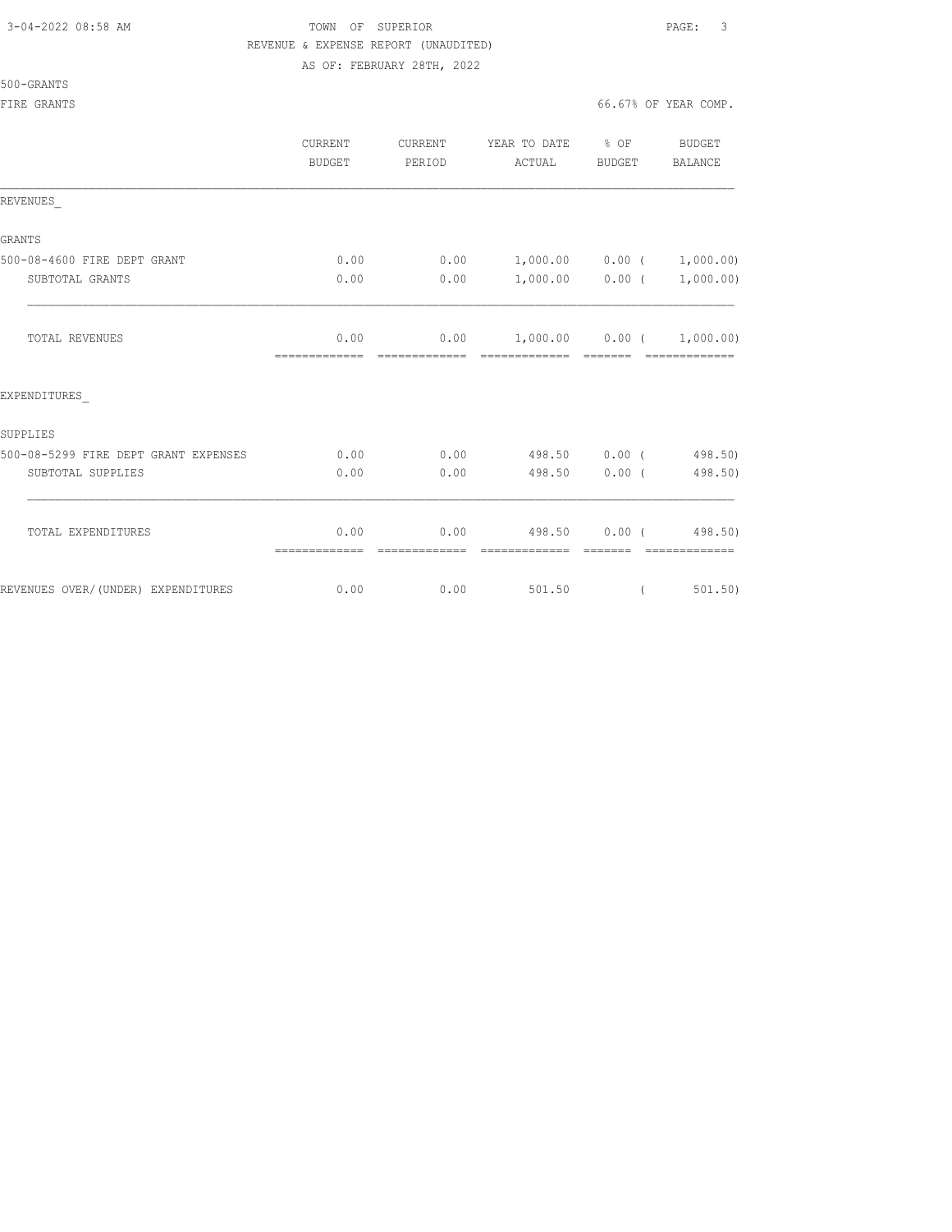# 3-04-2022 08:58 AM TOWN OF SUPERIOR PAGE: 3 REVENUE & EXPENSE REPORT (UNAUDITED)

AS OF: FEBRUARY 28TH, 2022

500-GRANTS

|                                      | CURRENT<br>BUDGET | CURRENT<br>PERIOD | YEAR TO DATE % OF BUDGET<br>ACTUAL     | BUDGET   | BALANCE         |
|--------------------------------------|-------------------|-------------------|----------------------------------------|----------|-----------------|
| REVENUES                             |                   |                   |                                        |          |                 |
| <b>GRANTS</b>                        |                   |                   |                                        |          |                 |
| 500-08-4600 FIRE DEPT GRANT          | 0.00              |                   | $0.00$ 1,000.00 0.00 ( 1,000.00)       |          |                 |
| SUBTOTAL GRANTS                      | 0.00              | 0.00              | $1,000.00$ 0.00 ( 1,000.00)            |          |                 |
| <b>TOTAL REVENUES</b>                | 0.00              |                   | $0.00$ $1,000.00$ $0.00$ $1,000.00)$   | -------- | - ============= |
| EXPENDITURES                         |                   |                   |                                        |          |                 |
| SUPPLIES                             |                   |                   |                                        |          |                 |
| 500-08-5299 FIRE DEPT GRANT EXPENSES | 0.00              |                   | $0.00$ 498.50 0.00 (498.50)            |          |                 |
| SUBTOTAL SUPPLIES                    | 0.00              | 0.00              | 498.50 0.00 (                          |          | 498.50)         |
| TOTAL EXPENDITURES                   | 0.00              |                   | $0.00$ 498.50 0.00 (498.50)            |          |                 |
|                                      | =============     | =============     | -------------- ------ ---------------- |          |                 |
| REVENUES OVER/(UNDER) EXPENDITURES   | 0.00              | 0.00              | 501.50                                 | $\left($ | 501, 50)        |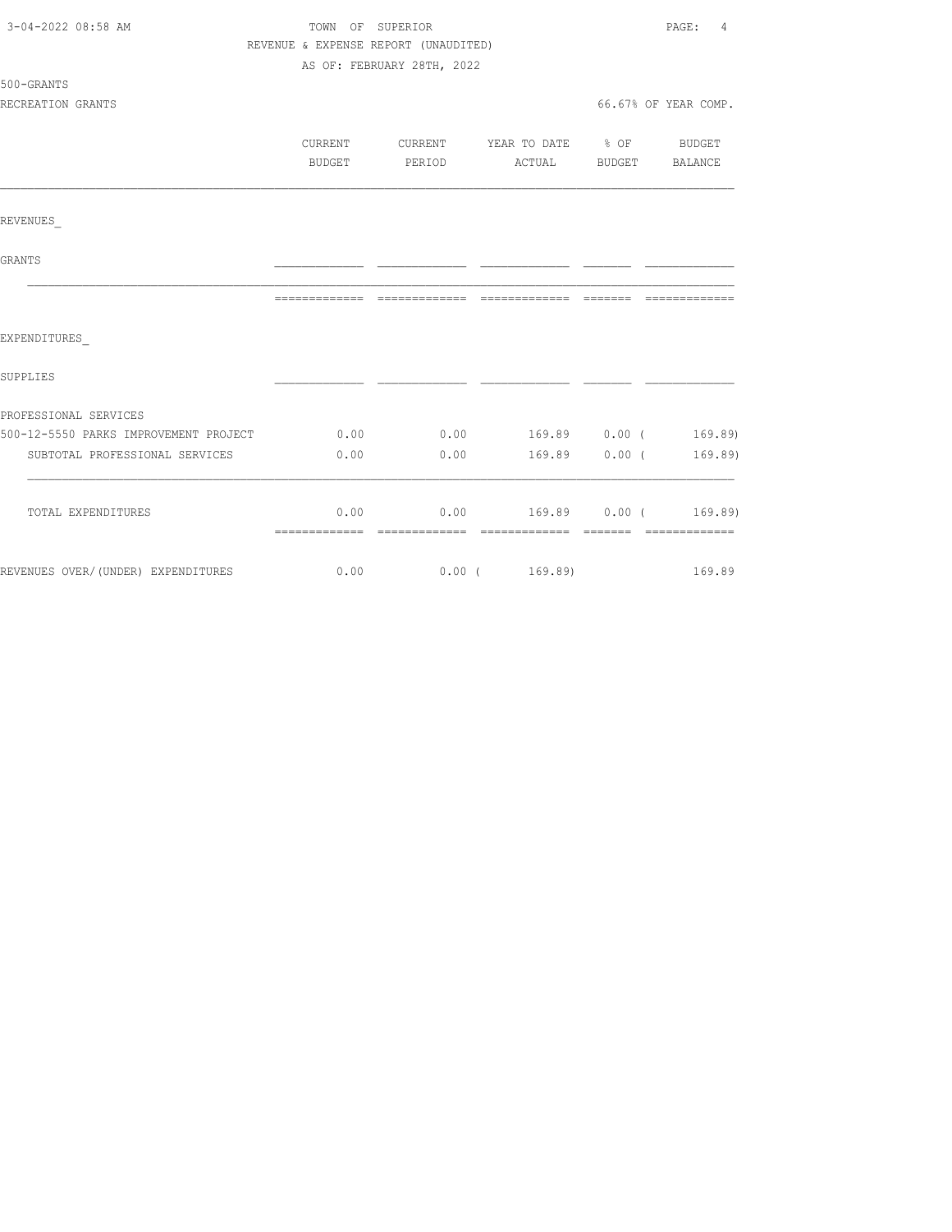| 3-04-2022 08:58 AM                    | TOWN OF SUPERIOR                     |                            |                                | PAGE:<br>4           |
|---------------------------------------|--------------------------------------|----------------------------|--------------------------------|----------------------|
|                                       | REVENUE & EXPENSE REPORT (UNAUDITED) |                            |                                |                      |
|                                       |                                      | AS OF: FEBRUARY 28TH, 2022 |                                |                      |
| 500-GRANTS                            |                                      |                            |                                |                      |
| RECREATION GRANTS                     |                                      |                            |                                | 66.67% OF YEAR COMP. |
|                                       |                                      |                            |                                |                      |
|                                       | CURRENT                              | CURRENT                    | YEAR TO DATE % OF BUDGET       |                      |
|                                       | BUDGET                               | PERIOD                     | ACTUAL BUDGET BALANCE          |                      |
|                                       |                                      |                            |                                |                      |
| REVENUES                              |                                      |                            |                                |                      |
| GRANTS                                |                                      |                            |                                |                      |
|                                       |                                      |                            |                                |                      |
|                                       |                                      |                            |                                |                      |
| EXPENDITURES                          |                                      |                            |                                |                      |
| SUPPLIES                              |                                      |                            |                                |                      |
|                                       |                                      |                            |                                |                      |
| PROFESSIONAL SERVICES                 |                                      |                            |                                |                      |
| 500-12-5550 PARKS IMPROVEMENT PROJECT | 0.00                                 |                            | $0.00$ 169.89 $0.00$ ( 169.89) |                      |
| SUBTOTAL PROFESSIONAL SERVICES        | 0.00                                 | 0.00                       | $169.89$ 0.00 (                | 169.89)              |
|                                       |                                      |                            |                                |                      |
| TOTAL EXPENDITURES                    | 0.00                                 |                            | $0.00$ 169.89 $0.00$ ( 169.89) |                      |
|                                       |                                      |                            |                                |                      |
| REVENUES OVER/(UNDER) EXPENDITURES    | 0.00                                 |                            | 0.00(169.89)                   | 169.89               |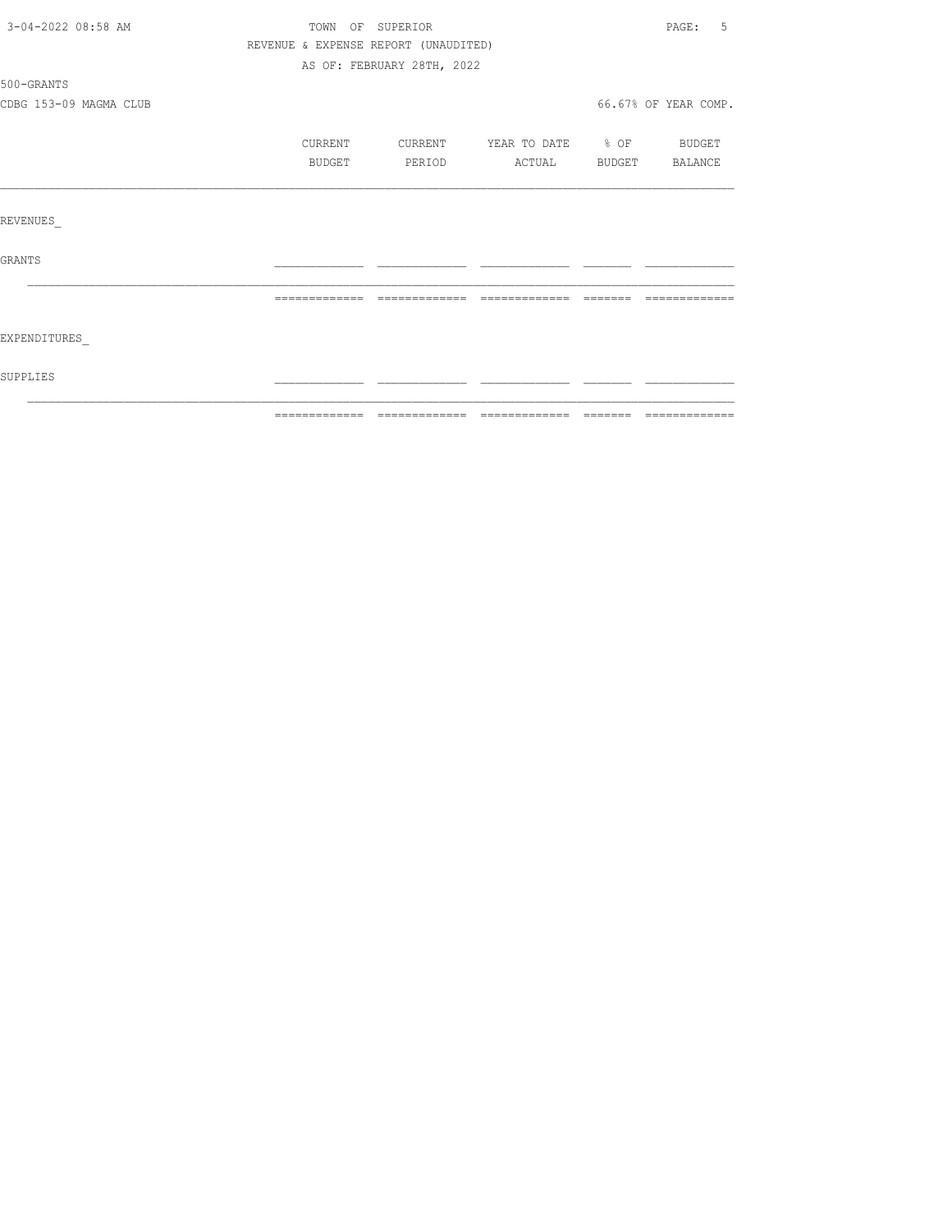| 3-04-2022 08:58 AM     | TOWN OF SUPERIOR                     |                            |                          | PAGE:<br>5           |
|------------------------|--------------------------------------|----------------------------|--------------------------|----------------------|
|                        | REVENUE & EXPENSE REPORT (UNAUDITED) |                            |                          |                      |
|                        |                                      | AS OF: FEBRUARY 28TH, 2022 |                          |                      |
| 500-GRANTS             |                                      |                            |                          |                      |
| CDBG 153-09 MAGMA CLUB |                                      |                            |                          | 66.67% OF YEAR COMP. |
|                        | CURRENT                              | CURRENT                    | YEAR TO DATE % OF BUDGET |                      |
|                        | BUDGET                               | PERIOD                     | ACTUAL BUDGET BALANCE    |                      |
|                        |                                      |                            |                          |                      |
| REVENUES               |                                      |                            |                          |                      |
| GRANTS                 |                                      |                            |                          |                      |
|                        | =============================        |                            | $22222222222222$         |                      |
|                        |                                      |                            |                          |                      |
| EXPENDITURES           |                                      |                            |                          |                      |
| SUPPLIES               |                                      |                            |                          |                      |
|                        |                                      |                            |                          |                      |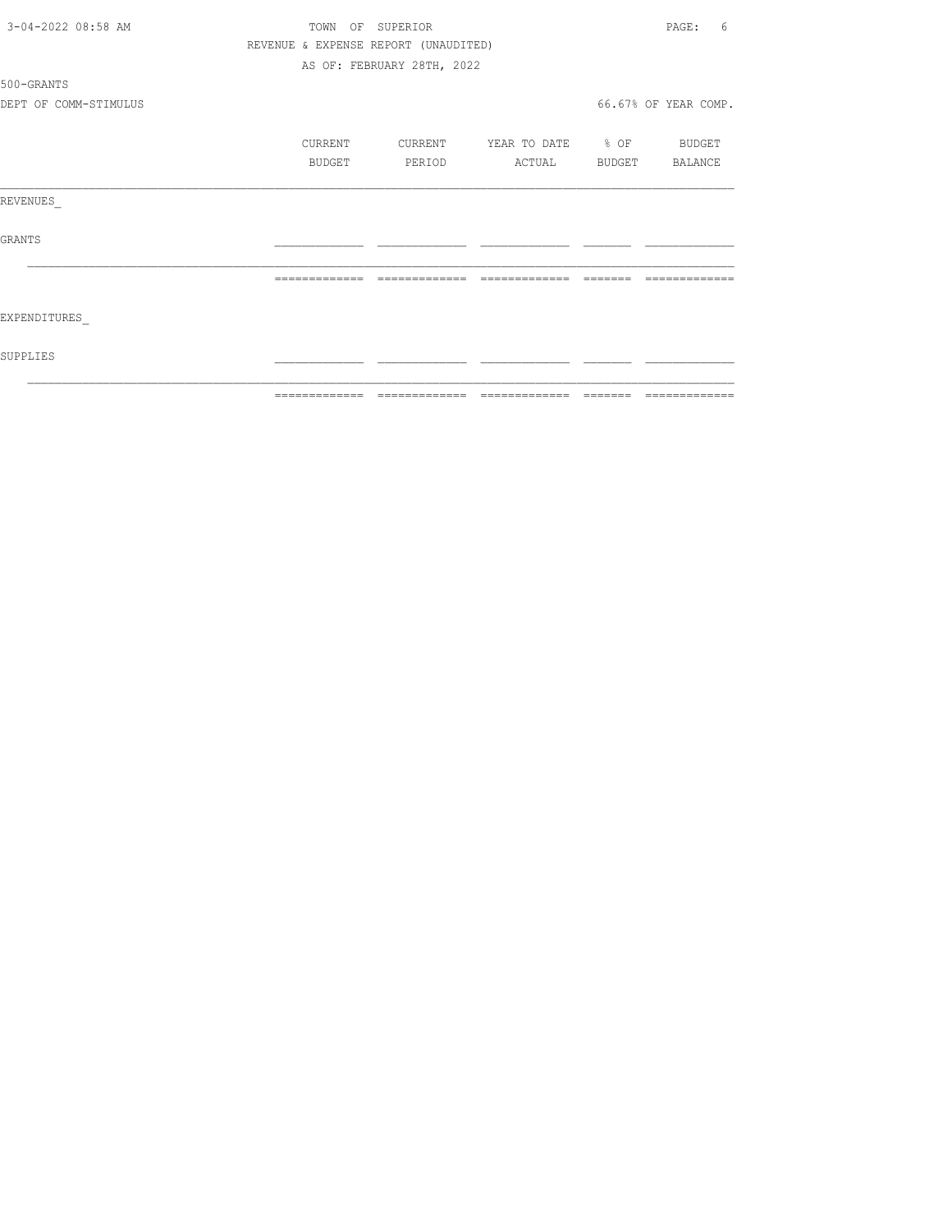| 3-04-2022 08:58 AM    | TOWN<br>OF                           | SUPERIOR                   |                   |        | PAGE:<br>6           |
|-----------------------|--------------------------------------|----------------------------|-------------------|--------|----------------------|
|                       | REVENUE & EXPENSE REPORT (UNAUDITED) |                            |                   |        |                      |
|                       |                                      | AS OF: FEBRUARY 28TH, 2022 |                   |        |                      |
| 500-GRANTS            |                                      |                            |                   |        |                      |
| DEPT OF COMM-STIMULUS |                                      |                            |                   |        | 66.67% OF YEAR COMP. |
|                       | CURRENT                              | CURRENT                    | YEAR TO DATE % OF |        | <b>BUDGET</b>        |
|                       | BUDGET                               | PERIOD                     | ACTUAL            | BUDGET | BALANCE              |
| REVENUES              |                                      |                            |                   |        |                      |
| GRANTS                |                                      |                            |                   |        |                      |
|                       | --------------                       | -------------              | -------------     |        |                      |
| EXPENDITURES          |                                      |                            |                   |        |                      |
| SUPPLIES              |                                      |                            |                   |        |                      |
|                       |                                      |                            |                   |        |                      |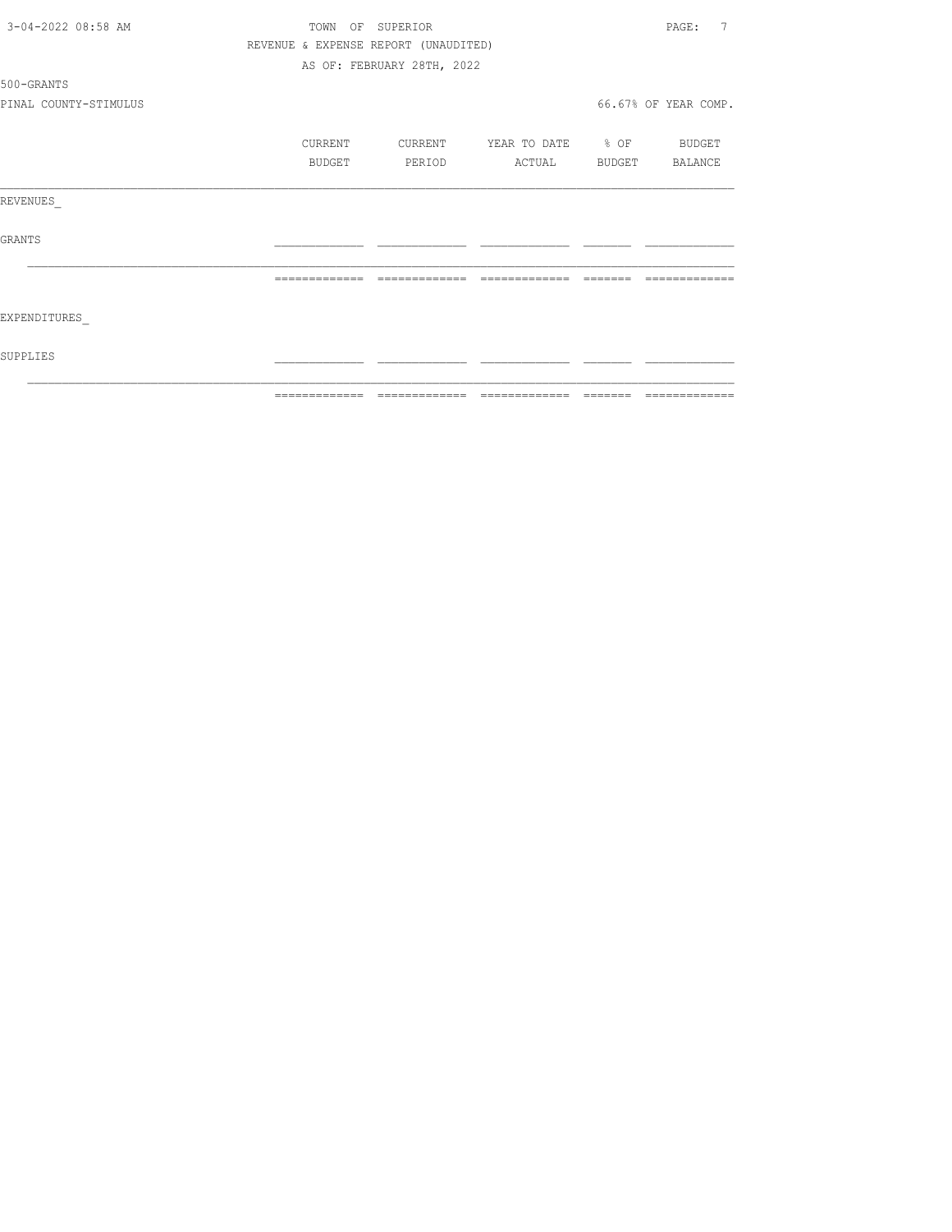| 3-04-2022 08:58 AM    | TOWN           | SUPERIOR<br>ΟF                       |                   |          | 7<br>PAGE:           |
|-----------------------|----------------|--------------------------------------|-------------------|----------|----------------------|
|                       |                | REVENUE & EXPENSE REPORT (UNAUDITED) |                   |          |                      |
|                       |                | AS OF: FEBRUARY 28TH, 2022           |                   |          |                      |
| 500-GRANTS            |                |                                      |                   |          |                      |
| PINAL COUNTY-STIMULUS |                |                                      |                   |          | 66.67% OF YEAR COMP. |
|                       | CURRENT        | CURRENT                              | YEAR TO DATE % OF |          | BUDGET               |
|                       | BUDGET         | PERIOD                               | ACTUAL            | BUDGET   | BALANCE              |
| REVENUES              |                |                                      |                   |          |                      |
| GRANTS                |                |                                      |                   |          |                      |
|                       | =============  | --------------                       | =============     |          |                      |
| EXPENDITURES          |                |                                      |                   |          |                      |
| SUPPLIES              |                |                                      |                   |          |                      |
|                       | -------------- |                                      |                   | -------- |                      |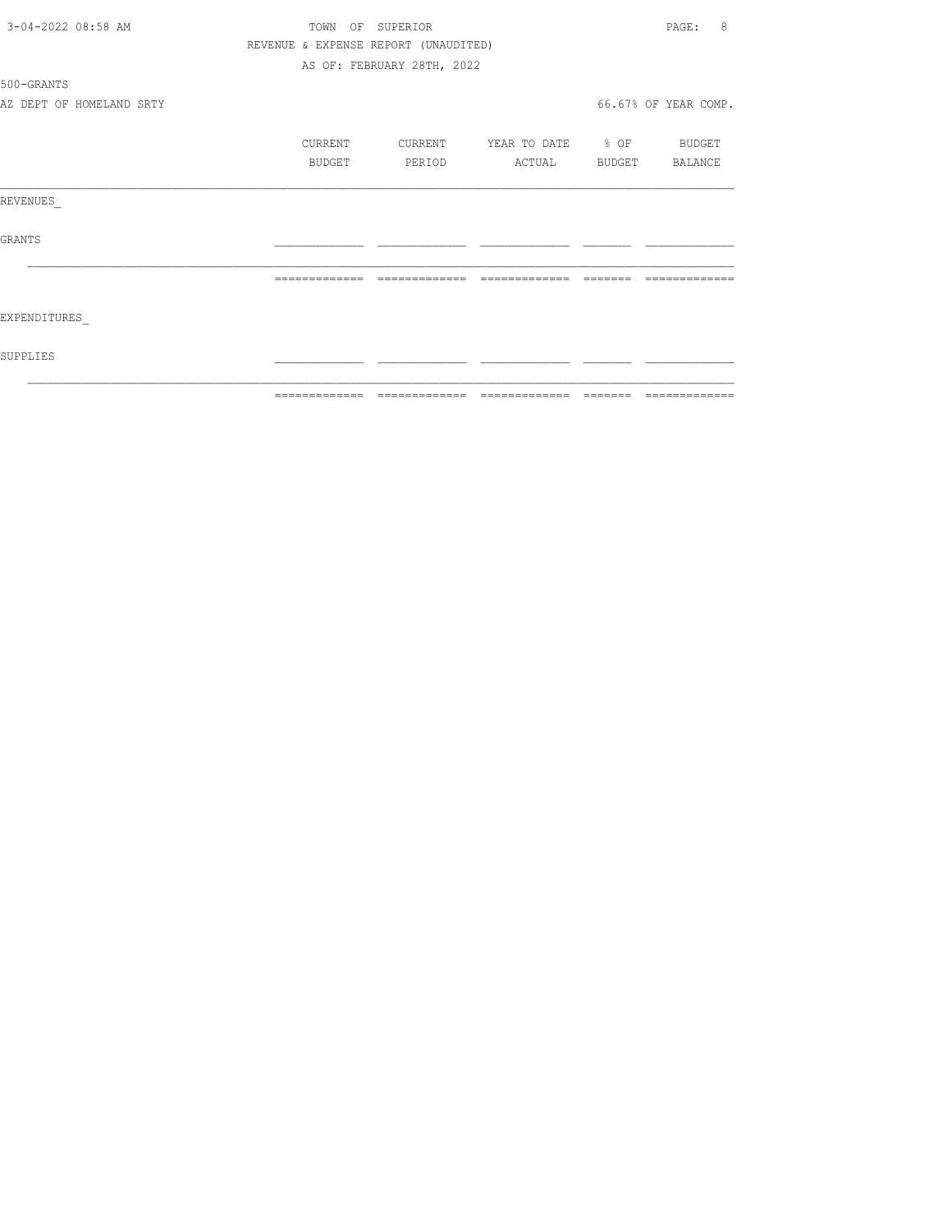| 3-04-2022 08:58 AM |                          | TOWN          | OF SUPERIOR                          |                                  |         | 8<br>PAGE:           |
|--------------------|--------------------------|---------------|--------------------------------------|----------------------------------|---------|----------------------|
|                    |                          |               | REVENUE & EXPENSE REPORT (UNAUDITED) |                                  |         |                      |
|                    |                          |               | AS OF: FEBRUARY 28TH, 2022           |                                  |         |                      |
| 500-GRANTS         |                          |               |                                      |                                  |         |                      |
|                    | AZ DEPT OF HOMELAND SRTY |               |                                      |                                  |         | 66.67% OF YEAR COMP. |
|                    |                          | CURRENT       |                                      | CURRENT YEAR TO DATE % OF BUDGET |         |                      |
|                    |                          |               |                                      |                                  |         |                      |
|                    |                          | BUDGET        | PERIOD                               | ACTUAL BUDGET BALANCE            |         |                      |
| REVENUES           |                          |               |                                      |                                  |         |                      |
| GRANTS             |                          |               |                                      |                                  |         |                      |
|                    |                          |               |                                      |                                  | _______ | --------------       |
| EXPENDITURES       |                          |               |                                      |                                  |         |                      |
| SUPPLIES           |                          |               |                                      |                                  |         |                      |
|                    |                          | ------------- |                                      |                                  |         |                      |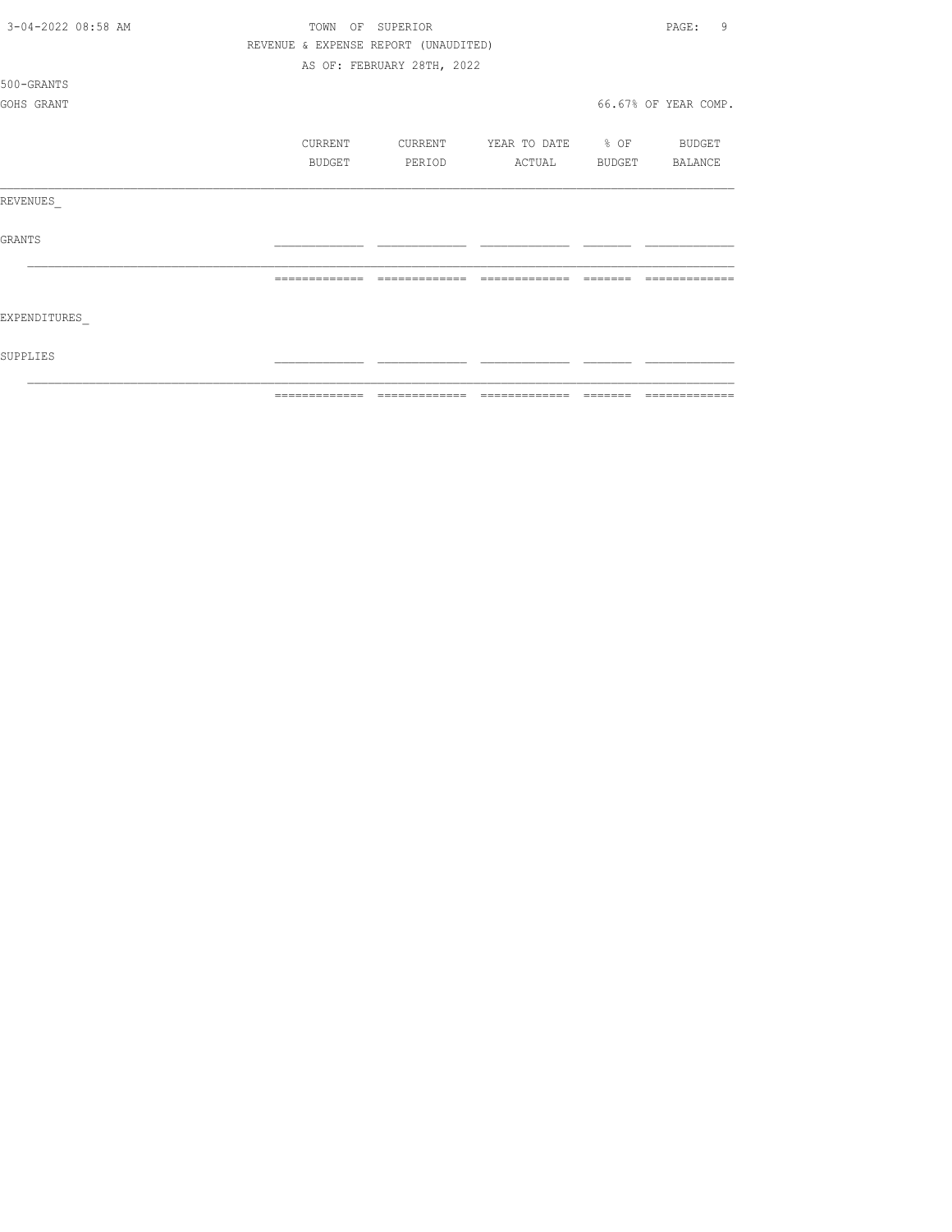| 3-04-2022 08:58 AM | TOWN          | OF            | SUPERIOR                             |                     |        | 9<br>PAGE:           |
|--------------------|---------------|---------------|--------------------------------------|---------------------|--------|----------------------|
|                    |               |               | REVENUE & EXPENSE REPORT (UNAUDITED) |                     |        |                      |
|                    |               |               | AS OF: FEBRUARY 28TH, 2022           |                     |        |                      |
| 500-GRANTS         |               |               |                                      |                     |        |                      |
| GOHS GRANT         |               |               |                                      |                     |        | 66.67% OF YEAR COMP. |
|                    |               |               |                                      |                     |        |                      |
|                    |               | CURRENT       | CURRENT                              | YEAR TO DATE % OF   |        | BUDGET               |
|                    |               | <b>BUDGET</b> | PERIOD                               | ACTUAL              | BUDGET | BALANCE              |
|                    |               |               |                                      |                     |        |                      |
| REVENUES           |               |               |                                      |                     |        |                      |
|                    |               |               |                                      |                     |        |                      |
| <b>GRANTS</b>      |               |               |                                      |                     |        |                      |
|                    |               |               |                                      |                     |        |                      |
|                    |               |               |                                      |                     |        |                      |
|                    |               |               |                                      |                     |        |                      |
| EXPENDITURES       |               |               |                                      |                     |        |                      |
|                    |               |               |                                      |                     |        |                      |
| SUPPLIES           |               |               |                                      |                     |        |                      |
|                    |               |               |                                      |                     |        |                      |
|                    | ============= |               |                                      | $=$ $=$ $=$ $=$ $=$ |        |                      |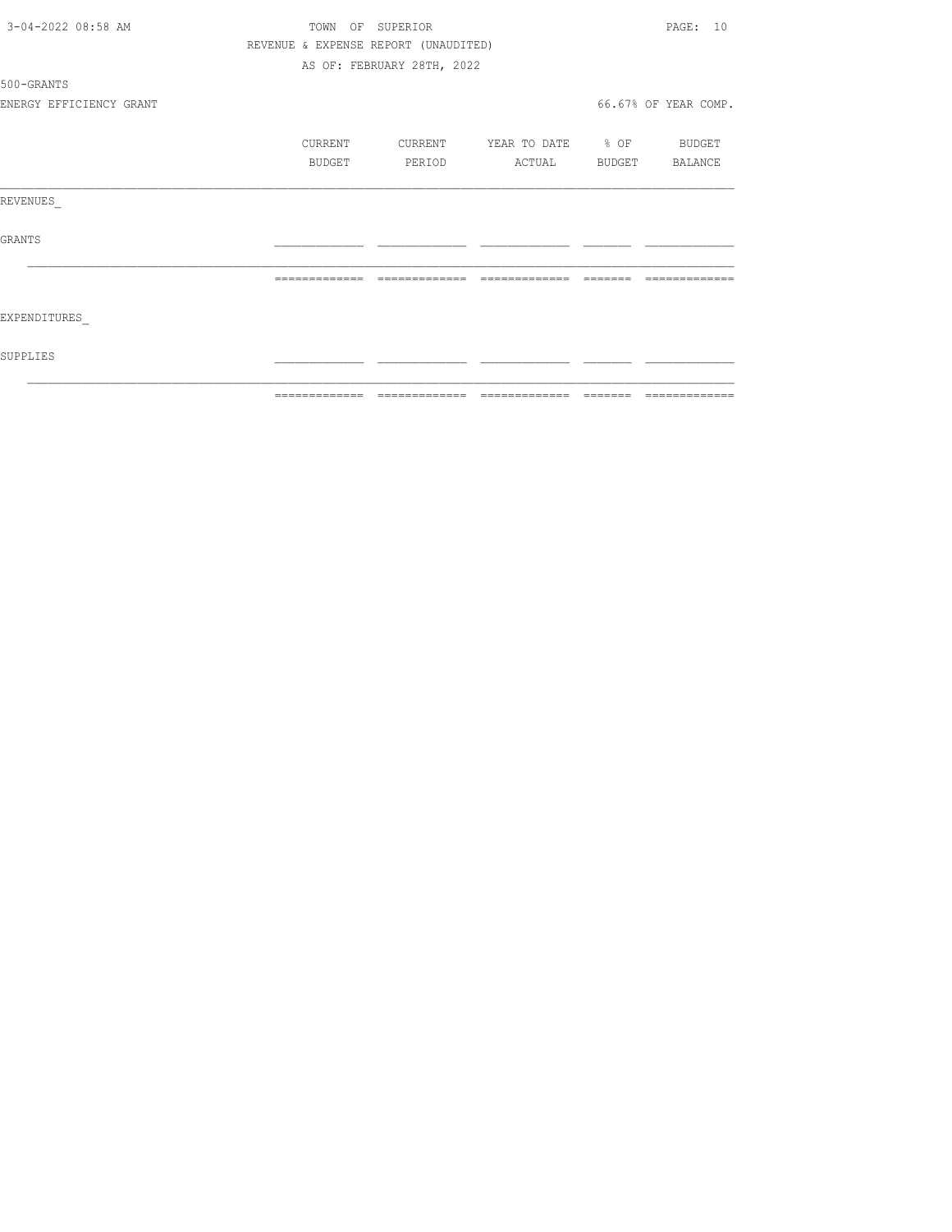| 3-04-2022 08:58 AM      |               | TOWN OF SUPERIOR                     |                          |                                                                  | PAGE: 10             |
|-------------------------|---------------|--------------------------------------|--------------------------|------------------------------------------------------------------|----------------------|
|                         |               | REVENUE & EXPENSE REPORT (UNAUDITED) |                          |                                                                  |                      |
|                         |               | AS OF: FEBRUARY 28TH, 2022           |                          |                                                                  |                      |
| 500-GRANTS              |               |                                      |                          |                                                                  |                      |
| ENERGY EFFICIENCY GRANT |               |                                      |                          |                                                                  | 66.67% OF YEAR COMP. |
|                         | CURRENT       | CURRENT                              | YEAR TO DATE % OF BUDGET |                                                                  |                      |
|                         | BUDGET        | PERIOD                               | ACTUAL BUDGET BALANCE    |                                                                  |                      |
| REVENUES                |               |                                      |                          |                                                                  |                      |
| GRANTS                  |               |                                      |                          |                                                                  |                      |
|                         | ============= | =============                        | =============            | $\qquad \qquad \equiv \equiv \equiv \equiv \equiv \equiv \equiv$ | -------------        |
| EXPENDITURES            |               |                                      |                          |                                                                  |                      |
| SUPPLIES                |               |                                      |                          |                                                                  |                      |
|                         |               |                                      |                          |                                                                  |                      |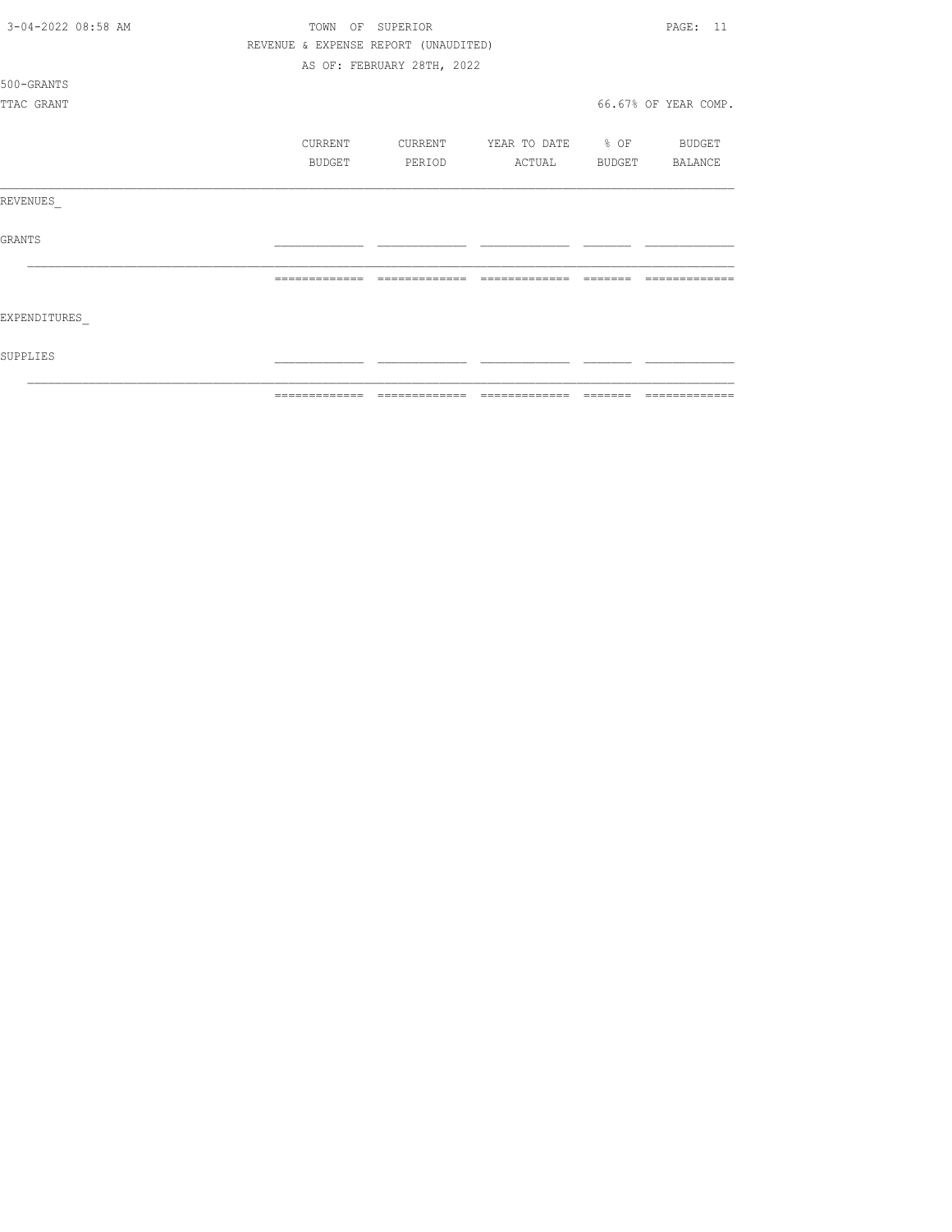|                    | ============= | ======                               | $\begin{array}{cccccccccc} \multicolumn{2}{c}{} & \multicolumn{2}{c}{} & \multicolumn{2}{c}{} & \multicolumn{2}{c}{} & \multicolumn{2}{c}{} & \multicolumn{2}{c}{} & \multicolumn{2}{c}{} & \multicolumn{2}{c}{} & \multicolumn{2}{c}{} & \multicolumn{2}{c}{} & \multicolumn{2}{c}{} & \multicolumn{2}{c}{} & \multicolumn{2}{c}{} & \multicolumn{2}{c}{} & \multicolumn{2}{c}{} & \multicolumn{2}{c}{} & \multicolumn{2}{c}{} & \multicolumn{2}{c}{} & \multicolumn{2}{c}{} & \mult$ |        |                      |
|--------------------|---------------|--------------------------------------|----------------------------------------------------------------------------------------------------------------------------------------------------------------------------------------------------------------------------------------------------------------------------------------------------------------------------------------------------------------------------------------------------------------------------------------------------------------------------------------|--------|----------------------|
| SUPPLIES           |               |                                      |                                                                                                                                                                                                                                                                                                                                                                                                                                                                                        |        |                      |
| EXPENDITURES       |               |                                      |                                                                                                                                                                                                                                                                                                                                                                                                                                                                                        |        |                      |
|                    |               |                                      |                                                                                                                                                                                                                                                                                                                                                                                                                                                                                        |        |                      |
| <b>GRANTS</b>      |               |                                      |                                                                                                                                                                                                                                                                                                                                                                                                                                                                                        |        |                      |
| REVENUES           |               |                                      |                                                                                                                                                                                                                                                                                                                                                                                                                                                                                        |        |                      |
|                    | BUDGET        | PERIOD                               | ACTUAL                                                                                                                                                                                                                                                                                                                                                                                                                                                                                 | BUDGET | BALANCE              |
|                    | CURRENT       | CURRENT                              | YEAR TO DATE % OF                                                                                                                                                                                                                                                                                                                                                                                                                                                                      |        | BUDGET               |
|                    |               |                                      |                                                                                                                                                                                                                                                                                                                                                                                                                                                                                        |        |                      |
| TTAC GRANT         |               |                                      |                                                                                                                                                                                                                                                                                                                                                                                                                                                                                        |        | 66.67% OF YEAR COMP. |
| 500-GRANTS         |               |                                      |                                                                                                                                                                                                                                                                                                                                                                                                                                                                                        |        |                      |
|                    |               | AS OF: FEBRUARY 28TH, 2022           |                                                                                                                                                                                                                                                                                                                                                                                                                                                                                        |        |                      |
|                    |               | REVENUE & EXPENSE REPORT (UNAUDITED) |                                                                                                                                                                                                                                                                                                                                                                                                                                                                                        |        |                      |
| 3-04-2022 08:58 AM | TOWN          | OF SUPERIOR                          |                                                                                                                                                                                                                                                                                                                                                                                                                                                                                        |        | PAGE: 11             |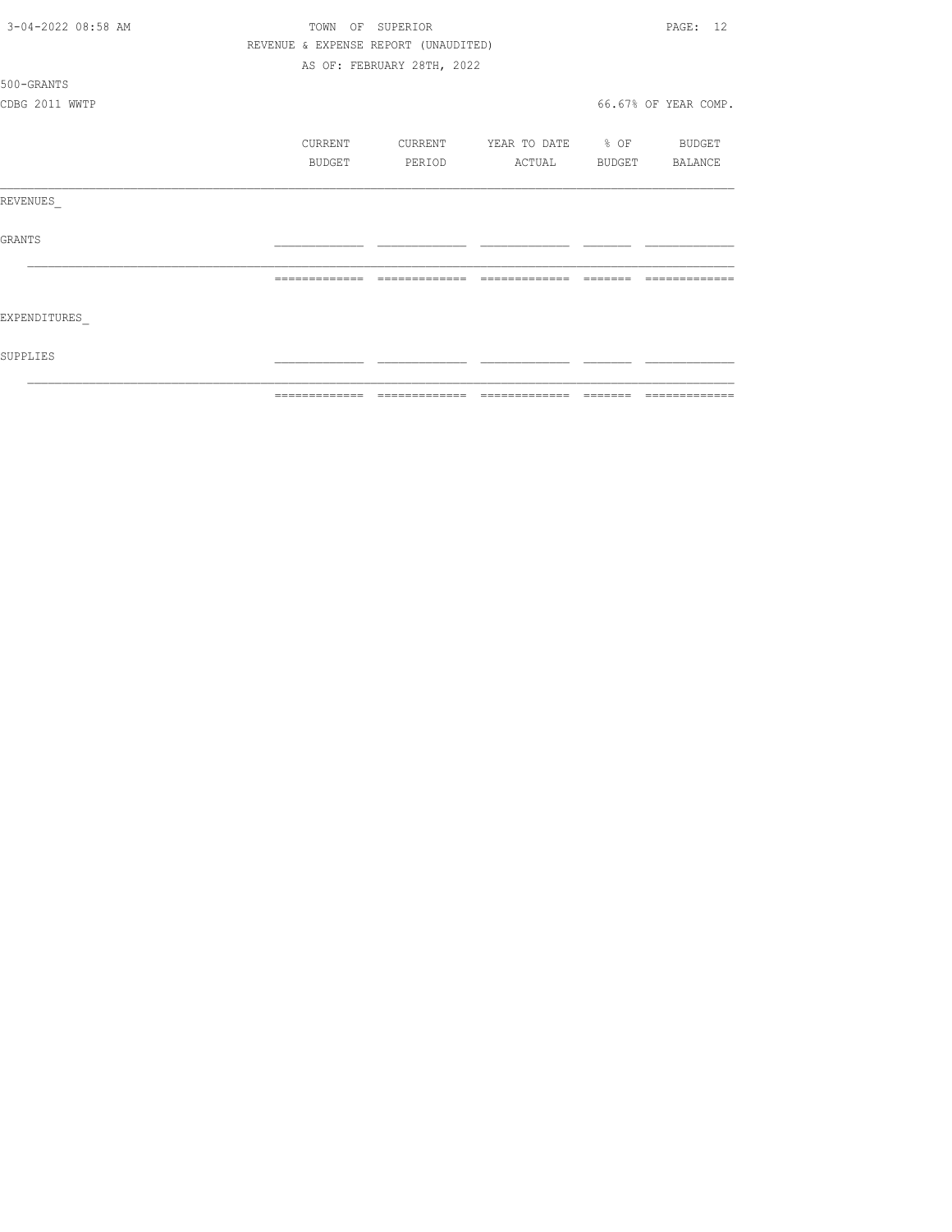| 3-04-2022 08:58 AM | TOWN OF SUPERIOR |         |                                      |                          |  | PAGE: 12             |
|--------------------|------------------|---------|--------------------------------------|--------------------------|--|----------------------|
|                    |                  |         | REVENUE & EXPENSE REPORT (UNAUDITED) |                          |  |                      |
|                    |                  |         | AS OF: FEBRUARY 28TH, 2022           |                          |  |                      |
| 500-GRANTS         |                  |         |                                      |                          |  |                      |
| CDBG 2011 WWTP     |                  |         |                                      |                          |  | 66.67% OF YEAR COMP. |
|                    |                  | CURRENT | CURRENT                              | YEAR TO DATE % OF BUDGET |  |                      |
|                    |                  | BUDGET  | PERIOD                               | ACTUAL                   |  | BUDGET BALANCE       |
| REVENUES           |                  |         |                                      |                          |  |                      |
| GRANTS             |                  |         |                                      |                          |  |                      |
|                    |                  |         |                                      |                          |  |                      |
| EXPENDITURES       |                  |         |                                      |                          |  |                      |
| SUPPLIES           |                  |         |                                      |                          |  |                      |
|                    | -------------    |         |                                      | --------------           |  |                      |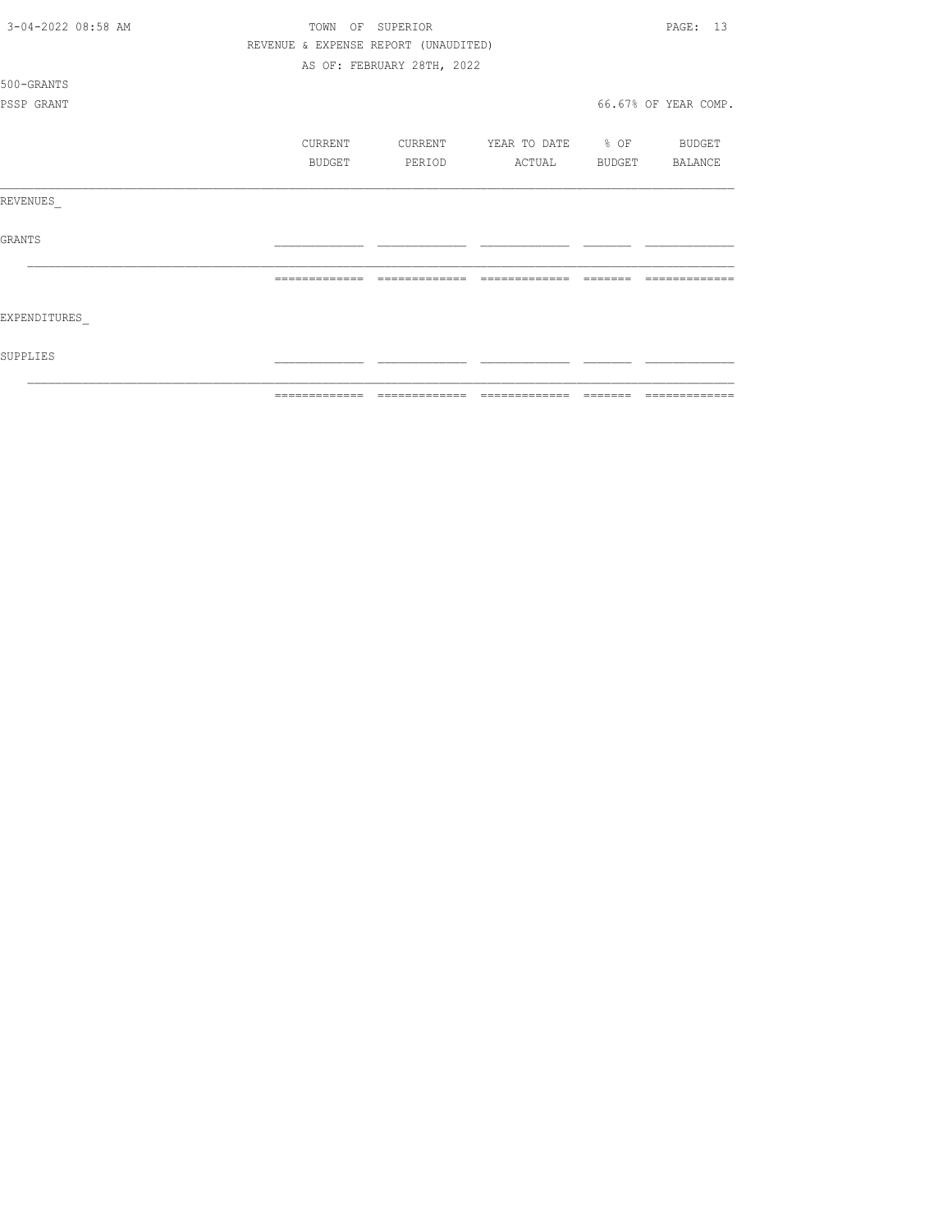| 3-04-2022 08:58 AM | TOWN OF       | SUPERIOR                             |                                                          |        | PAGE: 13             |
|--------------------|---------------|--------------------------------------|----------------------------------------------------------|--------|----------------------|
|                    |               | REVENUE & EXPENSE REPORT (UNAUDITED) |                                                          |        |                      |
|                    |               | AS OF: FEBRUARY 28TH, 2022           |                                                          |        |                      |
| 500-GRANTS         |               |                                      |                                                          |        |                      |
| PSSP GRANT         |               |                                      |                                                          |        | 66.67% OF YEAR COMP. |
|                    |               |                                      |                                                          |        |                      |
|                    | CURRENT       | CURRENT                              | YEAR TO DATE % OF BUDGET                                 |        |                      |
|                    | <b>BUDGET</b> | PERIOD                               | ACTUAL                                                   | BUDGET | BALANCE              |
|                    |               |                                      |                                                          |        |                      |
| REVENUES           |               |                                      |                                                          |        |                      |
|                    |               |                                      |                                                          |        |                      |
| <b>GRANTS</b>      |               |                                      |                                                          |        |                      |
|                    |               |                                      |                                                          |        |                      |
|                    |               |                                      |                                                          |        |                      |
|                    |               |                                      |                                                          |        |                      |
| EXPENDITURES       |               |                                      |                                                          |        |                      |
|                    |               |                                      |                                                          |        |                      |
| SUPPLIES           |               |                                      |                                                          |        |                      |
|                    |               |                                      |                                                          |        |                      |
|                    | ============= | ======                               | $\qquad \qquad = \qquad \qquad = \qquad \qquad = \qquad$ |        | ======               |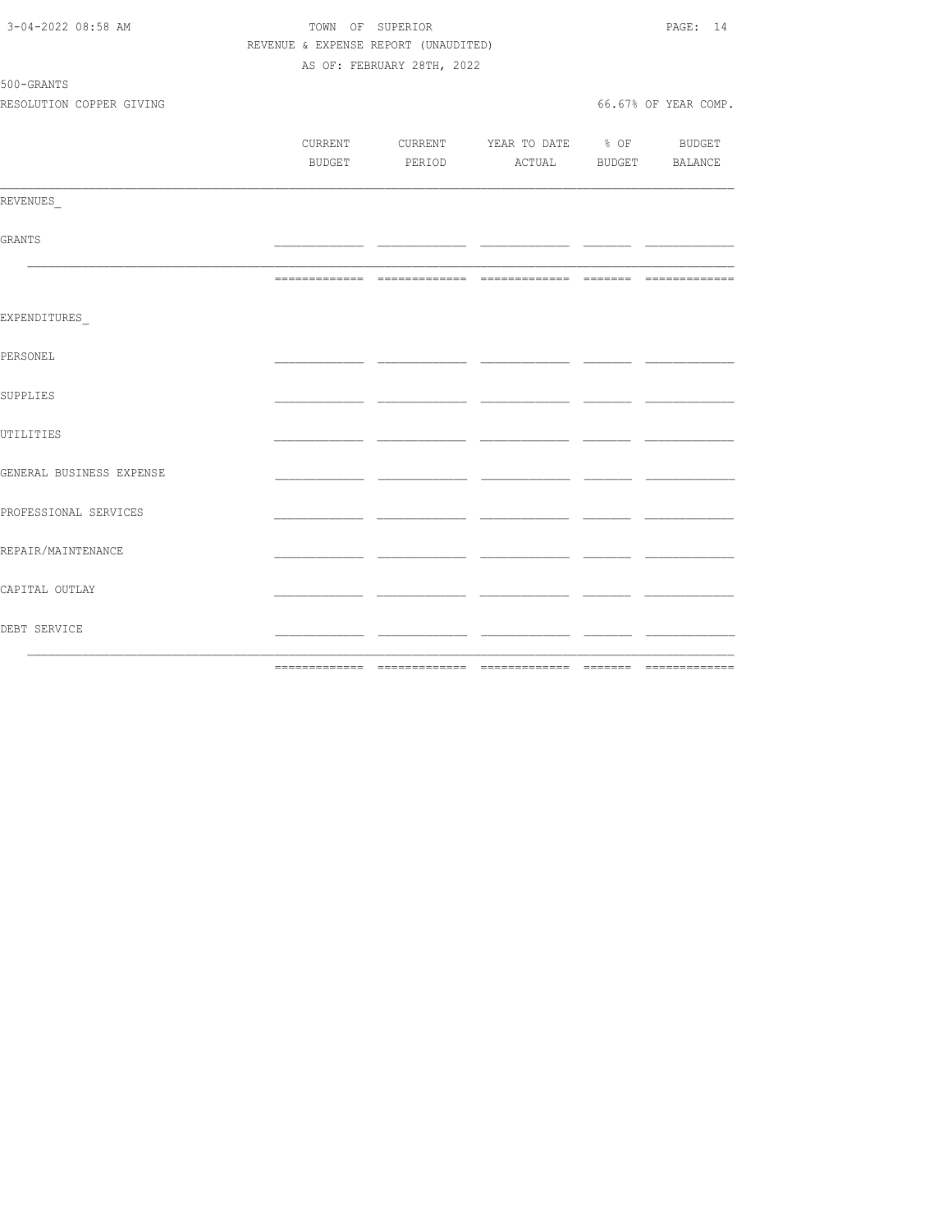| 3-04-2022 08:58 AM       | TOWN OF SUPERIOR                     |                            |                                          |      |                      |  |
|--------------------------|--------------------------------------|----------------------------|------------------------------------------|------|----------------------|--|
|                          | REVENUE & EXPENSE REPORT (UNAUDITED) |                            |                                          |      |                      |  |
|                          |                                      | AS OF: FEBRUARY 28TH, 2022 |                                          |      |                      |  |
| 500-GRANTS               |                                      |                            |                                          |      |                      |  |
| RESOLUTION COPPER GIVING |                                      |                            |                                          |      | 66.67% OF YEAR COMP. |  |
|                          |                                      |                            |                                          |      |                      |  |
|                          |                                      |                            | CURRENT CURRENT YEAR TO DATE % OF BUDGET |      |                      |  |
|                          |                                      |                            | BUDGET PERIOD ACTUAL BUDGET BALANCE      |      |                      |  |
|                          |                                      |                            |                                          |      |                      |  |
| REVENUES                 |                                      |                            |                                          |      |                      |  |
|                          |                                      |                            |                                          |      |                      |  |
| GRANTS                   |                                      |                            |                                          |      |                      |  |
|                          |                                      |                            |                                          |      |                      |  |
|                          |                                      |                            |                                          |      |                      |  |
| EXPENDITURES             |                                      |                            |                                          |      |                      |  |
|                          |                                      |                            |                                          |      |                      |  |
| PERSONEL                 |                                      |                            |                                          |      |                      |  |
|                          |                                      |                            |                                          |      |                      |  |
| SUPPLIES                 |                                      |                            |                                          |      |                      |  |
|                          |                                      |                            |                                          |      |                      |  |
| UTILITIES                |                                      |                            |                                          |      |                      |  |
|                          |                                      |                            |                                          |      |                      |  |
| GENERAL BUSINESS EXPENSE |                                      |                            |                                          |      |                      |  |
|                          |                                      |                            |                                          |      |                      |  |
| PROFESSIONAL SERVICES    |                                      |                            |                                          |      |                      |  |
|                          |                                      |                            |                                          |      |                      |  |
| REPAIR/MAINTENANCE       |                                      |                            |                                          | -- - |                      |  |
|                          |                                      |                            |                                          |      |                      |  |
| CAPITAL OUTLAY           |                                      |                            |                                          | - -  |                      |  |
|                          |                                      |                            |                                          |      |                      |  |
| DEBT SERVICE             |                                      |                            |                                          | - -  |                      |  |
|                          |                                      |                            |                                          |      |                      |  |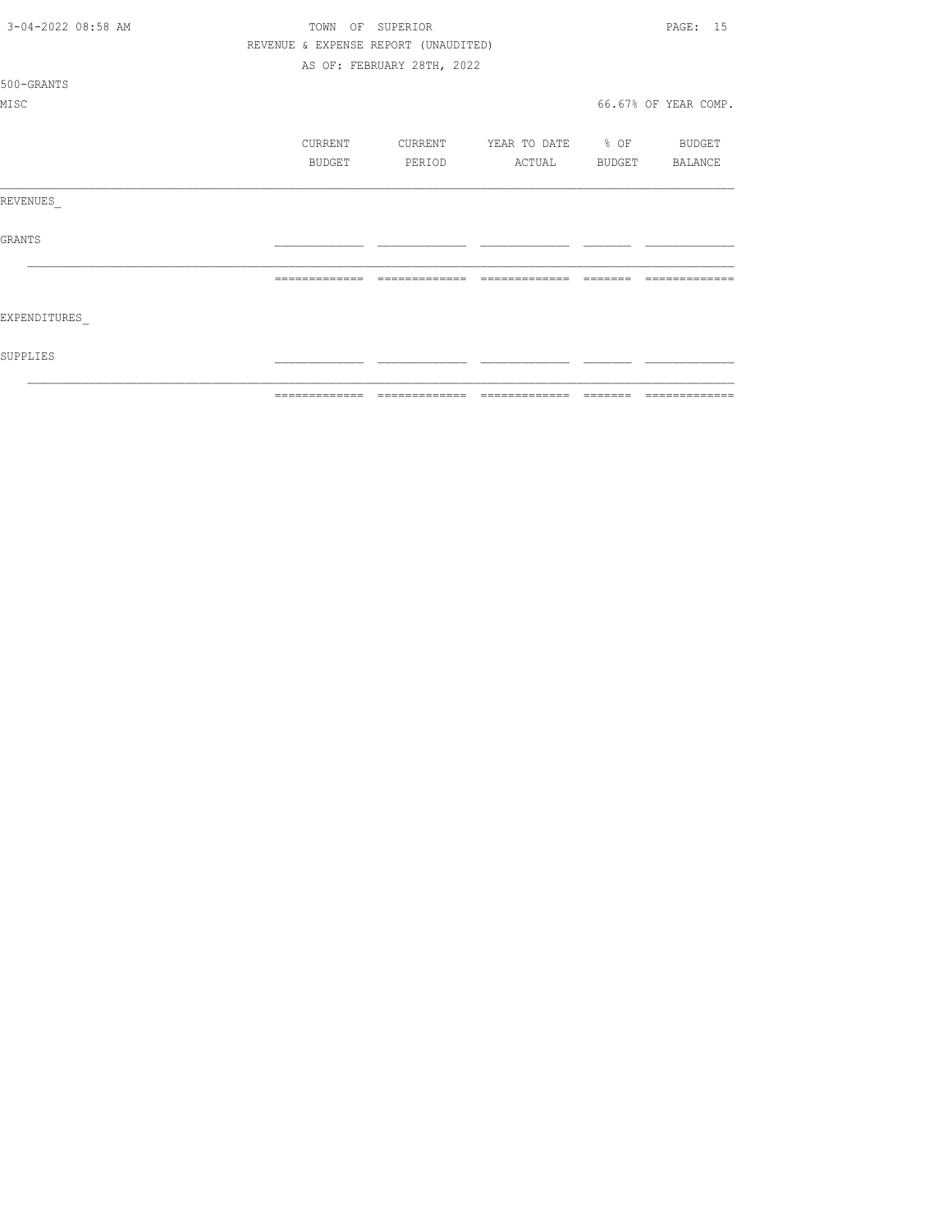| 3-04-2022 08:58 AM | REVENUE & EXPENSE REPORT (UNAUDITED) | TOWN OF SUPERIOR           |                                  | PAGE: 15             |
|--------------------|--------------------------------------|----------------------------|----------------------------------|----------------------|
|                    |                                      | AS OF: FEBRUARY 28TH, 2022 |                                  |                      |
| 500-GRANTS         |                                      |                            |                                  |                      |
| MISC               |                                      |                            |                                  | 66.67% OF YEAR COMP. |
|                    | CURRENT                              |                            | CURRENT YEAR TO DATE % OF BUDGET |                      |
|                    | BUDGET                               | PERIOD                     | ACTUAL BUDGET BALANCE            |                      |
| REVENUES           |                                      |                            |                                  |                      |
| <b>GRANTS</b>      |                                      |                            |                                  |                      |
|                    |                                      | -------------              | --------------                   |                      |
| EXPENDITURES       |                                      |                            |                                  |                      |
| SUPPLIES           |                                      |                            |                                  |                      |
|                    | =============                        | --------------             | --------------                   | =============        |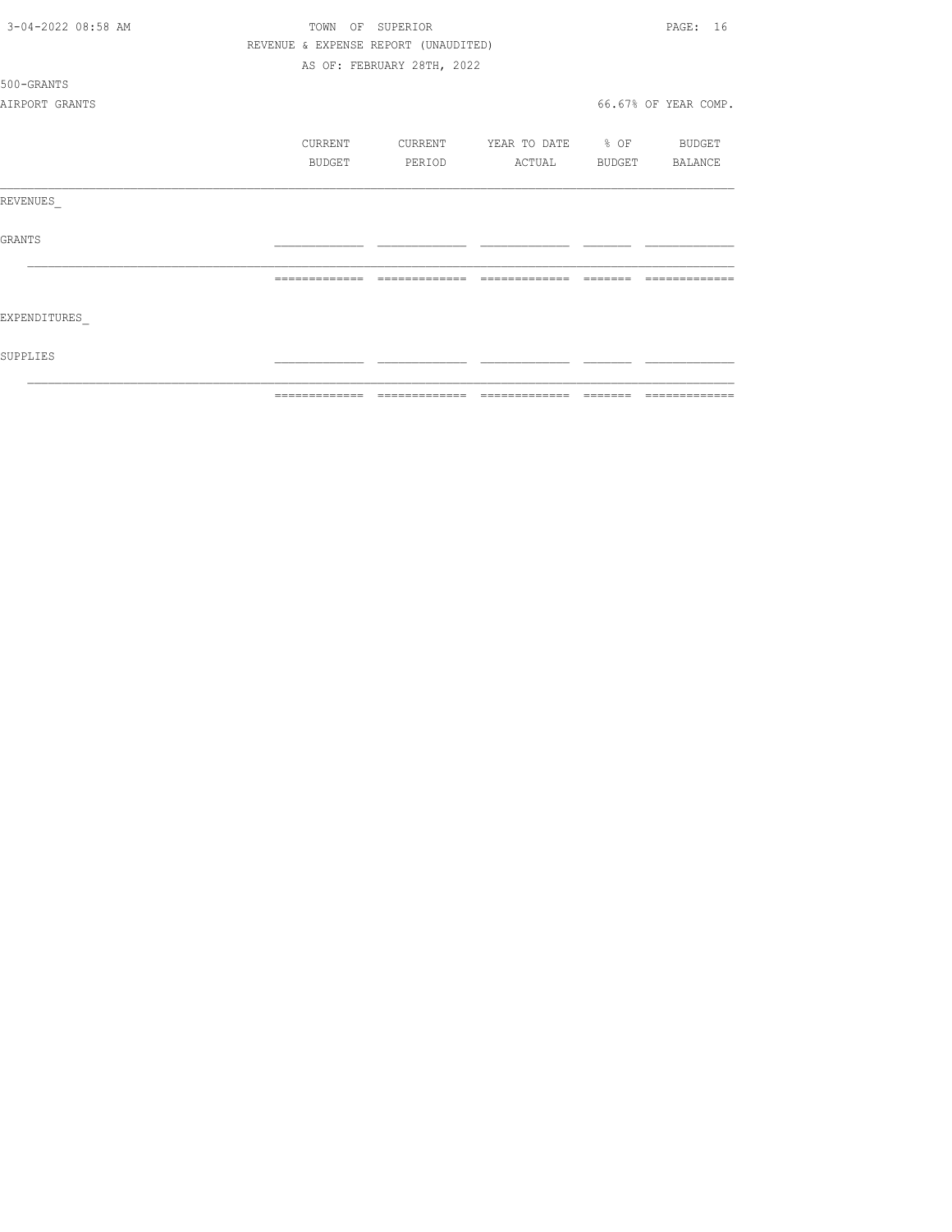| 3-04-2022 08:58 AM | TOWN OF SUPERIOR |         |                                      |                          |                                                                                                                                                                                                                                                                                                                                                                                                                                                                                            | PAGE: 16             |
|--------------------|------------------|---------|--------------------------------------|--------------------------|--------------------------------------------------------------------------------------------------------------------------------------------------------------------------------------------------------------------------------------------------------------------------------------------------------------------------------------------------------------------------------------------------------------------------------------------------------------------------------------------|----------------------|
|                    |                  |         | REVENUE & EXPENSE REPORT (UNAUDITED) |                          |                                                                                                                                                                                                                                                                                                                                                                                                                                                                                            |                      |
|                    |                  |         | AS OF: FEBRUARY 28TH, 2022           |                          |                                                                                                                                                                                                                                                                                                                                                                                                                                                                                            |                      |
| 500-GRANTS         |                  |         |                                      |                          |                                                                                                                                                                                                                                                                                                                                                                                                                                                                                            |                      |
| AIRPORT GRANTS     |                  |         |                                      |                          |                                                                                                                                                                                                                                                                                                                                                                                                                                                                                            | 66.67% OF YEAR COMP. |
|                    |                  | CURRENT | CURRENT                              | YEAR TO DATE % OF BUDGET |                                                                                                                                                                                                                                                                                                                                                                                                                                                                                            |                      |
|                    |                  | BUDGET  | PERIOD                               | ACTUAL                   |                                                                                                                                                                                                                                                                                                                                                                                                                                                                                            | BUDGET BALANCE       |
| REVENUES           |                  |         |                                      |                          |                                                                                                                                                                                                                                                                                                                                                                                                                                                                                            |                      |
| <b>GRANTS</b>      |                  |         |                                      |                          |                                                                                                                                                                                                                                                                                                                                                                                                                                                                                            |                      |
|                    | =============    |         | =============                        | =============            | $\qquad \qquad \qquad =\qquad \qquad =\qquad \qquad =\qquad \qquad =\qquad \qquad =\qquad \qquad =\qquad \qquad =\qquad \qquad =\qquad \qquad =\qquad \qquad =\qquad \qquad =\qquad \qquad =\qquad \qquad =\qquad \qquad =\qquad \qquad =\qquad \qquad =\qquad \qquad =\qquad \qquad =\qquad \qquad =\qquad \qquad =\qquad \qquad =\qquad \qquad =\qquad \qquad =\qquad \qquad =\qquad \qquad =\qquad \qquad =\qquad \qquad =\qquad \qquad =\qquad \qquad =\qquad \qquad =\qquad \qquad =$ | $---$                |
| EXPENDITURES       |                  |         |                                      |                          |                                                                                                                                                                                                                                                                                                                                                                                                                                                                                            |                      |
| SUPPLIES           |                  |         |                                      |                          |                                                                                                                                                                                                                                                                                                                                                                                                                                                                                            |                      |
|                    | -------------    |         | -------------                        | --------------           | ________                                                                                                                                                                                                                                                                                                                                                                                                                                                                                   | -------------        |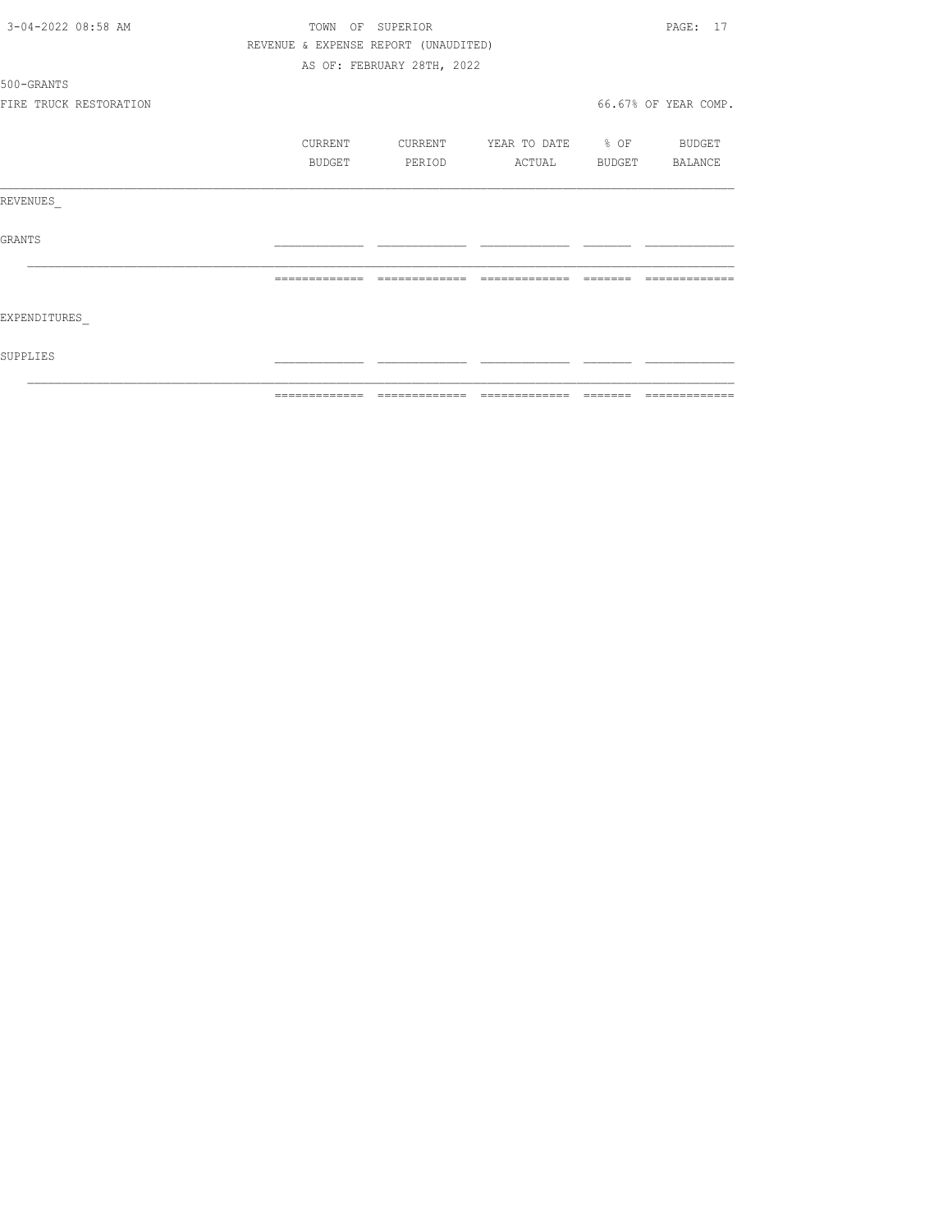| 3-04-2022 08:58 AM     | TOWN           | OF SUPERIOR                          |                   |         | PAGE: 17             |
|------------------------|----------------|--------------------------------------|-------------------|---------|----------------------|
|                        |                | REVENUE & EXPENSE REPORT (UNAUDITED) |                   |         |                      |
|                        |                | AS OF: FEBRUARY 28TH, 2022           |                   |         |                      |
| 500-GRANTS             |                |                                      |                   |         |                      |
| FIRE TRUCK RESTORATION |                |                                      |                   |         | 66.67% OF YEAR COMP. |
|                        | CURRENT        | CURRENT                              | YEAR TO DATE % OF |         | <b>BUDGET</b>        |
|                        | BUDGET         | PERIOD                               | ACTUAL            | BUDGET  | BALANCE              |
| REVENUES               |                |                                      |                   |         |                      |
| GRANTS                 |                |                                      |                   |         |                      |
|                        | =============  | -------------                        | =============     |         |                      |
| EXPENDITURES           |                |                                      |                   |         |                      |
| SUPPLIES               |                |                                      |                   |         |                      |
|                        | -------------- |                                      |                   | _______ | -------------        |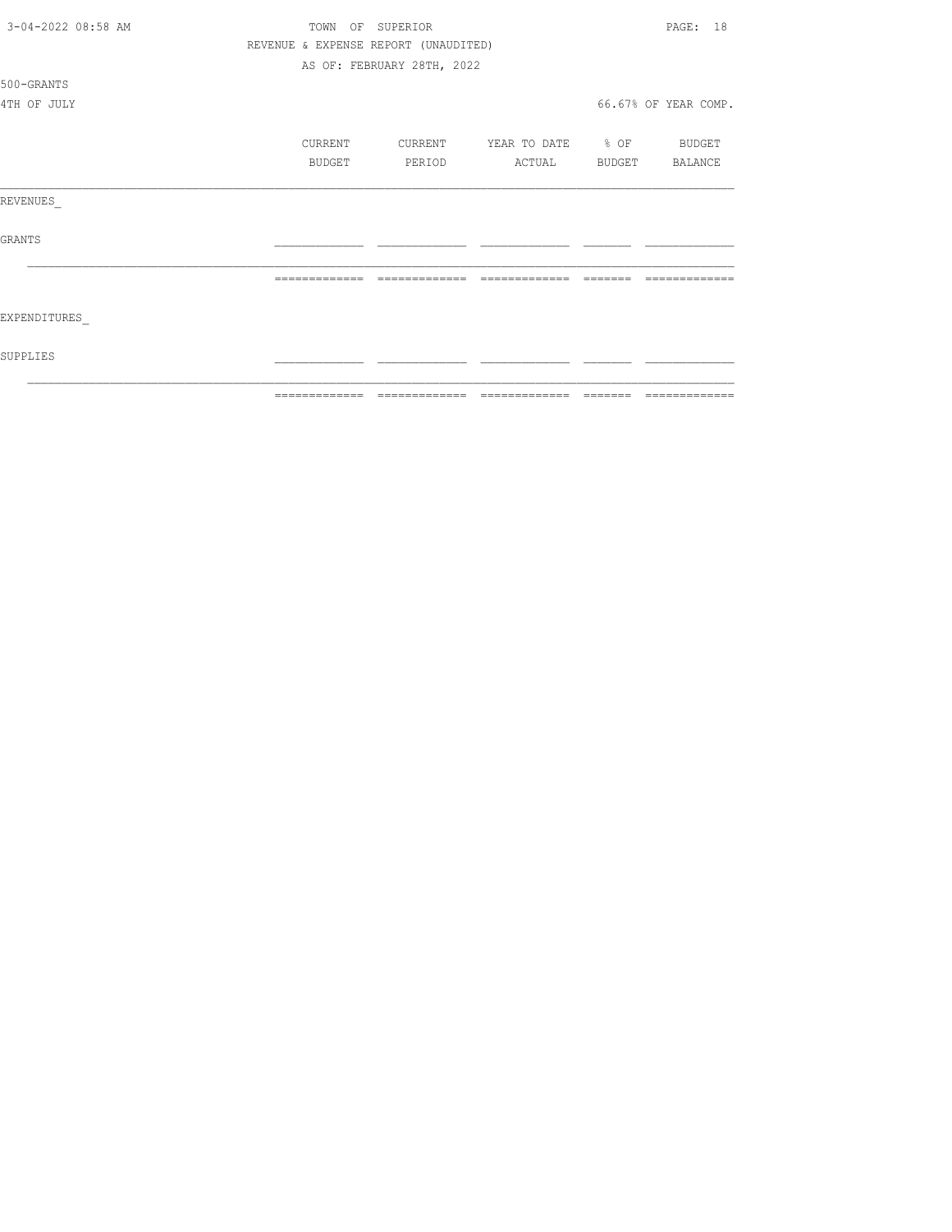|                    | ============= | ======                               | $\begin{array}{cccccccccc} \multicolumn{2}{c}{} & \multicolumn{2}{c}{} & \multicolumn{2}{c}{} & \multicolumn{2}{c}{} & \multicolumn{2}{c}{} & \multicolumn{2}{c}{} & \multicolumn{2}{c}{} & \multicolumn{2}{c}{} & \multicolumn{2}{c}{} & \multicolumn{2}{c}{} & \multicolumn{2}{c}{} & \multicolumn{2}{c}{} & \multicolumn{2}{c}{} & \multicolumn{2}{c}{} & \multicolumn{2}{c}{} & \multicolumn{2}{c}{} & \multicolumn{2}{c}{} & \multicolumn{2}{c}{} & \multicolumn{2}{c}{} & \mult$ | ======= | =============        |
|--------------------|---------------|--------------------------------------|----------------------------------------------------------------------------------------------------------------------------------------------------------------------------------------------------------------------------------------------------------------------------------------------------------------------------------------------------------------------------------------------------------------------------------------------------------------------------------------|---------|----------------------|
| SUPPLIES           |               |                                      |                                                                                                                                                                                                                                                                                                                                                                                                                                                                                        |         |                      |
| EXPENDITURES       |               |                                      |                                                                                                                                                                                                                                                                                                                                                                                                                                                                                        |         |                      |
|                    |               | =============                        | =============                                                                                                                                                                                                                                                                                                                                                                                                                                                                          |         |                      |
| <b>GRANTS</b>      |               |                                      |                                                                                                                                                                                                                                                                                                                                                                                                                                                                                        |         |                      |
| REVENUES           |               |                                      |                                                                                                                                                                                                                                                                                                                                                                                                                                                                                        |         |                      |
|                    | BUDGET        | PERIOD                               | ACTUAL                                                                                                                                                                                                                                                                                                                                                                                                                                                                                 |         | BUDGET BALANCE       |
|                    | CURRENT       | CURRENT                              | YEAR TO DATE % OF BUDGET                                                                                                                                                                                                                                                                                                                                                                                                                                                               |         |                      |
| 4TH OF JULY        |               |                                      |                                                                                                                                                                                                                                                                                                                                                                                                                                                                                        |         | 66.67% OF YEAR COMP. |
| 500-GRANTS         |               |                                      |                                                                                                                                                                                                                                                                                                                                                                                                                                                                                        |         |                      |
|                    |               | AS OF: FEBRUARY 28TH, 2022           |                                                                                                                                                                                                                                                                                                                                                                                                                                                                                        |         |                      |
|                    |               | REVENUE & EXPENSE REPORT (UNAUDITED) |                                                                                                                                                                                                                                                                                                                                                                                                                                                                                        |         |                      |
| 3-04-2022 08:58 AM | TOWN          | OF SUPERIOR                          |                                                                                                                                                                                                                                                                                                                                                                                                                                                                                        |         | 18<br>PAGE:          |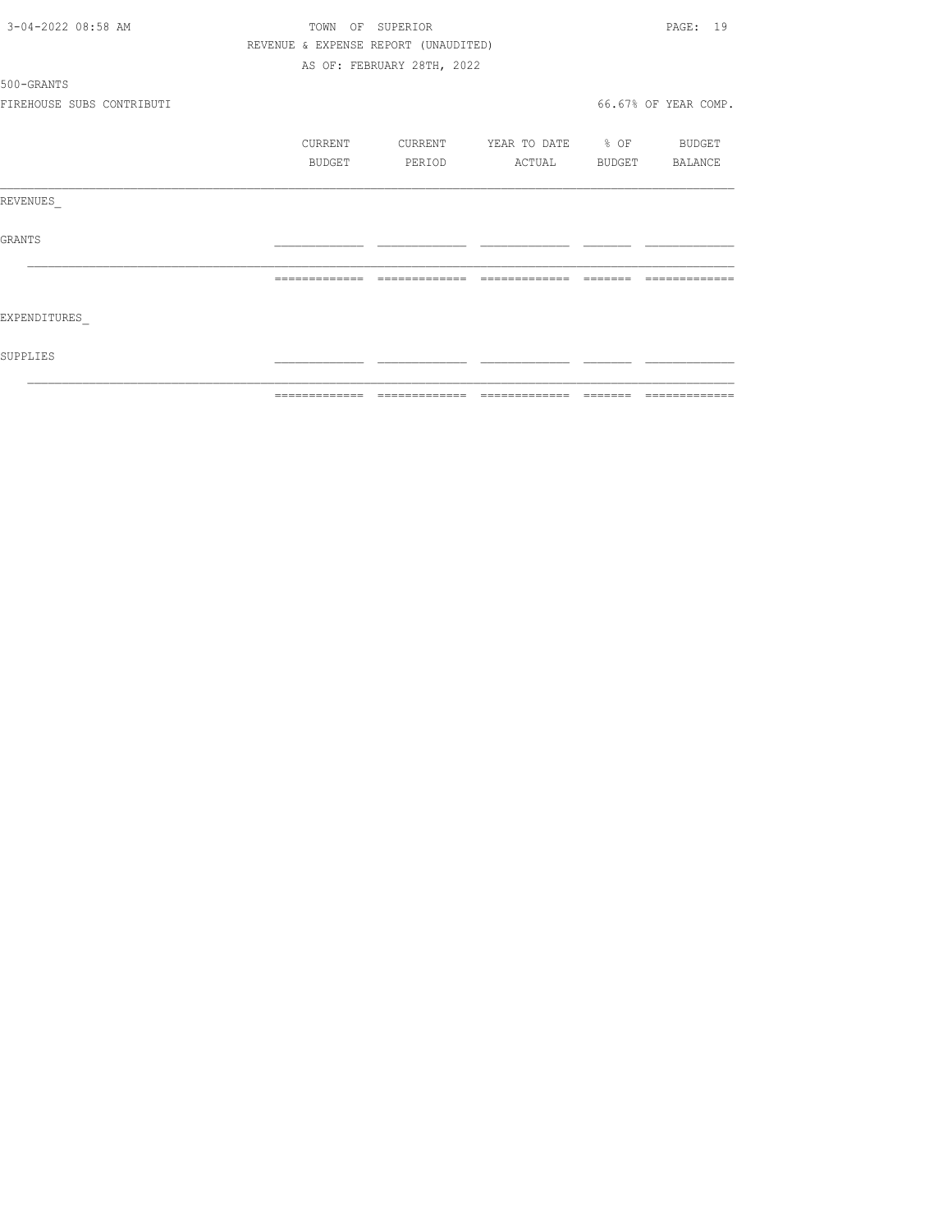| 3-04-2022 08:58 AM        |         | TOWN OF SUPERIOR                     |                          | PAGE: 19             |
|---------------------------|---------|--------------------------------------|--------------------------|----------------------|
|                           |         | REVENUE & EXPENSE REPORT (UNAUDITED) |                          |                      |
|                           |         | AS OF: FEBRUARY 28TH, 2022           |                          |                      |
| 500-GRANTS                |         |                                      |                          |                      |
| FIREHOUSE SUBS CONTRIBUTI |         |                                      |                          | 66.67% OF YEAR COMP. |
|                           | CURRENT | CURRENT                              | YEAR TO DATE % OF BUDGET |                      |
|                           | BUDGET  | PERIOD                               | ACTUAL                   | BUDGET BALANCE       |
| REVENUES                  |         |                                      |                          |                      |
| GRANTS                    |         |                                      |                          |                      |
|                           |         |                                      |                          |                      |
| EXPENDITURES              |         |                                      |                          |                      |
| SUPPLIES                  |         |                                      |                          |                      |
|                           |         |                                      |                          |                      |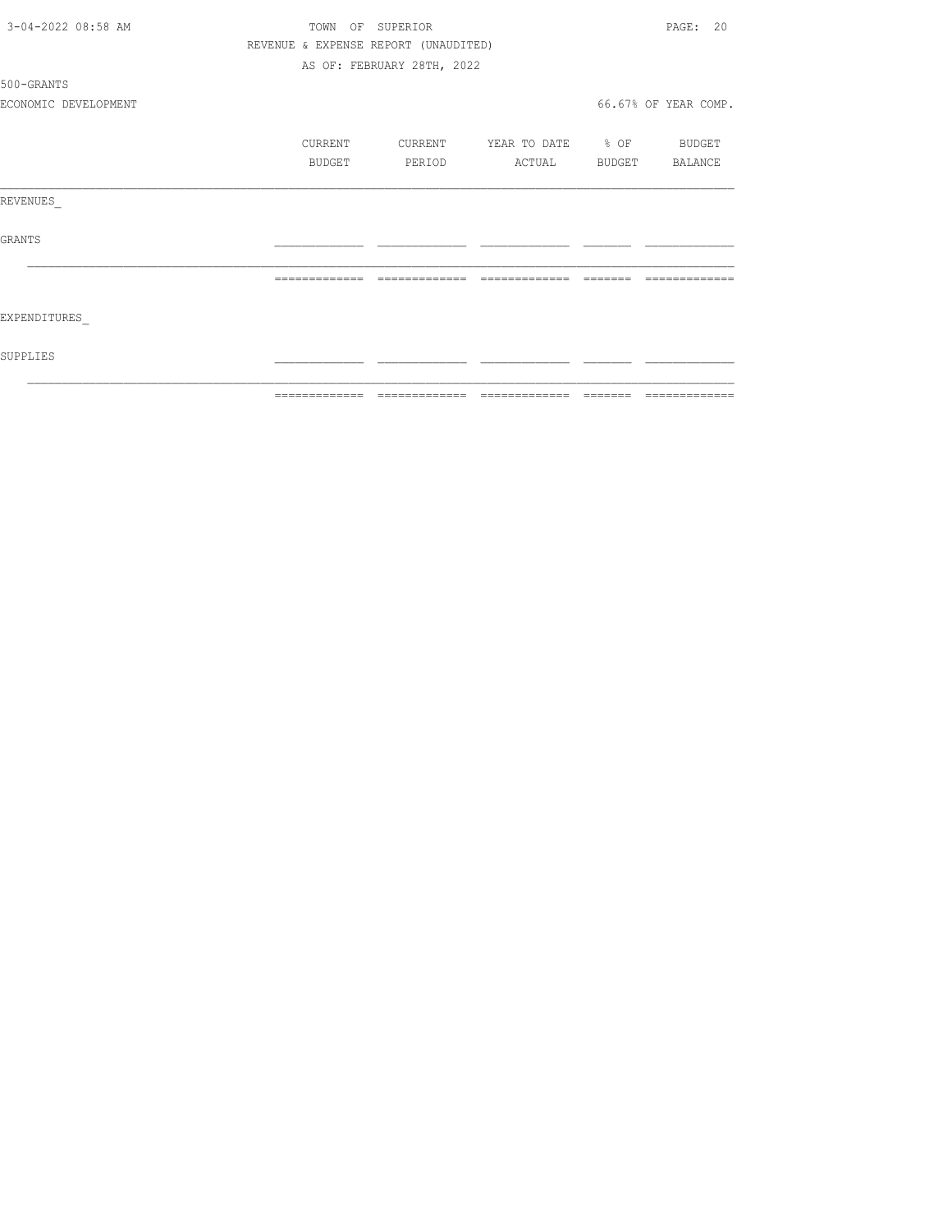| 3-04-2022 08:58 AM   | TOWN          | SUPERIOR<br>OF                       |                   |         | PAGE: 20             |
|----------------------|---------------|--------------------------------------|-------------------|---------|----------------------|
|                      |               | REVENUE & EXPENSE REPORT (UNAUDITED) |                   |         |                      |
|                      |               | AS OF: FEBRUARY 28TH, 2022           |                   |         |                      |
| 500-GRANTS           |               |                                      |                   |         |                      |
| ECONOMIC DEVELOPMENT |               |                                      |                   |         | 66.67% OF YEAR COMP. |
|                      | CURRENT       | CURRENT                              | YEAR TO DATE % OF |         | BUDGET               |
|                      | BUDGET        | PERIOD                               | ACTUAL            | BUDGET  | BALANCE              |
| REVENUES             |               |                                      |                   |         |                      |
| GRANTS               |               |                                      |                   |         |                      |
|                      |               |                                      |                   |         |                      |
| EXPENDITURES         |               |                                      |                   |         |                      |
| SUPPLIES             |               |                                      |                   |         |                      |
|                      | ============= | =============                        | =============     | ======= | =============        |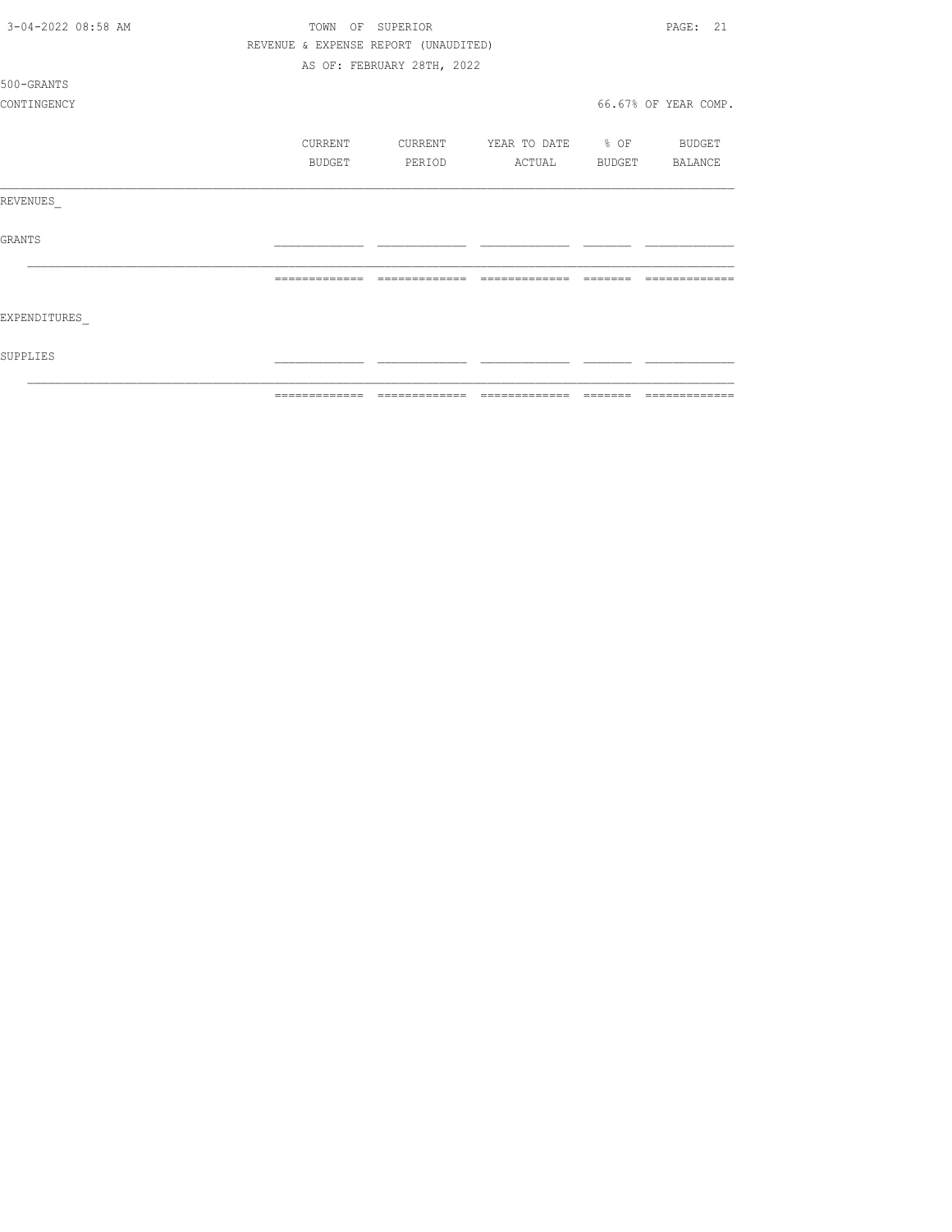| 3-04-2022 08:58 AM | TOWN<br>OF     | SUPERIOR                             |                   |                 | 2.1<br>PAGE:         |
|--------------------|----------------|--------------------------------------|-------------------|-----------------|----------------------|
|                    |                | REVENUE & EXPENSE REPORT (UNAUDITED) |                   |                 |                      |
|                    |                | AS OF: FEBRUARY 28TH, 2022           |                   |                 |                      |
| 500-GRANTS         |                |                                      |                   |                 |                      |
| CONTINGENCY        |                |                                      |                   |                 | 66.67% OF YEAR COMP. |
|                    | CURRENT        | CURRENT                              | YEAR TO DATE % OF |                 | BUDGET               |
|                    | BUDGET         | PERIOD                               | ACTUAL            | BUDGET          | BALANCE              |
| REVENUES           |                |                                      |                   |                 |                      |
| <b>GRANTS</b>      |                |                                      |                   |                 |                      |
|                    | -------------- | -------------                        | =============     |                 |                      |
| EXPENDITURES       |                |                                      |                   |                 |                      |
| SUPPLIES           |                |                                      |                   |                 |                      |
|                    | -------------- |                                      | -------------     | $- - - - - - -$ | --------------       |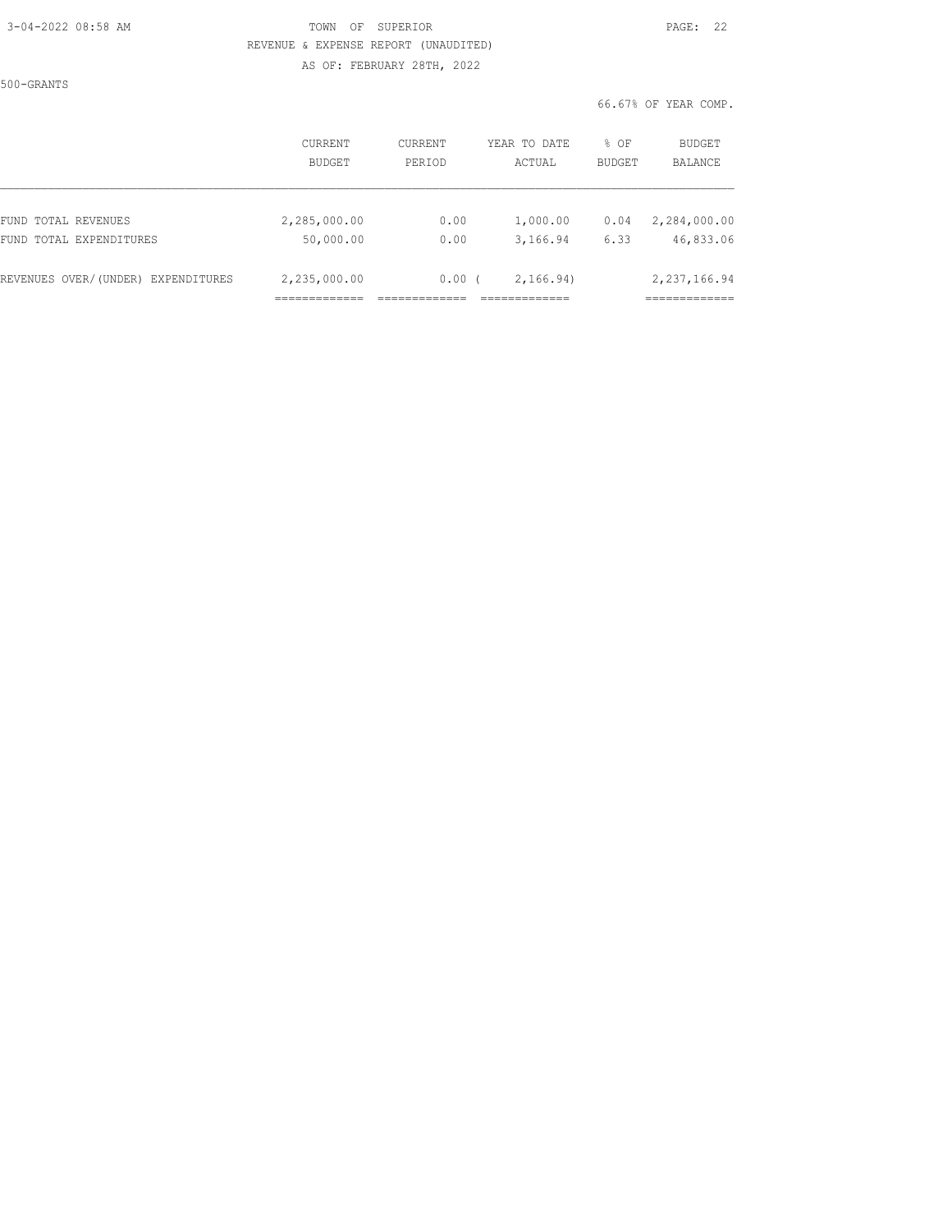#### 3-04-2022 08:58 AM TOWN OF SUPERIOR PAGE: 22 REVENUE & EXPENSE REPORT (UNAUDITED) AS OF: FEBRUARY 28TH, 2022

500-GRANTS

#### 66.67% OF YEAR COMP.

|                                                   | <b>CURRENT</b><br><b>BUDGET</b> | <b>CURRENT</b><br>PERIOD | YEAR TO DATE<br>ACTUAL | % OF<br><b>BUDGET</b> | BUDGET<br>BALANCE           |
|---------------------------------------------------|---------------------------------|--------------------------|------------------------|-----------------------|-----------------------------|
| FUND TOTAL REVENUES<br>TOTAL EXPENDITURES<br>FUND | 2,285,000.00<br>50,000.00       | 0.00<br>0.00             | 1,000.00<br>3,166.94   | 0.04<br>6.33          | 2,284,000.00<br>46,833.06   |
| REVENUES OVER/(UNDER) EXPENDITURES                | 2,235,000.00                    | 0.00                     | 2, 166.94)             |                       | 2,237,166.94<br>___________ |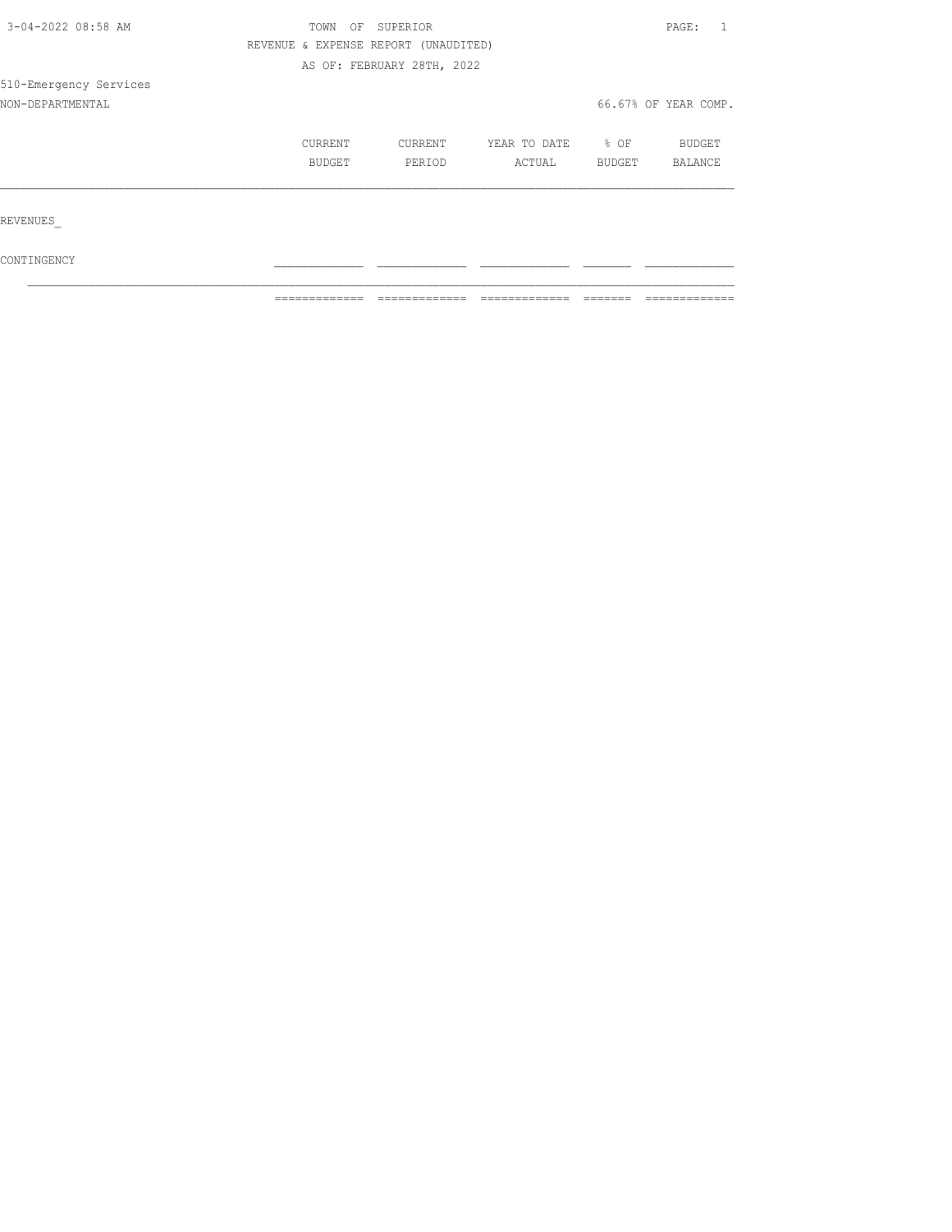| 3-04-2022 08:58 AM     | TOWN<br>SUPERIOR<br>OF               | PAGE:<br>$\overline{1}$    |                        |                |                          |  |
|------------------------|--------------------------------------|----------------------------|------------------------|----------------|--------------------------|--|
|                        | REVENUE & EXPENSE REPORT (UNAUDITED) |                            |                        |                |                          |  |
|                        |                                      | AS OF: FEBRUARY 28TH, 2022 |                        |                |                          |  |
| 510-Emergency Services |                                      |                            |                        |                |                          |  |
| NON-DEPARTMENTAL       |                                      |                            |                        |                | 66.67% OF YEAR COMP.     |  |
|                        | CURRENT<br>BUDGET                    | CURRENT<br>PERIOD          | YEAR TO DATE<br>ACTUAL | % OF<br>BUDGET | <b>BUDGET</b><br>BALANCE |  |
|                        |                                      |                            |                        |                |                          |  |
| REVENUES               |                                      |                            |                        |                |                          |  |
| CONTINGENCY            |                                      |                            |                        |                |                          |  |

 $\mathcal{L}_\text{max}$ 

 $\blacksquare$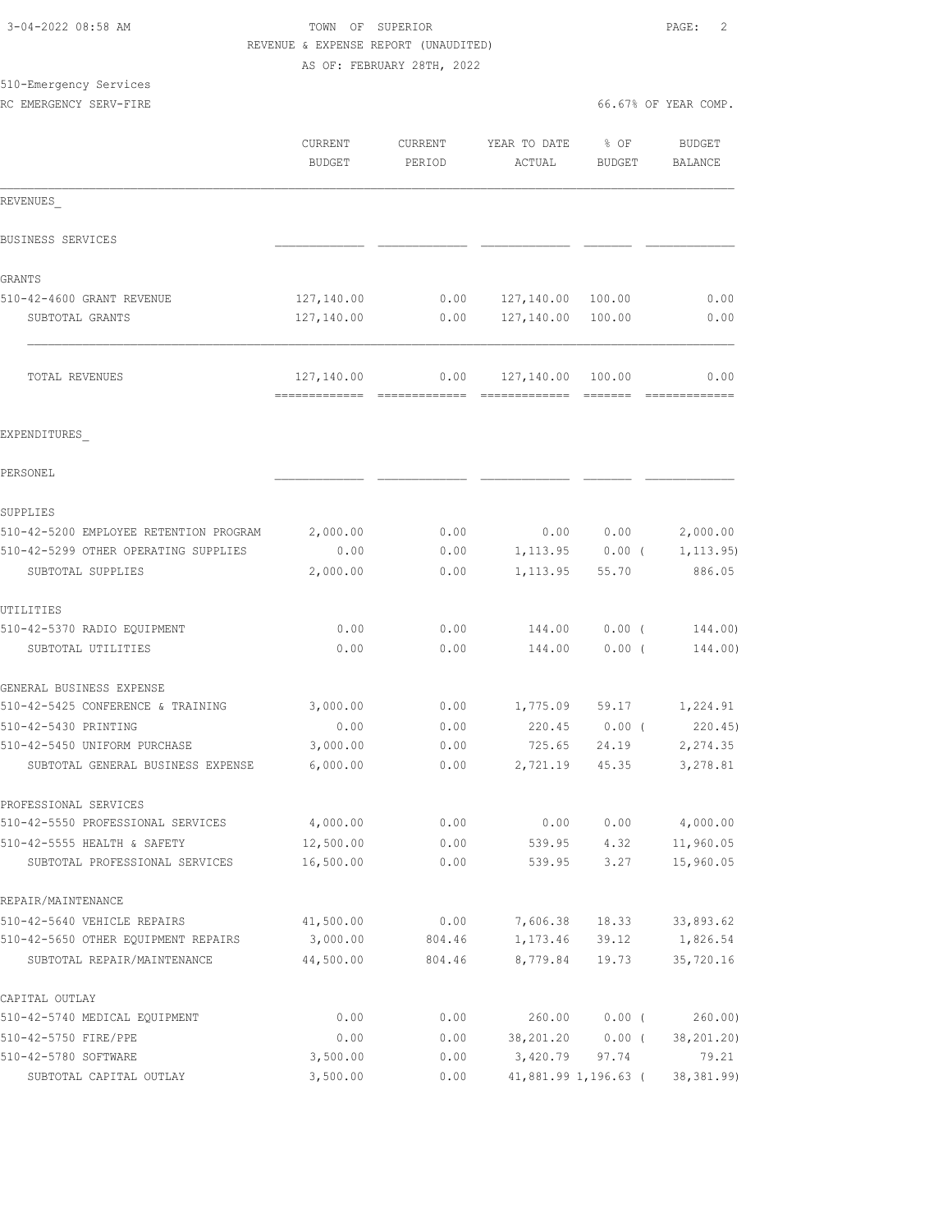|                                        | REVENUE & EXPENSE REPORT (UNAUDITED) |                            |                   |                   |                        |
|----------------------------------------|--------------------------------------|----------------------------|-------------------|-------------------|------------------------|
|                                        |                                      | AS OF: FEBRUARY 28TH, 2022 |                   |                   |                        |
| 510-Emergency Services                 |                                      |                            |                   |                   |                        |
| RC EMERGENCY SERV-FIRE                 |                                      |                            |                   |                   | 66.67% OF YEAR COMP.   |
|                                        | CURRENT                              | CURRENT                    | YEAR TO DATE      | $8$ OF            | <b>BUDGET</b>          |
|                                        | <b>BUDGET</b>                        | PERIOD                     | ACTUAL            | <b>BUDGET</b>     | BALANCE                |
|                                        |                                      |                            |                   |                   |                        |
| REVENUES                               |                                      |                            |                   |                   |                        |
| BUSINESS SERVICES                      |                                      |                            |                   |                   |                        |
| GRANTS                                 |                                      |                            |                   |                   |                        |
| 510-42-4600 GRANT REVENUE              | 127,140.00                           | 0.00                       | 127,140.00 100.00 |                   | 0.00                   |
| SUBTOTAL GRANTS                        | 127,140.00                           | 0.00                       | 127,140.00 100.00 |                   | 0.00                   |
| TOTAL REVENUES                         | 127,140.00                           | 0.00                       | 127,140.00 100.00 |                   | 0.00                   |
| EXPENDITURES                           |                                      |                            |                   |                   |                        |
| PERSONEL                               |                                      |                            |                   |                   |                        |
| SUPPLIES                               |                                      |                            |                   |                   |                        |
| 510-42-5200 EMPLOYEE RETENTION PROGRAM | 2,000.00                             | 0.00                       |                   | 0.00 0.00         | 2,000.00               |
| 510-42-5299 OTHER OPERATING SUPPLIES   | 0.00                                 | 0.00                       |                   | $1,113.95$ 0.00 ( | 1, 113.95)             |
| SUBTOTAL SUPPLIES                      | 2,000.00                             | 0.00                       | 1,113.95          | 55.70             | 886.05                 |
| UTILITIES                              |                                      |                            |                   |                   |                        |
| 510-42-5370 RADIO EQUIPMENT            | 0.00                                 | 0.00                       | 144.00            | $0.00$ (          | 144.00)                |
| SUBTOTAL UTILITIES                     | 0.00                                 | 0.00                       | 144.00            | $0.00$ (          | 144.00)                |
| GENERAL BUSINESS EXPENSE               |                                      |                            |                   |                   |                        |
| 510-42-5425 CONFERENCE & TRAINING      | 3,000.00                             | 0.00                       | 1,775.09          | 59.17             | 1,224.91               |
| 510-42-5430 PRINTING                   | 0.00                                 | 0.00                       | 220.45            | $0.00$ (          | 220.45                 |
| 510-42-5450 UNIFORM PURCHASE           | 3,000.00                             | 0.00                       | 725.65            | 24.19             | 2,274.35               |
| SUBTOTAL GENERAL BUSINESS EXPENSE      | 6,000.00                             | 0.00                       | 2,721.19          | 45.35             | 3,278.81               |
| PROFESSIONAL SERVICES                  |                                      |                            |                   |                   |                        |
| 510-42-5550 PROFESSIONAL SERVICES      | 4,000.00                             | 0.00                       | 0.00              | 0.00              | 4,000.00               |
| 510-42-5555 HEALTH & SAFETY            | 12,500.00                            | 0.00                       | 539.95            | 4.32              | 11,960.05              |
| SUBTOTAL PROFESSIONAL SERVICES         | 16,500.00                            | 0.00                       | 539.95            | 3.27              | 15,960.05              |
| REPAIR/MAINTENANCE                     |                                      |                            |                   |                   |                        |
| 510-42-5640 VEHICLE REPAIRS            | 41,500.00                            | 0.00                       | 7,606.38          | 18.33             | 33,893.62              |
| 510-42-5650 OTHER EQUIPMENT REPAIRS    | 3,000.00                             | 804.46                     | 1,173.46          | 39.12             | 1,826.54               |
| SUBTOTAL REPAIR/MAINTENANCE            | 44,500.00                            | 804.46                     | 8,779.84          | 19.73             | 35,720.16              |
| CAPITAL OUTLAY                         |                                      |                            |                   |                   |                        |
| 510-42-5740 MEDICAL EQUIPMENT          | 0.00                                 | 0.00                       | 260.00            | $0.00$ (          | 260.00                 |
| 510-42-5750 FIRE/PPE                   | 0.00                                 | 0.00                       | 38,201.20         |                   | $0.00$ ( $38,201.20$ ) |

510-42-5780 SOFTWARE 3,500.00 0.00 3,420.79 97.74 79.21 SUBTOTAL CAPITAL OUTLAY 3,500.00 0.00 41,881.99 1,196.63 ( 38,381.99)

3-04-2022 08:58 AM TOWN OF SUPERIOR PAGE: 2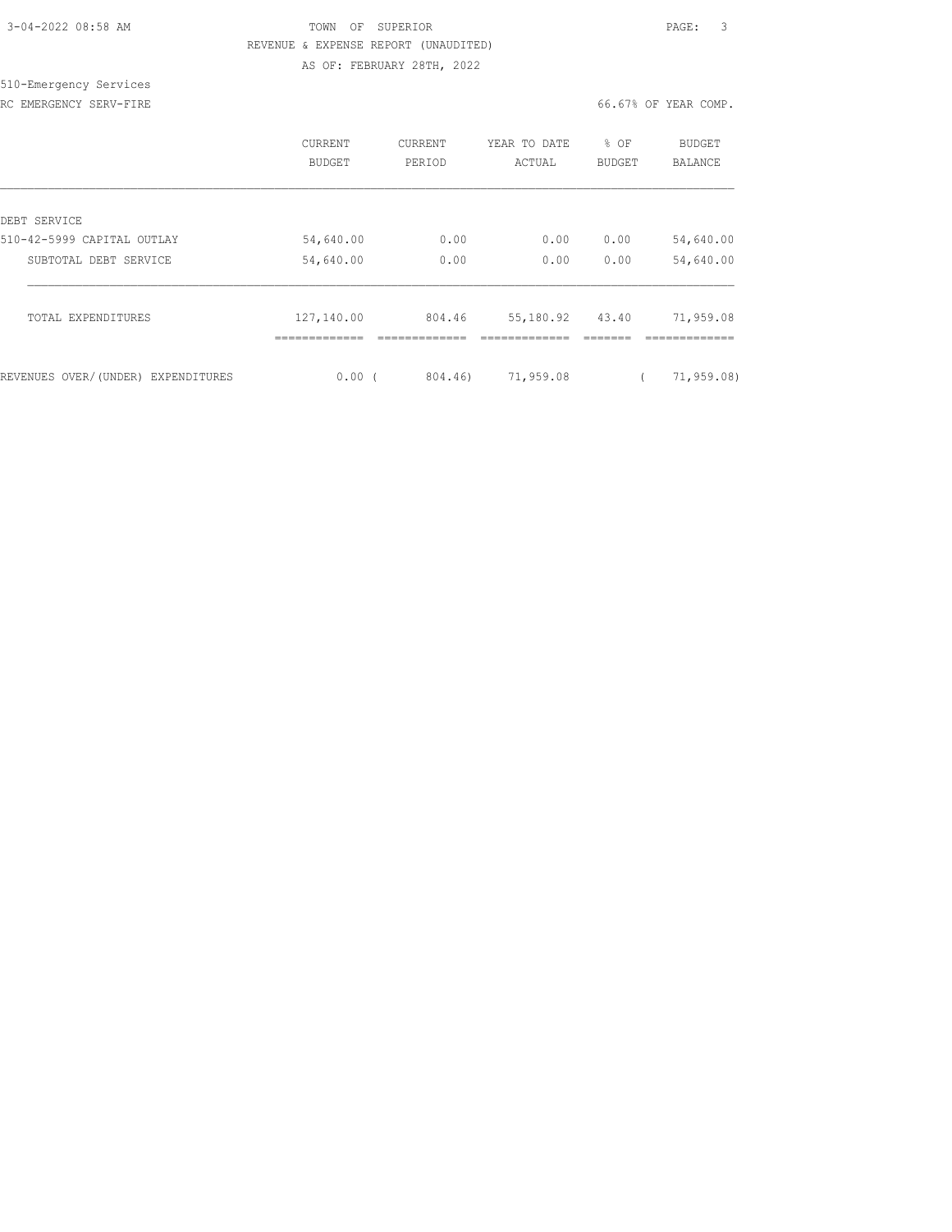| 3-04-2022 08:58 AM |  |
|--------------------|--|
|                    |  |

510-Emergency Services

TOWN OF SUPERIOR **Example 2018** PAGE: 3 REVENUE & EXPENSE REPORT (UNAUDITED) AS OF: FEBRUARY 28TH, 2022

RC EMERGENCY SERV-FIRE **First** comp. The set of the set of the set of the set of the set of the set of the set of the set of the set of the set of the set of the set of the set of the set of the set of the set of the set o

|                                    | <b>CURRENT</b><br><b>BUDGET</b> | <b>CURRENT</b><br>PERIOD | YEAR TO DATE<br>ACTUAL    | % OF<br><b>BUDGET</b> | BUDGET<br>BALANCE         |
|------------------------------------|---------------------------------|--------------------------|---------------------------|-----------------------|---------------------------|
| DEBT SERVICE                       |                                 |                          |                           |                       |                           |
| 510-42-5999 CAPITAL OUTLAY         | 54,640.00                       | 0.00                     | 0.00                      | 0.00                  | 54,640.00                 |
| SUBTOTAL DEBT SERVICE              | 54,640.00                       | 0.00                     | 0.00                      | 0.00                  | 54,640.00                 |
| TOTAL EXPENDITURES                 | 127,140.00<br>=============     | 804.46<br>-------------  | 55,180.92<br>============ | 43.40                 | 71,959.08<br>------------ |
| REVENUES OVER/(UNDER) EXPENDITURES | 0.00(                           | 804.46)                  | 71,959.08                 |                       | 71,959.08)                |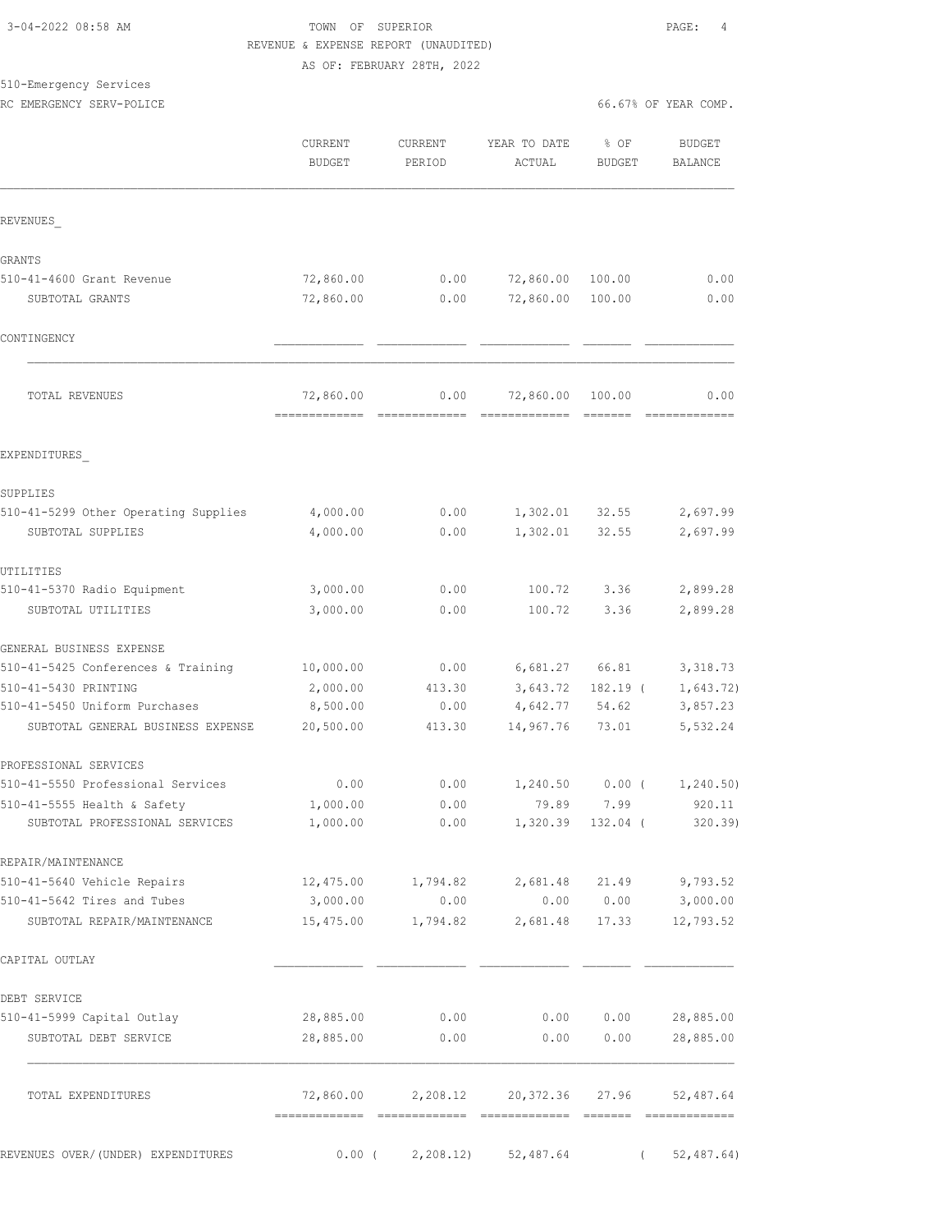### 3-04-2022 08:58 AM TOWN OF SUPERIOR PAGE: 4 REVENUE & EXPENSE REPORT (UNAUDITED) AS OF: FEBRUARY 28TH, 2022

# 510-Emergency Services

RC EMERGENCY SERV-POLICE **Example 2008** COMP.

|  |  | 66.67% OF YEAR COMP |  |
|--|--|---------------------|--|
|  |  |                     |  |

|                                                                    | CURRENT<br><b>BUDGET</b>                   | CURRENT<br>PERIOD  | YEAR TO DATE<br>ACTUAL                           | % OF<br><b>BUDGET</b> | <b>BUDGET</b><br><b>BALANCE</b> |
|--------------------------------------------------------------------|--------------------------------------------|--------------------|--------------------------------------------------|-----------------------|---------------------------------|
| REVENUES                                                           |                                            |                    |                                                  |                       |                                 |
| GRANTS                                                             |                                            |                    |                                                  |                       |                                 |
| 510-41-4600 Grant Revenue                                          | 72,860.00                                  | 0.00               | 72,860.00                                        | 100.00                | 0.00                            |
| SUBTOTAL GRANTS                                                    | 72,860.00                                  | 0.00               | 72,860.00                                        | 100.00                | 0.00                            |
| CONTINGENCY                                                        |                                            |                    |                                                  |                       |                                 |
| TOTAL REVENUES                                                     | 72,860.00<br>-------------- -------------- | 0.00               | 72,860.00                                        | 100.00                | 0.00                            |
| EXPENDITURES                                                       |                                            |                    |                                                  |                       |                                 |
| SUPPLIES                                                           |                                            |                    |                                                  |                       |                                 |
| 510-41-5299 Other Operating Supplies                               | 4,000.00                                   | 0.00               | 1,302.01                                         | 32.55                 | 2,697.99                        |
| SUBTOTAL SUPPLIES                                                  | 4,000.00                                   | 0.00               | 1,302.01                                         | 32.55                 | 2,697.99                        |
| UTILITIES                                                          |                                            |                    |                                                  |                       |                                 |
| 510-41-5370 Radio Equipment                                        | 3,000.00                                   | 0.00               | 100.72                                           | 3.36                  | 2,899.28                        |
| SUBTOTAL UTILITIES                                                 | 3,000.00                                   | 0.00               | 100.72                                           | 3.36                  | 2,899.28                        |
| GENERAL BUSINESS EXPENSE                                           |                                            |                    |                                                  |                       |                                 |
| 510-41-5425 Conferences & Training                                 | 10,000.00                                  | 0.00               | 6,681.27                                         | 66.81                 | 3, 318.73                       |
| 510-41-5430 PRINTING                                               | 2,000.00                                   | 413.30             | 3,643.72                                         | $182.19$ (            | 1,643.72)                       |
| 510-41-5450 Uniform Purchases<br>SUBTOTAL GENERAL BUSINESS EXPENSE | 8,500.00<br>20,500.00                      | 0.00<br>413.30     | 4,642.77<br>14,967.76                            | 54.62<br>73.01        | 3,857.23<br>5,532.24            |
| PROFESSIONAL SERVICES                                              |                                            |                    |                                                  |                       |                                 |
| 510-41-5550 Professional Services                                  | 0.00                                       | 0.00               | 1,240.50                                         | $0.00$ (              | 1,240.50)                       |
| 510-41-5555 Health & Safety                                        | 1,000.00                                   | 0.00               | 79.89                                            | 7.99                  | 920.11                          |
| SUBTOTAL PROFESSIONAL SERVICES                                     | 1,000.00                                   | 0.00               |                                                  | 1,320.39 132.04 (     | 320.39                          |
| REPAIR/MAINTENANCE                                                 |                                            |                    |                                                  |                       |                                 |
| 510-41-5640 Vehicle Repairs                                        |                                            |                    | 12,475.00 1,794.82 2,681.48 21.49 9,793.52       |                       |                                 |
| 510-41-5642 Tires and Tubes                                        | 3,000.00                                   | 0.00               |                                                  |                       | $0.00$ $0.00$ $3,000.00$        |
| SUBTOTAL REPAIR/MAINTENANCE                                        |                                            | 15,475.00 1,794.82 | 2,681.48                                         |                       | 17.33 12,793.52                 |
| CAPITAL OUTLAY                                                     |                                            |                    |                                                  |                       |                                 |
| DEBT SERVICE                                                       |                                            |                    |                                                  |                       |                                 |
| 510-41-5999 Capital Outlay                                         | 28,885.00                                  | 0.00               | 0.00 0.00                                        |                       | 28,885.00                       |
| SUBTOTAL DEBT SERVICE                                              | 28,885.00                                  | 0.00               | 0.00                                             | 0.00                  | 28,885.00                       |
| TOTAL EXPENDITURES                                                 |                                            |                    | 72,860.00  2,208.12  20,372.36  27.96  52,487.64 |                       |                                 |
| REVENUES OVER/(UNDER) EXPENDITURES                                 |                                            |                    | $0.00$ ( $2,208.12$ ) $52,487.64$                |                       | (52, 487.64)                    |
|                                                                    |                                            |                    |                                                  |                       |                                 |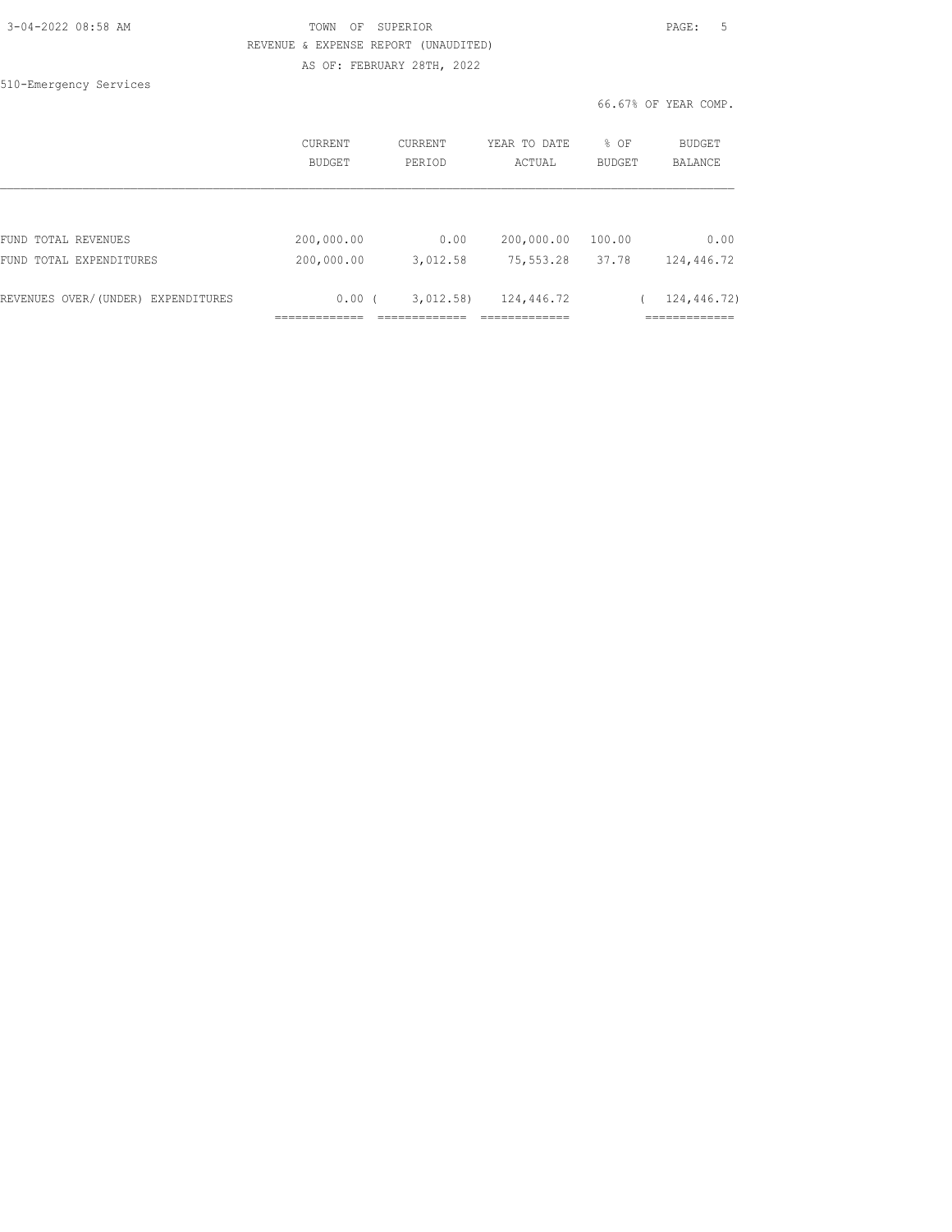| 3-04-2022 08:58 AM |  |
|--------------------|--|
|                    |  |

510-Emergency Services

# TOWN OF SUPERIOR **Example 2014** PAGE: 5 REVENUE & EXPENSE REPORT (UNAUDITED) AS OF: FEBRUARY 28TH, 2022

66.67% OF YEAR COMP.

|                                    | CURRENT<br>BUDGET | <b>CURRENT</b><br>PERIOD | YEAR TO DATE<br>ACTUAL | % OF<br><b>BUDGET</b> | BUDGET<br><b>BALANCE</b> |
|------------------------------------|-------------------|--------------------------|------------------------|-----------------------|--------------------------|
|                                    |                   |                          |                        |                       |                          |
| FUND TOTAL REVENUES                | 200,000.00        | 0.00                     | 200,000.00             | 100.00                | 0.00                     |
| FUND TOTAL EXPENDITURES            | 200,000.00        | 3,012.58                 | 75,553.28              | 37.78                 | 124,446.72               |
| REVENUES OVER/(UNDER) EXPENDITURES | 0.00(             | 3,012.58                 | 124,446.72             |                       | 124,446.72)              |
|                                    |                   |                          |                        |                       |                          |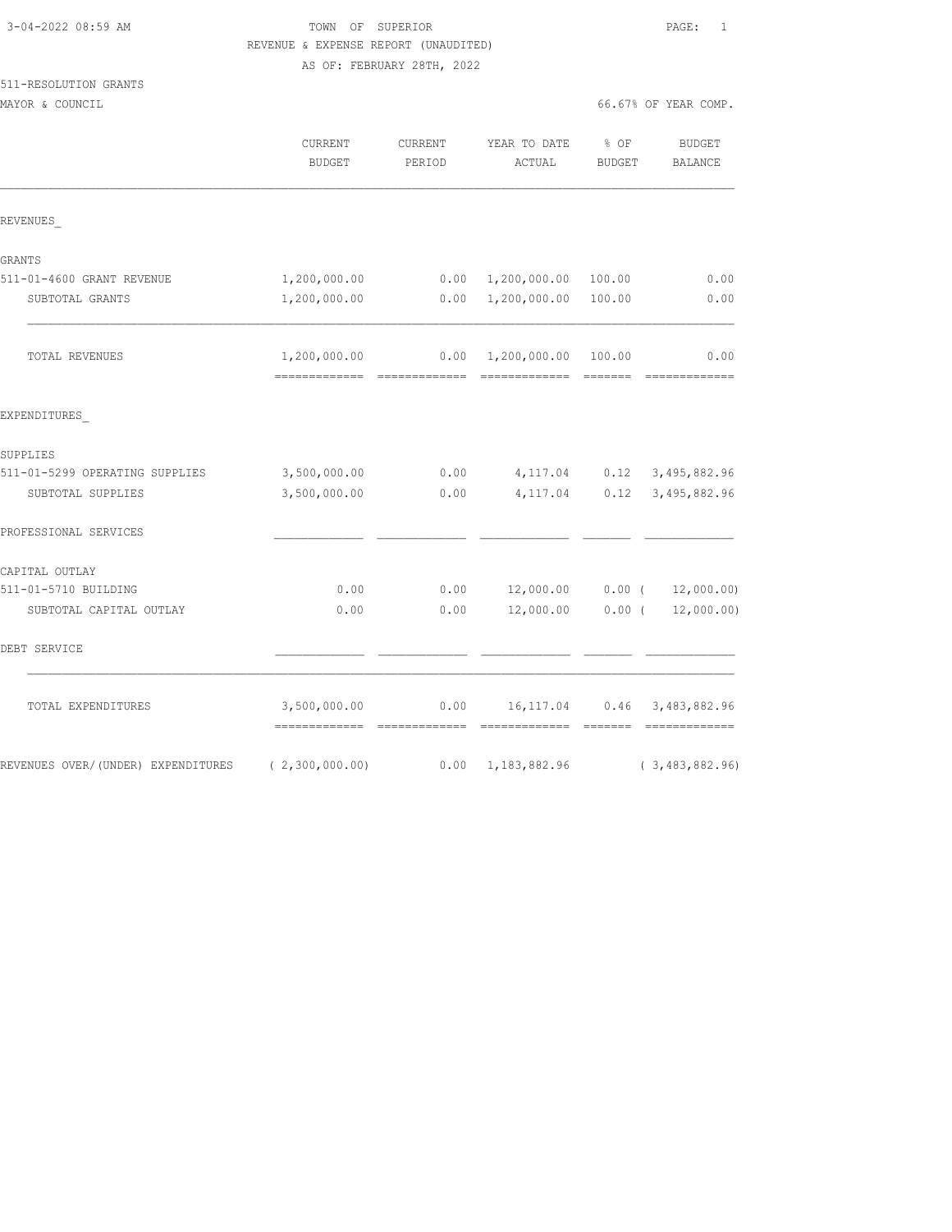| 3-04-2022 08:59 AM |  |
|--------------------|--|
|                    |  |

511-RESOLUTION GRANTS

TOWN OF SUPERIOR **PAGE:** 1 REVENUE & EXPENSE REPORT (UNAUDITED) AS OF: FEBRUARY 28TH, 2022

|                                    | CURRENT<br><b>BUDGET</b>                       | CURRENT<br>PERIOD | YEAR TO DATE<br>ACTUAL               | % OF<br><b>BUDGET</b>                                                                                                                                                                                                                                                                                                                                                                                                                                                                  | <b>BUDGET</b><br><b>BALANCE</b>                                                                                                                                                                                                                                                                                                                                                                                                                                                                |
|------------------------------------|------------------------------------------------|-------------------|--------------------------------------|----------------------------------------------------------------------------------------------------------------------------------------------------------------------------------------------------------------------------------------------------------------------------------------------------------------------------------------------------------------------------------------------------------------------------------------------------------------------------------------|------------------------------------------------------------------------------------------------------------------------------------------------------------------------------------------------------------------------------------------------------------------------------------------------------------------------------------------------------------------------------------------------------------------------------------------------------------------------------------------------|
| REVENUES                           |                                                |                   |                                      |                                                                                                                                                                                                                                                                                                                                                                                                                                                                                        |                                                                                                                                                                                                                                                                                                                                                                                                                                                                                                |
| GRANTS                             |                                                |                   |                                      |                                                                                                                                                                                                                                                                                                                                                                                                                                                                                        |                                                                                                                                                                                                                                                                                                                                                                                                                                                                                                |
| 511-01-4600 GRANT REVENUE          | 1,200,000.00                                   |                   | $0.00 \quad 1,200,000.00$            | 100.00                                                                                                                                                                                                                                                                                                                                                                                                                                                                                 | 0.00                                                                                                                                                                                                                                                                                                                                                                                                                                                                                           |
| SUBTOTAL GRANTS                    | 1,200,000.00                                   | 0.00              | 1,200,000.00                         | 100.00                                                                                                                                                                                                                                                                                                                                                                                                                                                                                 | 0.00                                                                                                                                                                                                                                                                                                                                                                                                                                                                                           |
| TOTAL REVENUES                     | 1,200,000.00<br>-------------- -------------   | 0.00              | 1,200,000.00 100.00<br>============= | $\begin{array}{cccccccccc} \multicolumn{2}{c}{} & \multicolumn{2}{c}{} & \multicolumn{2}{c}{} & \multicolumn{2}{c}{} & \multicolumn{2}{c}{} & \multicolumn{2}{c}{} & \multicolumn{2}{c}{} & \multicolumn{2}{c}{} & \multicolumn{2}{c}{} & \multicolumn{2}{c}{} & \multicolumn{2}{c}{} & \multicolumn{2}{c}{} & \multicolumn{2}{c}{} & \multicolumn{2}{c}{} & \multicolumn{2}{c}{} & \multicolumn{2}{c}{} & \multicolumn{2}{c}{} & \multicolumn{2}{c}{} & \multicolumn{2}{c}{} & \mult$ | 0.00<br>$\begin{array}{cccccccccccccc} \multicolumn{2}{c}{} & \multicolumn{2}{c}{} & \multicolumn{2}{c}{} & \multicolumn{2}{c}{} & \multicolumn{2}{c}{} & \multicolumn{2}{c}{} & \multicolumn{2}{c}{} & \multicolumn{2}{c}{} & \multicolumn{2}{c}{} & \multicolumn{2}{c}{} & \multicolumn{2}{c}{} & \multicolumn{2}{c}{} & \multicolumn{2}{c}{} & \multicolumn{2}{c}{} & \multicolumn{2}{c}{} & \multicolumn{2}{c}{} & \multicolumn{2}{c}{} & \multicolumn{2}{c}{} & \multicolumn{2}{c}{} & \$ |
| EXPENDITURES                       |                                                |                   |                                      |                                                                                                                                                                                                                                                                                                                                                                                                                                                                                        |                                                                                                                                                                                                                                                                                                                                                                                                                                                                                                |
| SUPPLIES                           |                                                |                   |                                      |                                                                                                                                                                                                                                                                                                                                                                                                                                                                                        |                                                                                                                                                                                                                                                                                                                                                                                                                                                                                                |
| 511-01-5299 OPERATING SUPPLIES     | 3,500,000.00                                   | 0.00              | 4,117.04 0.12                        |                                                                                                                                                                                                                                                                                                                                                                                                                                                                                        | 3,495,882.96                                                                                                                                                                                                                                                                                                                                                                                                                                                                                   |
| SUBTOTAL SUPPLIES                  | 3,500,000.00                                   | 0.00              | 4,117.04                             | 0.12                                                                                                                                                                                                                                                                                                                                                                                                                                                                                   | 3,495,882.96                                                                                                                                                                                                                                                                                                                                                                                                                                                                                   |
| PROFESSIONAL SERVICES              |                                                |                   |                                      |                                                                                                                                                                                                                                                                                                                                                                                                                                                                                        |                                                                                                                                                                                                                                                                                                                                                                                                                                                                                                |
| CAPITAL OUTLAY                     |                                                |                   |                                      |                                                                                                                                                                                                                                                                                                                                                                                                                                                                                        |                                                                                                                                                                                                                                                                                                                                                                                                                                                                                                |
| 511-01-5710 BUILDING               | 0.00                                           | 0.00              | 12,000.00                            | $0.00$ (                                                                                                                                                                                                                                                                                                                                                                                                                                                                               | 12,000.00)                                                                                                                                                                                                                                                                                                                                                                                                                                                                                     |
| SUBTOTAL CAPITAL OUTLAY            | 0.00                                           | 0.00              | 12,000.00                            | $0.00$ (                                                                                                                                                                                                                                                                                                                                                                                                                                                                               | 12,000.00)                                                                                                                                                                                                                                                                                                                                                                                                                                                                                     |
| DEBT SERVICE                       |                                                |                   |                                      |                                                                                                                                                                                                                                                                                                                                                                                                                                                                                        |                                                                                                                                                                                                                                                                                                                                                                                                                                                                                                |
| TOTAL EXPENDITURES                 | 3,500,000.00<br>============================== | 0.00              | 16, 117.04<br>------------- ------   | 0.46                                                                                                                                                                                                                                                                                                                                                                                                                                                                                   | 3,483,882.96<br>=============                                                                                                                                                                                                                                                                                                                                                                                                                                                                  |
| REVENUES OVER/(UNDER) EXPENDITURES | (2, 300, 000.00)                               | 0.00              | 1,183,882.96                         |                                                                                                                                                                                                                                                                                                                                                                                                                                                                                        | (3, 483, 882.96)                                                                                                                                                                                                                                                                                                                                                                                                                                                                               |

MAYOR & COUNCIL COUNCIL COMP.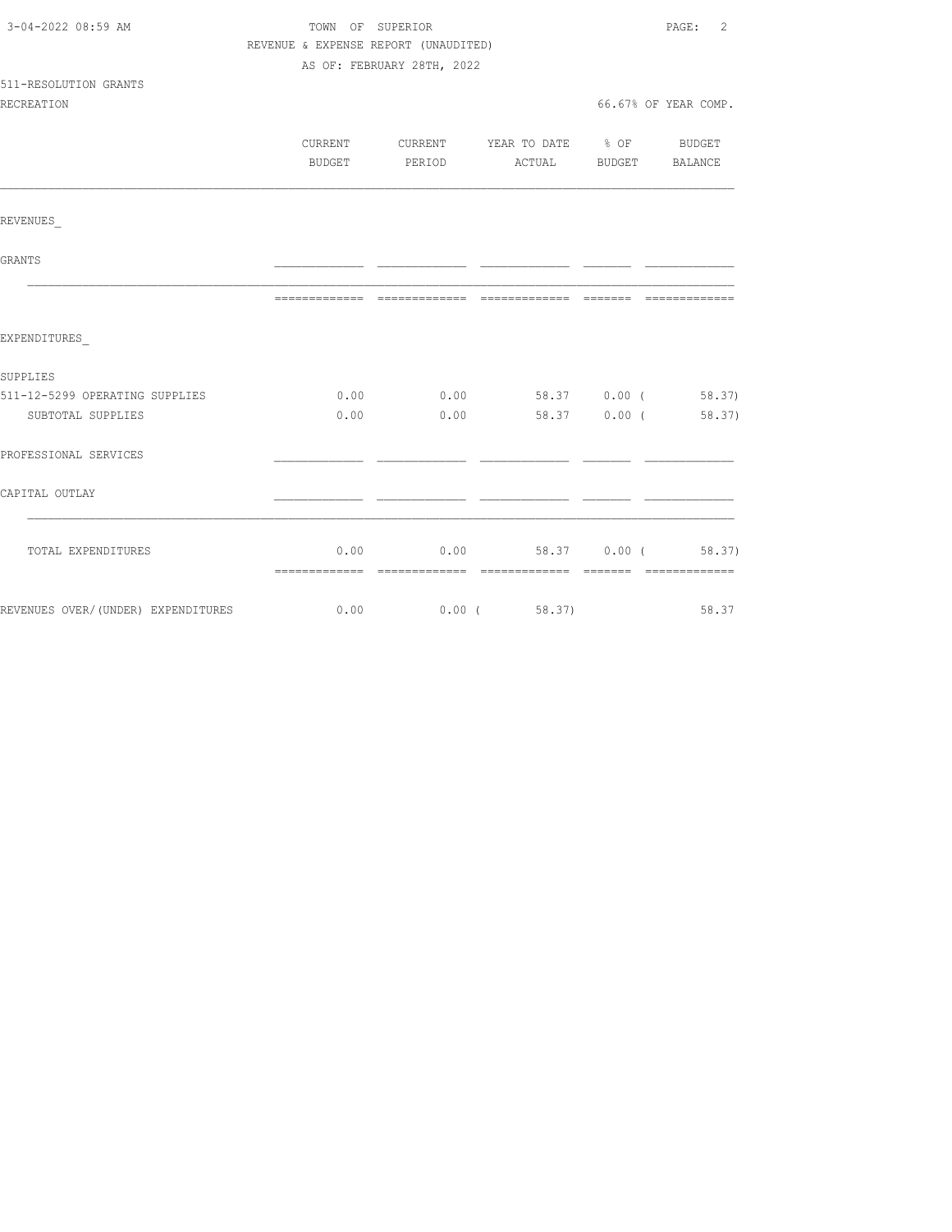| 3-04-2022 08:59 AM                                        | TOWN OF SUPERIOR |                                      |                                          |                       | PAGE: 2              |  |  |
|-----------------------------------------------------------|------------------|--------------------------------------|------------------------------------------|-----------------------|----------------------|--|--|
|                                                           |                  | REVENUE & EXPENSE REPORT (UNAUDITED) |                                          |                       |                      |  |  |
|                                                           |                  | AS OF: FEBRUARY 28TH, 2022           |                                          |                       |                      |  |  |
| 511-RESOLUTION GRANTS                                     |                  |                                      |                                          |                       |                      |  |  |
| <b>RECREATION</b>                                         |                  |                                      |                                          |                       | 66.67% OF YEAR COMP. |  |  |
|                                                           |                  |                                      |                                          |                       |                      |  |  |
|                                                           |                  | BUDGET PERIOD                        | CURRENT CURRENT YEAR TO DATE % OF BUDGET | ACTUAL BUDGET BALANCE |                      |  |  |
|                                                           |                  |                                      |                                          |                       |                      |  |  |
|                                                           |                  |                                      |                                          |                       |                      |  |  |
| REVENUES                                                  |                  |                                      |                                          |                       |                      |  |  |
| <b>GRANTS</b>                                             |                  |                                      |                                          |                       |                      |  |  |
|                                                           |                  |                                      |                                          |                       |                      |  |  |
| EXPENDITURES                                              |                  |                                      |                                          |                       |                      |  |  |
|                                                           |                  |                                      |                                          |                       |                      |  |  |
| SUPPLIES<br>511-12-5299 OPERATING SUPPLIES                |                  |                                      | $0.00$ $0.00$ $58.37$ $0.00$ ( $58.37$ ) |                       |                      |  |  |
|                                                           |                  | $0.00$ 0.00                          |                                          |                       |                      |  |  |
| SUBTOTAL SUPPLIES                                         |                  |                                      |                                          |                       | 58.37 0.00 (58.37)   |  |  |
| PROFESSIONAL SERVICES                                     |                  |                                      |                                          |                       |                      |  |  |
| CAPITAL OUTLAY                                            |                  |                                      |                                          |                       |                      |  |  |
|                                                           |                  |                                      |                                          |                       |                      |  |  |
| TOTAL EXPENDITURES                                        |                  |                                      | $0.00$ $0.00$ $58.37$ $0.00$ ( $58.37$ ) |                       |                      |  |  |
|                                                           |                  |                                      |                                          |                       |                      |  |  |
| REVENUES OVER/(UNDER) EXPENDITURES 6.00 0.00 0.00 (58.37) |                  |                                      |                                          |                       | 58.37                |  |  |
|                                                           |                  |                                      |                                          |                       |                      |  |  |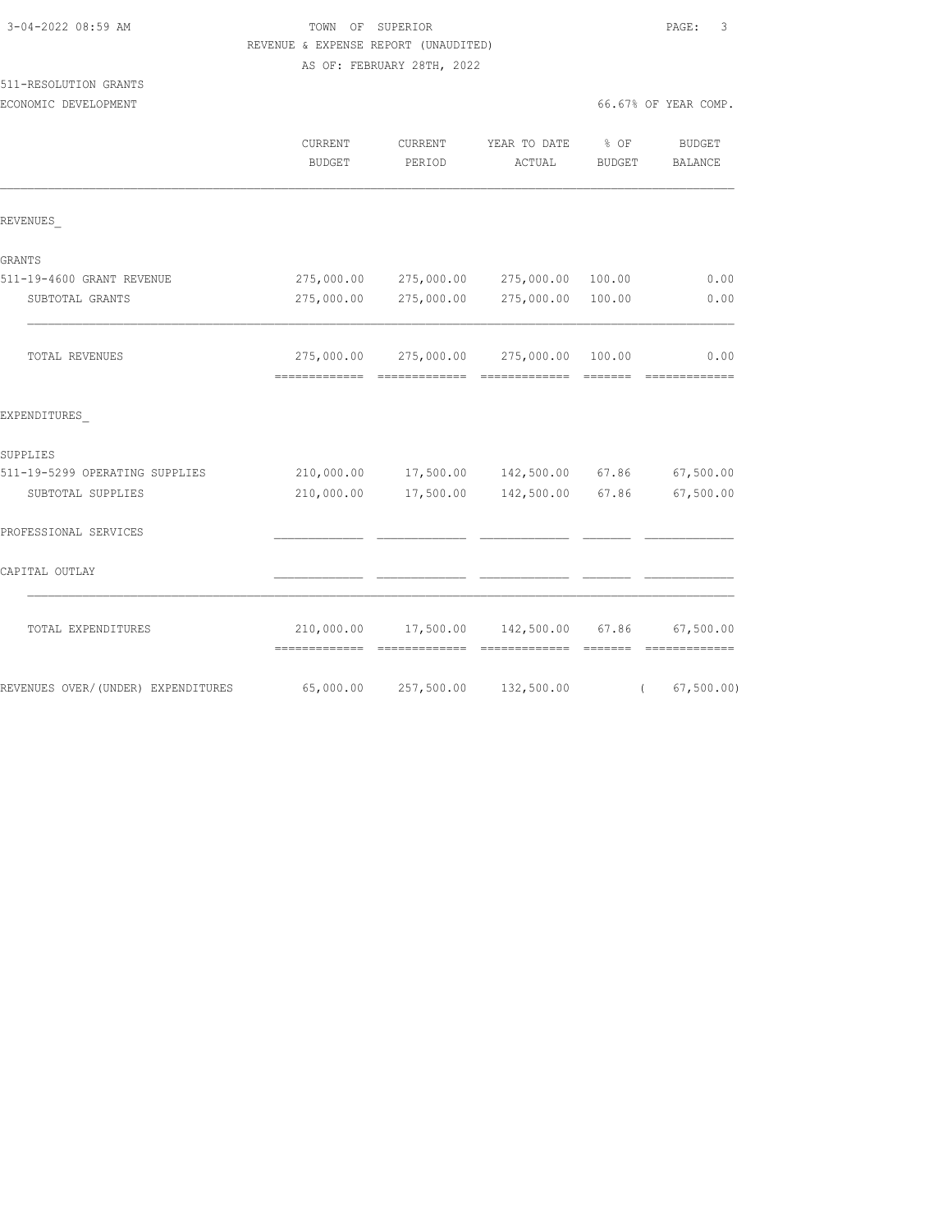| REVENUE & EXPENSE REPORT (UNAUDITED) |                          |                            |                                          |                  |                            |
|--------------------------------------|--------------------------|----------------------------|------------------------------------------|------------------|----------------------------|
|                                      |                          | AS OF: FEBRUARY 28TH, 2022 |                                          |                  |                            |
| 511-RESOLUTION GRANTS                |                          |                            |                                          |                  |                            |
| ECONOMIC DEVELOPMENT                 |                          |                            |                                          |                  | 66.67% OF YEAR COMP.       |
|                                      | CURRENT<br><b>BUDGET</b> | CURRENT<br>PERIOD          | YEAR TO DATE<br>ACTUAL                   | $8$ OF<br>BUDGET | BUDGET<br>BALANCE          |
| REVENUES                             |                          |                            |                                          |                  |                            |
| GRANTS                               |                          |                            |                                          |                  |                            |
| 511-19-4600 GRANT REVENUE            |                          |                            | 275,000.00 275,000.00 275,000.00         | 100.00           | 0.00                       |
| SUBTOTAL GRANTS                      | 275,000.00               | 275,000.00                 | 275,000.00                               | 100.00           | 0.00                       |
| TOTAL REVENUES                       | 275,000.00               |                            | 275,000.00 275,000.00                    | 100.00           | 0.00<br>--------------     |
| EXPENDITURES                         |                          |                            |                                          |                  |                            |
| SUPPLIES                             |                          |                            |                                          |                  |                            |
| 511-19-5299 OPERATING SUPPLIES       |                          |                            | 210,000.00  17,500.00  142,500.00  67.86 |                  | 67,500.00                  |
| SUBTOTAL SUPPLIES                    | 210,000.00               |                            | 17,500.00 142,500.00                     | 67.86            | 67,500.00                  |
| PROFESSIONAL SERVICES                |                          |                            |                                          |                  |                            |
| CAPITAL OUTLAY                       |                          |                            |                                          |                  |                            |
| TOTAL EXPENDITURES                   | 210,000.00               | 17,500.00                  | 142,500.00                               | 67.86            | 67,500.00<br>============= |
| REVENUES OVER/ (UNDER) EXPENDITURES  | 65,000.00                | 257,500.00                 | 132,500.00                               | $\left($         | 67, 500.00)                |

3-04-2022 08:59 AM TOWN OF SUPERIOR PAGE: 3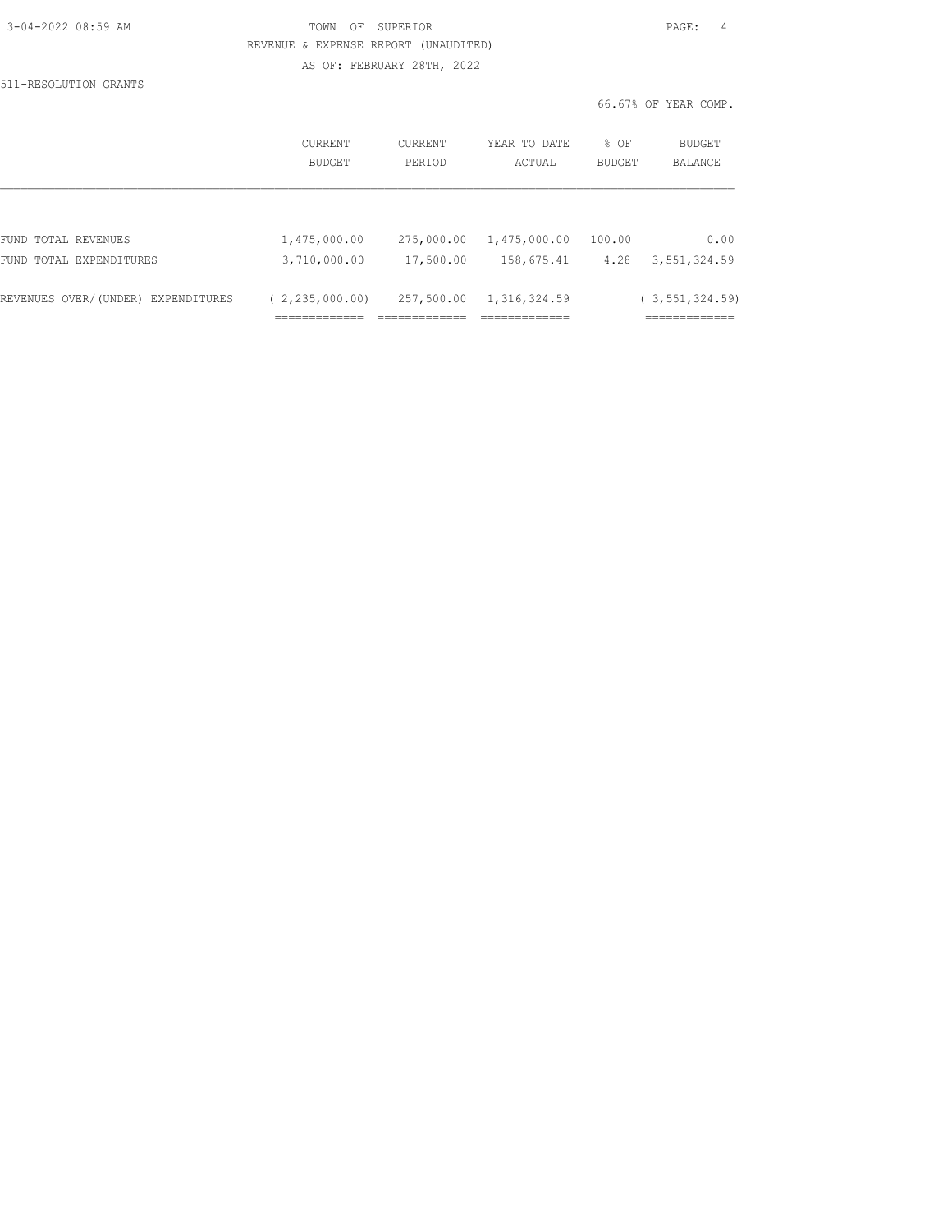| 3-04-2022 08:59 AM |  |
|--------------------|--|
|                    |  |

TOWN OF SUPERIOR **Example 2010** PAGE: 4 REVENUE & EXPENSE REPORT (UNAUDITED) AS OF: FEBRUARY 28TH, 2022

66.67% OF YEAR COMP.

511-RESOLUTION GRANTS

|                                    | CURRENT<br>BUDGET | CURRENT<br>PERIOD | YEAR TO DATE<br>ACTUAL | % OF<br>BUDGET | BUDGET<br>BALANCE |
|------------------------------------|-------------------|-------------------|------------------------|----------------|-------------------|
|                                    |                   |                   |                        |                |                   |
| FUND TOTAL REVENUES                | 1,475,000.00      | 275,000.00        | 1,475,000.00           | 100.00         | 0.00              |
| FUND TOTAL EXPENDITURES            | 3,710,000.00      | 17,500.00         | 158,675.41             | 4.28           | 3,551,324.59      |
| REVENUES OVER/(UNDER) EXPENDITURES | (2, 235, 000, 00) | 257,500.00        | 1,316,324.59           |                | (3, 551, 324, 59) |
|                                    | ___________       |                   | _____________          |                | =============     |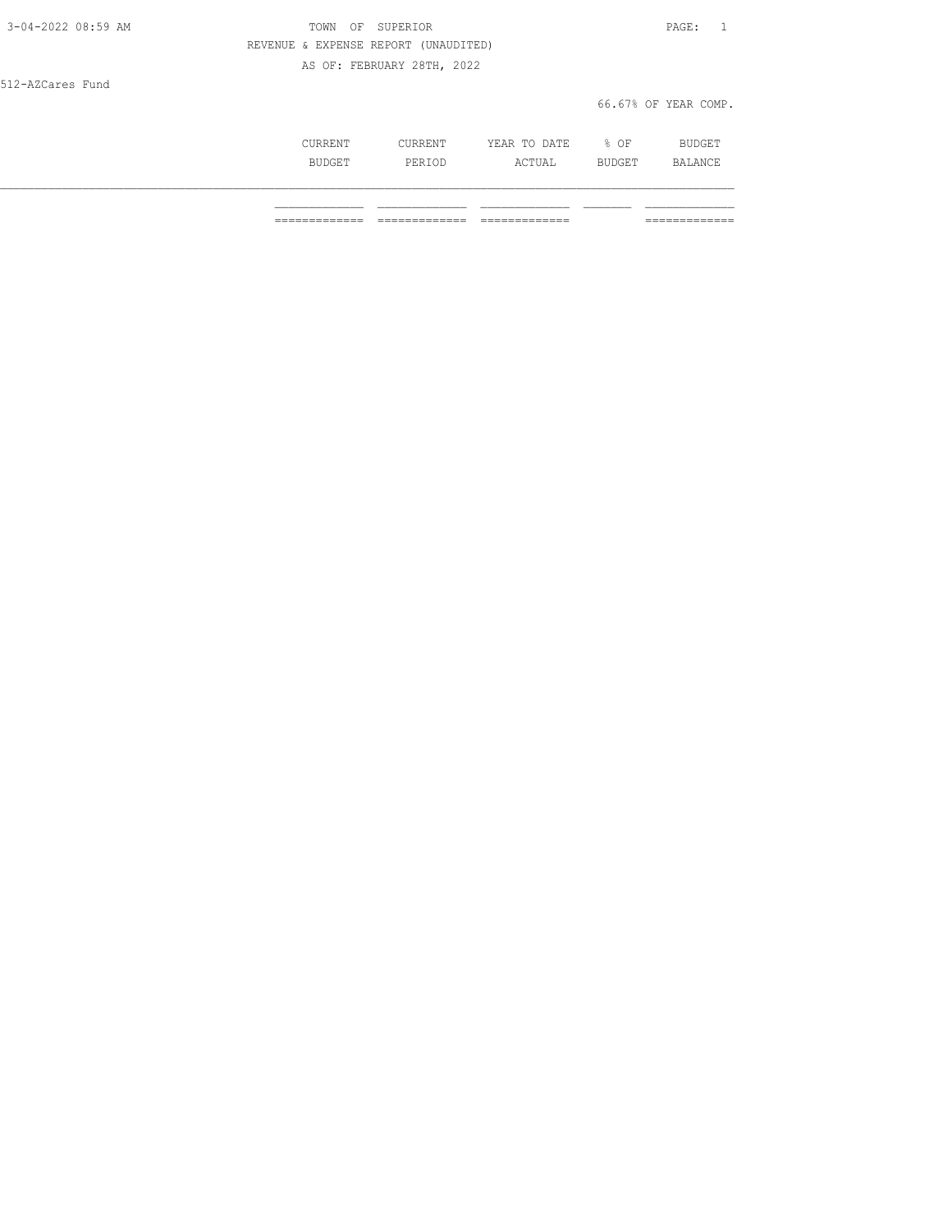| CURRENT       | CURRENT | YEAR TO DATE | % OF   | <b>BUDGET</b> |
|---------------|---------|--------------|--------|---------------|
| <b>BUDGET</b> | PERIOD  | ACTUAL       | BUDGET | BALANCE       |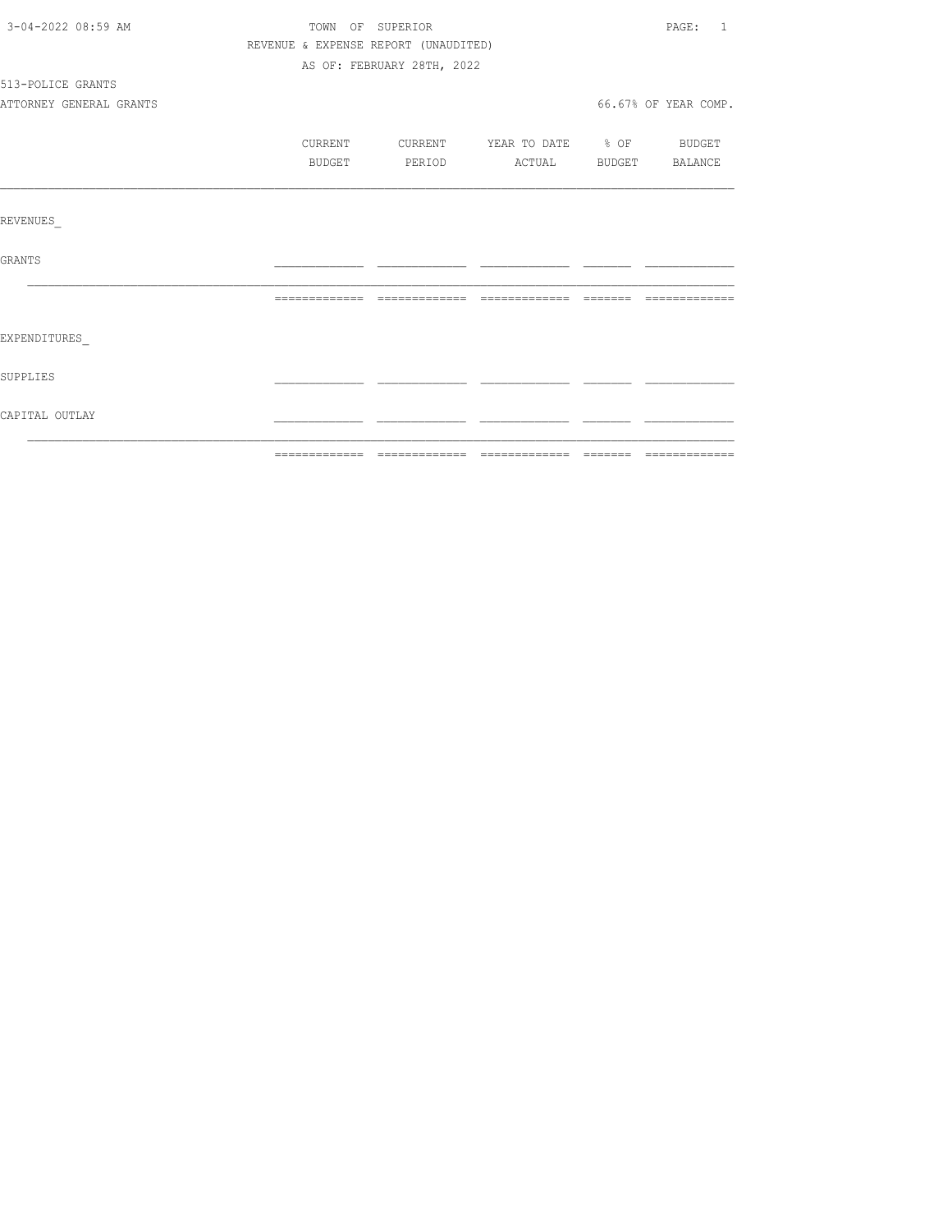| 3-04-2022 08:59 AM      | TOWN OF SUPERIOR |                                      |  | PAGE: 1              |
|-------------------------|------------------|--------------------------------------|--|----------------------|
|                         |                  | REVENUE & EXPENSE REPORT (UNAUDITED) |  |                      |
|                         |                  | AS OF: FEBRUARY 28TH, 2022           |  |                      |
| 513-POLICE GRANTS       |                  |                                      |  |                      |
| ATTORNEY GENERAL GRANTS |                  |                                      |  | 66.67% OF YEAR COMP. |
|                         |                  |                                      |  |                      |
|                         | CURRENT          | CURRENT YEAR TO DATE % OF BUDGET     |  |                      |
|                         | BUDGET           | PERIOD ACTUAL BUDGET BALANCE         |  |                      |
|                         |                  |                                      |  |                      |
|                         |                  |                                      |  |                      |
| REVENUES                |                  |                                      |  |                      |
|                         |                  |                                      |  |                      |
| GRANTS                  |                  |                                      |  |                      |
|                         |                  |                                      |  |                      |
|                         |                  |                                      |  |                      |
| EXPENDITURES            |                  |                                      |  |                      |
|                         |                  |                                      |  |                      |
| SUPPLIES                |                  |                                      |  |                      |
|                         |                  |                                      |  |                      |
| CAPITAL OUTLAY          |                  |                                      |  |                      |
|                         |                  |                                      |  |                      |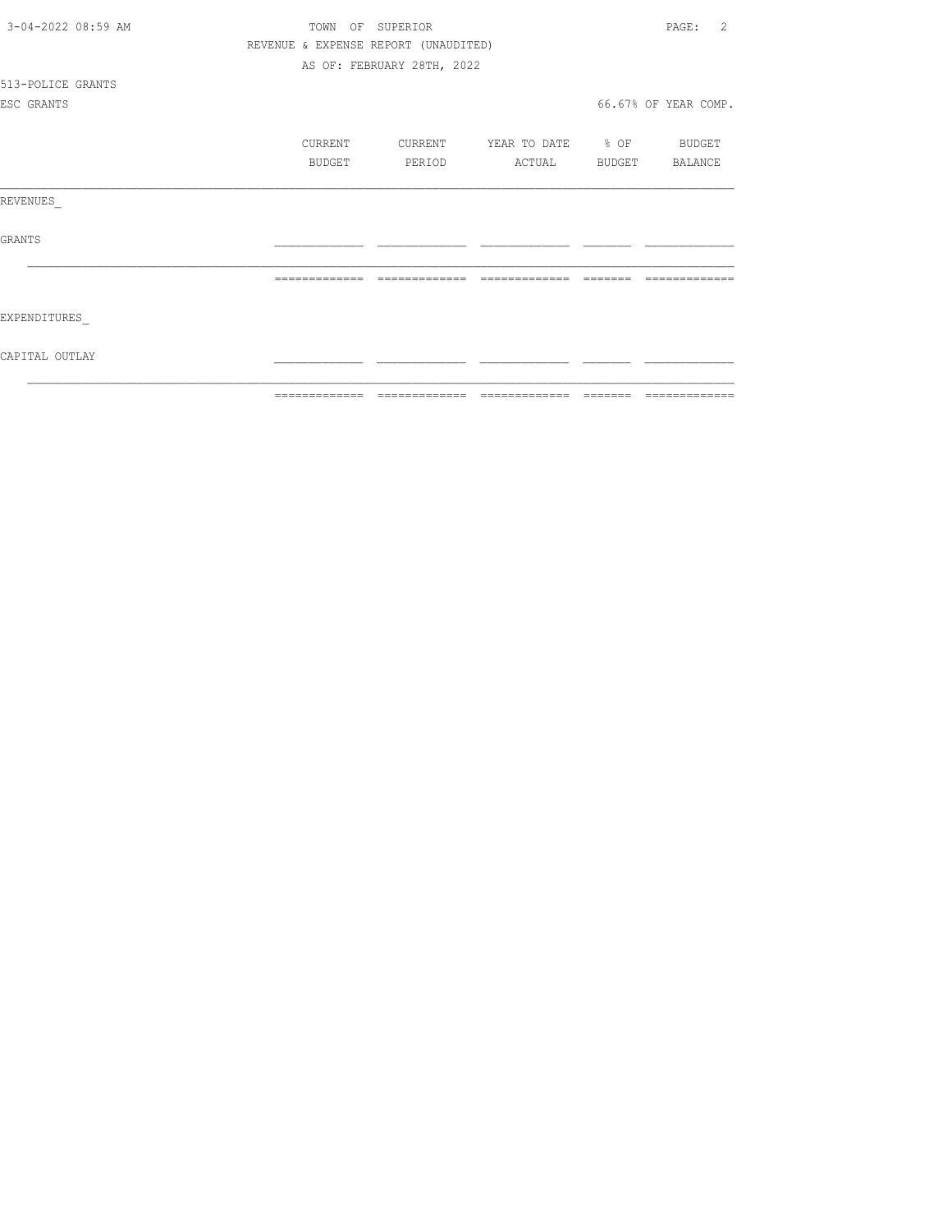| 3-04-2022 08:59 AM | TOWN          | OF SUPERIOR                          |                          |                | $\mathfrak{D}$<br>PAGE: |
|--------------------|---------------|--------------------------------------|--------------------------|----------------|-------------------------|
|                    |               | REVENUE & EXPENSE REPORT (UNAUDITED) |                          |                |                         |
|                    |               | AS OF: FEBRUARY 28TH, 2022           |                          |                |                         |
| 513-POLICE GRANTS  |               |                                      |                          |                |                         |
| ESC GRANTS         |               |                                      |                          |                | 66.67% OF YEAR COMP.    |
|                    |               |                                      |                          |                |                         |
|                    | CURRENT       | CURRENT                              | YEAR TO DATE % OF BUDGET |                |                         |
|                    | BUDGET        | PERIOD                               | ACTUAL                   | BUDGET BALANCE |                         |
| REVENUES           |               |                                      |                          |                |                         |
| GRANTS             |               |                                      |                          |                |                         |
|                    |               | =============                        | =======                  |                |                         |
| EXPENDITURES       |               |                                      |                          |                |                         |
| CAPITAL OUTLAY     |               |                                      |                          |                |                         |
|                    | ------------- | -------------                        | --------------           | --------       | --------------          |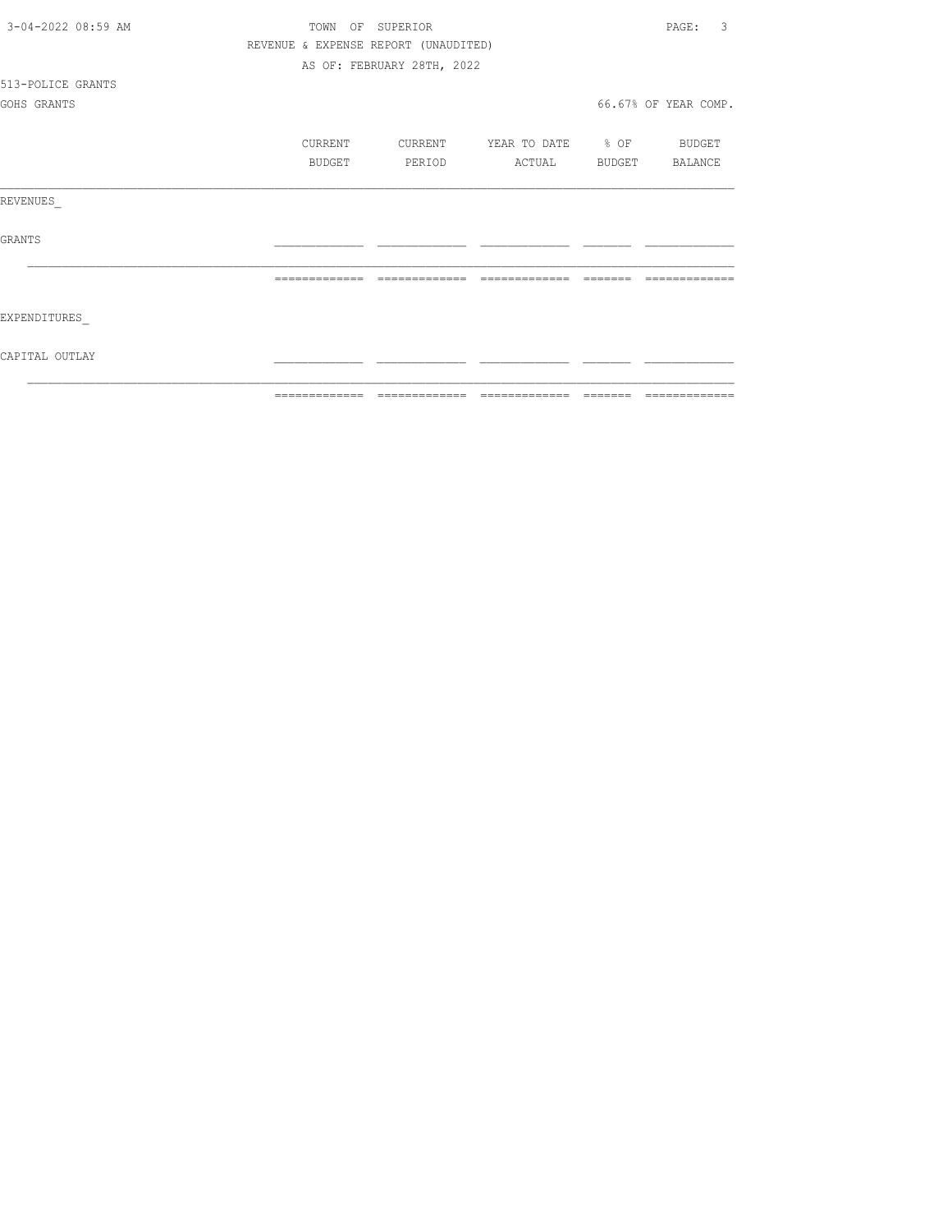| 3-04-2022 08:59 AM | TOWN          |         | OF SUPERIOR                          |                   |        | 3<br>PAGE:           |
|--------------------|---------------|---------|--------------------------------------|-------------------|--------|----------------------|
|                    |               |         | REVENUE & EXPENSE REPORT (UNAUDITED) |                   |        |                      |
|                    |               |         | AS OF: FEBRUARY 28TH, 2022           |                   |        |                      |
| 513-POLICE GRANTS  |               |         |                                      |                   |        |                      |
| GOHS GRANTS        |               |         |                                      |                   |        | 66.67% OF YEAR COMP. |
|                    |               | CURRENT | CURRENT                              | YEAR TO DATE % OF |        | BUDGET               |
|                    |               | BUDGET  | PERIOD                               | ACTUAL            | BUDGET | BALANCE              |
| REVENUES           |               |         |                                      |                   |        |                      |
| <b>GRANTS</b>      |               |         |                                      |                   |        |                      |
|                    |               |         |                                      |                   |        |                      |
| EXPENDITURES       |               |         |                                      |                   |        |                      |
| CAPITAL OUTLAY     |               |         |                                      |                   |        |                      |
|                    | ------------- |         |                                      |                   |        |                      |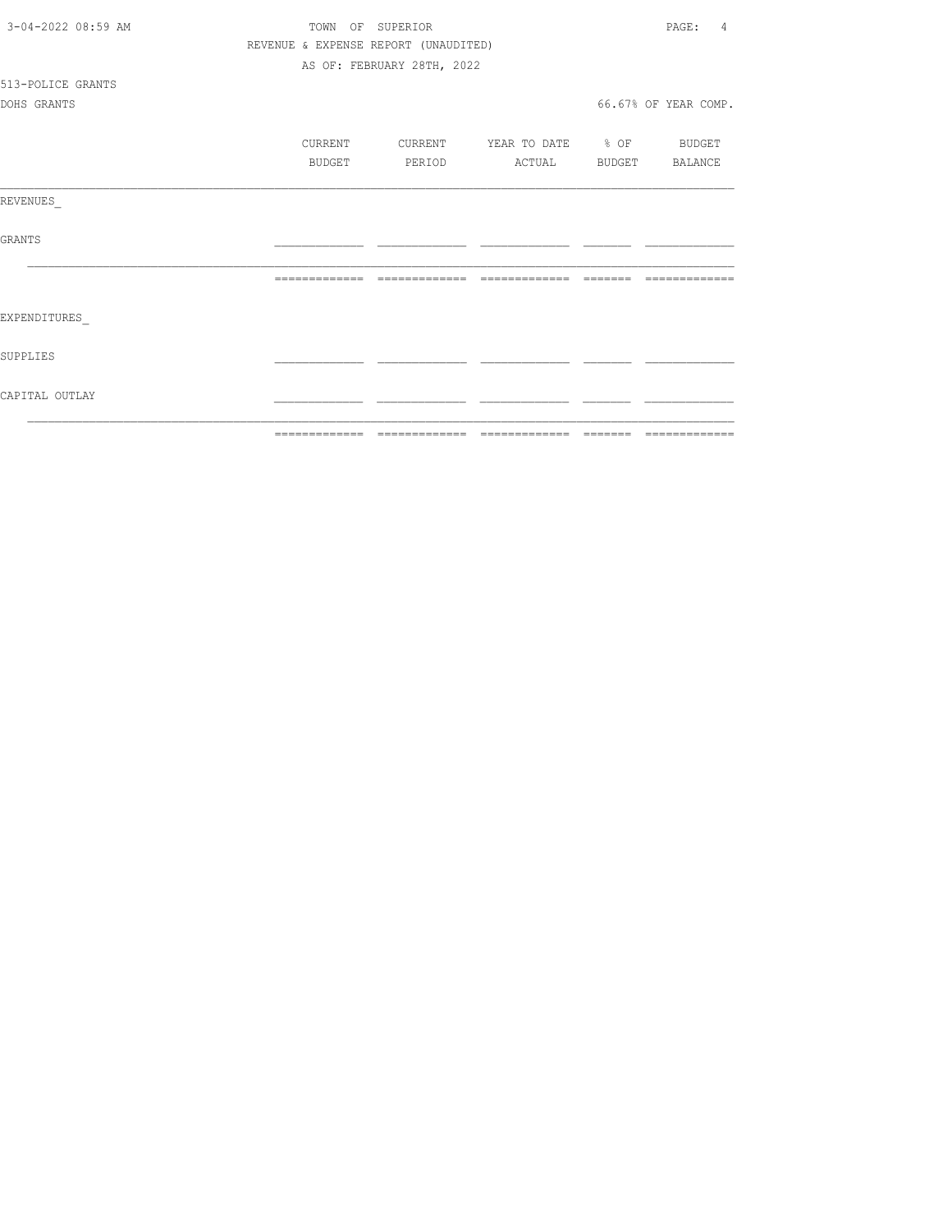| CAPITAL OUTLAY     |                  |                                      |                   |        |                      |
|--------------------|------------------|--------------------------------------|-------------------|--------|----------------------|
| SUPPLIES           |                  |                                      |                   |        |                      |
| EXPENDITURES       |                  |                                      |                   |        |                      |
|                    |                  |                                      |                   |        | --------------       |
| GRANTS             |                  |                                      |                   |        |                      |
| REVENUES           |                  |                                      |                   |        |                      |
|                    | <b>BUDGET</b>    | PERIOD                               | ACTUAL            | BUDGET | BALANCE              |
|                    | CURRENT          | CURRENT                              | YEAR TO DATE % OF |        | BUDGET               |
| DOHS GRANTS        |                  |                                      |                   |        | 66.67% OF YEAR COMP. |
| 513-POLICE GRANTS  |                  |                                      |                   |        |                      |
|                    |                  | AS OF: FEBRUARY 28TH, 2022           |                   |        |                      |
|                    |                  | REVENUE & EXPENSE REPORT (UNAUDITED) |                   |        |                      |
| 3-04-2022 08:59 AM | TOWN OF SUPERIOR |                                      |                   |        | PAGE:<br>4           |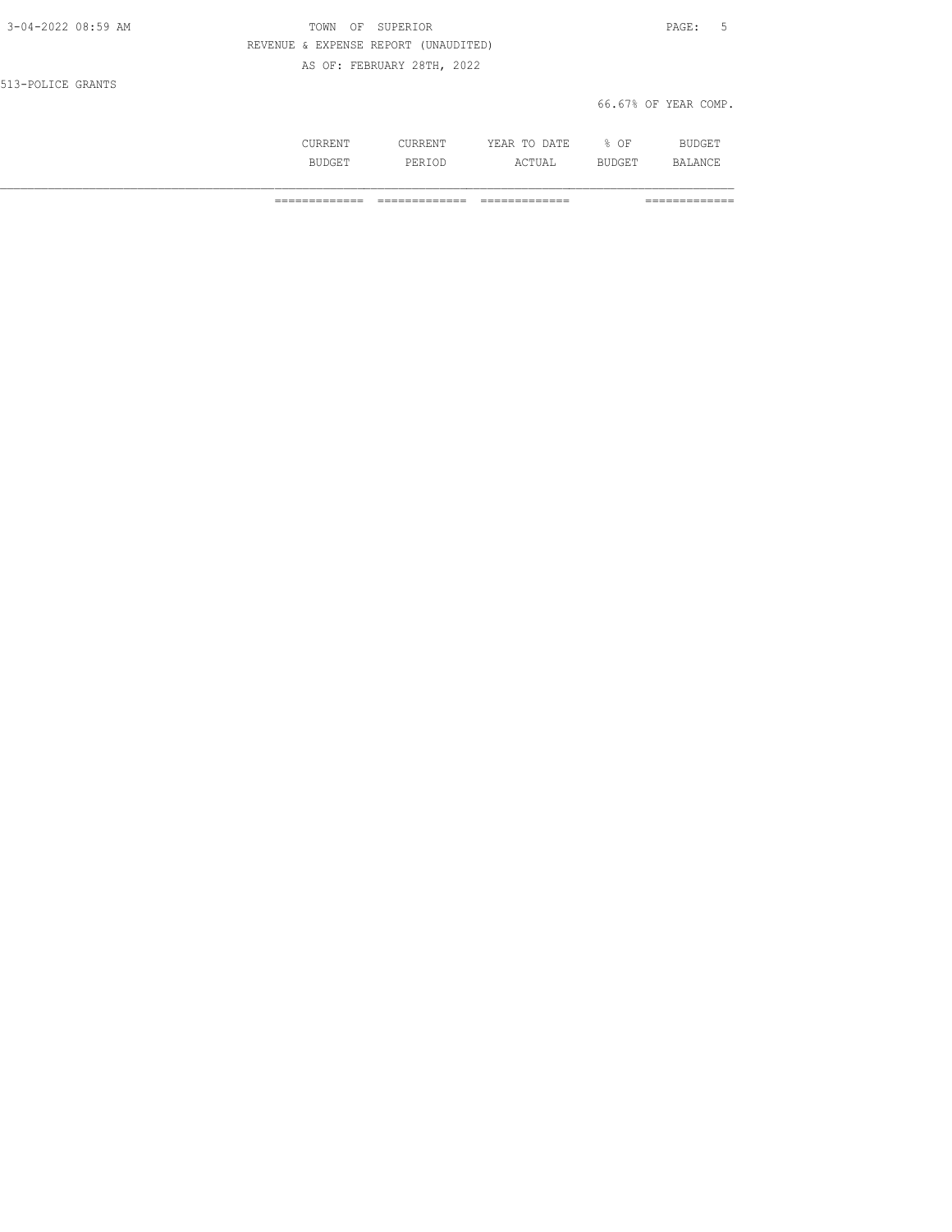| 3-04-2022 08:59 AM | TOWN<br>OF                           | SUPERIOR                   |              |      | PAGE:<br>- 5         |
|--------------------|--------------------------------------|----------------------------|--------------|------|----------------------|
|                    | REVENUE & EXPENSE REPORT (UNAUDITED) |                            |              |      |                      |
|                    |                                      | AS OF: FEBRUARY 28TH, 2022 |              |      |                      |
| 513-POLICE GRANTS  |                                      |                            |              |      |                      |
|                    |                                      |                            |              |      | 66.67% OF YEAR COMP. |
|                    |                                      |                            |              |      |                      |
|                    | CURRENT                              | CURRENT                    | YEAR TO DATE | % OF | <b>BUDGET</b>        |

BUDGET PERIOD ACTUAL BUDGET BALANCE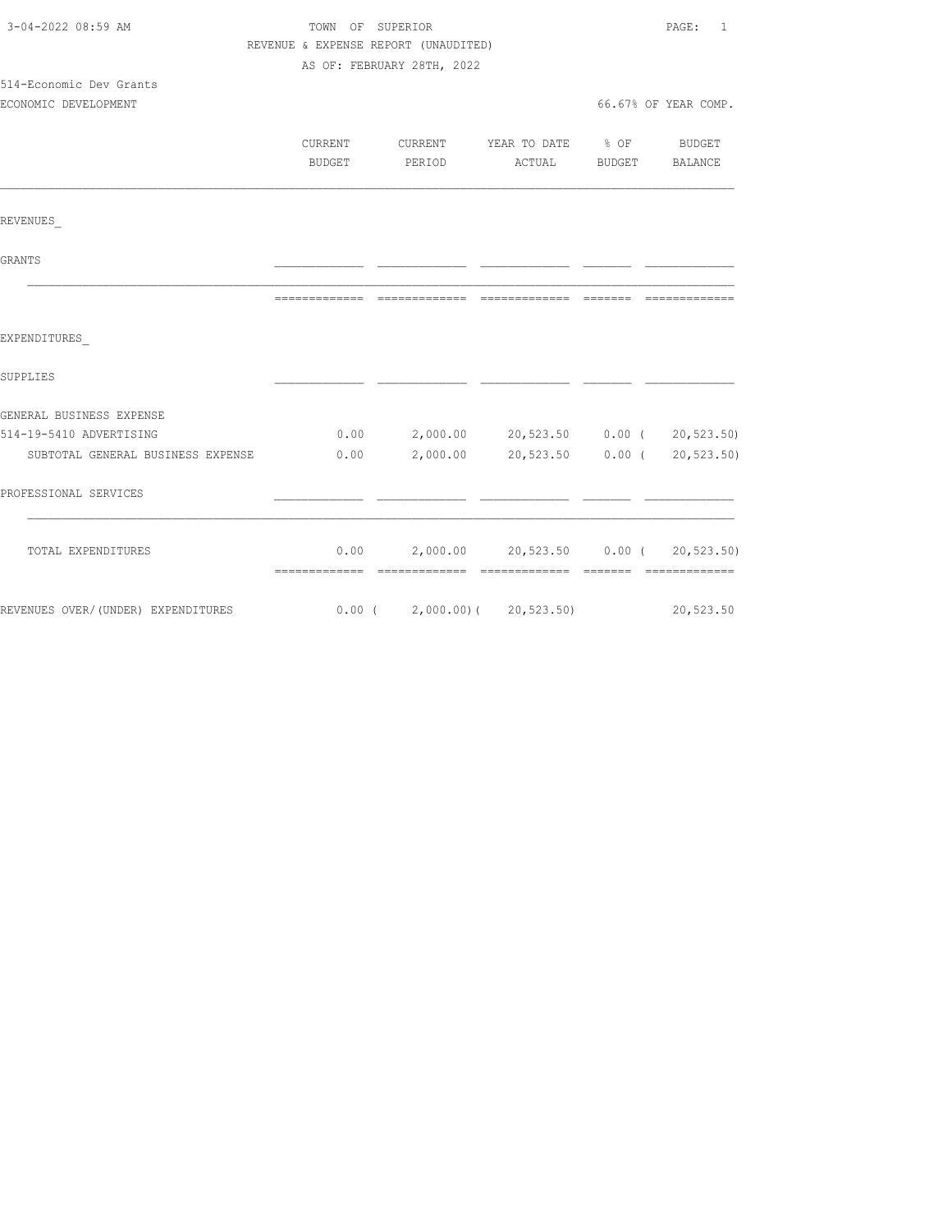| 3-04-2022 08:59 AM                                                       | TOWN OF SUPERIOR                     |                                             |                          |        |                      |
|--------------------------------------------------------------------------|--------------------------------------|---------------------------------------------|--------------------------|--------|----------------------|
|                                                                          | REVENUE & EXPENSE REPORT (UNAUDITED) |                                             |                          |        |                      |
|                                                                          |                                      | AS OF: FEBRUARY 28TH, 2022                  |                          |        |                      |
| 514-Economic Dev Grants                                                  |                                      |                                             |                          |        |                      |
| ECONOMIC DEVELOPMENT                                                     |                                      |                                             |                          |        | 66.67% OF YEAR COMP. |
|                                                                          |                                      |                                             |                          |        |                      |
|                                                                          | CURRENT                              | CURRENT                                     | YEAR TO DATE % OF BUDGET |        |                      |
|                                                                          | BUDGET                               | PERIOD                                      | ACTUAL                   | BUDGET | BALANCE              |
|                                                                          |                                      |                                             |                          |        |                      |
| REVENUES                                                                 |                                      |                                             |                          |        |                      |
| GRANTS                                                                   |                                      |                                             |                          |        |                      |
|                                                                          |                                      |                                             |                          |        |                      |
| EXPENDITURES                                                             |                                      |                                             |                          |        |                      |
| SUPPLIES                                                                 |                                      |                                             |                          |        |                      |
| GENERAL BUSINESS EXPENSE                                                 |                                      |                                             |                          |        |                      |
| 514-19-5410 ADVERTISING                                                  |                                      | $0.00$ 2,000.00 20,523.50 0.00 ( 20,523.50) |                          |        |                      |
| SUBTOTAL GENERAL BUSINESS EXPENSE                                        | 0.00                                 | 2,000.00 20,523.50 0.00 ( 20,523.50)        |                          |        |                      |
| PROFESSIONAL SERVICES                                                    |                                      |                                             |                          |        |                      |
| TOTAL EXPENDITURES                                                       |                                      | $0.00$ 2,000.00 20,523.50 0.00 ( 20,523.50) |                          |        |                      |
|                                                                          |                                      |                                             |                          |        |                      |
| REVENUES OVER/(UNDER) EXPENDITURES 6.00 (2,000.00) (20,523.50) 20,523.50 |                                      |                                             |                          |        |                      |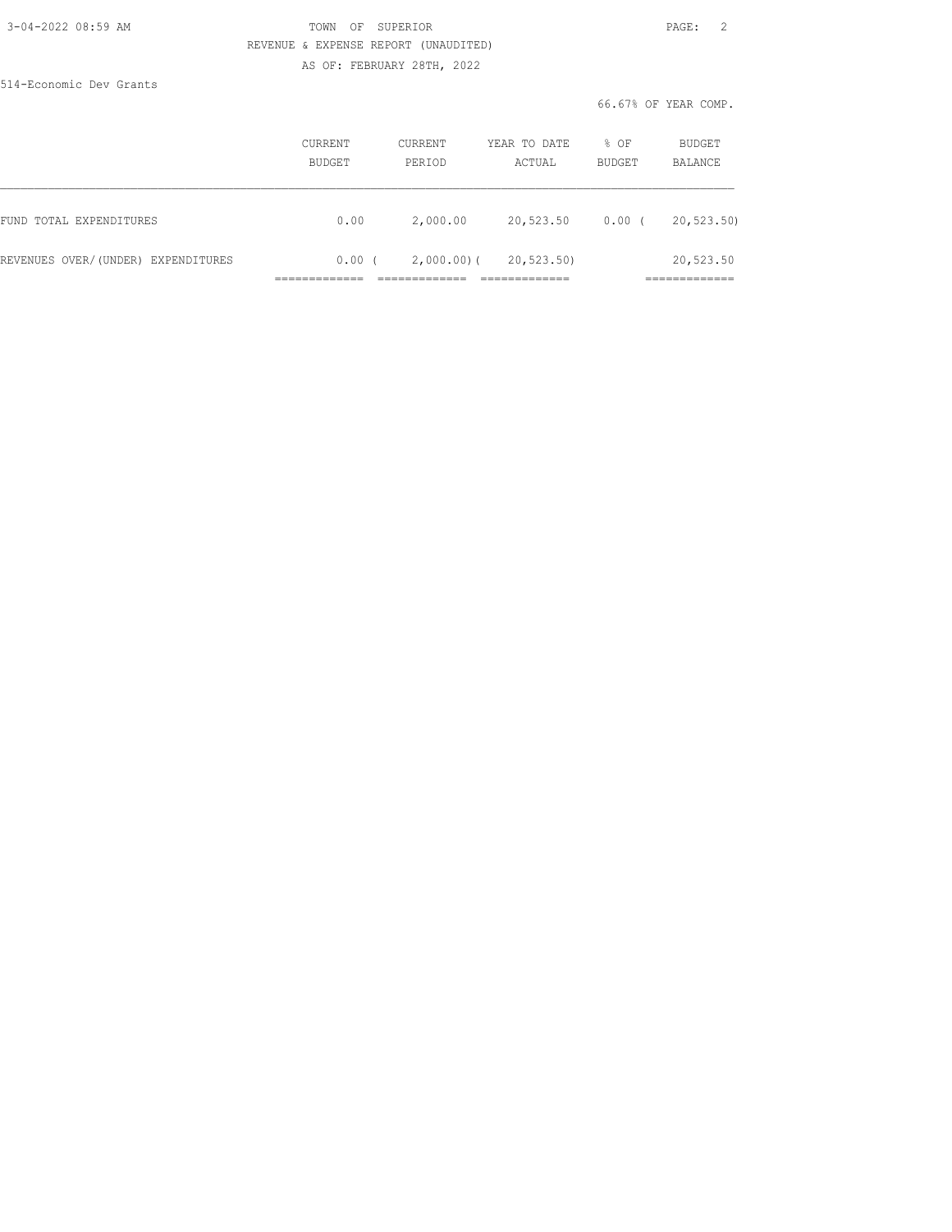### 3-04-2022 08:59 AM TOWN OF SUPERIOR PAGE: 2 REVENUE & EXPENSE REPORT (UNAUDITED) AS OF: FEBRUARY 28TH, 2022

514-Economic Dev Grants

66.67% OF YEAR COMP.

|                                    | CURRENT<br>BUDGET | CURRENT<br>PERIOD | YEAR TO DATE<br>ACTUAL | % OF<br><b>BUDGET</b> | BUDGET<br>BALANCE         |
|------------------------------------|-------------------|-------------------|------------------------|-----------------------|---------------------------|
| FUND TOTAL EXPENDITURES            | 0.00              | 2,000.00          | 20,523.50              | 0.00                  | 20, 523.50                |
| REVENUES OVER/(UNDER) EXPENDITURES | 0.00              | $2,000.00)$ (     | 20, 523.50             |                       | 20,523.50<br>____________ |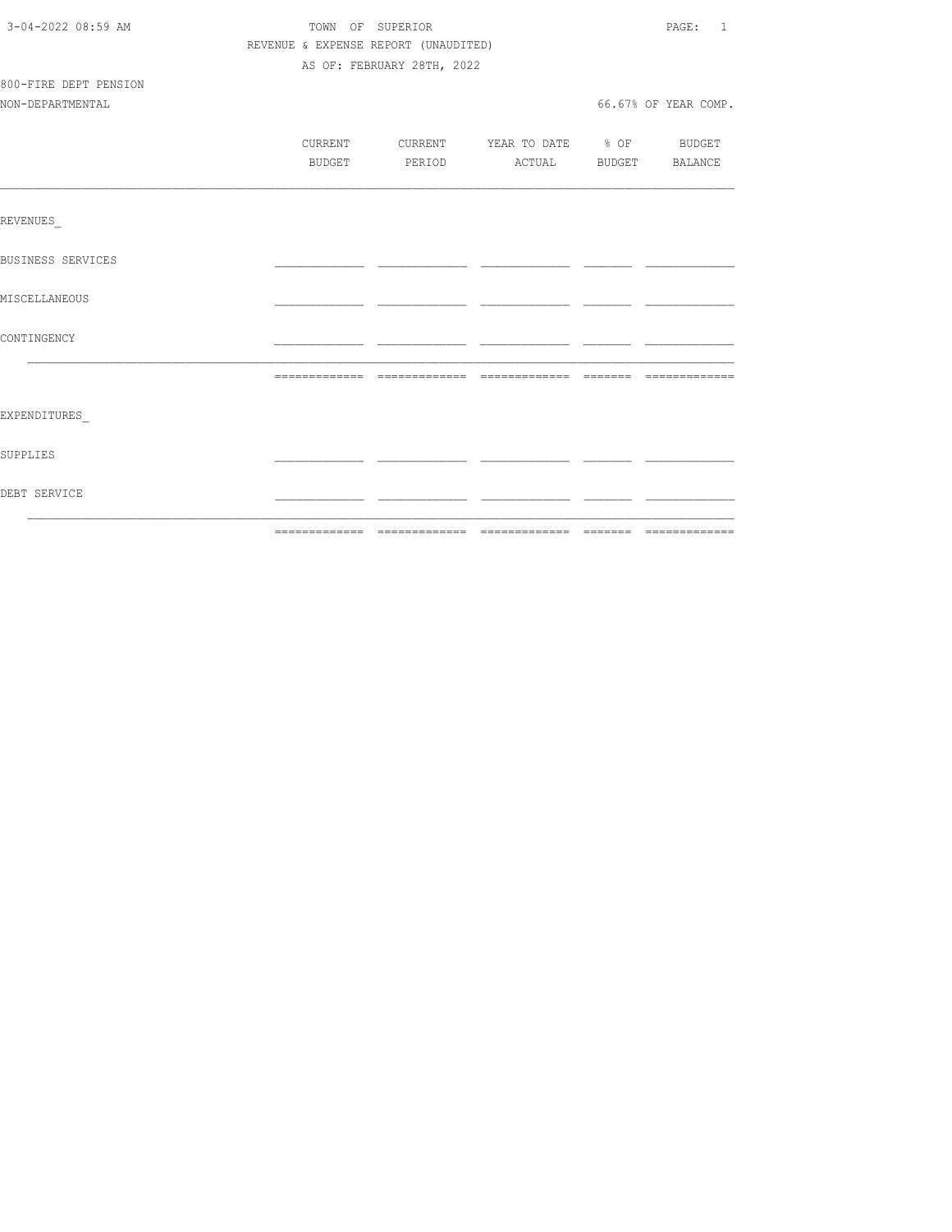| 3-04-2022 08:59 AM       | TOWN OF SUPERIOR<br>REVENUE & EXPENSE REPORT (UNAUDITED) |         |                            |                                  | PAGE: 1 |                      |
|--------------------------|----------------------------------------------------------|---------|----------------------------|----------------------------------|---------|----------------------|
|                          |                                                          |         |                            |                                  |         |                      |
|                          |                                                          |         | AS OF: FEBRUARY 28TH, 2022 |                                  |         |                      |
| 800-FIRE DEPT PENSION    |                                                          |         |                            |                                  |         |                      |
| NON-DEPARTMENTAL         |                                                          |         |                            |                                  |         | 66.67% OF YEAR COMP. |
|                          |                                                          |         |                            |                                  |         |                      |
|                          |                                                          | CURRENT |                            | CURRENT YEAR TO DATE % OF BUDGET |         |                      |
|                          |                                                          | BUDGET  |                            | PERIOD ACTUAL BUDGET BALANCE     |         |                      |
|                          |                                                          |         |                            |                                  |         |                      |
| REVENUES                 |                                                          |         |                            |                                  |         |                      |
| <b>BUSINESS SERVICES</b> |                                                          |         |                            |                                  |         |                      |
| MISCELLANEOUS            |                                                          |         |                            |                                  |         |                      |
| CONTINGENCY              |                                                          |         |                            |                                  |         |                      |
|                          |                                                          |         |                            |                                  |         |                      |
|                          |                                                          |         |                            |                                  |         |                      |
| EXPENDITURES             |                                                          |         |                            |                                  |         |                      |
| SUPPLIES                 |                                                          |         |                            |                                  |         |                      |
| DEBT SERVICE             |                                                          |         |                            |                                  |         |                      |
|                          |                                                          |         |                            |                                  |         |                      |
|                          |                                                          |         |                            |                                  |         |                      |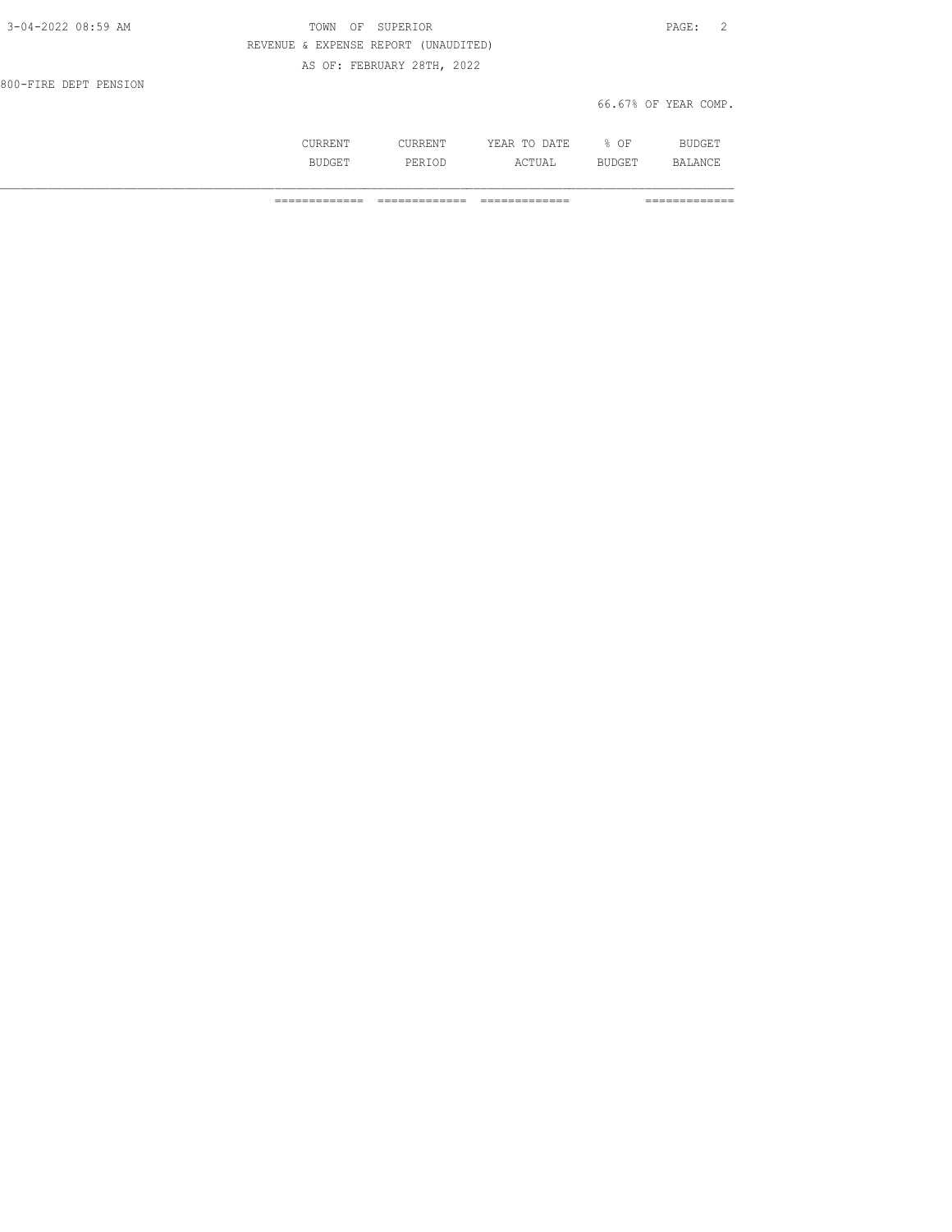| 3-04-2022 08:59 AM    | TOWN OF SUPERIOR                     | PAGE: 2              |
|-----------------------|--------------------------------------|----------------------|
|                       | REVENUE & EXPENSE REPORT (UNAUDITED) |                      |
|                       | AS OF: FEBRUARY 28TH, 2022           |                      |
| 800-FIRE DEPT PENSION |                                      |                      |
|                       |                                      | 66.67% OF YEAR COMP. |

| . | . | $\cdots$<br>----<br>----- | ∩F<br>◡ |                |
|---|---|---------------------------|---------|----------------|
|   |   | חי<br>---                 | --      | $\mathbb{R}^n$ |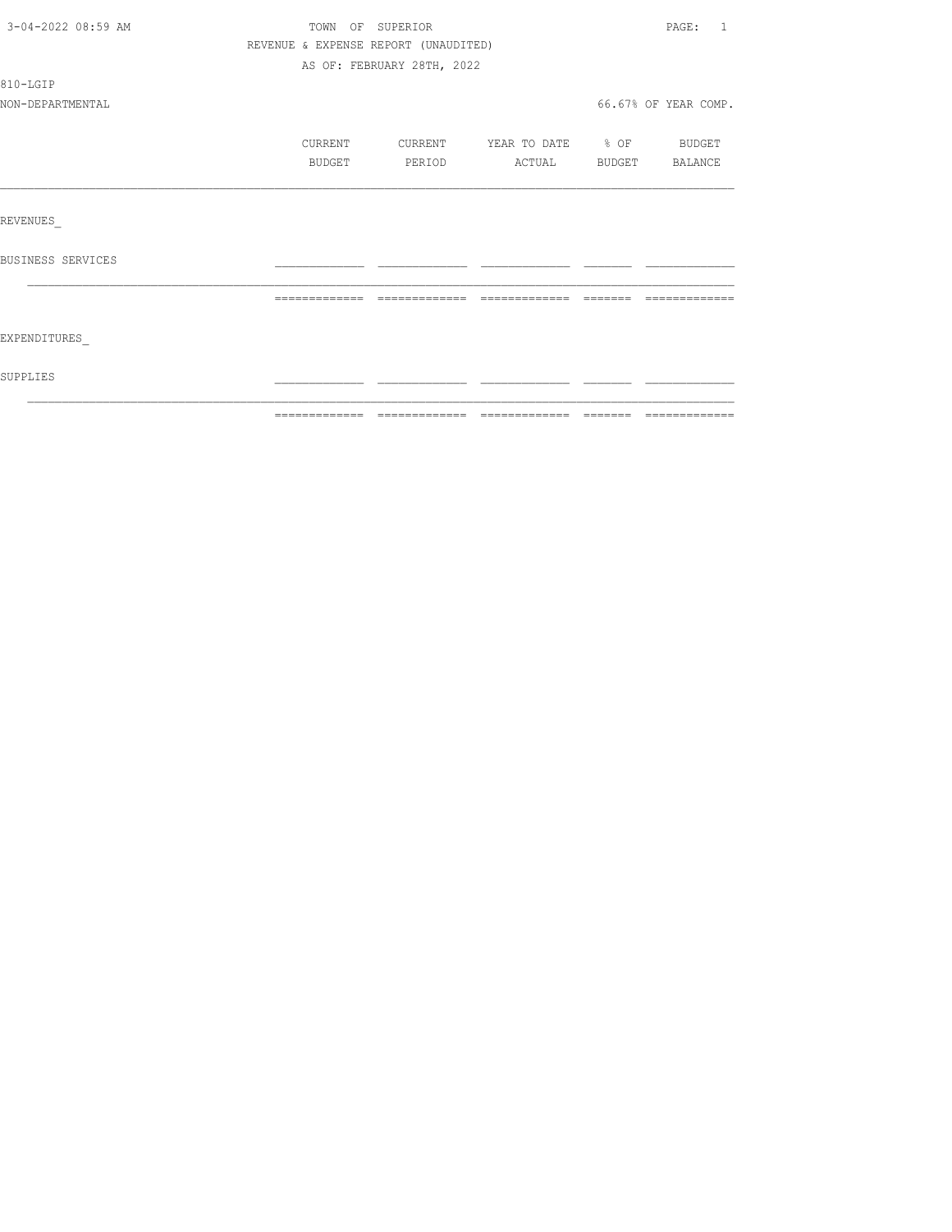| 3-04-2022 08:59 AM | TOWN OF SUPERIOR                     |                            |                                 |         | PAGE:<br>$\overline{1}$ |
|--------------------|--------------------------------------|----------------------------|---------------------------------|---------|-------------------------|
|                    | REVENUE & EXPENSE REPORT (UNAUDITED) |                            |                                 |         |                         |
|                    |                                      | AS OF: FEBRUARY 28TH, 2022 |                                 |         |                         |
| 810-LGIP           |                                      |                            |                                 |         |                         |
| NON-DEPARTMENTAL   |                                      |                            |                                 |         | 66.67% OF YEAR COMP.    |
|                    | CURRENT                              | CURRENT                    | YEAR TO DATE % OF               |         | BUDGET                  |
|                    | BUDGET                               | PERIOD                     | ACTUAL                          |         | BUDGET BALANCE          |
|                    |                                      |                            |                                 |         |                         |
| REVENUES           |                                      |                            |                                 |         |                         |
| BUSINESS SERVICES  |                                      |                            |                                 |         |                         |
|                    | =============                        |                            | ------------------------------- | ------- | =============           |
| EXPENDITURES       |                                      |                            |                                 |         |                         |
| SUPPLIES           |                                      |                            |                                 |         |                         |
|                    |                                      |                            |                                 |         |                         |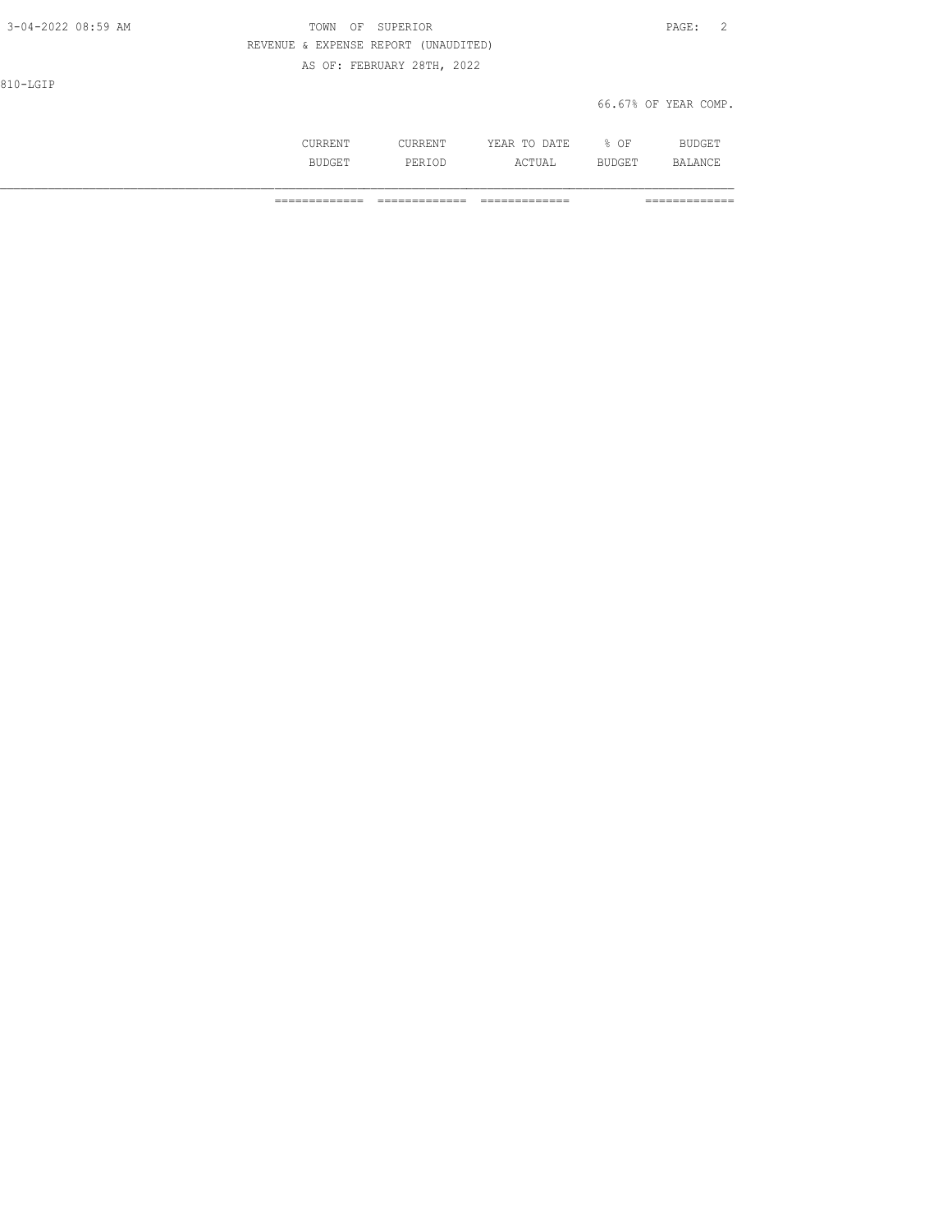| 3-04-2022 08:59 AM | TOWN OF SUPERIOR                     | PAGE: | $\overline{2}$ |
|--------------------|--------------------------------------|-------|----------------|
|                    | REVENUE & EXPENSE REPORT (UNAUDITED) |       |                |
|                    | AS OF: FEBRUARY 28TH, 2022           |       |                |
| 810-LGIP           |                                      |       |                |

66.67% OF YEAR COMP.

|       |                     | חת מח<br>VF<br>.<br>. | ΟF   |   |
|-------|---------------------|-----------------------|------|---|
| חדד כ | 1 J L' LJ<br>------ | UA L<br>---           | ---- | . |

============= ============= ============= =============

810-LGIP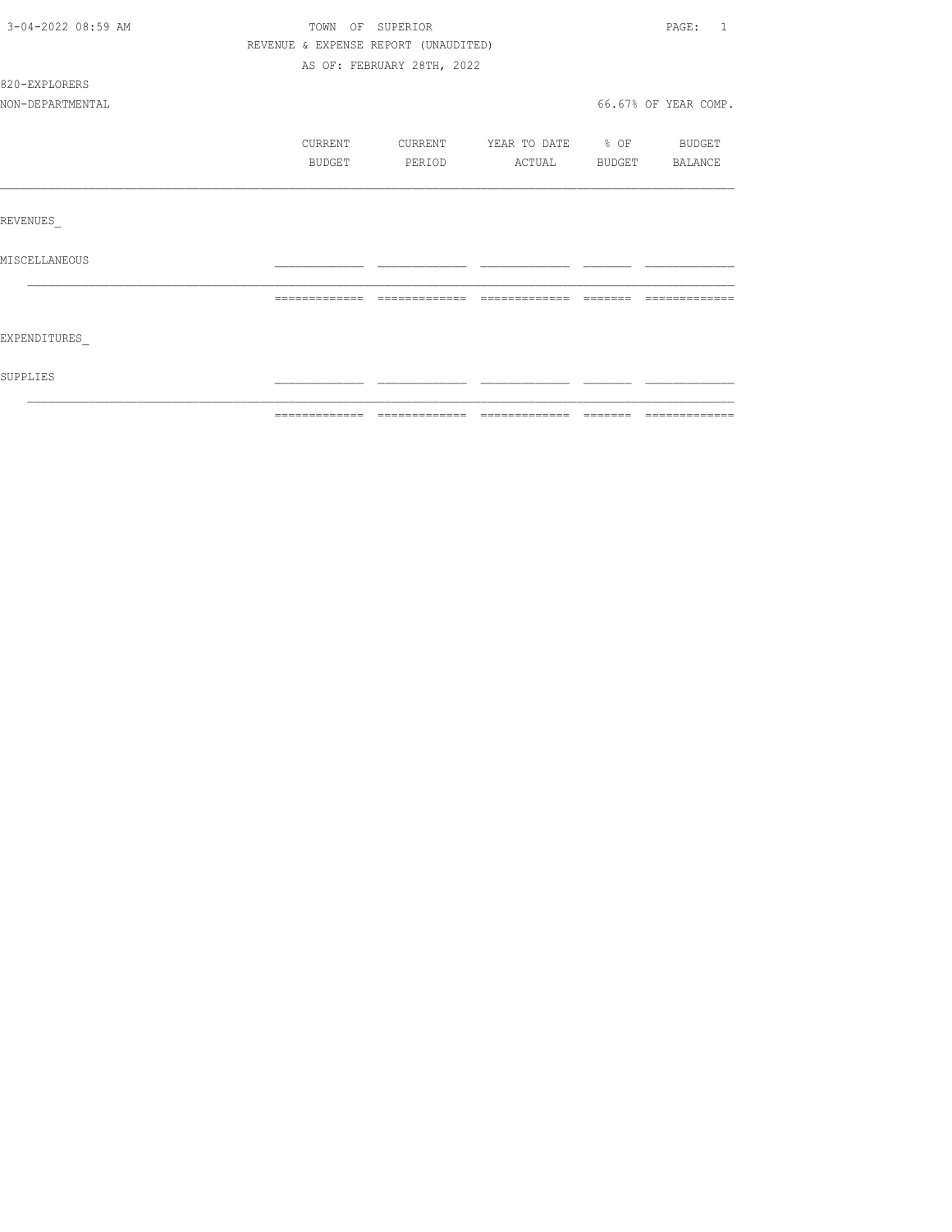| 3-04-2022 08:59 AM | TOWN OF SUPERIOR                     |                            |                   |        | PAGE:<br>$\overline{1}$ |
|--------------------|--------------------------------------|----------------------------|-------------------|--------|-------------------------|
|                    | REVENUE & EXPENSE REPORT (UNAUDITED) |                            |                   |        |                         |
|                    |                                      | AS OF: FEBRUARY 28TH, 2022 |                   |        |                         |
| 820-EXPLORERS      |                                      |                            |                   |        |                         |
| NON-DEPARTMENTAL   |                                      |                            |                   |        | 66.67% OF YEAR COMP.    |
|                    | CURRENT                              | CURRENT                    | YEAR TO DATE % OF |        | <b>BUDGET</b>           |
|                    | BUDGET                               | PERIOD                     | ACTUAL            | BUDGET | BALANCE                 |
|                    |                                      |                            |                   |        |                         |
| REVENUES           |                                      |                            |                   |        |                         |
| MISCELLANEOUS      |                                      |                            |                   |        |                         |
|                    | =============                        | =============              | =============     |        |                         |
| EXPENDITURES       |                                      |                            |                   |        |                         |
| SUPPLIES           |                                      |                            |                   |        |                         |
|                    |                                      |                            |                   |        |                         |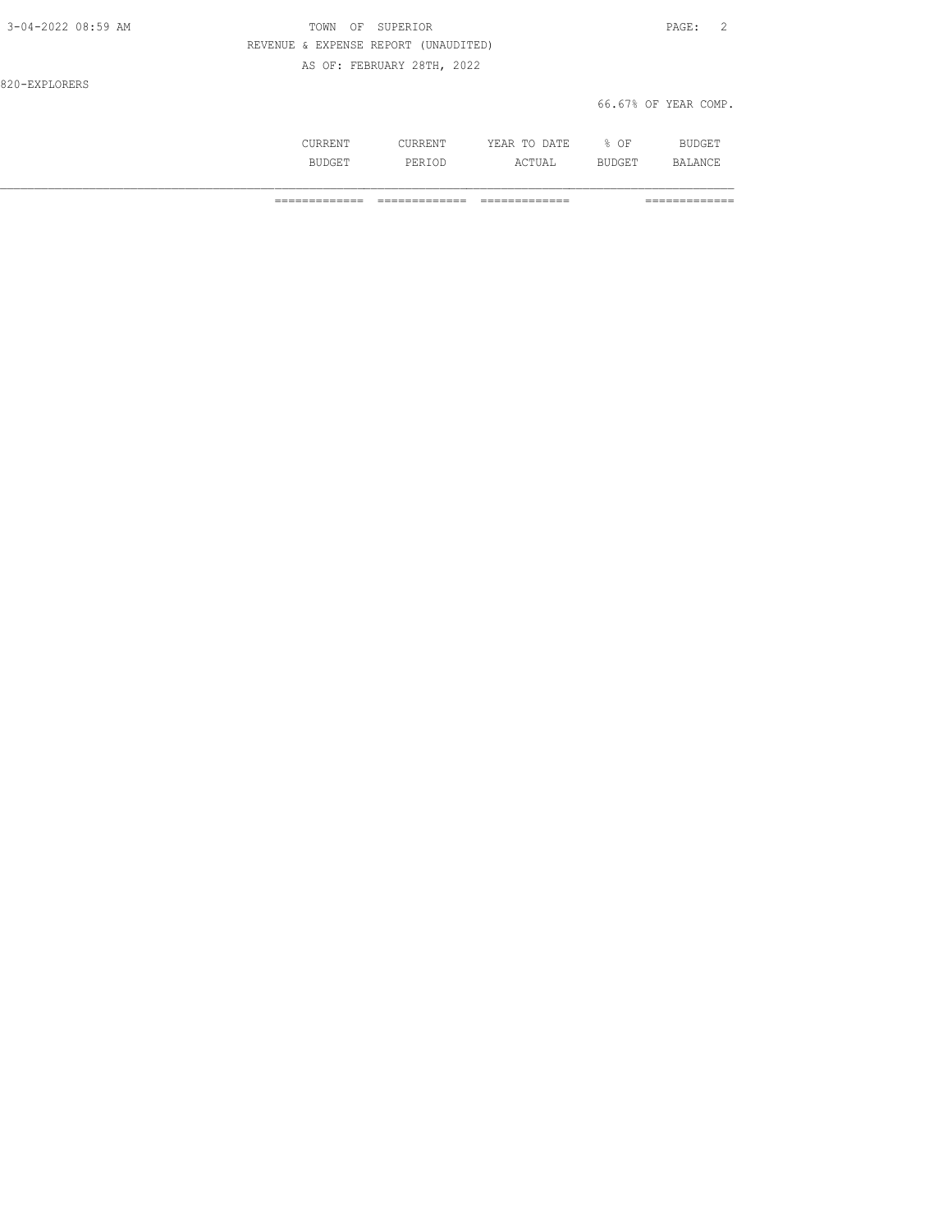| 3-04-2022 08:59 AM | TOWN OF SUPERIOR                     | PAGE: 2              |
|--------------------|--------------------------------------|----------------------|
|                    | REVENUE & EXPENSE REPORT (UNAUDITED) |                      |
|                    | AS OF: FEBRUARY 28TH, 2022           |                      |
| 820-EXPLORERS      |                                      |                      |
|                    |                                      | 66.67% OF YEAR COMP. |
|                    |                                      |                      |

| ◡◡ュ៶ュ៶⊥⊥៶ー | - UNNLIN 1 | . IA TIP<br>ve<br>m <sub>c</sub><br>-----<br>----- | $\bigcap$<br>. .<br>◡ | OTT<br>71 I<br>۔ سال ۲۰ |
|------------|------------|----------------------------------------------------|-----------------------|-------------------------|
| .<br>◡∸    | ◡∸◡        | $C$ $m$ TT<br>.'UAL                                | ---                   | $AND^*$                 |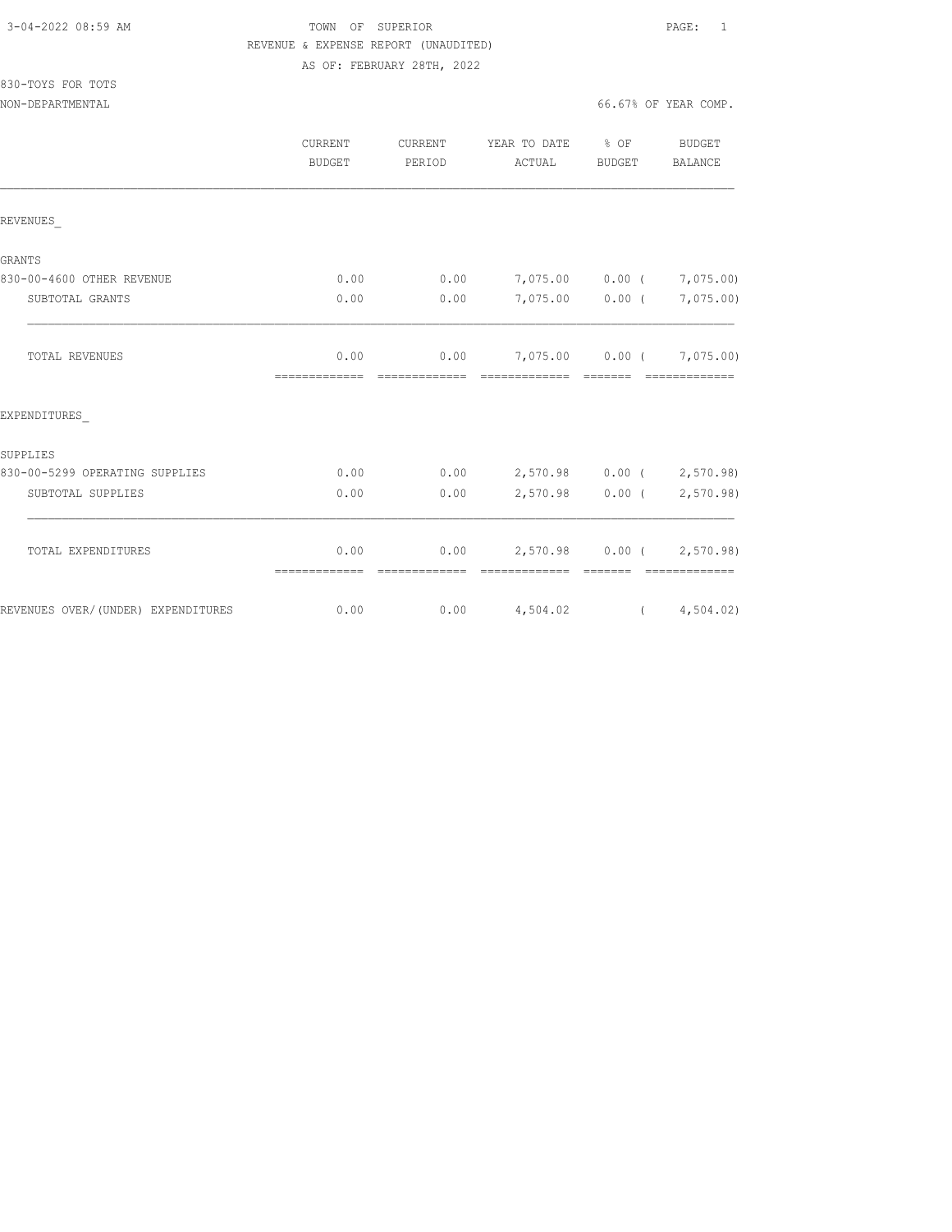830-TOYS FOR TOTS

# TOWN OF SUPERIOR **Example 2010** PAGE: 1 REVENUE & EXPENSE REPORT (UNAUDITED) AS OF: FEBRUARY 28TH, 2022

NON-DEPARTMENTAL 66.67% OF YEAR COMP.

|                                    | <b>CURRENT</b><br><b>BUDGET</b> | CURRENT<br>PERIOD      | YEAR TO DATE % OF<br>ACTUAL | <b>BUDGET</b>                                                                                                                                                                                                                                                                                                                                                                                                                                                                        | <b>BUDGET</b><br>BALANCE                                                                                                                                                                                                                                                                                                                                                                                                                                                                                                                          |
|------------------------------------|---------------------------------|------------------------|-----------------------------|--------------------------------------------------------------------------------------------------------------------------------------------------------------------------------------------------------------------------------------------------------------------------------------------------------------------------------------------------------------------------------------------------------------------------------------------------------------------------------------|---------------------------------------------------------------------------------------------------------------------------------------------------------------------------------------------------------------------------------------------------------------------------------------------------------------------------------------------------------------------------------------------------------------------------------------------------------------------------------------------------------------------------------------------------|
| REVENUES                           |                                 |                        |                             |                                                                                                                                                                                                                                                                                                                                                                                                                                                                                      |                                                                                                                                                                                                                                                                                                                                                                                                                                                                                                                                                   |
| <b>GRANTS</b>                      |                                 |                        |                             |                                                                                                                                                                                                                                                                                                                                                                                                                                                                                      |                                                                                                                                                                                                                                                                                                                                                                                                                                                                                                                                                   |
| 830-00-4600 OTHER REVENUE          | 0.00                            | 0.00                   | 7,075.00 0.00 ( 7,075.00)   |                                                                                                                                                                                                                                                                                                                                                                                                                                                                                      |                                                                                                                                                                                                                                                                                                                                                                                                                                                                                                                                                   |
| SUBTOTAL GRANTS                    | 0.00                            | 0.00                   |                             | 7,075.00 0.00 (                                                                                                                                                                                                                                                                                                                                                                                                                                                                      | 7,075.00)                                                                                                                                                                                                                                                                                                                                                                                                                                                                                                                                         |
| <b>TOTAL REVENUES</b>              | 0.00<br>-------------           | 0.00<br>=============  | 7,075.00 0.00 ( 7,075.00)   | $\begin{array}{cccccc} \multicolumn{2}{c}{} & \multicolumn{2}{c}{} & \multicolumn{2}{c}{} & \multicolumn{2}{c}{} & \multicolumn{2}{c}{} & \multicolumn{2}{c}{} & \multicolumn{2}{c}{} & \multicolumn{2}{c}{} & \multicolumn{2}{c}{} & \multicolumn{2}{c}{} & \multicolumn{2}{c}{} & \multicolumn{2}{c}{} & \multicolumn{2}{c}{} & \multicolumn{2}{c}{} & \multicolumn{2}{c}{} & \multicolumn{2}{c}{} & \multicolumn{2}{c}{} & \multicolumn{2}{c}{} & \multicolumn{2}{c}{} & \multic$ |                                                                                                                                                                                                                                                                                                                                                                                                                                                                                                                                                   |
| EXPENDITURES                       |                                 |                        |                             |                                                                                                                                                                                                                                                                                                                                                                                                                                                                                      |                                                                                                                                                                                                                                                                                                                                                                                                                                                                                                                                                   |
| SUPPLIES                           |                                 |                        |                             |                                                                                                                                                                                                                                                                                                                                                                                                                                                                                      |                                                                                                                                                                                                                                                                                                                                                                                                                                                                                                                                                   |
| 830-00-5299 OPERATING SUPPLIES     | 0.00                            | 0.00                   | 2,570.98 0.00 ( 2,570.98)   |                                                                                                                                                                                                                                                                                                                                                                                                                                                                                      |                                                                                                                                                                                                                                                                                                                                                                                                                                                                                                                                                   |
| SUBTOTAL SUPPLIES                  | 0.00                            | 0.00                   | 2,570.98                    | $0.00$ (                                                                                                                                                                                                                                                                                                                                                                                                                                                                             | 2,570.98)                                                                                                                                                                                                                                                                                                                                                                                                                                                                                                                                         |
| TOTAL EXPENDITURES                 | 0.00<br>=============           | 0.00<br>-------------- | essessessesse               |                                                                                                                                                                                                                                                                                                                                                                                                                                                                                      | 2,570.98 0.00 ( 2,570.98)<br>$\begin{tabular}{ll} \multicolumn{3}{l}{{\small\textrm{m}}}\end{tabular} \begin{tabular}{ll} \multicolumn{3}{l}{\small\textrm{m}}\end{tabular} \begin{tabular}{ll} \multicolumn{3}{l}{\small\textrm{m}}\end{tabular} \begin{tabular}{ll} \multicolumn{3}{l}{\small\textrm{m}}\end{tabular} \begin{tabular}{ll} \multicolumn{3}{l}{\small\textrm{m}}\end{tabular} \begin{tabular}{ll} \multicolumn{3}{l}{\small\textrm{m}}\end{tabular} \begin{tabular}{ll} \multicolumn{3}{l}{\small\textrm{m}}\end{tabular} \begin$ |
| REVENUES OVER/(UNDER) EXPENDITURES | 0.00                            | 0.00                   | 4,504.02                    |                                                                                                                                                                                                                                                                                                                                                                                                                                                                                      | (4, 504.02)                                                                                                                                                                                                                                                                                                                                                                                                                                                                                                                                       |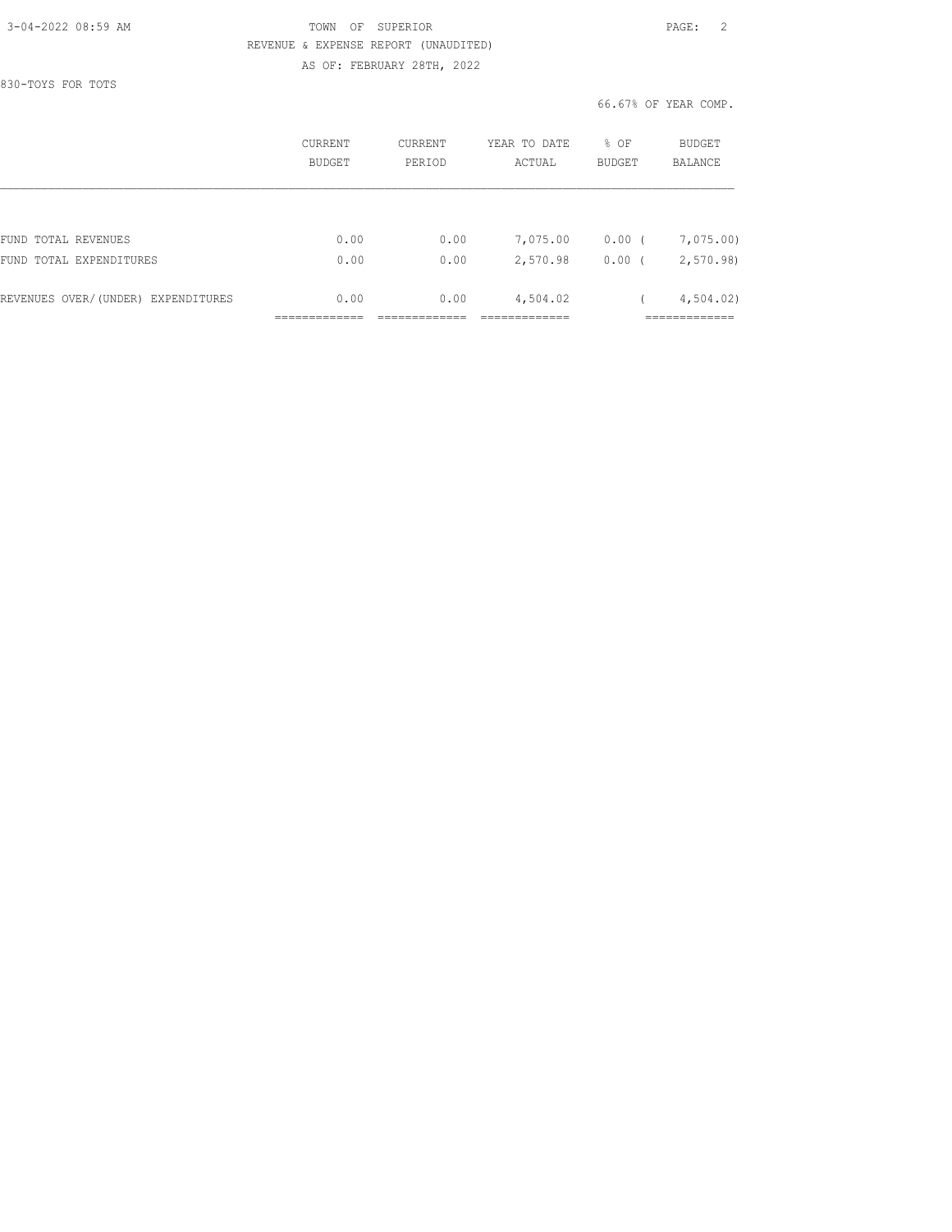#### 3-04-2022 08:59 AM TOWN OF SUPERIOR PAGE: 2 REVENUE & EXPENSE REPORT (UNAUDITED) AS OF: FEBRUARY 28TH, 2022

830-TOYS FOR TOTS

#### 66.67% OF YEAR COMP.

|                                    | CURRENT<br><b>BUDGET</b> | CURRENT<br>PERIOD | YEAR TO DATE<br>ACTUAL | % OF<br>BUDGET     | BUDGET<br><b>BALANCE</b> |
|------------------------------------|--------------------------|-------------------|------------------------|--------------------|--------------------------|
|                                    |                          |                   |                        |                    |                          |
| FUND TOTAL REVENUES                | 0.00                     | 0.00              | 7,075.00               | 0.00<br>$\sqrt{ }$ | 7,075.00)                |
| FUND TOTAL EXPENDITURES            | 0.00                     | 0.00              | 2,570.98               | $0.00$ (           | 2,570.98                 |
| REVENUES OVER/(UNDER) EXPENDITURES | 0.00                     | 0.00              | 4,504.02               |                    | 4,504.02                 |
|                                    |                          |                   |                        |                    |                          |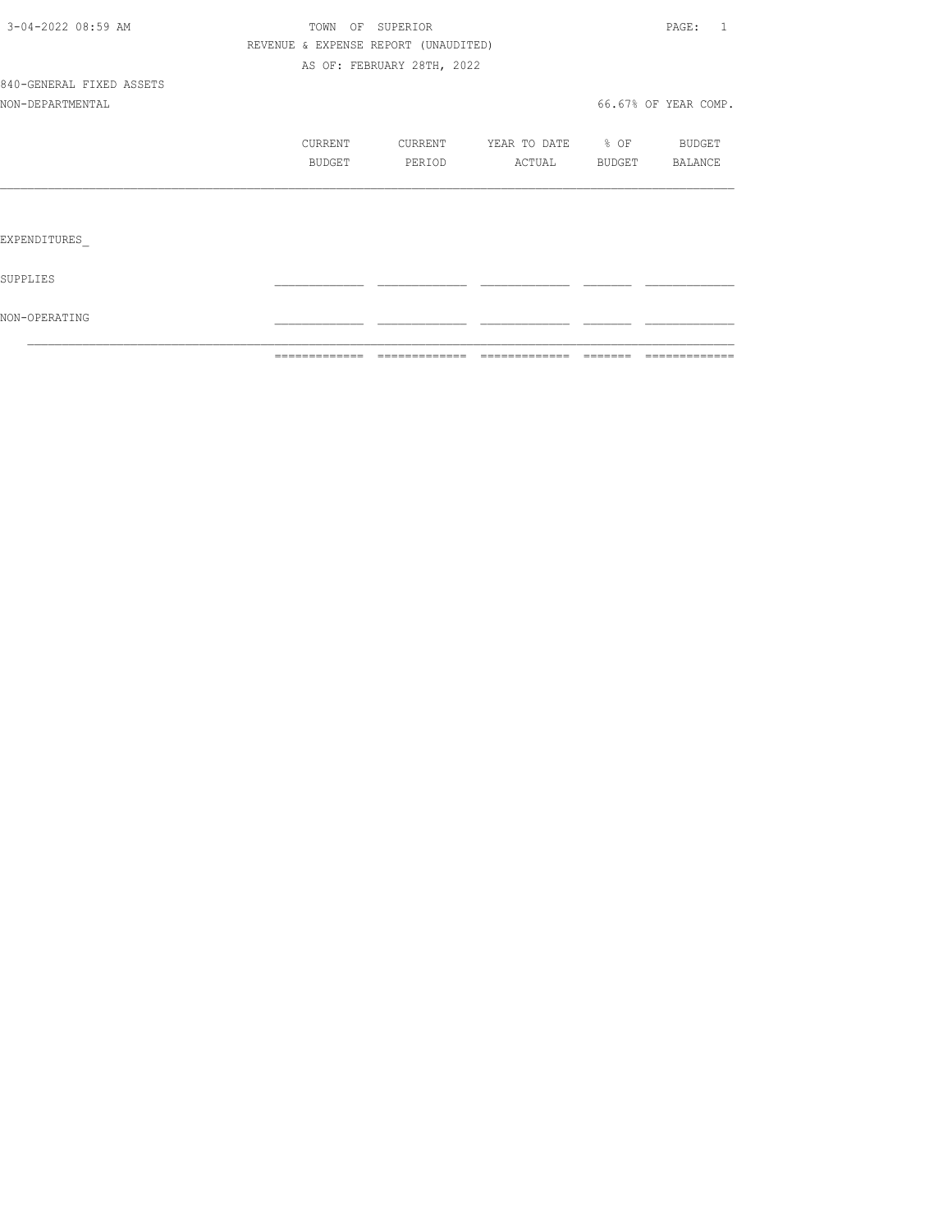|                          | =============                        | - =============            |                                  |                | =============        |
|--------------------------|--------------------------------------|----------------------------|----------------------------------|----------------|----------------------|
| NON-OPERATING            |                                      |                            |                                  |                |                      |
| SUPPLIES                 |                                      |                            |                                  |                |                      |
| EXPENDITURES             |                                      |                            |                                  |                |                      |
|                          |                                      |                            |                                  |                |                      |
|                          | BUDGET                               | PERIOD                     | ACTUAL                           | BUDGET BALANCE |                      |
|                          | CURRENT                              |                            | CURRENT YEAR TO DATE 8 OF BUDGET |                |                      |
| NON-DEPARTMENTAL         |                                      |                            |                                  |                | 66.67% OF YEAR COMP. |
| 840-GENERAL FIXED ASSETS |                                      |                            |                                  |                |                      |
|                          |                                      | AS OF: FEBRUARY 28TH, 2022 |                                  |                |                      |
|                          | REVENUE & EXPENSE REPORT (UNAUDITED) |                            |                                  |                |                      |
| 3-04-2022 08:59 AM       |                                      | TOWN OF SUPERIOR           |                                  |                | PAGE: 1              |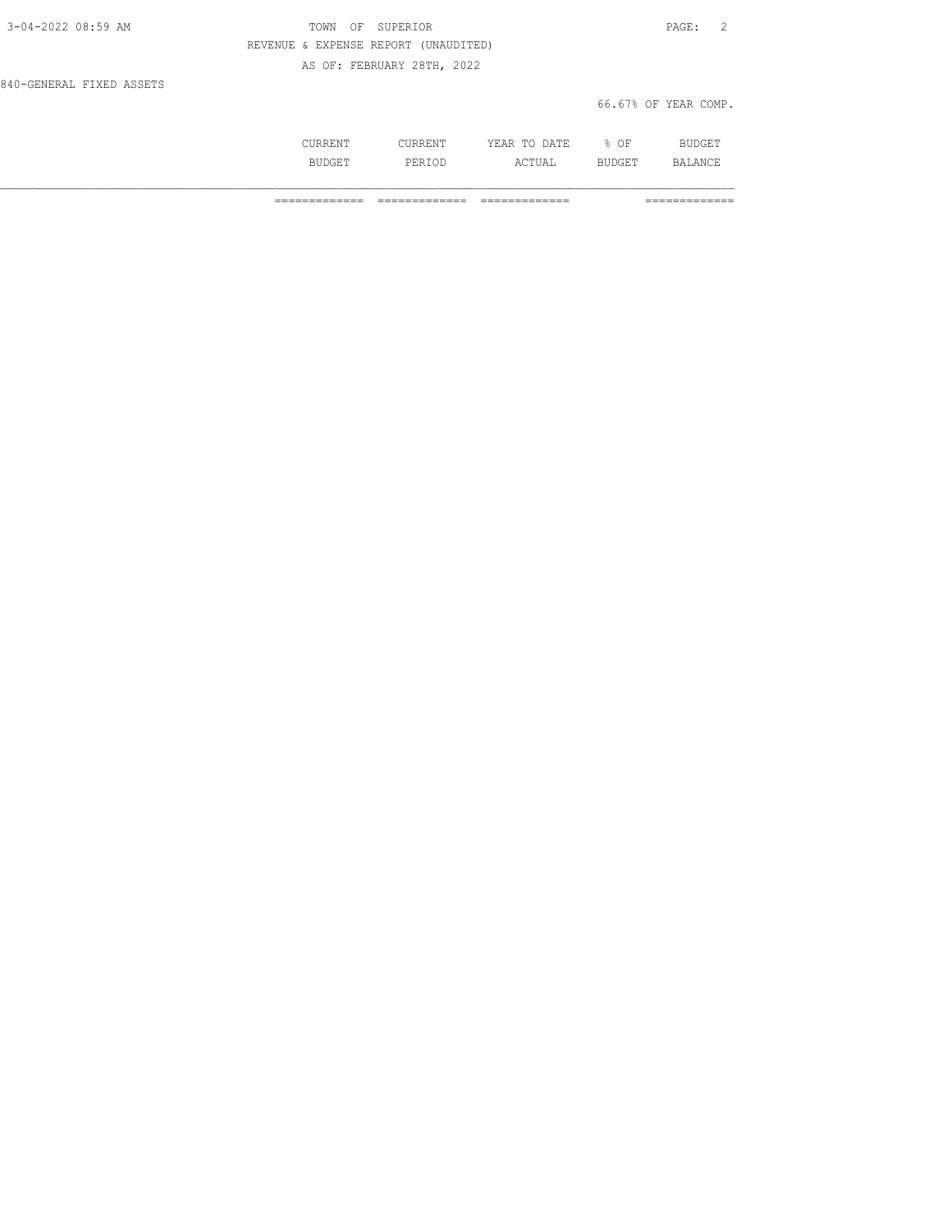| 3-04-2022 08:59 AM       | OF SUPERIOR<br>TOWN                  | PAGE: 2              |  |
|--------------------------|--------------------------------------|----------------------|--|
|                          | REVENUE & EXPENSE REPORT (UNAUDITED) |                      |  |
|                          | AS OF: FEBRUARY 28TH, 2022           |                      |  |
| 840-GENERAL FIXED ASSETS |                                      |                      |  |
|                          |                                      | 66.67% OF YEAR COMP. |  |

| --- | .       | NA TF<br>. .<br>. .<br>----<br>----- | ∩ஈ<br>ັ |  |
|-----|---------|--------------------------------------|---------|--|
|     | י ים כ∟ | $\cdots$<br>---                      | ---     |  |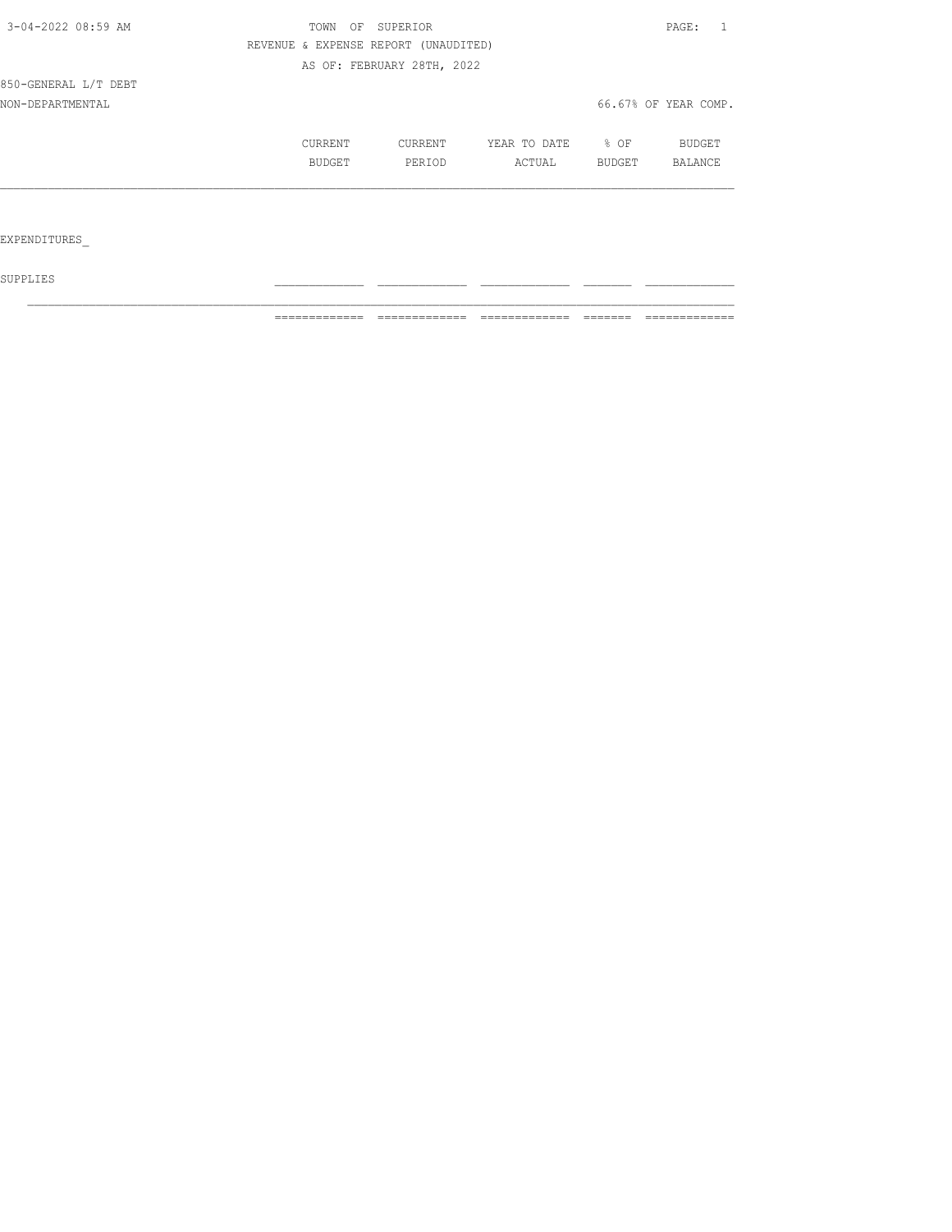| 3-04-2022 08:59 AM   | TOWN<br>OF | SUPERIOR                             |              |        | PAGE:<br>$\overline{1}$ |
|----------------------|------------|--------------------------------------|--------------|--------|-------------------------|
|                      |            | REVENUE & EXPENSE REPORT (UNAUDITED) |              |        |                         |
|                      |            | AS OF: FEBRUARY 28TH, 2022           |              |        |                         |
| 850-GENERAL L/T DEBT |            |                                      |              |        |                         |
| NON-DEPARTMENTAL     |            |                                      |              |        | 66.67% OF YEAR COMP.    |
|                      | CURRENT    | CURRENT                              | YEAR TO DATE | $8$ OF | BUDGET                  |
|                      | BUDGET     | PERIOD                               | ACTUAL       | BUDGET | <b>BALANCE</b>          |
|                      |            |                                      |              |        |                         |
|                      |            |                                      |              |        |                         |
| EXPENDITURES         |            |                                      |              |        |                         |

 ${\tt SUPPLIES}$